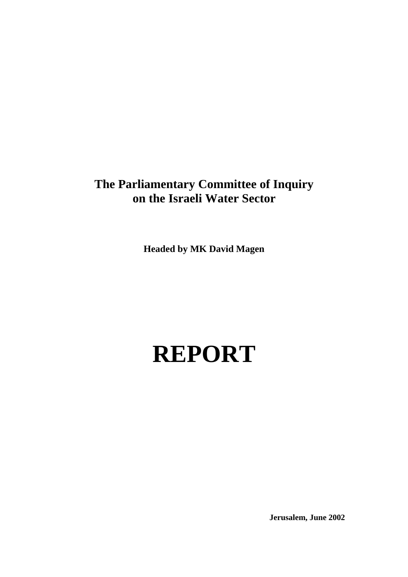## **The Parliamentary Committee of Inquiry on the Israeli Water Sector**

**Headed by MK David Magen** 

# **REPORT**

 **Jerusalem, June 2002**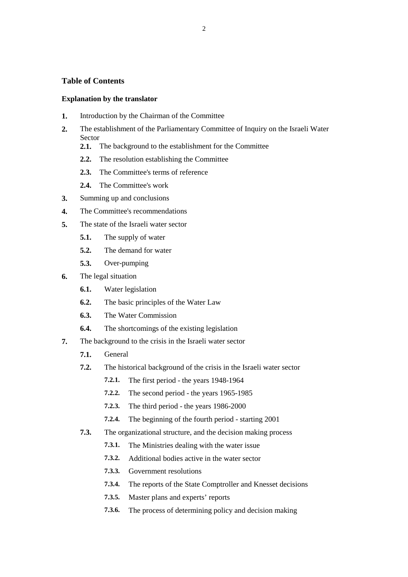#### **Table of Contents**

#### **Explanation by the translator**

- **1.** Introduction by the Chairman of the Committee
- **2.** The establishment of the Parliamentary Committee of Inquiry on the Israeli Water Sector
	- **2.1.** The background to the establishment for the Committee
	- **2.2.** The resolution establishing the Committee
	- **2.3.** The Committee's terms of reference
	- **2.4.** The Committee's work
- **3.** Summing up and conclusions
- **4.** The Committee's recommendations
- **5.** The state of the Israeli water sector
	- **5.1.** The supply of water
	- **5.2.** The demand for water
	- **5.3.** Over-pumping
- **6.** The legal situation
	- **6.1.** Water legislation
	- **6.2.** The basic principles of the Water Law
	- **6.3.** The Water Commission
	- **6.4.** The shortcomings of the existing legislation
- **7.** The background to the crisis in the Israeli water sector
	- **7.1.** General
	- **7.2.** The historical background of the crisis in the Israeli water sector
		- **7.2.1.** The first period the years 1948-1964
		- **7.2.2.** The second period the years 1965-1985
		- **7.2.3.** The third period the years 1986-2000
		- **7.2.4.** The beginning of the fourth period starting 2001
	- **7.3.** The organizational structure, and the decision making process
		- **7.3.1.** The Ministries dealing with the water issue
		- **7.3.2.** Additional bodies active in the water sector
		- **7.3.3.** Government resolutions
		- **7.3.4.** The reports of the State Comptroller and Knesset decisions
		- **7.3.5.** Master plans and experts' reports
		- **7.3.6.** The process of determining policy and decision making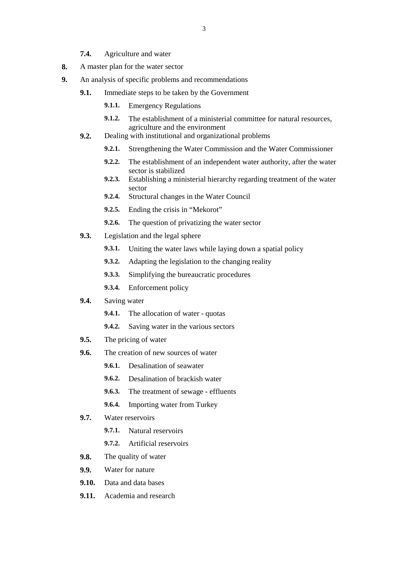- **7.4.** Agriculture and water
- **8.** A master plan for the water sector
- **9.** An analysis of specific problems and recommendations
	- **9.1.** Immediate steps to be taken by the Government
		- **9.1.1.** Emergency Regulations
		- **9.1.2.** The establishment of a ministerial committee for natural resources, agriculture and the environment
	- **9.2.** Dealing with institutional and organizational problems
		- **9.2.1.** Strengthening the Water Commission and the Water Commissioner
		- **9.2.2.** The establishment of an independent water authority, after the water sector is stabilized
		- **9.2.3.** Establishing a ministerial hierarchy regarding treatment of the water sector
		- **9.2.4.** Structural changes in the Water Council
		- **9.2.5.** Ending the crisis in "Mekorot"
		- **9.2.6.** The question of privatizing the water sector
	- **9.3.** Legislation and the legal sphere
		- **9.3.1.** Uniting the water laws while laying down a spatial policy
		- **9.3.2.** Adapting the legislation to the changing reality
		- **9.3.3.** Simplifying the bureaucratic procedures
		- **9.3.4.** Enforcement policy
	- **9.4.** Saving water
		- **9.4.1.** The allocation of water quotas
		- **9.4.2.** Saving water in the various sectors
	- **9.5.** The pricing of water
	- **9.6.** The creation of new sources of water
		- **9.6.1.** Desalination of seawater
		- **9.6.2.** Desalination of brackish water
		- **9.6.3.** The treatment of sewage effluents
		- **9.6.4.** Importing water from Turkey
	- **9.7.** Water reservoirs
		- **9.7.1.** Natural reservoirs
		- **9.7.2.** Artificial reservoirs
	- **9.8.** The quality of water
	- **9.9.** Water for nature
	- **9.10.** Data and data bases
	- **9.11.** Academia and research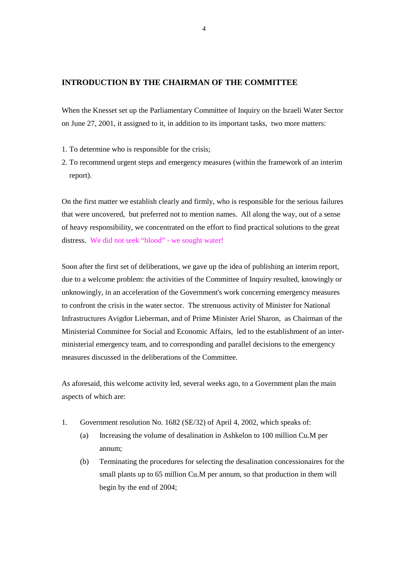#### **INTRODUCTION BY THE CHAIRMAN OF THE COMMITTEE**

When the Knesset set up the Parliamentary Committee of Inquiry on the Israeli Water Sector on June 27, 2001, it assigned to it, in addition to its important tasks, two more matters:

- 1. To determine who is responsible for the crisis;
- 2. To recommend urgent steps and emergency measures (within the framework of an interim report).

On the first matter we establish clearly and firmly, who is responsible for the serious failures that were uncovered, but preferred not to mention names. All along the way, out of a sense of heavy responsibility, we concentrated on the effort to find practical solutions to the great distress. We did not seek "blood" - we sought water!

Soon after the first set of deliberations, we gave up the idea of publishing an interim report, due to a welcome problem: the activities of the Committee of Inquiry resulted, knowingly or unknowingly, in an acceleration of the Government's work concerning emergency measures to confront the crisis in the water sector. The strenuous activity of Minister for National Infrastructures Avigdor Lieberman, and of Prime Minister Ariel Sharon, as Chairman of the Ministerial Committee for Social and Economic Affairs, led to the establishment of an interministerial emergency team, and to corresponding and parallel decisions to the emergency measures discussed in the deliberations of the Committee.

As aforesaid, this welcome activity led, several weeks ago, to a Government plan the main aspects of which are:

- 1. Government resolution No. 1682 (SE/32) of April 4, 2002, which speaks of:
	- (a) Increasing the volume of desalination in Ashkelon to 100 million Cu.M per annum;
	- (b) Terminating the procedures for selecting the desalination concessionaires for the small plants up to 65 million Cu.M per annum, so that production in them will begin by the end of 2004;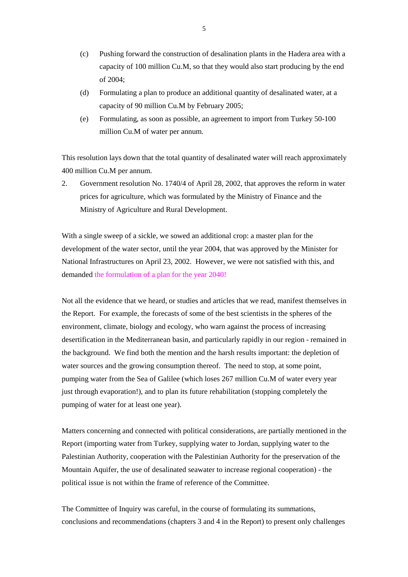- (c) Pushing forward the construction of desalination plants in the Hadera area with a capacity of 100 million Cu.M, so that they would also start producing by the end of 2004;
- (d) Formulating a plan to produce an additional quantity of desalinated water, at a capacity of 90 million Cu.M by February 2005;
- (e) Formulating, as soon as possible, an agreement to import from Turkey 50-100 million Cu.M of water per annum.

This resolution lays down that the total quantity of desalinated water will reach approximately 400 million Cu.M per annum.

2. Government resolution No. 1740/4 of April 28, 2002, that approves the reform in water prices for agriculture, which was formulated by the Ministry of Finance and the Ministry of Agriculture and Rural Development.

With a single sweep of a sickle, we sowed an additional crop: a master plan for the development of the water sector, until the year 2004, that was approved by the Minister for National Infrastructures on April 23, 2002. However, we were not satisfied with this, and demanded the formulation of a plan for the year 2040!

Not all the evidence that we heard, or studies and articles that we read, manifest themselves in the Report. For example, the forecasts of some of the best scientists in the spheres of the environment, climate, biology and ecology, who warn against the process of increasing desertification in the Mediterranean basin, and particularly rapidly in our region - remained in the background. We find both the mention and the harsh results important: the depletion of water sources and the growing consumption thereof. The need to stop, at some point, pumping water from the Sea of Galilee (which loses 267 million Cu.M of water every year just through evaporation!), and to plan its future rehabilitation (stopping completely the pumping of water for at least one year).

Matters concerning and connected with political considerations, are partially mentioned in the Report (importing water from Turkey, supplying water to Jordan, supplying water to the Palestinian Authority, cooperation with the Palestinian Authority for the preservation of the Mountain Aquifer, the use of desalinated seawater to increase regional cooperation) - the political issue is not within the frame of reference of the Committee.

The Committee of Inquiry was careful, in the course of formulating its summations, conclusions and recommendations (chapters 3 and 4 in the Report) to present only challenges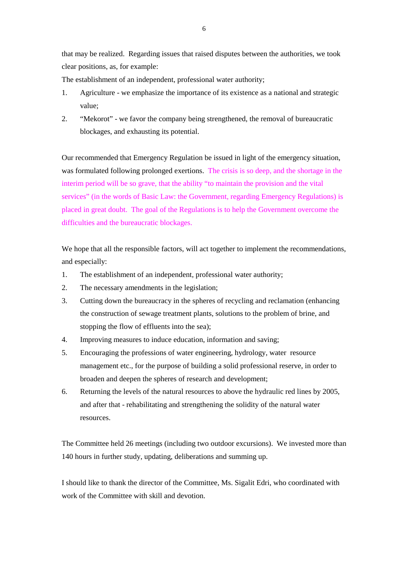that may be realized. Regarding issues that raised disputes between the authorities, we took clear positions, as, for example:

The establishment of an independent, professional water authority;

- 1. Agriculture we emphasize the importance of its existence as a national and strategic value;
- 2. "Mekorot" we favor the company being strengthened, the removal of bureaucratic blockages, and exhausting its potential.

Our recommended that Emergency Regulation be issued in light of the emergency situation, was formulated following prolonged exertions. The crisis is so deep, and the shortage in the interim period will be so grave, that the ability "to maintain the provision and the vital services" (in the words of Basic Law: the Government, regarding Emergency Regulations) is placed in great doubt. The goal of the Regulations is to help the Government overcome the difficulties and the bureaucratic blockages.

We hope that all the responsible factors, will act together to implement the recommendations, and especially:

- 1. The establishment of an independent, professional water authority;
- 2. The necessary amendments in the legislation;
- 3. Cutting down the bureaucracy in the spheres of recycling and reclamation (enhancing the construction of sewage treatment plants, solutions to the problem of brine, and stopping the flow of effluents into the sea);
- 4. Improving measures to induce education, information and saving;
- 5. Encouraging the professions of water engineering, hydrology, water resource management etc., for the purpose of building a solid professional reserve, in order to broaden and deepen the spheres of research and development;
- 6. Returning the levels of the natural resources to above the hydraulic red lines by 2005, and after that - rehabilitating and strengthening the solidity of the natural water resources.

The Committee held 26 meetings (including two outdoor excursions). We invested more than 140 hours in further study, updating, deliberations and summing up.

I should like to thank the director of the Committee, Ms. Sigalit Edri, who coordinated with work of the Committee with skill and devotion.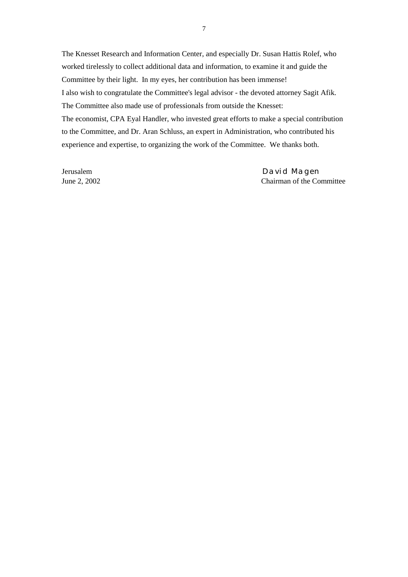The Knesset Research and Information Center, and especially Dr. Susan Hattis Rolef, who worked tirelessly to collect additional data and information, to examine it and guide the Committee by their light. In my eyes, her contribution has been immense! I also wish to congratulate the Committee's legal advisor - the devoted attorney Sagit Afik. The Committee also made use of professionals from outside the Knesset: The economist, CPA Eyal Handler, who invested great efforts to make a special contribution to the Committee, and Dr. Aran Schluss, an expert in Administration, who contributed his experience and expertise, to organizing the work of the Committee. We thanks both.

Jerusalem David Magen June 2, 2002 Chairman of the Committee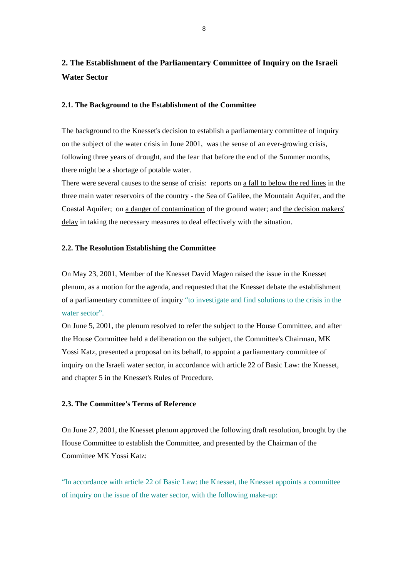### **2. The Establishment of the Parliamentary Committee of Inquiry on the Israeli Water Sector**

#### **2.1. The Background to the Establishment of the Committee**

The background to the Knesset's decision to establish a parliamentary committee of inquiry on the subject of the water crisis in June 2001, was the sense of an ever-growing crisis, following three years of drought, and the fear that before the end of the Summer months, there might be a shortage of potable water.

There were several causes to the sense of crisis: reports on a fall to below the red lines in the three main water reservoirs of the country - the Sea of Galilee, the Mountain Aquifer, and the Coastal Aquifer; on a danger of contamination of the ground water; and the decision makers' delay in taking the necessary measures to deal effectively with the situation.

#### **2.2. The Resolution Establishing the Committee**

On May 23, 2001, Member of the Knesset David Magen raised the issue in the Knesset plenum, as a motion for the agenda, and requested that the Knesset debate the establishment of a parliamentary committee of inquiry "to investigate and find solutions to the crisis in the water sector".

On June 5, 2001, the plenum resolved to refer the subject to the House Committee, and after the House Committee held a deliberation on the subject, the Committee's Chairman, MK Yossi Katz, presented a proposal on its behalf, to appoint a parliamentary committee of inquiry on the Israeli water sector, in accordance with article 22 of Basic Law: the Knesset, and chapter 5 in the Knesset's Rules of Procedure.

#### **2.3. The Committee's Terms of Reference**

On June 27, 2001, the Knesset plenum approved the following draft resolution, brought by the House Committee to establish the Committee, and presented by the Chairman of the Committee MK Yossi Katz:

"In accordance with article 22 of Basic Law: the Knesset, the Knesset appoints a committee of inquiry on the issue of the water sector, with the following make-up: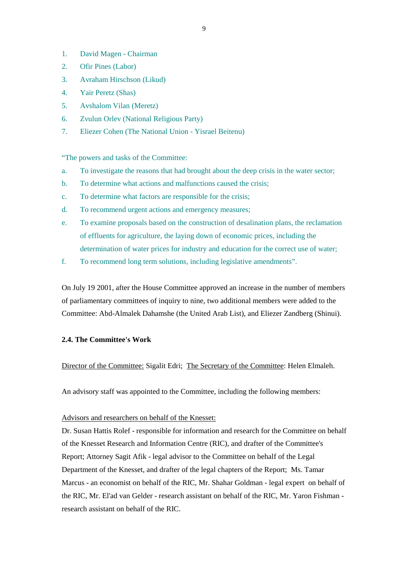- 1. David Magen Chairman
- 2. Ofir Pines (Labor)
- 3. Avraham Hirschson (Likud)
- 4. Yair Peretz (Shas)
- 5. Avshalom Vilan (Meretz)
- 6. Zvulun Orlev (National Religious Party)
- 7. Eliezer Cohen (The National Union Yisrael Beitenu)

"The powers and tasks of the Committee:

- a. To investigate the reasons that had brought about the deep crisis in the water sector;
- b. To determine what actions and malfunctions caused the crisis;
- c. To determine what factors are responsible for the crisis;
- d. To recommend urgent actions and emergency measures;
- e. To examine proposals based on the construction of desalination plans, the reclamation of effluents for agriculture, the laying down of economic prices, including the determination of water prices for industry and education for the correct use of water;
- f. To recommend long term solutions, including legislative amendments".

On July 19 2001, after the House Committee approved an increase in the number of members of parliamentary committees of inquiry to nine, two additional members were added to the Committee: Abd-Almalek Dahamshe (the United Arab List), and Eliezer Zandberg (Shinui).

#### **2.4. The Committee's Work**

Director of the Committee: Sigalit Edri; The Secretary of the Committee: Helen Elmaleh.

An advisory staff was appointed to the Committee, including the following members:

#### Advisors and researchers on behalf of the Knesset:

Dr. Susan Hattis Rolef - responsible for information and research for the Committee on behalf of the Knesset Research and Information Centre (RIC), and drafter of the Committee's Report; Attorney Sagit Afik - legal advisor to the Committee on behalf of the Legal Department of the Knesset, and drafter of the legal chapters of the Report; Ms. Tamar Marcus - an economist on behalf of the RIC, Mr. Shahar Goldman - legal expert on behalf of the RIC, Mr. El'ad van Gelder - research assistant on behalf of the RIC, Mr. Yaron Fishman research assistant on behalf of the RIC.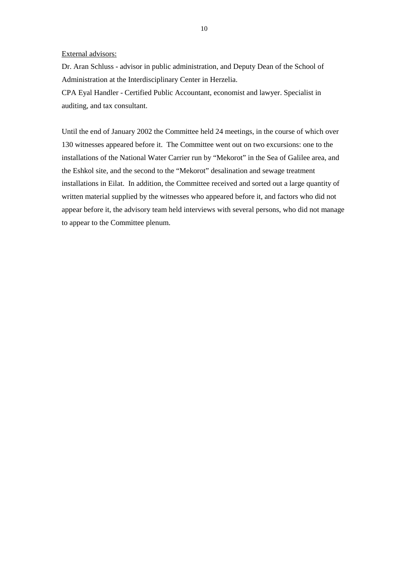#### External advisors:

Dr. Aran Schluss - advisor in public administration, and Deputy Dean of the School of Administration at the Interdisciplinary Center in Herzelia.

CPA Eyal Handler - Certified Public Accountant, economist and lawyer. Specialist in auditing, and tax consultant.

Until the end of January 2002 the Committee held 24 meetings, in the course of which over 130 witnesses appeared before it. The Committee went out on two excursions: one to the installations of the National Water Carrier run by "Mekorot" in the Sea of Galilee area, and the Eshkol site, and the second to the "Mekorot" desalination and sewage treatment installations in Eilat. In addition, the Committee received and sorted out a large quantity of written material supplied by the witnesses who appeared before it, and factors who did not appear before it, the advisory team held interviews with several persons, who did not manage to appear to the Committee plenum.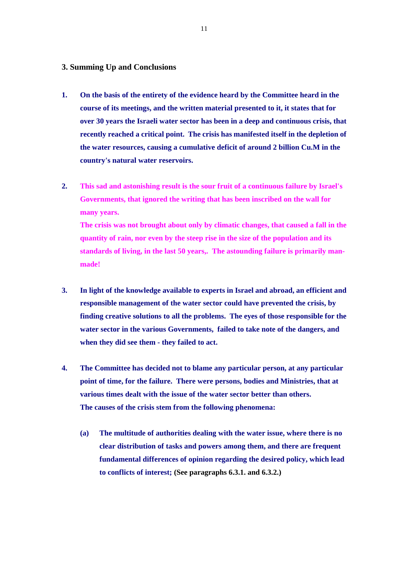#### **3. Summing Up and Conclusions**

- **1. On the basis of the entirety of the evidence heard by the Committee heard in the course of its meetings, and the written material presented to it, it states that for over 30 years the Israeli water sector has been in a deep and continuous crisis, that recently reached a critical point. The crisis has manifested itself in the depletion of the water resources, causing a cumulative deficit of around 2 billion Cu.M in the country's natural water reservoirs.**
- **2. This sad and astonishing result is the sour fruit of a continuous failure by Israel's Governments, that ignored the writing that has been inscribed on the wall for many years. The crisis was not brought about only by climatic changes, that caused a fall in the**

**quantity of rain, nor even by the steep rise in the size of the population and its standards of living, in the last 50 years,. The astounding failure is primarily manmade!** 

- **3. In light of the knowledge available to experts in Israel and abroad, an efficient and responsible management of the water sector could have prevented the crisis, by finding creative solutions to all the problems. The eyes of those responsible for the water sector in the various Governments, failed to take note of the dangers, and when they did see them - they failed to act.**
- **4. The Committee has decided not to blame any particular person, at any particular point of time, for the failure. There were persons, bodies and Ministries, that at various times dealt with the issue of the water sector better than others. The causes of the crisis stem from the following phenomena:** 
	- **(a) The multitude of authorities dealing with the water issue, where there is no clear distribution of tasks and powers among them, and there are frequent fundamental differences of opinion regarding the desired policy, which lead to conflicts of interest; (See paragraphs 6.3.1. and 6.3.2.)**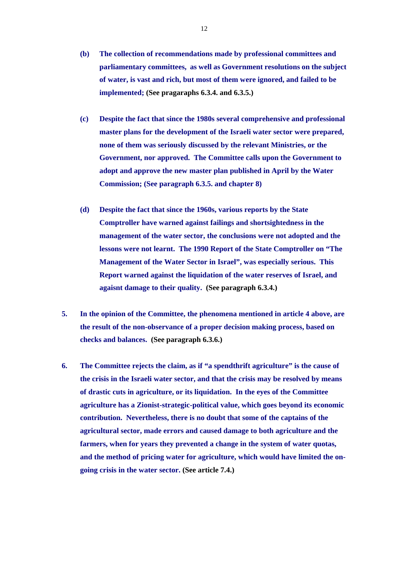- **(b) The collection of recommendations made by professional committees and parliamentary committees, as well as Government resolutions on the subject of water, is vast and rich, but most of them were ignored, and failed to be implemented; (See pragaraphs 6.3.4. and 6.3.5.)**
- **(c) Despite the fact that since the 1980s several comprehensive and professional master plans for the development of the Israeli water sector were prepared, none of them was seriously discussed by the relevant Ministries, or the Government, nor approved. The Committee calls upon the Government to adopt and approve the new master plan published in April by the Water Commission; (See paragraph 6.3.5. and chapter 8)**
- **(d) Despite the fact that since the 1960s, various reports by the State Comptroller have warned against failings and shortsightedness in the management of the water sector, the conclusions were not adopted and the lessons were not learnt. The 1990 Report of the State Comptroller on "The Management of the Water Sector in Israel", was especially serious. This Report warned against the liquidation of the water reserves of Israel, and agaisnt damage to their quality. (See paragraph 6.3.4.)**
- **5. In the opinion of the Committee, the phenomena mentioned in article 4 above, are the result of the non-observance of a proper decision making process, based on checks and balances. (See paragraph 6.3.6.)**
- **6. The Committee rejects the claim, as if "a spendthrift agriculture" is the cause of the crisis in the Israeli water sector, and that the crisis may be resolved by means of drastic cuts in agriculture, or its liquidation. In the eyes of the Committee agriculture has a Zionist-strategic-political value, which goes beyond its economic contribution. Nevertheless, there is no doubt that some of the captains of the agricultural sector, made errors and caused damage to both agriculture and the farmers, when for years they prevented a change in the system of water quotas, and the method of pricing water for agriculture, which would have limited the ongoing crisis in the water sector. (See article 7.4.)**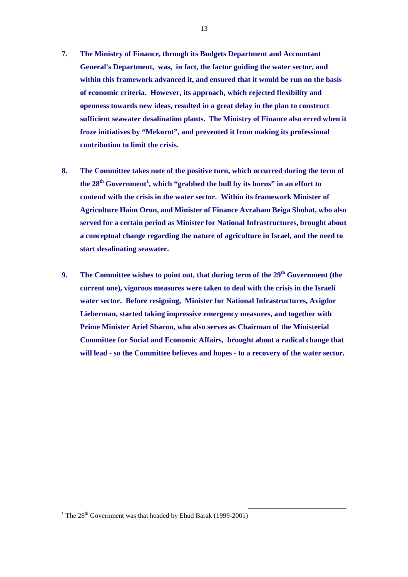- **7. The Ministry of Finance, through its Budgets Department and Accountant General's Department, was, in fact, the factor guiding the water sector, and within this framework advanced it, and ensured that it would be run on the basis of economic criteria. However, its approach, which rejected flexibility and openness towards new ideas, resulted in a great delay in the plan to construct sufficient seawater desalination plants. The Ministry of Finance also erred when it froze initiatives by "Mekorot", and prevented it from making its professional contribution to limit the crisis.**
- **8. The Committee takes note of the positive turn, which occurred during the term of**  the 28<sup>th</sup> Government<sup>1</sup>, which "grabbed the bull by its horns" in an effort to **contend with the crisis in the water sector. Within its framework Minister of Agriculture Haim Oron, and Minister of Finance Avraham Beiga Shohat, who also served for a certain period as Minister for National Infrastructures, brought about a conceptual change regarding the nature of agriculture in Israel, and the need to start desalinating seawater.**
- **9. The Committee wishes to point out, that during term of the 29th Government (the current one), vigorous measures were taken to deal with the crisis in the Israeli water sector. Before resigning, Minister for National Infrastructures, Avigdor Lieberman, started taking impressive emergency measures, and together with Prime Minister Ariel Sharon, who also serves as Chairman of the Ministerial Committee for Social and Economic Affairs, brought about a radical change that will lead - so the Committee believes and hopes - to a recovery of the water sector.**

l

<sup>&</sup>lt;sup>1</sup> The  $28<sup>th</sup>$  Government was that headed by Ehud Barak (1999-2001)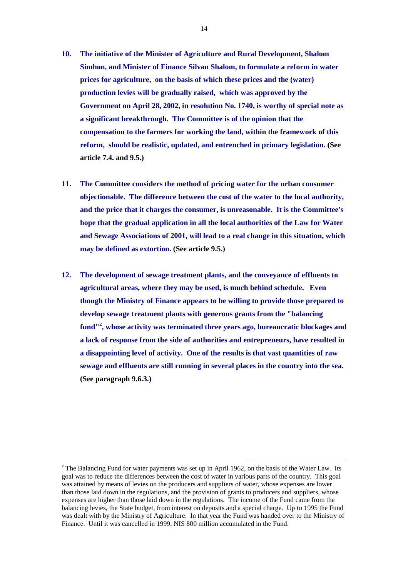- **10. The initiative of the Minister of Agriculture and Rural Development, Shalom Simhon, and Minister of Finance Silvan Shalom, to formulate a reform in water prices for agriculture, on the basis of which these prices and the (water) production levies will be gradually raised, which was approved by the Government on April 28, 2002, in resolution No. 1740, is worthy of special note as a significant breakthrough. The Committee is of the opinion that the compensation to the farmers for working the land, within the framework of this reform, should be realistic, updated, and entrenched in primary legislation. (See article 7.4. and 9.5.)**
- **11. The Committee considers the method of pricing water for the urban consumer objectionable. The difference between the cost of the water to the local authority, and the price that it charges the consumer, is unreasonable. It is the Committee's hope that the gradual application in all the local authorities of the Law for Water and Sewage Associations of 2001, will lead to a real change in this situation, which may be defined as extortion. (See article 9.5.)**
- **12. The development of sewage treatment plants, and the conveyance of effluents to agricultural areas, where they may be used, is much behind schedule. Even though the Ministry of Finance appears to be willing to provide those prepared to develop sewage treatment plants with generous grants from the "balancing fund"2 , whose activity was terminated three years ago, bureaucratic blockages and a lack of response from the side of authorities and entrepreneurs, have resulted in a disappointing level of activity. One of the results is that vast quantities of raw sewage and effluents are still running in several places in the country into the sea. (See paragraph 9.6.3.)**

l

<sup>&</sup>lt;sup>2</sup> The Balancing Fund for water payments was set up in April 1962, on the basis of the Water Law. Its goal was to reduce the differences between the cost of water in various parts of the country. This goal was attained by means of levies on the producers and suppliers of water, whose expenses are lower than those laid down in the regulations, and the provision of grants to producers and suppliers, whose expenses are higher than those laid down in the regulations. The income of the Fund came from the balancing levies, the State budget, from interest on deposits and a special charge. Up to 1995 the Fund was dealt with by the Ministry of Agriculture. In that year the Fund was handed over to the Ministry of Finance. Until it was cancelled in 1999, NIS 800 million accumulated in the Fund.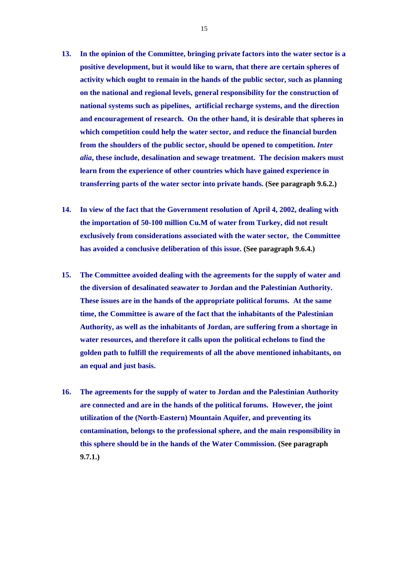- **13. In the opinion of the Committee, bringing private factors into the water sector is a positive development, but it would like to warn, that there are certain spheres of activity which ought to remain in the hands of the public sector, such as planning on the national and regional levels, general responsibility for the construction of national systems such as pipelines, artificial recharge systems, and the direction and encouragement of research. On the other hand, it is desirable that spheres in which competition could help the water sector, and reduce the financial burden from the shoulders of the public sector, should be opened to competition.** *Inter alia***, these include, desalination and sewage treatment. The decision makers must learn from the experience of other countries which have gained experience in transferring parts of the water sector into private hands. (See paragraph 9.6.2.)**
- **14. In view of the fact that the Government resolution of April 4, 2002, dealing with the importation of 50-100 million Cu.M of water from Turkey, did not result exclusively from considerations associated with the water sector, the Committee has avoided a conclusive deliberation of this issue. (See paragraph 9.6.4.)**
- **15. The Committee avoided dealing with the agreements for the supply of water and the diversion of desalinated seawater to Jordan and the Palestinian Authority. These issues are in the hands of the appropriate political forums. At the same time, the Committee is aware of the fact that the inhabitants of the Palestinian Authority, as well as the inhabitants of Jordan, are suffering from a shortage in water resources, and therefore it calls upon the political echelons to find the golden path to fulfill the requirements of all the above mentioned inhabitants, on an equal and just basis.**
- **16. The agreements for the supply of water to Jordan and the Palestinian Authority are connected and are in the hands of the political forums. However, the joint utilization of the (North-Eastern) Mountain Aquifer, and preventing its contamination, belongs to the professional sphere, and the main responsibility in this sphere should be in the hands of the Water Commission. (See paragraph 9.7.1.)**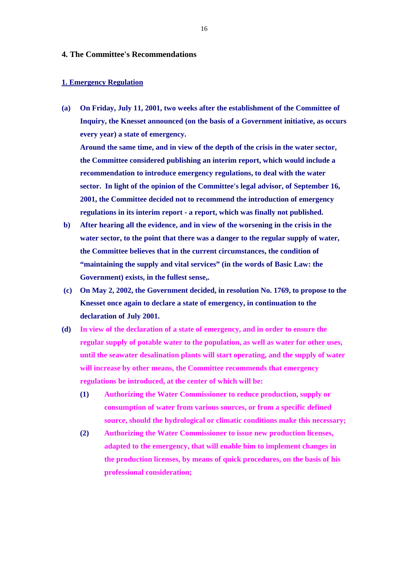#### **4. The Committee's Recommendations**

#### **1. Emergency Regulation**

**(a) On Friday, July 11, 2001, two weeks after the establishment of the Committee of Inquiry, the Knesset announced (on the basis of a Government initiative, as occurs every year) a state of emergency.** 

**Around the same time, and in view of the depth of the crisis in the water sector, the Committee considered publishing an interim report, which would include a recommendation to introduce emergency regulations, to deal with the water sector. In light of the opinion of the Committee's legal advisor, of September 16, 2001, the Committee decided not to recommend the introduction of emergency regulations in its interim report - a report, which was finally not published.** 

- **b) After hearing all the evidence, and in view of the worsening in the crisis in the water sector, to the point that there was a danger to the regular supply of water, the Committee believes that in the current circumstances, the condition of "maintaining the supply and vital services" (in the words of Basic Law: the Government) exists, in the fullest sense,.**
- **(c) On May 2, 2002, the Government decided, in resolution No. 1769, to propose to the Knesset once again to declare a state of emergency, in continuation to the declaration of July 2001.**
- **(d) In view of the declaration of a state of emergency, and in order to ensure the regular supply of potable water to the population, as well as water for other uses, until the seawater desalination plants will start operating, and the supply of water will increase by other means, the Committee recommends that emergency regulations be introduced, at the center of which will be:** 
	- **(1) Authorizing the Water Commissioner to reduce production, supply or consumption of water from various sources, or from a specific defined source, should the hydrological or climatic conditions make this necessary;**
	- **(2) Authorizing the Water Commissioner to issue new production licenses, adapted to the emergency, that will enable him to implement changes in the production licenses, by means of quick procedures, on the basis of his professional consideration;**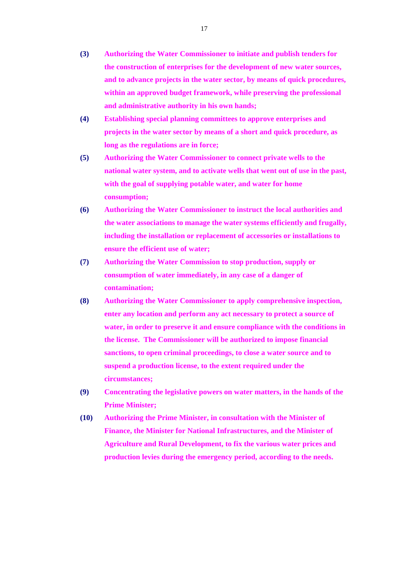- **(3) Authorizing the Water Commissioner to initiate and publish tenders for the construction of enterprises for the development of new water sources, and to advance projects in the water sector, by means of quick procedures, within an approved budget framework, while preserving the professional and administrative authority in his own hands;**
- **(4) Establishing special planning committees to approve enterprises and projects in the water sector by means of a short and quick procedure, as long as the regulations are in force;**
- **(5) Authorizing the Water Commissioner to connect private wells to the national water system, and to activate wells that went out of use in the past, with the goal of supplying potable water, and water for home consumption;**
- **(6) Authorizing the Water Commissioner to instruct the local authorities and the water associations to manage the water systems efficiently and frugally, including the installation or replacement of accessories or installations to ensure the efficient use of water;**
- **(7) Authorizing the Water Commission to stop production, supply or consumption of water immediately, in any case of a danger of contamination;**
- **(8) Authorizing the Water Commissioner to apply comprehensive inspection, enter any location and perform any act necessary to protect a source of water, in order to preserve it and ensure compliance with the conditions in the license. The Commissioner will be authorized to impose financial sanctions, to open criminal proceedings, to close a water source and to suspend a production license, to the extent required under the circumstances;**
- **(9) Concentrating the legislative powers on water matters, in the hands of the Prime Minister;**
- **(10) Authorizing the Prime Minister, in consultation with the Minister of Finance, the Minister for National Infrastructures, and the Minister of Agriculture and Rural Development, to fix the various water prices and production levies during the emergency period, according to the needs.**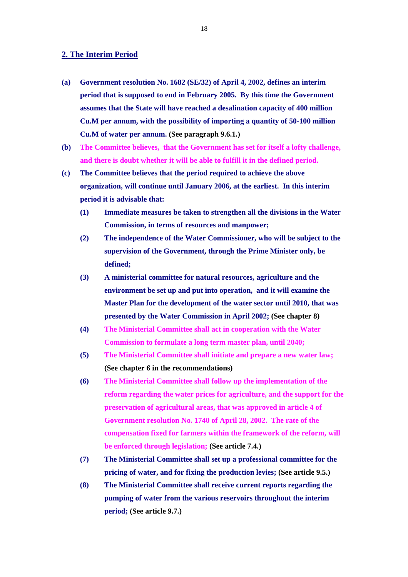#### **2. The Interim Period**

- **(a) Government resolution No. 1682 (SE/32) of April 4, 2002, defines an interim period that is supposed to end in February 2005. By this time the Government assumes that the State will have reached a desalination capacity of 400 million Cu.M per annum, with the possibility of importing a quantity of 50-100 million Cu.M of water per annum. (See paragraph 9.6.1.)**
- **(b) The Committee believes, that the Government has set for itself a lofty challenge, and there is doubt whether it will be able to fulfill it in the defined period.**
- **(c) The Committee believes that the period required to achieve the above organization, will continue until January 2006, at the earliest. In this interim period it is advisable that:**
	- **(1) Immediate measures be taken to strengthen all the divisions in the Water Commission, in terms of resources and manpower;**
	- **(2) The independence of the Water Commissioner, who will be subject to the supervision of the Government, through the Prime Minister only, be defined;**
	- **(3) A ministerial committee for natural resources, agriculture and the environment be set up and put into operation, and it will examine the Master Plan for the development of the water sector until 2010, that was presented by the Water Commission in April 2002; (See chapter 8)**
	- **(4) The Ministerial Committee shall act in cooperation with the Water Commission to formulate a long term master plan, until 2040;**
	- **(5) The Ministerial Committee shall initiate and prepare a new water law; (See chapter 6 in the recommendations)**
	- **(6) The Ministerial Committee shall follow up the implementation of the reform regarding the water prices for agriculture, and the support for the preservation of agricultural areas, that was approved in article 4 of Government resolution No. 1740 of April 28, 2002. The rate of the compensation fixed for farmers within the framework of the reform, will be enforced through legislation; (See article 7.4.)**
	- **(7) The Ministerial Committee shall set up a professional committee for the pricing of water, and for fixing the production levies; (See article 9.5.)**
	- **(8) The Ministerial Committee shall receive current reports regarding the pumping of water from the various reservoirs throughout the interim period; (See article 9.7.)**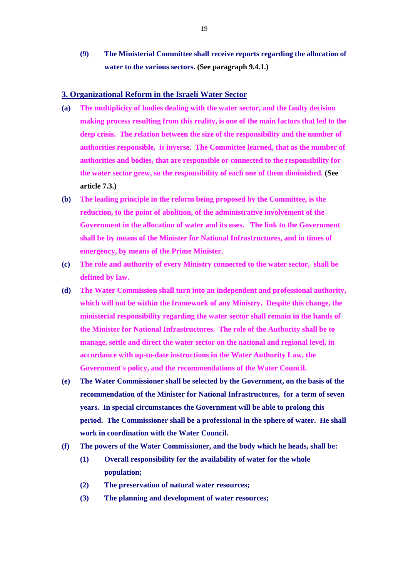**(9) The Ministerial Committee shall receive reports regarding the allocation of water to the various sectors. (See paragraph 9.4.1.)**

#### **3. Organizational Reform in the Israeli Water Sector**

- **(a) The multiplicity of bodies dealing with the water sector, and the faulty decision making process resulting from this reality, is one of the main factors that led to the deep crisis. The relation between the size of the responsibility and the number of authorities responsible, is inverse. The Committee learned, that as the number of authorities and bodies, that are responsible or connected to the responsibility for the water sector grew, so the responsibility of each one of them diminished. (See article 7.3.)**
- **(b) The leading principle in the reform being proposed by the Committee, is the reduction, to the point of abolition, of the administrative involvement of the Government in the allocation of water and its uses. The link to the Government shall be by means of the Minister for National Infrastructures, and in times of emergency, by means of the Prime Minister.**
- **(c) The role and authority of every Ministry connected to the water sector, shall be defined by law.**
- **(d) The Water Commission shall turn into an independent and professional authority, which will not be within the framework of any Ministry. Despite this change, the ministerial responsibility regarding the water sector shall remain in the hands of the Minister for National Infrastructures. The role of the Authority shall be to manage, settle and direct the water sector on the national and regional level, in accordance with up-to-date instructions in the Water Authority Law, the Government's policy, and the recommendations of the Water Council.**
- **(e) The Water Commissioner shall be selected by the Government, on the basis of the recommendation of the Minister for National Infrastructures, for a term of seven years. In special circumstances the Government will be able to prolong this period. The Commissioner shall be a professional in the sphere of water. He shall work in coordination with the Water Council.**
- **(f) The powers of the Water Commissioner, and the body which he heads, shall be:** 
	- **(1) Overall responsibility for the availability of water for the whole population;**
	- **(2) The preservation of natural water resources;**
	- **(3) The planning and development of water resources;**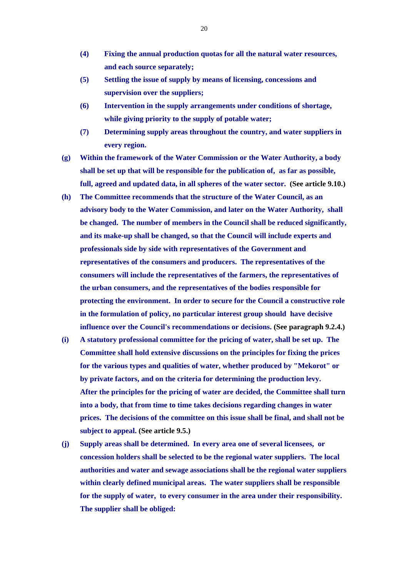- **(4) Fixing the annual production quotas for all the natural water resources, and each source separately;**
- **(5) Settling the issue of supply by means of licensing, concessions and supervision over the suppliers;**
- **(6) Intervention in the supply arrangements under conditions of shortage, while giving priority to the supply of potable water;**
- **(7) Determining supply areas throughout the country, and water suppliers in every region.**
- **(g) Within the framework of the Water Commission or the Water Authority, a body shall be set up that will be responsible for the publication of, as far as possible, full, agreed and updated data, in all spheres of the water sector. (See article 9.10.)**
- **(h) The Committee recommends that the structure of the Water Council, as an advisory body to the Water Commission, and later on the Water Authority, shall be changed. The number of members in the Council shall be reduced significantly, and its make-up shall be changed, so that the Council will include experts and professionals side by side with representatives of the Government and representatives of the consumers and producers. The representatives of the consumers will include the representatives of the farmers, the representatives of the urban consumers, and the representatives of the bodies responsible for protecting the environment. In order to secure for the Council a constructive role in the formulation of policy, no particular interest group should have decisive influence over the Council's recommendations or decisions. (See paragraph 9.2.4.)**
- **(i) A statutory professional committee for the pricing of water, shall be set up. The Committee shall hold extensive discussions on the principles for fixing the prices for the various types and qualities of water, whether produced by "Mekorot" or by private factors, and on the criteria for determining the production levy. After the principles for the pricing of water are decided, the Committee shall turn into a body, that from time to time takes decisions regarding changes in water prices. The decisions of the committee on this issue shall be final, and shall not be subject to appeal. (See article 9.5.)**
- **(j) Supply areas shall be determined. In every area one of several licensees, or concession holders shall be selected to be the regional water suppliers. The local authorities and water and sewage associations shall be the regional water suppliers within clearly defined municipal areas. The water suppliers shall be responsible for the supply of water, to every consumer in the area under their responsibility. The supplier shall be obliged:**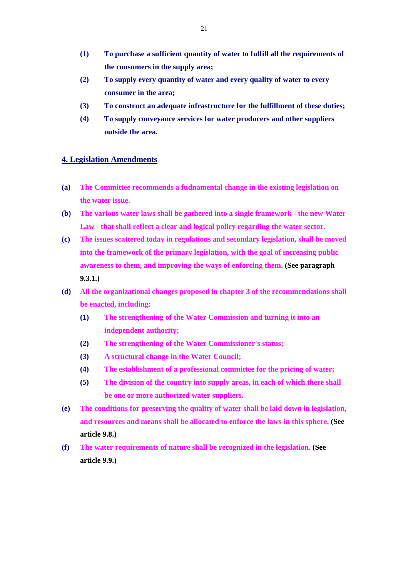- **(1) To purchase a sufficient quantity of water to fulfill all the requirements of the consumers in the supply area;**
- **(2) To supply every quantity of water and every quality of water to every consumer in the area;**
- **(3) To construct an adequate infrastructure for the fulfillment of these duties;**
- **(4) To supply conveyance services for water producers and other suppliers outside the area.**

#### **4. Legislation Amendments**

- **(a) The Committee recommends a fudnamental change in the existing legislation on the water issue.**
- **(b) The various water laws shall be gathered into a single framework the new Water Law - that shall reflect a clear and logical policy regarding the water sector.**
- **(c) The issues scattered today in regulations and secondary legislation, shall be moved into the framework of the primary legislation, with the goal of increasing public awareness to them, and improving the ways of enforcing them. (See paragraph 9.3.1.)**
- **(d) All the organizational changes proposed in chapter 3 of the recommendations shall be enacted, including:** 
	- **(1) The strengthening of the Water Commission and turning it into an independent authority;**
	- **(2) The strengthening of the Water Commissioner's status;**
	- **(3) A structural change in the Water Council;**
	- **(4) The establishment of a professional committee for the pricing of water;**
	- **(5) The division of the country into supply areas, in each of which there shall be one or more authorized water suppliers.**
- **(e) The conditions for preserving the quality of water shall be laid down in legislation, and resources and means shall be allocated to enforce the laws in this sphere. (See article 9.8.)**
- **(f) The water requirements of nature shall be recognized in the legislation. (See article 9.9.)**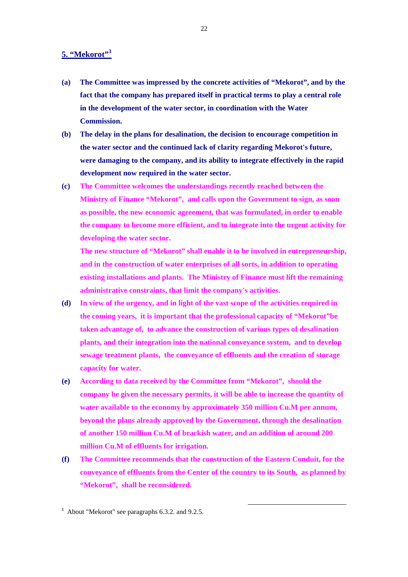#### **5. "Mekorot"3**

- **(a) The Committee was impressed by the concrete activities of "Mekorot", and by the fact that the company has prepared itself in practical terms to play a central role in the development of the water sector, in coordination with the Water Commission.**
- **(b) The delay in the plans for desalination, the decision to encourage competition in the water sector and the continued lack of clarity regarding Mekorot's future, were damaging to the company, and its ability to integrate effectively in the rapid development now required in the water sector.**
- **(c) The Committee welcomes the understandings recently reached between the Ministry of Finance "Mekorot", and calls upon the Government to sign, as soon as possible, the new economic agreement, that was formulated, in order to enable the company to become more efficient, and to integrate into the urgent activity for developing the water sector.**

**The new structure of "Mekorot" shall enable it to be involved in entrepreneurship, and in the construction of water enterprises of all sorts, in addition to operating existing installations and plants. The Ministry of Finance must lift the remaining administrative constraints, that limit the company's activities.**

- **(d) In view of the urgency, and in light of the vast scope of the activities required in the coming years, it is important that the professional capacity of "Mekorot"be taken advantage of, to advance the construction of various types of desalination plants, and their integration into the national conveyance system, and to develop sewage treatment plants, the conveyance of effluents and the creation of storage capacity for water.**
- **(e) According to data received by the Committee from "Mekorot", should the company be given the necessary permits, it will be able to increase the quantity of water available to the economy by approximately 350 million Cu.M per annum, beyond the plans already approved by the Government, through the desalination of another 150 million Cu.M of brackish water, and an addition of around 200 million Cu.M of effluents for irrigation.**
- **(f) The Committee recommends that the construction of the Eastern Conduit, for the conveyance of effluents from the Center of the country to its South, as planned by "Mekorot", shall be reconsidered.**

l

22

 $3$  About "Mekorot" see paragraphs 6.3.2. and 9.2.5.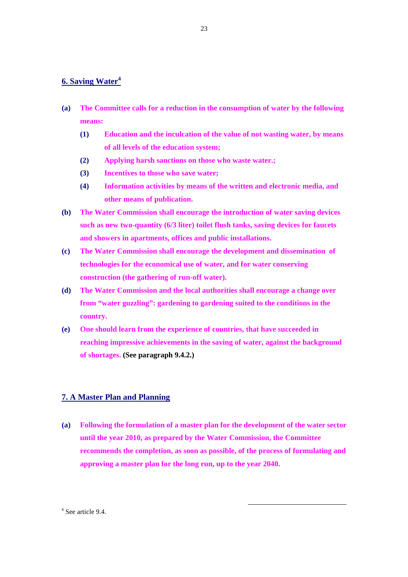#### **6. Saving Water<sup>4</sup>**

- **(a) The Committee calls for a reduction in the consumption of water by the following means:** 
	- **(1) Education and the inculcation of the value of not wasting water, by means of all levels of the education system;**
	- **(2) Applying harsh sanctions on those who waste water.;**
	- **(3) Incentives to those who save water;**
	- **(4) Information activities by means of the written and electronic media, and other means of publication.**
- **(b) The Water Commission shall encourage the introduction of water saving devices such as new two-quantity (6/3 liter) toilet flush tanks, saving devices for faucets and showers in apartments, offices and public installations.**
- **(c) The Water Commission shall encourage the development and dissemination of technologies for the economical use of water, and for water conserving construction (the gathering of run-off water).**
- **(d) The Water Commission and the local authorities shall encourage a change over from "water guzzling": gardening to gardening suited to the conditions in the country.**
- **(e) One should learn from the experience of countries, that have succeeded in reaching impressive achievements in the saving of water, against the background of shortages. (See paragraph 9.4.2.)**

#### **7. A Master Plan and Planning**

**(a) Following the formulation of a master plan for the development of the water sector until the year 2010, as prepared by the Water Commission, the Committee recommends the completion, as soon as possible, of the process of formulating and approving a master plan for the long run, up to the year 2040.** 

l

4 See article 9.4.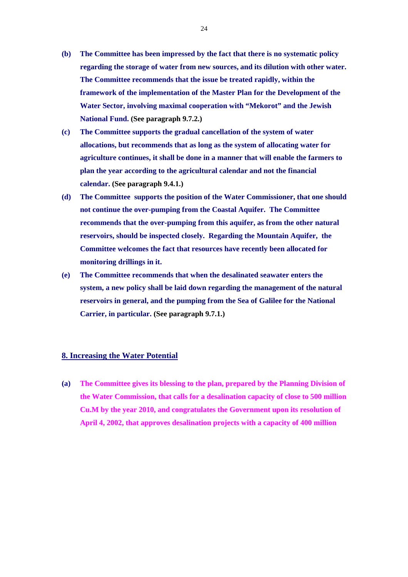- **(b) The Committee has been impressed by the fact that there is no systematic policy regarding the storage of water from new sources, and its dilution with other water. The Committee recommends that the issue be treated rapidly, within the framework of the implementation of the Master Plan for the Development of the Water Sector, involving maximal cooperation with "Mekorot" and the Jewish National Fund. (See paragraph 9.7.2.)**
- **(c) The Committee supports the gradual cancellation of the system of water allocations, but recommends that as long as the system of allocating water for agriculture continues, it shall be done in a manner that will enable the farmers to plan the year according to the agricultural calendar and not the financial calendar. (See paragraph 9.4.1.)**
- **(d) The Committee supports the position of the Water Commissioner, that one should not continue the over-pumping from the Coastal Aquifer. The Committee recommends that the over-pumping from this aquifer, as from the other natural reservoirs, should be inspected closely. Regarding the Mountain Aquifer, the Committee welcomes the fact that resources have recently been allocated for monitoring drillings in it.**
- **(e) The Committee recommends that when the desalinated seawater enters the system, a new policy shall be laid down regarding the management of the natural reservoirs in general, and the pumping from the Sea of Galilee for the National Carrier, in particular. (See paragraph 9.7.1.)**

#### **8. Increasing the Water Potential**

**(a) The Committee gives its blessing to the plan, prepared by the Planning Division of the Water Commission, that calls for a desalination capacity of close to 500 million Cu.M by the year 2010, and congratulates the Government upon its resolution of April 4, 2002, that approves desalination projects with a capacity of 400 million**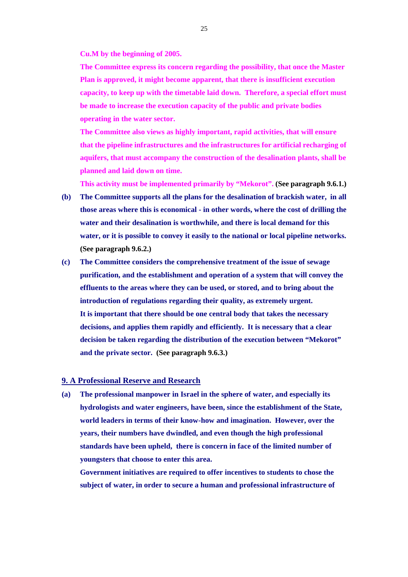**Cu.M by the beginning of 2005.** 

**The Committee express its concern regarding the possibility, that once the Master Plan is approved, it might become apparent, that there is insufficient execution capacity, to keep up with the timetable laid down. Therefore, a special effort must be made to increase the execution capacity of the public and private bodies operating in the water sector.** 

**The Committee also views as highly important, rapid activities, that will ensure that the pipeline infrastructures and the infrastructures for artificial recharging of aquifers, that must accompany the construction of the desalination plants, shall be planned and laid down on time.** 

**This activity must be implemented primarily by "Mekorot". (See paragraph 9.6.1.)**

- **(b) The Committee supports all the plans for the desalination of brackish water, in all those areas where this is economical - in other words, where the cost of drilling the water and their desalination is worthwhile, and there is local demand for this water, or it is possible to convey it easily to the national or local pipeline networks. (See paragraph 9.6.2.)**
- **(c) The Committee considers the comprehensive treatment of the issue of sewage purification, and the establishment and operation of a system that will convey the effluents to the areas where they can be used, or stored, and to bring about the introduction of regulations regarding their quality, as extremely urgent. It is important that there should be one central body that takes the necessary decisions, and applies them rapidly and efficiently. It is necessary that a clear decision be taken regarding the distribution of the execution between "Mekorot" and the private sector. (See paragraph 9.6.3.)**

#### **9. A Professional Reserve and Research**

**(a) The professional manpower in Israel in the sphere of water, and especially its hydrologists and water engineers, have been, since the establishment of the State, world leaders in terms of their know-how and imagination. However, over the years, their numbers have dwindled, and even though the high professional standards have been upheld, there is concern in face of the limited number of youngsters that choose to enter this area.** 

**Government initiatives are required to offer incentives to students to chose the subject of water, in order to secure a human and professional infrastructure of**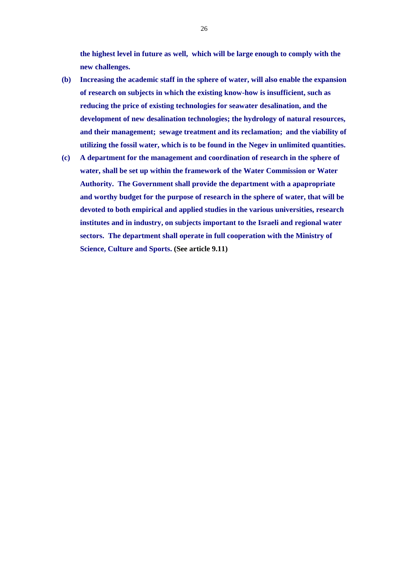**the highest level in future as well, which will be large enough to comply with the new challenges.**

- **(b) Increasing the academic staff in the sphere of water, will also enable the expansion of research on subjects in which the existing know-how is insufficient, such as reducing the price of existing technologies for seawater desalination, and the development of new desalination technologies; the hydrology of natural resources, and their management; sewage treatment and its reclamation; and the viability of utilizing the fossil water, which is to be found in the Negev in unlimited quantities.**
- **(c) A department for the management and coordination of research in the sphere of water, shall be set up within the framework of the Water Commission or Water Authority. The Government shall provide the department with a apapropriate and worthy budget for the purpose of research in the sphere of water, that will be devoted to both empirical and applied studies in the various universities, research institutes and in industry, on subjects important to the Israeli and regional water sectors. The department shall operate in full cooperation with the Ministry of Science, Culture and Sports. (See article 9.11)**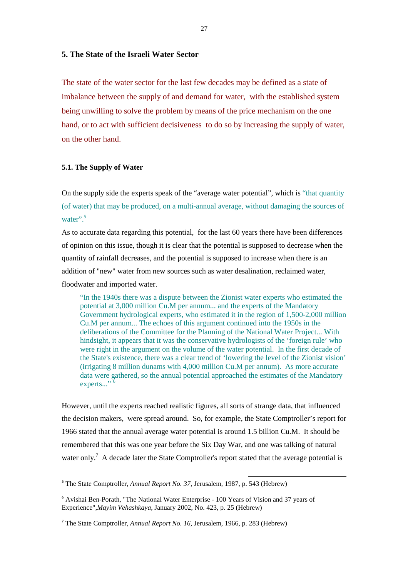#### **5. The State of the Israeli Water Sector**

The state of the water sector for the last few decades may be defined as a state of imbalance between the supply of and demand for water, with the established system being unwilling to solve the problem by means of the price mechanism on the one hand, or to act with sufficient decisiveness to do so by increasing the supply of water, on the other hand.

#### **5.1. The Supply of Water**

On the supply side the experts speak of the "average water potential", which is "that quantity (of water) that may be produced, on a multi-annual average, without damaging the sources of water".<sup>5</sup>

As to accurate data regarding this potential, for the last 60 years there have been differences of opinion on this issue, though it is clear that the potential is supposed to decrease when the quantity of rainfall decreases, and the potential is supposed to increase when there is an addition of "new" water from new sources such as water desalination, reclaimed water, floodwater and imported water.

 "In the 1940s there was a dispute between the Zionist water experts who estimated the potential at 3,000 million Cu.M per annum... and the experts of the Mandatory Government hydrological experts, who estimated it in the region of 1,500-2,000 million Cu.M per annum... The echoes of this argument continued into the 1950s in the deliberations of the Committee for the Planning of the National Water Project... With hindsight, it appears that it was the conservative hydrologists of the 'foreign rule' who were right in the argument on the volume of the water potential. In the first decade of the State's existence, there was a clear trend of 'lowering the level of the Zionist vision' (irrigating 8 million dunams with 4,000 million Cu.M per annum). As more accurate data were gathered, so the annual potential approached the estimates of the Mandatory experts..."<sup>6</sup>

However, until the experts reached realistic figures, all sorts of strange data, that influenced the decision makers, were spread around. So, for example, the State Comptroller's report for 1966 stated that the annual average water potential is around 1.5 billion Cu.M. It should be remembered that this was one year before the Six Day War, and one was talking of natural water only.<sup>7</sup> A decade later the State Comptroller's report stated that the average potential is

l

<sup>5</sup> The State Comptroller, *Annual Report No. 37*, Jerusalem, 1987, p. 543 (Hebrew)

<sup>&</sup>lt;sup>6</sup> Avishai Ben-Porath, "The National Water Enterprise - 100 Years of Vision and 37 years of Experience",*Mayim Vehashkaya,* January 2002, No. 423, p. 25 (Hebrew)

<sup>7</sup> The State Comptroller, *Annual Report No. 16*, Jerusalem, 1966, p. 283 (Hebrew)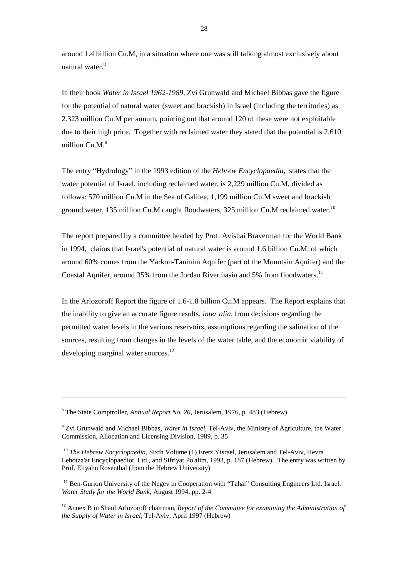around 1.4 billion Cu.M, in a situation where one was still talking almost exclusively about natural water.<sup>8</sup>

In their book *Water in Israel 1962-1989*, Zvi Grunwald and Michael Bibbas gave the figure for the potential of natural water (sweet and brackish) in Israel (including the territories) as 2.323 million Cu.M per annum, pointing out that around 120 of these were not exploitable due to their high price. Together with reclaimed water they stated that the potential is 2,610 million  $Cu.M.<sup>9</sup>$ 

The entry "Hydrology" in the 1993 edition of the *Hebrew Encyclopaedia*, states that the water potential of Israel, including reclaimed water, is 2,229 million Cu.M, divided as follows: 570 million Cu.M in the Sea of Galilee, 1,199 million Cu.M sweet and brackish ground water, 135 million Cu.M caught floodwaters, 325 million Cu.M reclaimed water.<sup>10</sup>

The report prepared by a committee headed by Prof. Avishai Braverman for the World Bank in 1994, claims that Israel's potential of natural water is around 1.6 billion Cu.M, of which around 60% comes from the Yarkon-Taninim Aquifer (part of the Mountain Aquifer) and the Coastal Aquifer, around 35% from the Jordan River basin and 5% from floodwaters.<sup>11</sup>

In the Arlozoroff Report the figure of 1.6-1.8 billion Cu.M appears. The Report explains that the inability to give an accurate figure results, *inter alia*, from decisions regarding the permitted water levels in the various reservoirs, assumptions regarding the salination of the sources, resulting from changes in the levels of the water table, and the economic viability of developing marginal water sources.<sup>12</sup>

 $\overline{a}$ 

<sup>&</sup>lt;sup>8</sup> The State Comptroller, *Annual Report No. 26*, Jerusalem, 1976, p. 483 (Hebrew)

<sup>9</sup> Zvi Grunwald and Michael Bibbas, *Water in Israel*, Tel-Aviv, the Ministry of Agriculture, the Water Commission, Allocation and Licensing Division, 1989, p. 35

<sup>10</sup> *The Hebrew Encyclopaedia*, Sixth Volume (1) Eretz Yisrael, Jerusalem and Tel-Aviv, Hevra Lehotza'at Encyclopaediot Ltd., and Sifriyat Po'alim, 1993, p. 187 (Hebrew). The entry was written by Prof. Eliyahu Rosenthal (from the Hebrew University)

<sup>&</sup>lt;sup>11</sup> Ben-Gurion University of the Negev in Cooperation with "Tahal" Consulting Engineers Ltd. Israel, *Water Study for the World Bank*, August 1994, pp. 2-4

<sup>12</sup> Annex B in Shaul Arlozoroff chairman, *Report of the Committee for examining the Administration of the Supply of Water in Israel*, Tel-Aviv, April 1997 (Hebrew)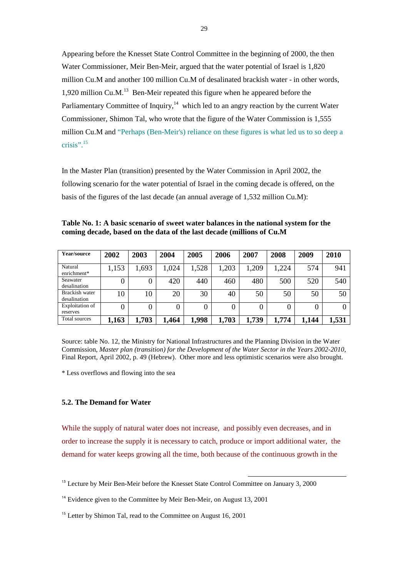Appearing before the Knesset State Control Committee in the beginning of 2000, the then Water Commissioner, Meir Ben-Meir, argued that the water potential of Israel is 1,820 million Cu.M and another 100 million Cu.M of desalinated brackish water - in other words, 1,920 million Cu.M. $^{13}$  Ben-Meir repeated this figure when he appeared before the Parliamentary Committee of Inquiry, $14$  which led to an angry reaction by the current Water Commissioner, Shimon Tal, who wrote that the figure of the Water Commission is 1,555 million Cu.M and "Perhaps (Ben-Meir's) reliance on these figures is what led us to so deep a crisis". $15$ 

In the Master Plan (transition) presented by the Water Commission in April 2002, the following scenario for the water potential of Israel in the coming decade is offered, on the basis of the figures of the last decade (an annual average of 1,532 million Cu.M):

**Table No. 1: A basic scenario of sweet water balances in the national system for the coming decade, based on the data of the last decade (millions of Cu.M**

| Year/source                    | 2002  | 2003  | 2004  | 2005  | 2006  | 2007  | 2008  | 2009  | 2010  |
|--------------------------------|-------|-------|-------|-------|-------|-------|-------|-------|-------|
| Natural<br>enrichment*         | 1,153 | ,693  | 1,024 | 1,528 | 1,203 | ,209  | ,224  | 574   | 941   |
| Seawater<br>desalination       | 0     |       | 420   | 440   | 460   | 480   | 500   | 520   | 540   |
| Brackish water<br>desalination | 10    | 10    | 20    | 30    | 40    | 50    | 50    | 50    | 50    |
| Exploitation of<br>reserves    |       |       | 0     |       |       |       |       | 0     |       |
| Total sources                  | 1,163 | 1,703 | 1,464 | 1,998 | 1,703 | 1,739 | 1,774 | 1,144 | 1,531 |

Source: table No. 12, the Ministry for National Infrastructures and the Planning Division in the Water Commission, *Master plan (transition) for the Development of the Water Sector in the Years 2002-2010,*  Final Report, April 2002, p. 49 (Hebrew). Other more and less optimistic scenarios were also brought.

\* Less overflows and flowing into the sea

#### **5.2. The Demand for Water**

While the supply of natural water does not increase, and possibly even decreases, and in order to increase the supply it is necessary to catch, produce or import additional water, the demand for water keeps growing all the time, both because of the continuous growth in the

l

<sup>&</sup>lt;sup>13</sup> Lecture by Meir Ben-Meir before the Knesset State Control Committee on January 3, 2000

<sup>&</sup>lt;sup>14</sup> Evidence given to the Committee by Meir Ben-Meir, on August 13, 2001

<sup>&</sup>lt;sup>15</sup> Letter by Shimon Tal, read to the Committee on August 16, 2001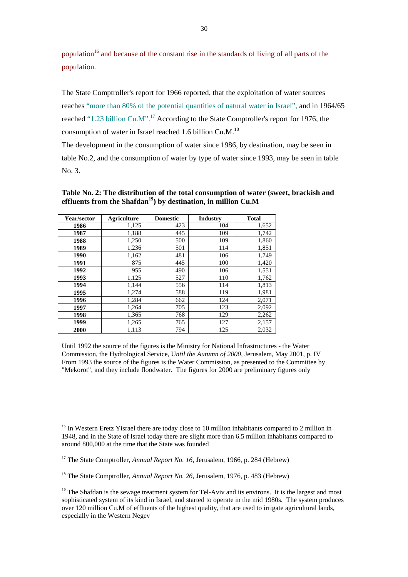population<sup>16</sup> and because of the constant rise in the standards of living of all parts of the population.

The State Comptroller's report for 1966 reported, that the exploitation of water sources reaches "more than 80% of the potential quantities of natural water in Israel", and in 1964/65 reached "1.23 billion Cu.M".<sup>17</sup> According to the State Comptroller's report for 1976, the consumption of water in Israel reached 1.6 billion Cu.M.<sup>18</sup>

The development in the consumption of water since 1986, by destination, may be seen in table No.2, and the consumption of water by type of water since 1993, may be seen in table No. 3.

| Year/sector | Agriculture | <b>Domestic</b> | <b>Industry</b> | <b>Total</b> |
|-------------|-------------|-----------------|-----------------|--------------|
| 1986        | 1,125       | 423             | 104             | 1,652        |
| 1987        | 1,188       | 445             | 109             | 1,742        |
| 1988        | 1,250       | 500             | 109             | 1,860        |
| 1989        | 1,236       | 501             | 114             | 1,851        |
| 1990        | 1,162       | 481             | 106             | 1,749        |
| 1991        | 875         | 445             | 100             | 1,420        |
| 1992        | 955         | 490             | 106             | 1,551        |
| 1993        | 1,125       | 527             | 110             | 1,762        |
| 1994        | 1,144       | 556             | 114             | 1,813        |
| 1995        | 1,274       | 588             | 119             | 1,981        |
| 1996        | 1,284       | 662             | 124             | 2,071        |
| 1997        | 1,264       | 705             | 123             | 2,092        |
| 1998        | 1,365       | 768             | 129             | 2,262        |
| 1999        | 1,265       | 765             | 127             | 2,157        |
| 2000        | 1,113       | 794             | 125             | 2,032        |

**Table No. 2: The distribution of the total consumption of water (sweet, brackish and**  effluents from the Shafdan<sup>19</sup>) by destination, in million Cu.M

Until 1992 the source of the figures is the Ministry for National Infrastructures - the Water Commission, the Hydrological Service, U*ntil the Autumn of 2000*, Jerusalem, May 2001, p. IV From 1993 the source of the figures is the Water Commission, as presented to the Committee by "Mekorot", and they include floodwater. The figures for 2000 are preliminary figures only

<sup>16</sup> In Western Eretz Yisrael there are today close to 10 million inhabitants compared to 2 million in 1948, and in the State of Israel today there are slight more than 6.5 million inhabitants compared to around 800,000 at the time that the State was founded

l

<sup>17</sup> The State Comptroller, *Annual Report No. 16*, Jerusalem, 1966, p. 284 (Hebrew)

<sup>18</sup> The State Comptroller, *Annual Report No. 26*, Jerusalem, 1976, p. 483 (Hebrew)

<sup>19</sup> The Shafdan is the sewage treatment system for Tel-Aviv and its environs. It is the largest and most sophisticated system of its kind in Israel, and started to operate in the mid 1980s. The system produces over 120 million Cu.M of effluents of the highest quality, that are used to irrigate agricultural lands, especially in the Western Negev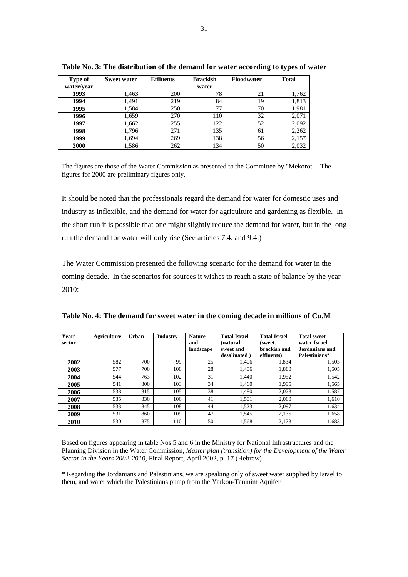| Type of    | Sweet water | <b>Effluents</b> | <b>Brackish</b> | Floodwater | <b>Total</b> |
|------------|-------------|------------------|-----------------|------------|--------------|
| water/year |             |                  | water           |            |              |
| 1993       | 1,463       | 200              | 78              | 21         | 1,762        |
| 1994       | 1,491       | 219              | 84              | 19         | 1,813        |
| 1995       | 1,584       | 250              | 77              | 70         | 1,981        |
| 1996       | 1,659       | 270              | 110             | 32         | 2,071        |
| 1997       | 1,662       | 255              | 122             | 52         | 2,092        |
| 1998       | 1,796       | 271              | 135             | 61         | 2,262        |
| 1999       | 1.694       | 269              | 138             | 56         | 2,157        |
| 2000       | 1,586       | 262              | 134             | 50         | 2,032        |

**Table No. 3: The distribution of the demand for water according to types of water**

The figures are those of the Water Commission as presented to the Committee by "Mekorot". The figures for 2000 are preliminary figures only.

It should be noted that the professionals regard the demand for water for domestic uses and industry as inflexible, and the demand for water for agriculture and gardening as flexible. In the short run it is possible that one might slightly reduce the demand for water, but in the long run the demand for water will only rise (See articles 7.4. and 9.4.)

The Water Commission presented the following scenario for the demand for water in the coming decade. In the scenarios for sources it wishes to reach a state of balance by the year 2010:

| Year/<br>sector | <b>Agriculture</b> | Urban | <b>Industry</b> | <b>Nature</b><br>and<br>landscape | <b>Total Israel</b><br><i>(natural)</i><br>sweet and<br>desalinated) | <b>Total Israel</b><br>(sweet.)<br>brackish and<br>effluents) | <b>Total sweet</b><br>water Israel,<br>Jordanians and<br>Palestinians* |
|-----------------|--------------------|-------|-----------------|-----------------------------------|----------------------------------------------------------------------|---------------------------------------------------------------|------------------------------------------------------------------------|
| 2002            | 582                | 700   | 99              | 25                                | 1,406                                                                | 1,834                                                         | 1,503                                                                  |
| 2003            | 577                | 700   | 100             | 28                                | 1,406                                                                | 1,880                                                         | 1,505                                                                  |
| 2004            | 544                | 763   | 102             | 31                                | 1.440                                                                | 1.952                                                         | 1,542                                                                  |
| 2005            | 541                | 800   | 103             | 34                                | 1.460                                                                | 1.995                                                         | 1,565                                                                  |
| 2006            | 538                | 815   | 105             | 38                                | 1,480                                                                | 2,023                                                         | 1,587                                                                  |
| 2007            | 535                | 830   | 106             | 41                                | 1,501                                                                | 2,060                                                         | 1,610                                                                  |
| 2008            | 533                | 845   | 108             | 44                                | 1,523                                                                | 2,097                                                         | 1,634                                                                  |
| 2009            | 531                | 860   | 109             | 47                                | 1.545                                                                | 2.135                                                         | 1,658                                                                  |
| 2010            | 530                | 875   | 110             | 50                                | 1,568                                                                | 2.173                                                         | 1,683                                                                  |

**Table No. 4: The demand for sweet water in the coming decade in millions of Cu.M**

Based on figures appearing in table Nos 5 and 6 in the Ministry for National Infrastructures and the Planning Division in the Water Commission, *Master plan (transition) for the Development of the Water Sector in the Years 2002-2010,* Final Report, April 2002, p. 17 (Hebrew).

\* Regarding the Jordanians and Palestinians, we are speaking only of sweet water supplied by Israel to them, and water which the Palestinians pump from the Yarkon-Taninim Aquifer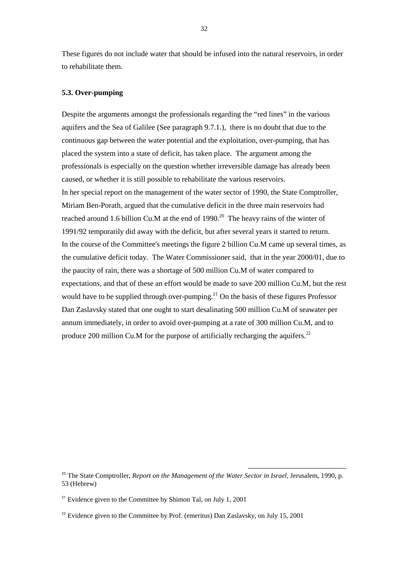These figures do not include water that should be infused into the natural reservoirs, in order to rehabilitate them.

#### **5.3. Over-pumping**

Despite the arguments amongst the professionals regarding the "red lines" in the various aquifers and the Sea of Galilee (See paragraph 9.7.1.), there is no doubt that due to the continuous gap between the water potential and the exploitation, over-pumping, that has placed the system into a state of deficit, has taken place. The argument among the professionals is especially on the question whether irreversible damage has already been caused, or whether it is still possible to rehabilitate the various reservoirs. In her special report on the management of the water sector of 1990, the State Comptroller, Miriam Ben-Porath, argued that the cumulative deficit in the three main reservoirs had reached around 1.6 billion Cu.M at the end of  $1990$ .<sup>20</sup> The heavy rains of the winter of 1991/92 temporarily did away with the deficit, but after several years it started to return. In the course of the Committee's meetings the figure 2 billion Cu.M came up several times, as the cumulative deficit today. The Water Commissioner said, that in the year 2000/01, due to the paucity of rain, there was a shortage of 500 million Cu.M of water compared to expectations, and that of these an effort would be made to save 200 million Cu.M, but the rest would have to be supplied through over-pumping.<sup>21</sup> On the basis of these figures Professor Dan Zaslavsky stated that one ought to start desalinating 500 million Cu.M of seawater per annum immediately, in order to avoid over-pumping at a rate of 300 million Cu.M, and to produce 200 million Cu.M for the purpose of artificially recharging the aquifers.<sup>22</sup>

l

<sup>&</sup>lt;sup>20</sup> The State Comptroller, *Report on the Management of the Water Sector in Israel*, Jerusalem, 1990, p. 53 (Hebrew)

 $21$  Evidence given to the Committee by Shimon Tal, on July 1, 2001

 $22$  Evidence given to the Committee by Prof. (emeritus) Dan Zaslavsky, on July 15, 2001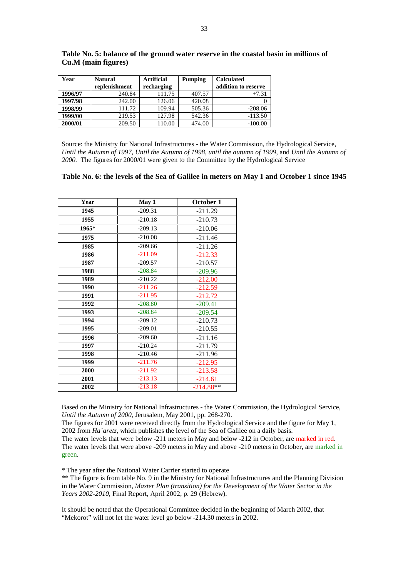| Year    | <b>Natural</b> | Artificial | Pumping | <b>Calculated</b>   |  |
|---------|----------------|------------|---------|---------------------|--|
|         | replenishment  | recharging |         | addition to reserve |  |
| 1996/97 | 240.84         | 111.75     | 407.57  | $+7.31$             |  |
| 1997/98 | 242.00         | 126.06     | 420.08  |                     |  |
| 1998/99 | 111.72         | 109.94     | 505.36  | $-208.06$           |  |
| 1999/00 | 219.53         | 127.98     | 542.36  | $-113.50$           |  |
| 2000/01 | 209.50         | 110.00     | 474.00  | $-100.00$           |  |

**Table No. 5: balance of the ground water reserve in the coastal basin in millions of Cu.M (main figures)** 

Source: the Ministry for National Infrastructures - the Water Commission, the Hydrological Service, *Until the Autumn of 1997*, *Until the Autumn of 1998*, *until the autumn of 1999*, and *Until the Autumn of 2000.* The figures for 2000/01 were given to the Committee by the Hydrological Service

#### **Table No. 6: the levels of the Sea of Galilee in meters on May 1 and October 1 since 1945**

| Year  | May 1     | October 1   |
|-------|-----------|-------------|
| 1945  | $-209.31$ | $-211.29$   |
| 1955  | $-210.18$ | $-210.73$   |
| 1965* | $-209.13$ | $-210.06$   |
| 1975  | $-210.08$ | $-211.46$   |
| 1985  | $-209.66$ | $-211.26$   |
| 1986  | $-211.09$ | $-212.33$   |
| 1987  | $-209.57$ | $-210.57$   |
| 1988  | $-208.84$ | $-209.96$   |
| 1989  | $-210.22$ | $-212.00$   |
| 1990  | $-211.26$ | $-212.59$   |
| 1991  | $-211.95$ | $-212.72$   |
| 1992  | $-208.80$ | $-209.41$   |
| 1993  | $-208.84$ | $-209.54$   |
| 1994  | $-209.12$ | $-210.73$   |
| 1995  | $-209.01$ | $-210.55$   |
| 1996  | $-209.60$ | $-211.16$   |
| 1997  | $-210.24$ | $-211.79$   |
| 1998  | $-210.46$ | $-211.96$   |
| 1999  | $-211.76$ | $-212.95$   |
| 2000  | $-211.92$ | $-213.58$   |
| 2001  | $-213.13$ | $-214.61$   |
| 2002  | $-213.18$ | $-214.88**$ |

Based on the Ministry for National Infrastructures - the Water Commission, the Hydrological Service, *Until the Autumn of 2000,* Jerusalem, May 2001, pp. 268-270.

The figures for 2001 were received directly from the Hydrological Service and the figure for May 1, 2002 from *Ha`aretz*, which publishes the level of the Sea of Galilee on a daily basis.

The water levels that were below -211 meters in May and below -212 in October, are marked in red. The water levels that were above -209 meters in May and above -210 meters in October, are marked in green.

\* The year after the National Water Carrier started to operate

\*\* The figure is from table No. 9 in the Ministry for National Infrastructures and the Planning Division in the Water Commission, *Master Plan (transition) for the Development of the Water Sector in the Years 2002-2010,* Final Report, April 2002, p. 29 (Hebrew).

It should be noted that the Operational Committee decided in the beginning of March 2002, that "Mekorot" will not let the water level go below -214.30 meters in 2002.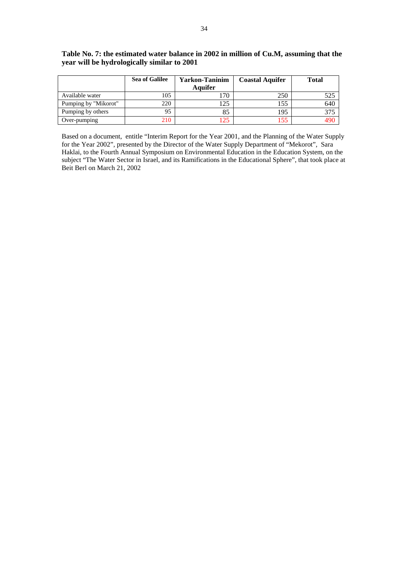|                      | <b>Sea of Galilee</b> | Yarkon-Taninim | <b>Coastal Aquifer</b> | <b>Total</b> |
|----------------------|-----------------------|----------------|------------------------|--------------|
|                      |                       | Aquifer        |                        |              |
| Available water      | 105                   | l 70           | 250                    | 525          |
| Pumping by "Mikorot" | 220                   | 125            | 155                    | 640          |
| Pumping by others    | 95                    | 85             | 195                    | 375          |
| Over-pumping         | 210                   | 125            | .55                    | 490          |

#### **Table No. 7: the estimated water balance in 2002 in million of Cu.M, assuming that the year will be hydrologically similar to 2001**

Based on a document, entitle "Interim Report for the Year 2001, and the Planning of the Water Supply for the Year 2002", presented by the Director of the Water Supply Department of "Mekorot", Sara Haklai, to the Fourth Annual Symposium on Environmental Education in the Education System, on the subject "The Water Sector in Israel, and its Ramifications in the Educational Sphere", that took place at Beit Berl on March 21, 2002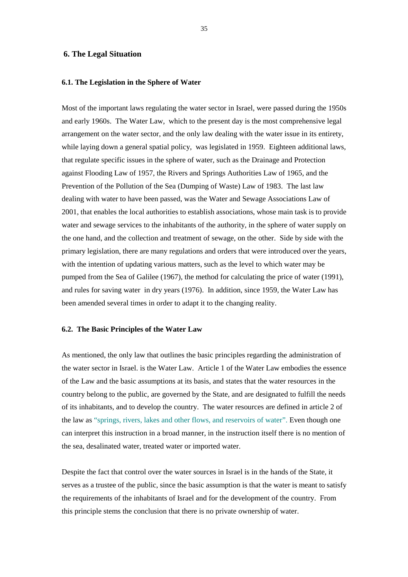#### **6. The Legal Situation**

#### **6.1. The Legislation in the Sphere of Water**

Most of the important laws regulating the water sector in Israel, were passed during the 1950s and early 1960s. The Water Law, which to the present day is the most comprehensive legal arrangement on the water sector, and the only law dealing with the water issue in its entirety, while laying down a general spatial policy, was legislated in 1959. Eighteen additional laws, that regulate specific issues in the sphere of water, such as the Drainage and Protection against Flooding Law of 1957, the Rivers and Springs Authorities Law of 1965, and the Prevention of the Pollution of the Sea (Dumping of Waste) Law of 1983. The last law dealing with water to have been passed, was the Water and Sewage Associations Law of 2001, that enables the local authorities to establish associations, whose main task is to provide water and sewage services to the inhabitants of the authority, in the sphere of water supply on the one hand, and the collection and treatment of sewage, on the other. Side by side with the primary legislation, there are many regulations and orders that were introduced over the years, with the intention of updating various matters, such as the level to which water may be pumped from the Sea of Galilee (1967), the method for calculating the price of water (1991), and rules for saving water in dry years (1976). In addition, since 1959, the Water Law has been amended several times in order to adapt it to the changing reality.

#### **6.2. The Basic Principles of the Water Law**

As mentioned, the only law that outlines the basic principles regarding the administration of the water sector in Israel. is the Water Law. Article 1 of the Water Law embodies the essence of the Law and the basic assumptions at its basis, and states that the water resources in the country belong to the public, are governed by the State, and are designated to fulfill the needs of its inhabitants, and to develop the country. The water resources are defined in article 2 of the law as "springs, rivers, lakes and other flows, and reservoirs of water". Even though one can interpret this instruction in a broad manner, in the instruction itself there is no mention of the sea, desalinated water, treated water or imported water.

Despite the fact that control over the water sources in Israel is in the hands of the State, it serves as a trustee of the public, since the basic assumption is that the water is meant to satisfy the requirements of the inhabitants of Israel and for the development of the country. From this principle stems the conclusion that there is no private ownership of water.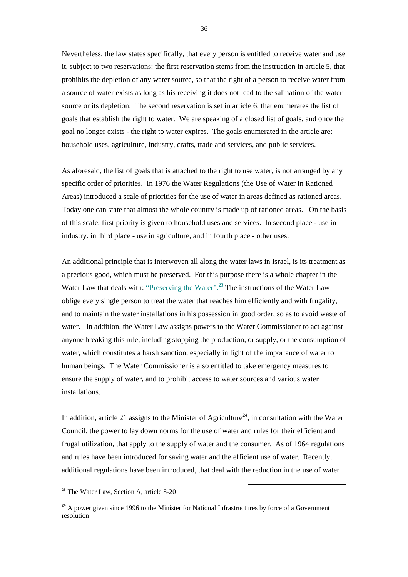Nevertheless, the law states specifically, that every person is entitled to receive water and use it, subject to two reservations: the first reservation stems from the instruction in article 5, that prohibits the depletion of any water source, so that the right of a person to receive water from a source of water exists as long as his receiving it does not lead to the salination of the water source or its depletion. The second reservation is set in article 6, that enumerates the list of goals that establish the right to water. We are speaking of a closed list of goals, and once the goal no longer exists - the right to water expires. The goals enumerated in the article are: household uses, agriculture, industry, crafts, trade and services, and public services.

As aforesaid, the list of goals that is attached to the right to use water, is not arranged by any specific order of priorities. In 1976 the Water Regulations (the Use of Water in Rationed Areas) introduced a scale of priorities for the use of water in areas defined as rationed areas. Today one can state that almost the whole country is made up of rationed areas. On the basis of this scale, first priority is given to household uses and services. In second place - use in industry. in third place - use in agriculture, and in fourth place - other uses.

An additional principle that is interwoven all along the water laws in Israel, is its treatment as a precious good, which must be preserved. For this purpose there is a whole chapter in the Water Law that deals with: "Preserving the Water".<sup>23</sup> The instructions of the Water Law oblige every single person to treat the water that reaches him efficiently and with frugality, and to maintain the water installations in his possession in good order, so as to avoid waste of water. In addition, the Water Law assigns powers to the Water Commissioner to act against anyone breaking this rule, including stopping the production, or supply, or the consumption of water, which constitutes a harsh sanction, especially in light of the importance of water to human beings. The Water Commissioner is also entitled to take emergency measures to ensure the supply of water, and to prohibit access to water sources and various water installations.

In addition, article 21 assigns to the Minister of Agriculture<sup>24</sup>, in consultation with the Water Council, the power to lay down norms for the use of water and rules for their efficient and frugal utilization, that apply to the supply of water and the consumer. As of 1964 regulations and rules have been introduced for saving water and the efficient use of water. Recently, additional regulations have been introduced, that deal with the reduction in the use of water

l

<sup>&</sup>lt;sup>23</sup> The Water Law, Section A, article 8-20

 $24$  A power given since 1996 to the Minister for National Infrastructures by force of a Government resolution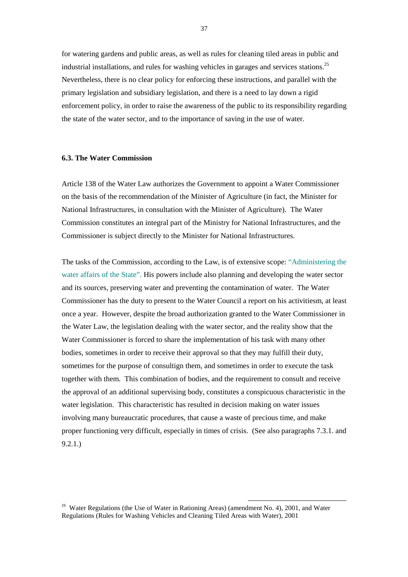for watering gardens and public areas, as well as rules for cleaning tiled areas in public and industrial installations, and rules for washing vehicles in garages and services stations.<sup>25</sup> Nevertheless, there is no clear policy for enforcing these instructions, and parallel with the primary legislation and subsidiary legislation, and there is a need to lay down a rigid enforcement policy, in order to raise the awareness of the public to its responsibility regarding the state of the water sector, and to the importance of saving in the use of water.

# **6.3. The Water Commission**

Article 138 of the Water Law authorizes the Government to appoint a Water Commissioner on the basis of the recommendation of the Minister of Agriculture (in fact, the Minister for National Infrastructures, in consultation with the Minister of Agriculture). The Water Commission constitutes an integral part of the Ministry for National Infrastructures, and the Commissioner is subject directly to the Minister for National Infrastructures.

The tasks of the Commission, according to the Law, is of extensive scope: "Administering the water affairs of the State". His powers include also planning and developing the water sector and its sources, preserving water and preventing the contamination of water. The Water Commissioner has the duty to present to the Water Council a report on his activitiesm, at least once a year. However, despite the broad authorization granted to the Water Commissioner in the Water Law, the legislation dealing with the water sector, and the reality show that the Water Commissioner is forced to share the implementation of his task with many other bodies, sometimes in order to receive their approval so that they may fulfill their duty, sometimes for the purpose of consultign them, and sometimes in order to execute the task together with them. This combination of bodies, and the requirement to consult and receive the approval of an additional supervising body, constitutes a conspicuous characteristic in the water legislation. This characteristic has resulted in decision making on water issues involving many bureaucratic procedures, that cause a waste of precious time, and make proper functioning very difficult, especially in times of crisis. (See also paragraphs 7.3.1. and 9.2.1.)

<sup>&</sup>lt;sup>25</sup> Water Regulations (the Use of Water in Rationing Areas) (amendment No. 4), 2001, and Water Regulations (Rules for Washing Vehicles and Cleaning Tiled Areas with Water), 2001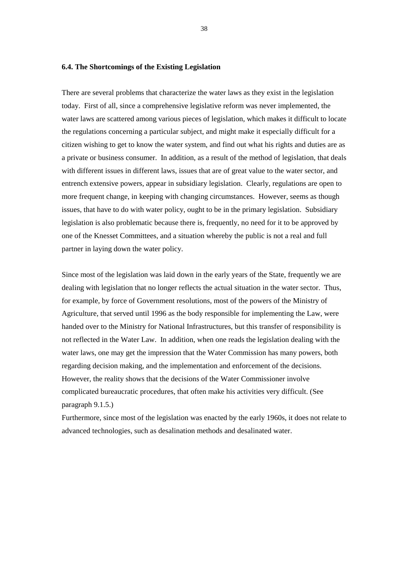# **6.4. The Shortcomings of the Existing Legislation**

There are several problems that characterize the water laws as they exist in the legislation today. First of all, since a comprehensive legislative reform was never implemented, the water laws are scattered among various pieces of legislation, which makes it difficult to locate the regulations concerning a particular subject, and might make it especially difficult for a citizen wishing to get to know the water system, and find out what his rights and duties are as a private or business consumer. In addition, as a result of the method of legislation, that deals with different issues in different laws, issues that are of great value to the water sector, and entrench extensive powers, appear in subsidiary legislation. Clearly, regulations are open to more frequent change, in keeping with changing circumstances. However, seems as though issues, that have to do with water policy, ought to be in the primary legislation. Subsidiary legislation is also problematic because there is, frequently, no need for it to be approved by one of the Knesset Committees, and a situation whereby the public is not a real and full partner in laying down the water policy.

Since most of the legislation was laid down in the early years of the State, frequently we are dealing with legislation that no longer reflects the actual situation in the water sector. Thus, for example, by force of Government resolutions, most of the powers of the Ministry of Agriculture, that served until 1996 as the body responsible for implementing the Law, were handed over to the Ministry for National Infrastructures, but this transfer of responsibility is not reflected in the Water Law. In addition, when one reads the legislation dealing with the water laws, one may get the impression that the Water Commission has many powers, both regarding decision making, and the implementation and enforcement of the decisions. However, the reality shows that the decisions of the Water Commissioner involve complicated bureaucratic procedures, that often make his activities very difficult. (See paragraph 9.1.5.)

Furthermore, since most of the legislation was enacted by the early 1960s, it does not relate to advanced technologies, such as desalination methods and desalinated water.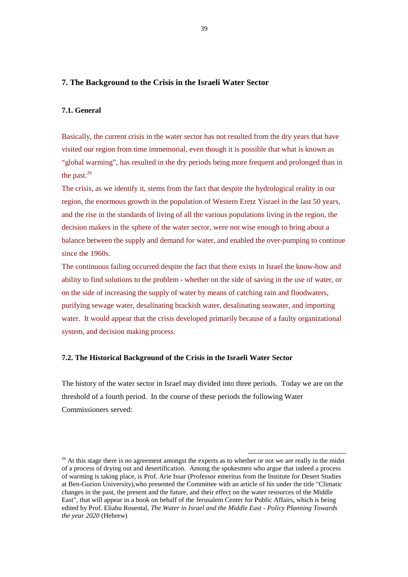# **7. The Background to the Crisis in the Israeli Water Sector**

# **7.1. General**

Basically, the current crisis in the water sector has not resulted from the dry years that have visited our region from time immemorial, even though it is possible that what is known as "global warming", has resulted in the dry periods being more frequent and prolonged than in the past. $^{26}$ 

The crisis, as we identify it, stems from the fact that despite the hydrological reality in our region, the enormous growth in the population of Western Eretz Yisrael in the last 50 years, and the rise in the standards of living of all the various populations living in the region, the decision makers in the sphere of the water sector, were not wise enough to bring about a balance between the supply and demand for water, and enabled the over-pumping to continue since the 1960s.

The continuous failing occurred despite the fact that there exists in Israel the know-how and ability to find solutions to the problem - whether on the side of saving in the use of water, or on the side of increasing the supply of water by means of catching rain and floodwaters, purifying sewage water, desalinating brackish water, desalinating seawater, and importing water. It would appear that the crisis developed primarily because of a faulty organizational system, and decision making process.

### **7.2. The Historical Background of the Crisis in the Israeli Water Sector**

The history of the water sector in Israel may divided into three periods. Today we are on the threshold of a fourth period. In the course of these periods the following Water Commissioners served:

<sup>&</sup>lt;sup>26</sup> At this stage there is no agreement amongst the experts as to whether or not we are really in the midst of a process of drying out and desertification. Among the spokesmen who argue that indeed a process of warming is taking place, is Prof. Arie Issar (Professor emeritus from the Institute for Desert Studies at Ben-Gurion University),who presented the Committee with an article of his under the title "Climatic changes in the past, the present and the future, and their effect on the water resources of the Middle East", that will appear in a book on behalf of the Jerusalem Center for Public Affairs, which is being edited by Prof. Eliahu Rosental, *The Water in Israel and the Middle East - Policy Planning Towards the year 2020* (Hebrew)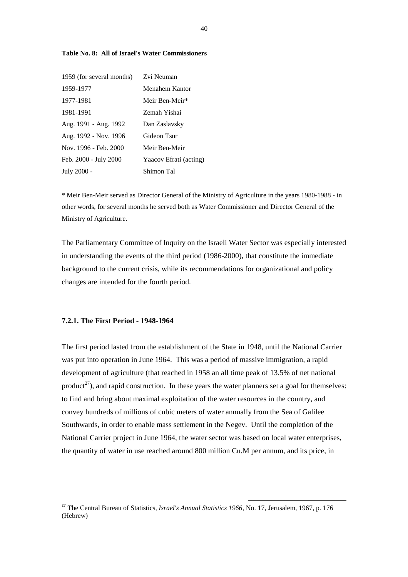| 1959 (for several months) | Zvi Neuman             |
|---------------------------|------------------------|
| 1959-1977                 | Menahem Kantor         |
| 1977-1981                 | Meir Ben-Meir*         |
| 1981-1991                 | Zemah Yishai           |
| Aug. 1991 - Aug. 1992     | Dan Zaslavsky          |
| Aug. 1992 - Nov. 1996     | Gideon Tsur            |
| Nov. 1996 - Feb. 2000     | Meir Ben-Meir          |
| Feb. 2000 - July 2000     | Yaacov Efrati (acting) |
| July 2000 -               | Shimon Tal             |

#### **Table No. 8: All of Israel's Water Commissioners**

\* Meir Ben-Meir served as Director General of the Ministry of Agriculture in the years 1980-1988 - in other words, for several months he served both as Water Commissioner and Director General of the Ministry of Agriculture.

The Parliamentary Committee of Inquiry on the Israeli Water Sector was especially interested in understanding the events of the third period (1986-2000), that constitute the immediate background to the current crisis, while its recommendations for organizational and policy changes are intended for the fourth period.

### **7.2.1. The First Period - 1948-1964**

The first period lasted from the establishment of the State in 1948, until the National Carrier was put into operation in June 1964. This was a period of massive immigration, a rapid development of agriculture (that reached in 1958 an all time peak of 13.5% of net national product<sup>27</sup>), and rapid construction. In these years the water planners set a goal for themselves: to find and bring about maximal exploitation of the water resources in the country, and convey hundreds of millions of cubic meters of water annually from the Sea of Galilee Southwards, in order to enable mass settlement in the Negev. Until the completion of the National Carrier project in June 1964, the water sector was based on local water enterprises, the quantity of water in use reached around 800 million Cu.M per annum, and its price, in

<sup>27</sup> The Central Bureau of Statistics, *Israel's Annual Statistics 1966*, No. 17, Jerusalem, 1967, p. 176 (Hebrew)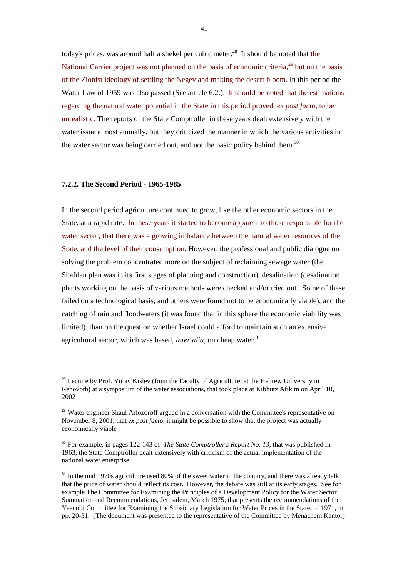today's prices, was around half a shekel per cubic meter.<sup>28</sup> It should be noted that the National Carrier project was not planned on the basis of economic criteria.<sup>29</sup> but on the basis of the Zionist ideology of settling the Negev and making the desert bloom. In this period the Water Law of 1959 was also passed (See article 6.2.). It should be noted that the estimations regarding the natural water potential in the State in this period proved, *ex post facto*, to be unrealistic. The reports of the State Comptroller in these years dealt extensively with the water issue almost annually, but they criticized the manner in which the various activities in the water sector was being carried out, and not the basic policy behind them.<sup>30</sup>

## **7.2.2. The Second Period - 1965-1985**

In the second period agriculture continued to grow, like the other economic sectors in the State, at a rapid rate. In these years it started to become apparent to those responsible for the water sector, that there was a growing imbalance between the natural water resources of the State, and the level of their consumption. However, the professional and public dialogue on solving the problem concentrated more on the subject of reclaiming sewage water (the Shafdan plan was in its first stages of planning and construction), desalination (desalination plants working on the basis of various methods were checked and/or tried out. Some of these failed on a technological basis, and others were found not to be economically viable), and the catching of rain and floodwaters (it was found that in this sphere the economic viability was limited), than on the question whether Israel could afford to maintain such an extensive agricultural sector, which was based, *inter alia*, on cheap water.<sup>31</sup>

<sup>&</sup>lt;sup>28</sup> Lecture by Prof. Yo`av Kislev (from the Faculty of Agriculture, at the Hebrew University in Rehovoth) at a symposium of the water associations, that took place at Kibbutz Afikim on April 10, 2002

<sup>&</sup>lt;sup>29</sup> Water engineer Shaul Arlozoroff argued in a conversation with the Committee's representative on November 8, 2001, that *ex post facto*, it might be possible to show that the project was actually economically viable

<sup>&</sup>lt;sup>30</sup> For example, in pages 122-143 of *The State Comptroller's Report No. 13*, that was published in 1963, the State Comptroller dealt extensively with criticism of the actual implementation of the national water enterprise

 $31$  In the mid 1970s agriculture used 80% of the sweet water in the country, and there was already talk that the price of water should reflect its cost. However, the debate was still at its early stages. See for example The Committee for Examining the Principles of a Development Policy for the Water Sector, Summation and Recommendations, Jerusalem, March 1975, that presents the recommendations of the Yaacobi Committee for Examining the Subsidiary Legislation for Water Prices in the State, of 1971, in pp. 20-31. (The document was presented to the representative of the Committee by Menachem Kantor)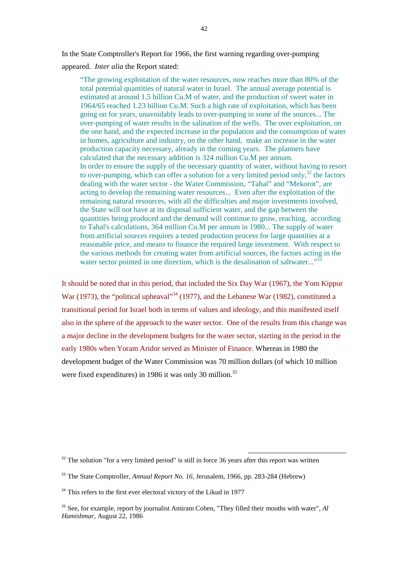In the State Comptroller's Report for 1966, the first warning regarding over-pumping appeared. *Inter alia* the Report stated:

"The growing exploitation of the water resources, now reaches more than 80% of the total potential quantities of natural water in Israel. The annual average potential is estimated at around 1.5 billion Cu.M of water, and the production of sweet water in 1964/65 reached 1.23 billion Cu.M. Such a high rate of exploitation, which has been going on for years, unavoidably leads to over-pumping in some of the sources... The over-pumping of water results in the salination of the wells. The over exploitation, on the one hand, and the expected increase in the population and the consumption of water in homes, agriculture and industry, on the other hand, make an increase in the water production capacity necessary, already in the coming years. The planners have calculated that the necessary addition is 324 million Cu.M per annum. In order to ensure the supply of the necessary quantity of water, without having to resort to over-pumping, which can offer a solution for a very limited period only, $32$  the factors dealing with the water sector - the Water Commission, "Tahal" and "Mekorot", are acting to develop the remaining water resources... Even after the exploitation of the remaining natural resources, with all the difficulties and major investments involved, the State will not have at its disposal sufficient water, and the gap between the quantities being produced and the demand will continue to grow, reaching, according to Tahal's calculations, 364 million Cu.M per annum in 1980... The supply of water from artificial sources requires a tested production process for large quantities at a reasonable price, and means to finance the required large investment. With respect to the various methods for creating water from artificial sources, the factors acting in the water sector pointed in one direction, which is the desalination of saltwater..."<sup>33</sup>

It should be noted that in this period, that included the Six Day War (1967), the Yom Kippur War (1973), the "political upheaval"<sup>34</sup> (1977), and the Lebanese War (1982), constituted a transitional period for Israel both in terms of values and ideology, and this manifested itself also in the sphere of the approach to the water sector. One of the results from this change was a major decline in the development budgets for the water sector, starting in the period in the early 1980s when Yoram Aridor served as Minister of Finance. Whereas in 1980 the development budget of the Water Commission was 70 million dollars (of which 10 million were fixed expenditures) in 1986 it was only 30 million.<sup>35</sup>

 $32$  The solution "for a very limited period" is still in force 36 years after this report was written

<sup>33</sup> The State Comptroller, *Annual Report No. 16*, Jerusalem, 1966, pp. 283-284 (Hebrew)

 $34$  This refers to the first ever electoral victory of the Likud in 1977

<sup>35</sup> See, for example, report by journalist Amiram Cohen, "They filled their mouths with water", *Al Hamishmar*, August 22, 1986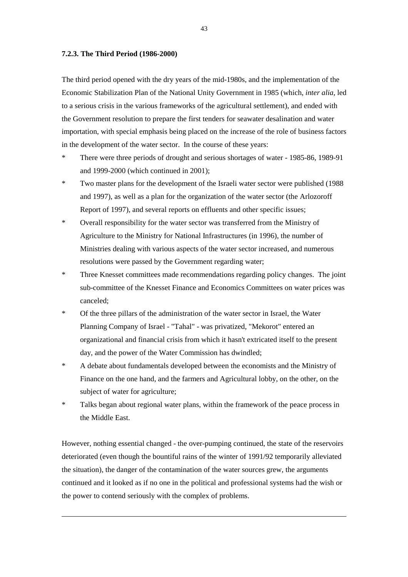#### **7.2.3. The Third Period (1986-2000)**

 $\overline{\phantom{a}}$ 

The third period opened with the dry years of the mid-1980s, and the implementation of the Economic Stabilization Plan of the National Unity Government in 1985 (which, *inter alia*, led to a serious crisis in the various frameworks of the agricultural settlement), and ended with the Government resolution to prepare the first tenders for seawater desalination and water importation, with special emphasis being placed on the increase of the role of business factors in the development of the water sector. In the course of these years:

- \* There were three periods of drought and serious shortages of water 1985-86, 1989-91 and 1999-2000 (which continued in 2001);
- \* Two master plans for the development of the Israeli water sector were published (1988 and 1997), as well as a plan for the organization of the water sector (the Arlozoroff Report of 1997), and several reports on effluents and other specific issues;
- \* Overall responsibility for the water sector was transferred from the Ministry of Agriculture to the Ministry for National Infrastructures (in 1996), the number of Ministries dealing with various aspects of the water sector increased, and numerous resolutions were passed by the Government regarding water;
- \* Three Knesset committees made recommendations regarding policy changes. The joint sub-committee of the Knesset Finance and Economics Committees on water prices was canceled;
- \* Of the three pillars of the administration of the water sector in Israel, the Water Planning Company of Israel - "Tahal" - was privatized, "Mekorot" entered an organizational and financial crisis from which it hasn't extricated itself to the present day, and the power of the Water Commission has dwindled;
- \* A debate about fundamentals developed between the economists and the Ministry of Finance on the one hand, and the farmers and Agricultural lobby, on the other, on the subject of water for agriculture;
- \* Talks began about regional water plans, within the framework of the peace process in the Middle East.

However, nothing essential changed - the over-pumping continued, the state of the reservoirs deteriorated (even though the bountiful rains of the winter of 1991/92 temporarily alleviated the situation), the danger of the contamination of the water sources grew, the arguments continued and it looked as if no one in the political and professional systems had the wish or the power to contend seriously with the complex of problems.

43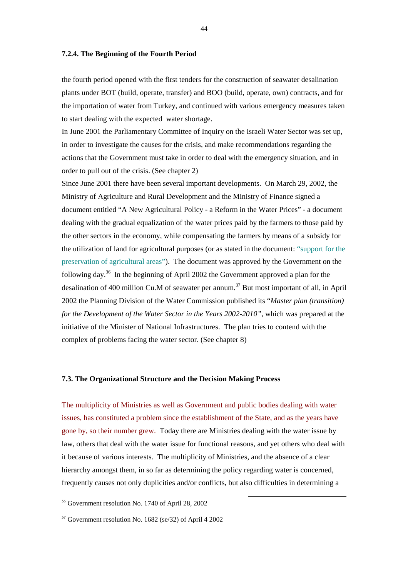#### **7.2.4. The Beginning of the Fourth Period**

the fourth period opened with the first tenders for the construction of seawater desalination plants under BOT (build, operate, transfer) and BOO (build, operate, own) contracts, and for the importation of water from Turkey, and continued with various emergency measures taken to start dealing with the expected water shortage.

In June 2001 the Parliamentary Committee of Inquiry on the Israeli Water Sector was set up, in order to investigate the causes for the crisis, and make recommendations regarding the actions that the Government must take in order to deal with the emergency situation, and in order to pull out of the crisis. (See chapter 2)

Since June 2001 there have been several important developments. On March 29, 2002, the Ministry of Agriculture and Rural Development and the Ministry of Finance signed a document entitled "A New Agricultural Policy - a Reform in the Water Prices" - a document dealing with the gradual equalization of the water prices paid by the farmers to those paid by the other sectors in the economy, while compensating the farmers by means of a subsidy for the utilization of land for agricultural purposes (or as stated in the document: "support for the preservation of agricultural areas"). The document was approved by the Government on the following day.36 In the beginning of April 2002 the Government approved a plan for the desalination of 400 million Cu.M of seawater per annum.<sup>37</sup> But most important of all, in April 2002 the Planning Division of the Water Commission published its "*Master plan (transition) for the Development of the Water Sector in the Years 2002-2010"*, which was prepared at the initiative of the Minister of National Infrastructures. The plan tries to contend with the complex of problems facing the water sector. (See chapter 8)

## **7.3. The Organizational Structure and the Decision Making Process**

The multiplicity of Ministries as well as Government and public bodies dealing with water issues, has constituted a problem since the establishment of the State, and as the years have gone by, so their number grew. Today there are Ministries dealing with the water issue by law, others that deal with the water issue for functional reasons, and yet others who deal with it because of various interests. The multiplicity of Ministries, and the absence of a clear hierarchy amongst them, in so far as determining the policy regarding water is concerned, frequently causes not only duplicities and/or conflicts, but also difficulties in determining a

l

<sup>36</sup> Government resolution No. 1740 of April 28, 2002

 $37$  Government resolution No. 1682 (se/32) of April 4 2002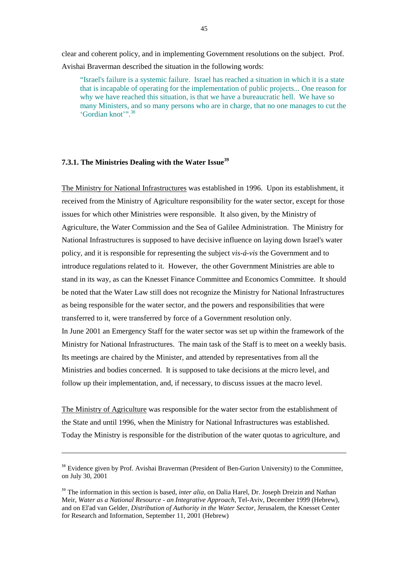clear and coherent policy, and in implementing Government resolutions on the subject. Prof. Avishai Braverman described the situation in the following words:

"Israel's failure is a systemic failure. Israel has reached a situation in which it is a state that is incapable of operating for the implementation of public projects... One reason for why we have reached this situation, is that we have a bureaucratic hell. We have so many Ministers, and so many persons who are in charge, that no one manages to cut the 'Gordian knot'".<sup>38</sup>

# **7.3.1. The Ministries Dealing with the Water Issue<sup>39</sup>**

 $\overline{\phantom{a}}$ 

The Ministry for National Infrastructures was established in 1996. Upon its establishment, it received from the Ministry of Agriculture responsibility for the water sector, except for those issues for which other Ministries were responsible. It also given, by the Ministry of Agriculture, the Water Commission and the Sea of Galilee Administration. The Ministry for National Infrastructures is supposed to have decisive influence on laying down Israel's water policy, and it is responsible for representing the subject *vis-á-vis* the Government and to introduce regulations related to it. However, the other Government Ministries are able to stand in its way, as can the Knesset Finance Committee and Economics Committee. It should be noted that the Water Law still does not recognize the Ministry for National Infrastructures as being responsible for the water sector, and the powers and responsibilities that were transferred to it, were transferred by force of a Government resolution only. In June 2001 an Emergency Staff for the water sector was set up within the framework of the Ministry for National Infrastructures. The main task of the Staff is to meet on a weekly basis. Its meetings are chaired by the Minister, and attended by representatives from all the Ministries and bodies concerned. It is supposed to take decisions at the micro level, and follow up their implementation, and, if necessary, to discuss issues at the macro level.

The Ministry of Agriculture was responsible for the water sector from the establishment of the State and until 1996, when the Ministry for National Infrastructures was established. Today the Ministry is responsible for the distribution of the water quotas to agriculture, and

<sup>&</sup>lt;sup>38</sup> Evidence given by Prof. Avishai Braverman (President of Ben-Gurion University) to the Committee, on July 30, 2001

<sup>&</sup>lt;sup>39</sup> The information in this section is based, *inter alia*, on Dalia Harel, Dr. Joseph Dreizin and Nathan Meir, *Water as a National Resource - an Integrative Approach*, Tel-Aviv, December 1999 (Hebrew), and on El'ad van Gelder, *Distribution of Authority in the Water Sector*, Jerusalem, the Knesset Center for Research and Information, September 11, 2001 (Hebrew)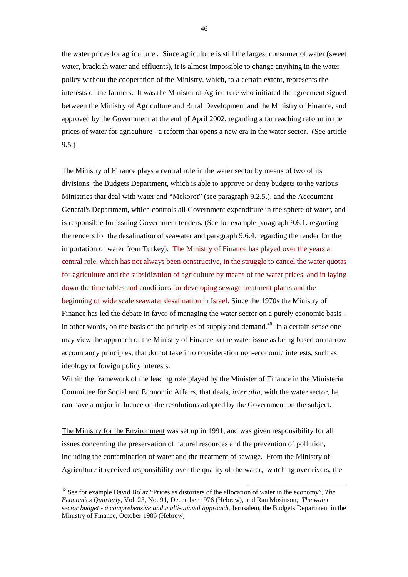the water prices for agriculture . Since agriculture is still the largest consumer of water (sweet water, brackish water and effluents), it is almost impossible to change anything in the water policy without the cooperation of the Ministry, which, to a certain extent, represents the interests of the farmers. It was the Minister of Agriculture who initiated the agreement signed between the Ministry of Agriculture and Rural Development and the Ministry of Finance, and approved by the Government at the end of April 2002, regarding a far reaching reform in the prices of water for agriculture - a reform that opens a new era in the water sector. (See article 9.5.)

The Ministry of Finance plays a central role in the water sector by means of two of its divisions: the Budgets Department, which is able to approve or deny budgets to the various Ministries that deal with water and "Mekorot" (see paragraph 9.2.5.), and the Accountant General's Department, which controls all Government expenditure in the sphere of water, and is responsible for issuing Government tenders. (See for example paragraph 9.6.1. regarding the tenders for the desalination of seawater and paragraph 9.6.4. regarding the tender for the importation of water from Turkey). The Ministry of Finance has played over the years a central role, which has not always been constructive, in the struggle to cancel the water quotas for agriculture and the subsidization of agriculture by means of the water prices, and in laying down the time tables and conditions for developing sewage treatment plants and the beginning of wide scale seawater desalination in Israel. Since the 1970s the Ministry of Finance has led the debate in favor of managing the water sector on a purely economic basis in other words, on the basis of the principles of supply and demand.<sup>40</sup> In a certain sense one may view the approach of the Ministry of Finance to the water issue as being based on narrow accountancy principles, that do not take into consideration non-economic interests, such as ideology or foreign policy interests.

Within the framework of the leading role played by the Minister of Finance in the Ministerial Committee for Social and Economic Affairs, that deals, *inter alia*, with the water sector, he can have a major influence on the resolutions adopted by the Government on the subject.

The Ministry for the Environment was set up in 1991, and was given responsibility for all issues concerning the preservation of natural resources and the prevention of pollution, including the contamination of water and the treatment of sewage. From the Ministry of Agriculture it received responsibility over the quality of the water, watching over rivers, the

<sup>40</sup> See for example David Bo`az "Prices as distorters of the allocation of water in the economy", *The Economics Quarterly*, Vol. 23, No. 91, December 1976 (Hebrew), and Ran Mosinson, *The water sector budget - a comprehensive and multi-annual approach,* Jerusalem, the Budgets Department in the Ministry of Finance, October 1986 (Hebrew)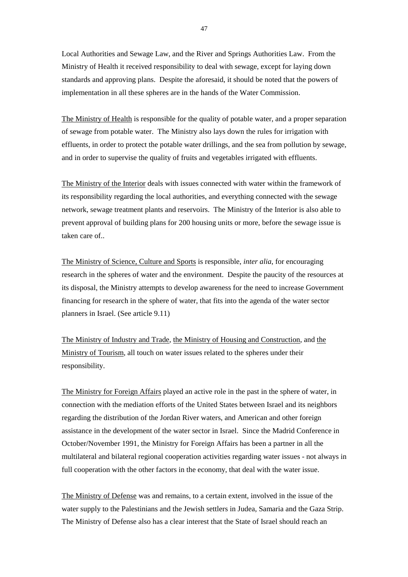Local Authorities and Sewage Law, and the River and Springs Authorities Law. From the Ministry of Health it received responsibility to deal with sewage, except for laying down standards and approving plans. Despite the aforesaid, it should be noted that the powers of implementation in all these spheres are in the hands of the Water Commission.

The Ministry of Health is responsible for the quality of potable water, and a proper separation of sewage from potable water. The Ministry also lays down the rules for irrigation with effluents, in order to protect the potable water drillings, and the sea from pollution by sewage, and in order to supervise the quality of fruits and vegetables irrigated with effluents.

The Ministry of the Interior deals with issues connected with water within the framework of its responsibility regarding the local authorities, and everything connected with the sewage network, sewage treatment plants and reservoirs. The Ministry of the Interior is also able to prevent approval of building plans for 200 housing units or more, before the sewage issue is taken care of..

The Ministry of Science, Culture and Sports is responsible, *inter alia*, for encouraging research in the spheres of water and the environment. Despite the paucity of the resources at its disposal, the Ministry attempts to develop awareness for the need to increase Government financing for research in the sphere of water, that fits into the agenda of the water sector planners in Israel. (See article 9.11)

The Ministry of Industry and Trade, the Ministry of Housing and Construction, and the Ministry of Tourism, all touch on water issues related to the spheres under their responsibility.

The Ministry for Foreign Affairs played an active role in the past in the sphere of water, in connection with the mediation efforts of the United States between Israel and its neighbors regarding the distribution of the Jordan River waters, and American and other foreign assistance in the development of the water sector in Israel. Since the Madrid Conference in October/November 1991, the Ministry for Foreign Affairs has been a partner in all the multilateral and bilateral regional cooperation activities regarding water issues - not always in full cooperation with the other factors in the economy, that deal with the water issue.

The Ministry of Defense was and remains, to a certain extent, involved in the issue of the water supply to the Palestinians and the Jewish settlers in Judea, Samaria and the Gaza Strip. The Ministry of Defense also has a clear interest that the State of Israel should reach an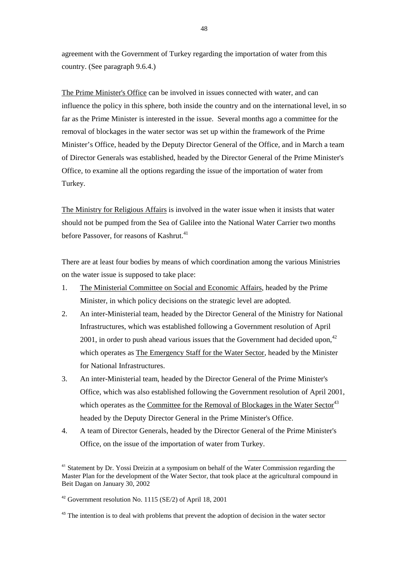agreement with the Government of Turkey regarding the importation of water from this country. (See paragraph 9.6.4.)

The Prime Minister's Office can be involved in issues connected with water, and can influence the policy in this sphere, both inside the country and on the international level, in so far as the Prime Minister is interested in the issue. Several months ago a committee for the removal of blockages in the water sector was set up within the framework of the Prime Minister's Office, headed by the Deputy Director General of the Office, and in March a team of Director Generals was established, headed by the Director General of the Prime Minister's Office, to examine all the options regarding the issue of the importation of water from Turkey.

The Ministry for Religious Affairs is involved in the water issue when it insists that water should not be pumped from the Sea of Galilee into the National Water Carrier two months before Passover, for reasons of Kashrut.<sup>41</sup>

There are at least four bodies by means of which coordination among the various Ministries on the water issue is supposed to take place:

- 1. The Ministerial Committee on Social and Economic Affairs, headed by the Prime Minister, in which policy decisions on the strategic level are adopted.
- 2. An inter-Ministerial team, headed by the Director General of the Ministry for National Infrastructures, which was established following a Government resolution of April 2001, in order to push ahead various issues that the Government had decided upon. $42$ which operates as The Emergency Staff for the Water Sector, headed by the Minister for National Infrastructures.
- 3. An inter-Ministerial team, headed by the Director General of the Prime Minister's Office, which was also established following the Government resolution of April 2001, which operates as the Committee for the Removal of Blockages in the Water Sector<sup>43</sup> headed by the Deputy Director General in the Prime Minister's Office.
- 4. A team of Director Generals, headed by the Director General of the Prime Minister's Office, on the issue of the importation of water from Turkey.

<sup>&</sup>lt;sup>41</sup> Statement by Dr. Yossi Dreizin at a symposium on behalf of the Water Commission regarding the Master Plan for the development of the Water Sector, that took place at the agricultural compound in Beit Dagan on January 30, 2002

 $42$  Government resolution No. 1115 (SE/2) of April 18, 2001

<sup>&</sup>lt;sup>43</sup> The intention is to deal with problems that prevent the adoption of decision in the water sector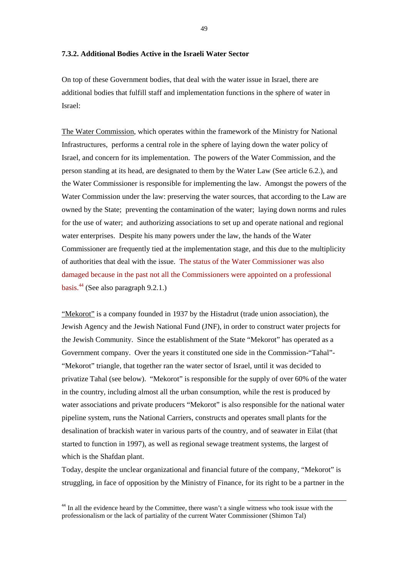#### **7.3.2. Additional Bodies Active in the Israeli Water Sector**

On top of these Government bodies, that deal with the water issue in Israel, there are additional bodies that fulfill staff and implementation functions in the sphere of water in Israel:

The Water Commission, which operates within the framework of the Ministry for National Infrastructures, performs a central role in the sphere of laying down the water policy of Israel, and concern for its implementation. The powers of the Water Commission, and the person standing at its head, are designated to them by the Water Law (See article 6.2.), and the Water Commissioner is responsible for implementing the law. Amongst the powers of the Water Commission under the law: preserving the water sources, that according to the Law are owned by the State; preventing the contamination of the water; laying down norms and rules for the use of water; and authorizing associations to set up and operate national and regional water enterprises. Despite his many powers under the law, the hands of the Water Commissioner are frequently tied at the implementation stage, and this due to the multiplicity of authorities that deal with the issue. The status of the Water Commissioner was also damaged because in the past not all the Commissioners were appointed on a professional basis. $^{44}$  (See also paragraph 9.2.1.)

"Mekorot" is a company founded in 1937 by the Histadrut (trade union association), the Jewish Agency and the Jewish National Fund (JNF), in order to construct water projects for the Jewish Community. Since the establishment of the State "Mekorot" has operated as a Government company. Over the years it constituted one side in the Commission-"Tahal"- "Mekorot" triangle, that together ran the water sector of Israel, until it was decided to privatize Tahal (see below). "Mekorot" is responsible for the supply of over 60% of the water in the country, including almost all the urban consumption, while the rest is produced by water associations and private producers "Mekorot" is also responsible for the national water pipeline system, runs the National Carriers, constructs and operates small plants for the desalination of brackish water in various parts of the country, and of seawater in Eilat (that started to function in 1997), as well as regional sewage treatment systems, the largest of which is the Shafdan plant.

Today, despite the unclear organizational and financial future of the company, "Mekorot" is struggling, in face of opposition by the Ministry of Finance, for its right to be a partner in the

 $44$  In all the evidence heard by the Committee, there wasn't a single witness who took issue with the professionalism or the lack of partiality of the current Water Commissioner (Shimon Tal)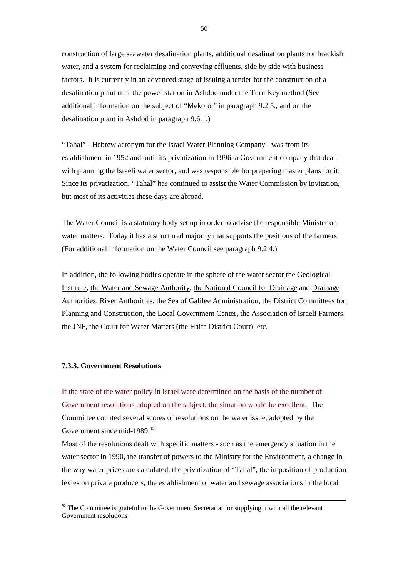construction of large seawater desalination plants, additional desalination plants for brackish water, and a system for reclaiming and conveying effluents, side by side with business factors. It is currently in an advanced stage of issuing a tender for the construction of a desalination plant near the power station in Ashdod under the Turn Key method (See additional information on the subject of "Mekorot" in paragraph 9.2.5., and on the desalination plant in Ashdod in paragraph 9.6.1.)

"Tahal" - Hebrew acronym for the Israel Water Planning Company - was from its establishment in 1952 and until its privatization in 1996, a Government company that dealt with planning the Israeli water sector, and was responsible for preparing master plans for it. Since its privatization, "Tahal" has continued to assist the Water Commission by invitation, but most of its activities these days are abroad.

The Water Council is a statutory body set up in order to advise the responsible Minister on water matters. Today it has a structured majority that supports the positions of the farmers (For additional information on the Water Council see paragraph 9.2.4.)

In addition, the following bodies operate in the sphere of the water sector the Geological Institute, the Water and Sewage Authority, the National Council for Drainage and Drainage Authorities, River Authorities, the Sea of Galilee Administration, the District Committees for Planning and Construction, the Local Government Center, the Association of Israeli Farmers, the JNF, the Court for Water Matters (the Haifa District Court), etc.

# **7.3.3. Government Resolutions**

If the state of the water policy in Israel were determined on the basis of the number of Government resolutions adopted on the subject, the situation would be excellent. The Committee counted several scores of resolutions on the water issue, adopted by the Government since mid-1989.<sup>45</sup>

Most of the resolutions dealt with specific matters - such as the emergency situation in the water sector in 1990, the transfer of powers to the Ministry for the Environment, a change in the way water prices are calculated, the privatization of "Tahal", the imposition of production levies on private producers, the establishment of water and sewage associations in the local

<sup>&</sup>lt;sup>45</sup> The Committee is grateful to the Government Secretariat for supplying it with all the relevant Government resolutions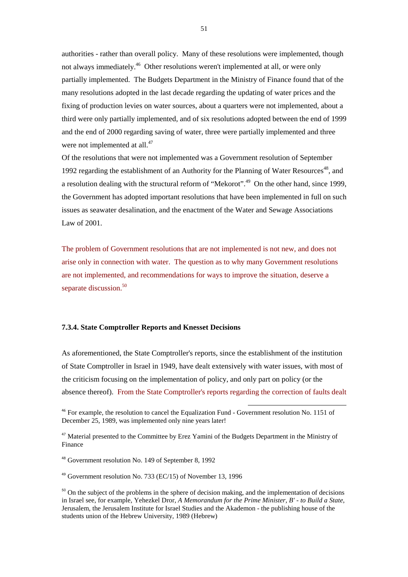authorities - rather than overall policy. Many of these resolutions were implemented, though not always immediately.<sup>46</sup> Other resolutions weren't implemented at all, or were only partially implemented. The Budgets Department in the Ministry of Finance found that of the many resolutions adopted in the last decade regarding the updating of water prices and the fixing of production levies on water sources, about a quarters were not implemented, about a third were only partially implemented, and of six resolutions adopted between the end of 1999 and the end of 2000 regarding saving of water, three were partially implemented and three were not implemented at all.<sup>47</sup>

Of the resolutions that were not implemented was a Government resolution of September 1992 regarding the establishment of an Authority for the Planning of Water Resources<sup>48</sup>, and a resolution dealing with the structural reform of "Mekorot".<sup>49</sup> On the other hand, since 1999, the Government has adopted important resolutions that have been implemented in full on such issues as seawater desalination, and the enactment of the Water and Sewage Associations Law of 2001.

The problem of Government resolutions that are not implemented is not new, and does not arise only in connection with water. The question as to why many Government resolutions are not implemented, and recommendations for ways to improve the situation, deserve a separate discussion.<sup>50</sup>

# **7.3.4. State Comptroller Reports and Knesset Decisions**

As aforementioned, the State Comptroller's reports, since the establishment of the institution of State Comptroller in Israel in 1949, have dealt extensively with water issues, with most of the criticism focusing on the implementation of policy, and only part on policy (or the absence thereof). From the State Comptroller's reports regarding the correction of faults dealt

l

<sup>49</sup> Government resolution No. 733 (EC/15) of November 13, 1996

<sup>&</sup>lt;sup>46</sup> For example, the resolution to cancel the Equalization Fund - Government resolution No. 1151 of December 25, 1989, was implemented only nine years later!

<sup>&</sup>lt;sup>47</sup> Material presented to the Committee by Erez Yamini of the Budgets Department in the Ministry of Finance

<sup>48</sup> Government resolution No. 149 of September 8, 1992

 $50$  On the subject of the problems in the sphere of decision making, and the implementation of decisions in Israel see, for example, Yehezkel Dror, *A Memorandum for the Prime Minister, B' - to Build a State*, Jerusalem, the Jerusalem Institute for Israel Studies and the Akademon - the publishing house of the students union of the Hebrew University, 1989 (Hebrew)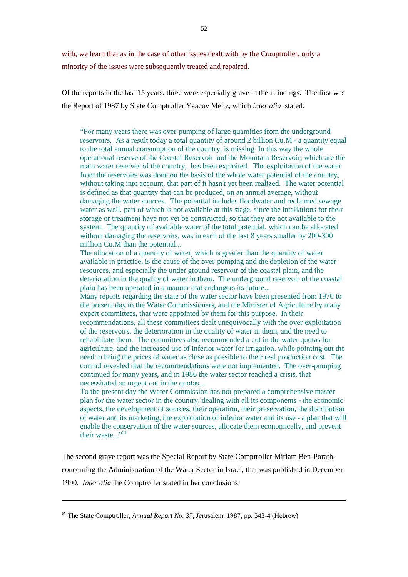with, we learn that as in the case of other issues dealt with by the Comptroller, only a minority of the issues were subsequently treated and repaired.

Of the reports in the last 15 years, three were especially grave in their findings. The first was the Report of 1987 by State Comptroller Yaacov Meltz, which *inter alia* stated:

"For many years there was over-pumping of large quantities from the underground reservoirs. As a result today a total quantity of around 2 billion Cu.M - a quantity equal to the total annual consumption of the country, is missing In this way the whole operational reserve of the Coastal Reservoir and the Mountain Reservoir, which are the main water reserves of the country, has been exploited. The exploitation of the water from the reservoirs was done on the basis of the whole water potential of the country, without taking into account, that part of it hasn't yet been realized. The water potential is defined as that quantity that can be produced, on an annual average, without damaging the water sources. The potential includes floodwater and reclaimed sewage water as well, part of which is not available at this stage, since the intallations for their storage or treatment have not yet be constructed, so that they are not available to the system. The quantity of available water of the total potential, which can be allocated without damaging the reservoirs, was in each of the last 8 years smaller by 200-300 million Cu.M than the potential...

The allocation of a quantity of water, which is greater than the quantity of water available in practice, is the cause of the over-pumping and the depletion of the water resources, and especially the under ground reservoir of the coastal plain, and the deterioration in the quality of water in them. The underground reservoir of the coastal plain has been operated in a manner that endangers its future...

Many reports regarding the state of the water sector have been presented from 1970 to the present day to the Water Commissioners, and the Minister of Agriculture by many expert committees, that were appointed by them for this purpose. In their recommendations, all these committees dealt unequivocally with the over exploitation of the reservoirs, the deterioration in the quality of water in them, and the need to rehabilitate them. The committees also recommended a cut in the water quotas for agriculture, and the increased use of inferior water for irrigation, while pointing out the need to bring the prices of water as close as possible to their real production cost. The control revealed that the recommendations were not implemented. The over-pumping continued for many years, and in 1986 the water sector reached a crisis, that necessitated an urgent cut in the quotas...

To the present day the Water Commission has not prepared a comprehensive master plan for the water sector in the country, dealing with all its components - the economic aspects, the development of sources, their operation, their preservation, the distribution of water and its marketing, the exploitation of inferior water and its use - a plan that will enable the conservation of the water sources, allocate them economically, and prevent their waste... $"$ <sup>51</sup>

The second grave report was the Special Report by State Comptroller Miriam Ben-Porath, concerning the Administration of the Water Sector in Israel, that was published in December 1990. *Inter alia* the Comptroller stated in her conclusions:

 $\overline{a}$ 

<sup>51</sup> The State Comptroller, *Annual Report No. 37*, Jerusalem, 1987, pp. 543-4 (Hebrew)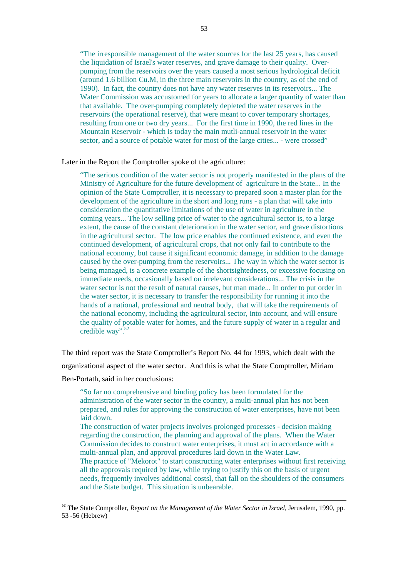"The irresponsible management of the water sources for the last 25 years, has caused the liquidation of Israel's water reserves, and grave damage to their quality. Overpumping from the reservoirs over the years caused a most serious hydrological deficit (around 1.6 billion Cu.M, in the three main reservoirs in the country, as of the end of 1990). In fact, the country does not have any water reserves in its reservoirs... The Water Commission was accustomed for years to allocate a larger quantity of water than that available. The over-pumping completely depleted the water reserves in the reservoirs (the operational reserve), that were meant to cover temporary shortages, resulting from one or two dry years... For the first time in 1990, the red lines in the Mountain Reservoir - which is today the main mutli-annual reservoir in the water sector, and a source of potable water for most of the large cities... - were crossed"

Later in the Report the Comptroller spoke of the agriculture:

"The serious condition of the water sector is not properly manifested in the plans of the Ministry of Agriculture for the future development of agriculture in the State... In the opinion of the State Comptroller, it is necessary to prepared soon a master plan for the development of the agriculture in the short and long runs - a plan that will take into consideration the quantitative limitations of the use of water in agriculture in the coming years... The low selling price of water to the agricultural sector is, to a large extent, the cause of the constant deterioration in the water sector, and grave distortions in the agricultural sector. The low price enables the continued existence, and even the continued development, of agricultural crops, that not only fail to contribute to the national economy, but cause it significant economic damage, in addition to the damage caused by the over-pumping from the reservoirs... The way in which the water sector is being managed, is a concrete example of the shortsightedness, or excessive focusing on immediate needs, occasionally based on irrelevant considerations... The crisis in the water sector is not the result of natural causes, but man made... In order to put order in the water sector, it is necessary to transfer the responsibility for running it into the hands of a national, professional and neutral body, that will take the requirements of the national economy, including the agricultural sector, into account, and will ensure the quality of potable water for homes, and the future supply of water in a regular and credible way".<sup>52</sup>

The third report was the State Comptroller's Report No. 44 for 1993, which dealt with the organizational aspect of the water sector. And this is what the State Comptroller, Miriam Ben-Portath, said in her conclusions:

"So far no comprehensive and binding policy has been formulated for the administration of the water sector in the country, a multi-annual plan has not been prepared, and rules for approving the construction of water enterprises, have not been laid down.

The construction of water projects involves prolonged processes - decision making regarding the construction, the planning and approval of the plans. When the Water Commission decides to construct water enterprises, it must act in accordance with a multi-annual plan, and approval procedures laid down in the Water Law. The practice of "Mekorot" to start constructing water enterprises without first receiving all the approvals required by law, while trying to justify this on the basis of urgent needs, frequently involves additional costsl, that fall on the shoulders of the consumers and the State budget. This situation is unbearable.

<sup>52</sup> The State Comproller, *Report on the Management of the Water Sector in Israel,* Jerusalem, 1990, pp. 53 -56 (Hebrew)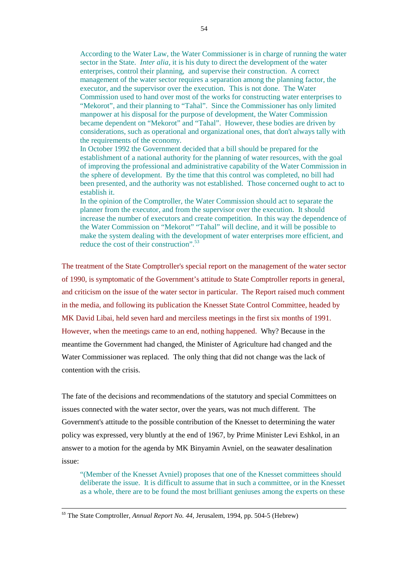According to the Water Law, the Water Commissioner is in charge of running the water sector in the State. *Inter alia*, it is his duty to direct the development of the water enterprises, control their planning, and supervise their construction. A correct management of the water sector requires a separation among the planning factor, the executor, and the supervisor over the execution. This is not done. The Water Commission used to hand over most of the works for constructing water enterprises to "Mekorot", and their planning to "Tahal". Since the Commissioner has only limited manpower at his disposal for the purpose of development, the Water Commission became dependent on "Mekorot" and "Tahal". However, these bodies are driven by considerations, such as operational and organizational ones, that don't always tally with the requirements of the economy.

In October 1992 the Government decided that a bill should be prepared for the establishment of a national authority for the planning of water resources, with the goal of improving the professional and administrative capability of the Water Commission in the sphere of development. By the time that this control was completed, no bill had been presented, and the authority was not established. Those concerned ought to act to establish it.

In the opinion of the Comptroller, the Water Commission should act to separate the planner from the executor, and from the supervisor over the execution. It should increase the number of executors and create competition. In this way the dependence of the Water Commission on "Mekorot" "Tahal" will decline, and it will be possible to make the system dealing with the development of water enterprises more efficient, and reduce the cost of their construction".<sup>53</sup>

The treatment of the State Comptroller's special report on the management of the water sector of 1990, is symptomatic of the Government's attitude to State Comptroller reports in general, and criticism on the issue of the water sector in particular. The Report raised much comment in the media, and following its publication the Knesset State Control Committee, headed by MK David Libai, held seven hard and merciless meetings in the first six months of 1991. However, when the meetings came to an end, nothing happened. Why? Because in the meantime the Government had changed, the Minister of Agriculture had changed and the Water Commissioner was replaced. The only thing that did not change was the lack of contention with the crisis.

The fate of the decisions and recommendations of the statutory and special Committees on issues connected with the water sector, over the years, was not much different. The Government's attitude to the possible contribution of the Knesset to determining the water policy was expressed, very bluntly at the end of 1967, by Prime Minister Levi Eshkol, in an answer to a motion for the agenda by MK Binyamin Avniel, on the seawater desalination issue:

"(Member of the Knesset Avniel) proposes that one of the Knesset committees should deliberate the issue. It is difficult to assume that in such a committee, or in the Knesset as a whole, there are to be found the most brilliant geniuses among the experts on these

 $\overline{a}$ 

<sup>53</sup> The State Comptroller, *Annual Report No. 44*, Jerusalem, 1994, pp. 504-5 (Hebrew)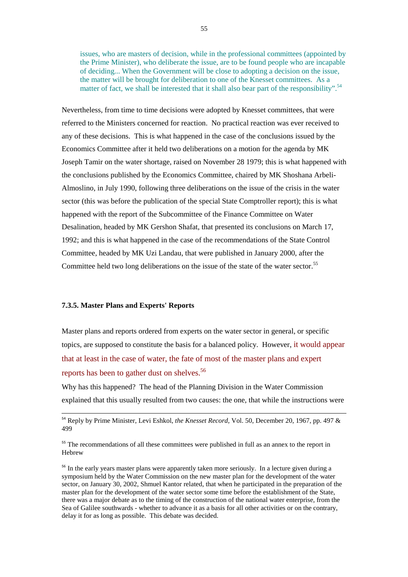issues, who are masters of decision, while in the professional committees (appointed by the Prime Minister), who deliberate the issue, are to be found people who are incapable of deciding... When the Government will be close to adopting a decision on the issue, the matter will be brought for deliberation to one of the Knesset committees. As a matter of fact, we shall be interested that it shall also bear part of the responsibility".<sup>54</sup>

Nevertheless, from time to time decisions were adopted by Knesset committees, that were referred to the Ministers concerned for reaction. No practical reaction was ever received to any of these decisions. This is what happened in the case of the conclusions issued by the Economics Committee after it held two deliberations on a motion for the agenda by MK Joseph Tamir on the water shortage, raised on November 28 1979; this is what happened with the conclusions published by the Economics Committee, chaired by MK Shoshana Arbeli-Almoslino, in July 1990, following three deliberations on the issue of the crisis in the water sector (this was before the publication of the special State Comptroller report); this is what happened with the report of the Subcommittee of the Finance Committee on Water Desalination, headed by MK Gershon Shafat, that presented its conclusions on March 17, 1992; and this is what happened in the case of the recommendations of the State Control Committee, headed by MK Uzi Landau, that were published in January 2000, after the Committee held two long deliberations on the issue of the state of the water sector.<sup>55</sup>

### **7.3.5. Master Plans and Experts' Reports**

 $\overline{a}$ 

Master plans and reports ordered from experts on the water sector in general, or specific topics, are supposed to constitute the basis for a balanced policy. However, it would appear that at least in the case of water, the fate of most of the master plans and expert reports has been to gather dust on shelves.<sup>56</sup>

Why has this happened? The head of the Planning Division in the Water Commission explained that this usually resulted from two causes: the one, that while the instructions were

<sup>54</sup> Reply by Prime Minister, Levi Eshkol, *the Knesset Record*, Vol. 50, December 20, 1967, pp. 497 & 499

<sup>&</sup>lt;sup>55</sup> The recommendations of all these committees were published in full as an annex to the report in Hebrew

<sup>&</sup>lt;sup>56</sup> In the early years master plans were apparently taken more seriously. In a lecture given during a symposium held by the Water Commission on the new master plan for the development of the water sector, on January 30, 2002, Shmuel Kantor related, that when he participated in the preparation of the master plan for the development of the water sector some time before the establishment of the State, there was a major debate as to the timing of the construction of the national water enterprise, from the Sea of Galilee southwards - whether to advance it as a basis for all other activities or on the contrary, delay it for as long as possible. This debate was decided.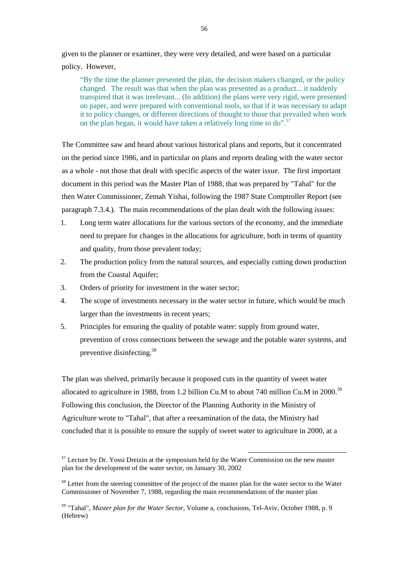given to the planner or examiner, they were very detailed, and were based on a particular policy. However,

"By the time the planner presented the plan, the decision makers changed, or the policy changed. The result was that when the plan was presented as a product... it suddenly transpired that it was irrelevant... (In addition) the plans were very rigid, were presented on paper, and were prepared with conventional tools, so that if it was necessary to adapt it to policy changes, or different directions of thought to those that prevailed when work on the plan began, it would have taken a relatively long time to do".<sup>57</sup>

The Committee saw and heard about various historical plans and reports, but it concentrated on the period since 1986, and in particular on plans and reports dealing with the water sector as a whole - not those that dealt with specific aspects of the water issue. The first important document in this period was the Master Plan of 1988, that was prepared by "Tahal" for the then Water Commissioner, Zemah Yishai, following the 1987 State Comptroller Report (see paragraph 7.3.4.). The main recommendations of the plan dealt with the following issues:

- 1. Long term water allocations for the various sectors of the economy, and the immediate need to prepare for changes in the allocations for agriculture, both in terms of quantity and quality, from those prevalent today;
- 2. The production policy from the natural sources, and especially cutting down production from the Coastal Aquifer;
- 3. Orders of priority for investment in the water sector;
- 4. The scope of investments necessary in the water sector in future, which would be much larger than the investments in recent years;
- 5. Principles for ensuring the quality of potable water: supply from ground water, prevention of cross connections between the sewage and the potable water systems, and preventive disinfecting.58

The plan was shelved, primarily because it proposed cuts in the quantity of sweet water allocated to agriculture in 1988, from 1.2 billion Cu.M to about 740 million Cu.M in 2000.<sup>59</sup> Following this conclusion, the Director of the Planning Authority in the Ministry of Agriculture wrote to "Tahal", that after a reexamination of the data, the Ministry had concluded that it is possible to ensure the supply of sweet water to agriculture in 2000, at a

 $<sup>57</sup>$  Lecture by Dr. Yossi Dreizin at the symposium held by the Water Commission on the new master</sup> plan for the development of the water sector, on January 30, 2002

<sup>&</sup>lt;sup>58</sup> Letter from the steering committee of the project of the master plan for the water sector to the Water Commissioner of November 7, 1988, regarding the main recommendations of the master plan

<sup>59</sup> "Tahal", *Master plan for the Water Sector*, Volume a, conclusions, Tel-Aviv, October 1988, p. 9 (Hebrew)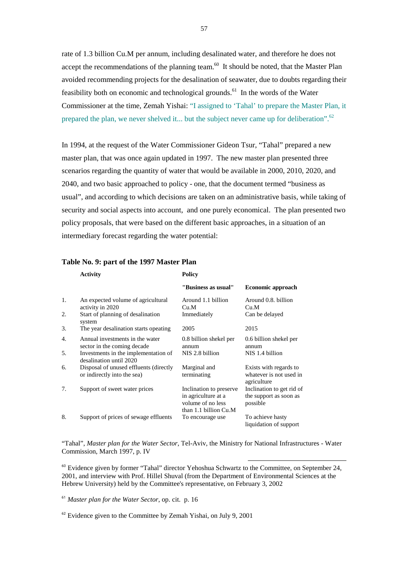rate of 1.3 billion Cu.M per annum, including desalinated water, and therefore he does not accept the recommendations of the planning team.<sup>60</sup> It should be noted, that the Master Plan avoided recommending projects for the desalination of seawater, due to doubts regarding their feasibility both on economic and technological grounds.<sup>61</sup> In the words of the Water Commissioner at the time, Zemah Yishai: "I assigned to 'Tahal' to prepare the Master Plan, it prepared the plan, we never shelved it... but the subject never came up for deliberation".<sup>62</sup>

In 1994, at the request of the Water Commissioner Gideon Tsur, "Tahal" prepared a new master plan, that was once again updated in 1997. The new master plan presented three scenarios regarding the quantity of water that would be available in 2000, 2010, 2020, and 2040, and two basic approached to policy - one, that the document termed "business as usual", and according to which decisions are taken on an administrative basis, while taking of security and social aspects into account, and one purely economical. The plan presented two policy proposals, that were based on the different basic approaches, in a situation of an intermediary forecast regarding the water potential:

|    | <b>Activity</b>                                                       | <b>Policy</b>                                                                                |                                                                  |  |
|----|-----------------------------------------------------------------------|----------------------------------------------------------------------------------------------|------------------------------------------------------------------|--|
|    |                                                                       | "Business as usual"                                                                          | Economic approach                                                |  |
| 1. | An expected volume of agricultural<br>activity in 2020                | Around 1.1 billion<br>Cu.M                                                                   | Around 0.8. billion<br>Cu.M                                      |  |
| 2. | Start of planning of desalination<br>system                           | Immediately                                                                                  | Can be delayed                                                   |  |
| 3. | The year desalination starts opeating                                 | 2005                                                                                         | 2015                                                             |  |
| 4. | Annual investments in the water<br>sector in the coming decade        | 0.8 billion shekel per<br>annum                                                              | 0.6 billion shekel per<br>annum                                  |  |
| 5. | Investments in the implementation of<br>desalination until 2020       | NIS 2.8 billion                                                                              | NIS 1.4 billion                                                  |  |
| 6. | Disposal of unused effluents (directly<br>or indirectly into the sea) | Marginal and<br>terminating                                                                  | Exists with regards to<br>whatever is not used in<br>agriculture |  |
| 7. | Support of sweet water prices                                         | Inclination to preserve<br>in agriculture at a<br>volume of no less<br>than 1.1 billion Cu.M | Inclination to get rid of<br>the support as soon as<br>possible  |  |
| 8. | Support of prices of sewage effluents                                 | To encourage use                                                                             | To achieve hasty<br>liquidation of support                       |  |

## **Table No. 9: part of the 1997 Master Plan**

"Tahal", *Master plan for the Water Sector*, Tel-Aviv, the Ministry for National Infrastructures - Water Commission, March 1997, p. IV

l

<sup>60</sup> Evidence given by former "Tahal" director Yehoshua Schwartz to the Committee, on September 24, 2001, and interview with Prof. Hillel Shuval (from the Department of Environmental Sciences at the Hebrew University) held by the Committee's representative, on February 3, 2002

<sup>61</sup> *Master plan for the Water Sector*, op. cit. p. 16

 $62$  Evidence given to the Committee by Zemah Yishai, on July 9, 2001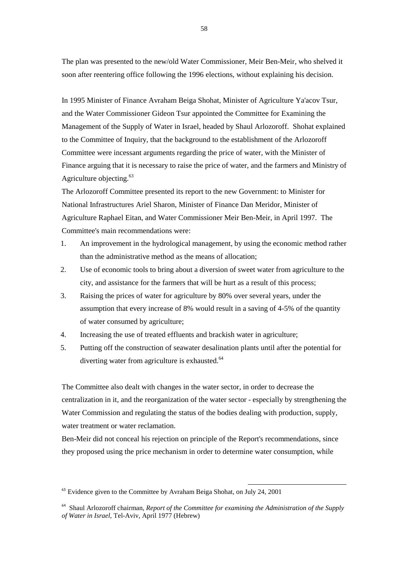The plan was presented to the new/old Water Commissioner, Meir Ben-Meir, who shelved it soon after reentering office following the 1996 elections, without explaining his decision.

In 1995 Minister of Finance Avraham Beiga Shohat, Minister of Agriculture Ya'acov Tsur, and the Water Commissioner Gideon Tsur appointed the Committee for Examining the Management of the Supply of Water in Israel, headed by Shaul Arlozoroff. Shohat explained to the Committee of Inquiry, that the background to the establishment of the Arlozoroff Committee were incessant arguments regarding the price of water, with the Minister of Finance arguing that it is necessary to raise the price of water, and the farmers and Ministry of Agriculture objecting.<sup>63</sup>

The Arlozoroff Committee presented its report to the new Government: to Minister for National Infrastructures Ariel Sharon, Minister of Finance Dan Meridor, Minister of Agriculture Raphael Eitan, and Water Commissioner Meir Ben-Meir, in April 1997. The Committee's main recommendations were:

- 1. An improvement in the hydrological management, by using the economic method rather than the administrative method as the means of allocation;
- 2. Use of economic tools to bring about a diversion of sweet water from agriculture to the city, and assistance for the farmers that will be hurt as a result of this process;
- 3. Raising the prices of water for agriculture by 80% over several years, under the assumption that every increase of 8% would result in a saving of 4-5% of the quantity of water consumed by agriculture;
- 4. Increasing the use of treated effluents and brackish water in agriculture;
- 5. Putting off the construction of seawater desalination plants until after the potential for diverting water from agriculture is exhausted.<sup>64</sup>

The Committee also dealt with changes in the water sector, in order to decrease the centralization in it, and the reorganization of the water sector - especially by strengthening the Water Commission and regulating the status of the bodies dealing with production, supply, water treatment or water reclamation.

Ben-Meir did not conceal his rejection on principle of the Report's recommendations, since they proposed using the price mechanism in order to determine water consumption, while

 $63$  Evidence given to the Committee by Avraham Beiga Shohat, on July 24, 2001

<sup>64</sup> Shaul Arlozoroff chairman, *Report of the Committee for examining the Administration of the Supply of Water in Israel*, Tel-Aviv, April 1977 (Hebrew)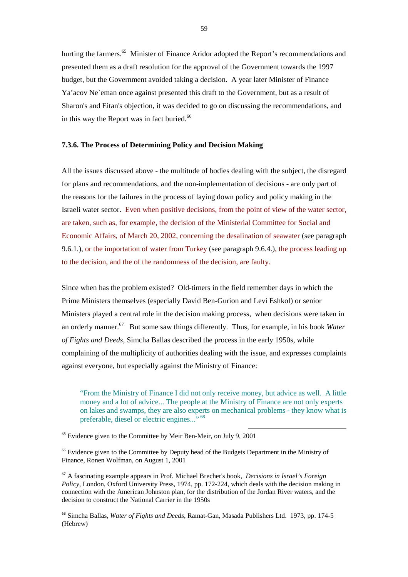hurting the farmers.<sup>65</sup> Minister of Finance Aridor adopted the Report's recommendations and presented them as a draft resolution for the approval of the Government towards the 1997 budget, but the Government avoided taking a decision. A year later Minister of Finance Ya'acov Ne`eman once against presented this draft to the Government, but as a result of Sharon's and Eitan's objection, it was decided to go on discussing the recommendations, and in this way the Report was in fact buried.<sup>66</sup>

#### **7.3.6. The Process of Determining Policy and Decision Making**

All the issues discussed above - the multitude of bodies dealing with the subject, the disregard for plans and recommendations, and the non-implementation of decisions - are only part of the reasons for the failures in the process of laying down policy and policy making in the Israeli water sector. Even when positive decisions, from the point of view of the water sector, are taken, such as, for example, the decision of the Ministerial Committee for Social and Economic Affairs, of March 20, 2002, concerning the desalination of seawater (see paragraph 9.6.1.), or the importation of water from Turkey (see paragraph 9.6.4.), the process leading up to the decision, and the of the randomness of the decision, are faulty.

Since when has the problem existed? Old-timers in the field remember days in which the Prime Ministers themselves (especially David Ben-Gurion and Levi Eshkol) or senior Ministers played a central role in the decision making process, when decisions were taken in an orderly manner.67 But some saw things differently. Thus, for example, in his book *Water of Fights and Deeds*, Simcha Ballas described the process in the early 1950s, while complaining of the multiplicity of authorities dealing with the issue, and expresses complaints against everyone, but especially against the Ministry of Finance:

"From the Ministry of Finance I did not only receive money, but advice as well. A little money and a lot of advice... The people at the Ministry of Finance are not only experts on lakes and swamps, they are also experts on mechanical problems - they know what is preferable, diesel or electric engines..."<sup>68</sup>

l

<sup>65</sup> Evidence given to the Committee by Meir Ben-Meir, on July 9, 2001

<sup>66</sup> Evidence given to the Committee by Deputy head of the Budgets Department in the Ministry of Finance, Ronen Wolfman, on August 1, 2001

<sup>67</sup> A fascinating example appears in Prof. Michael Brecher's book, *Decisions in Israel's Foreign Policy*, London, Oxford University Press, 1974, pp. 172-224, which deals with the decision making in connection with the American Johnston plan, for the distribution of the Jordan River waters, and the decision to construct the National Carrier in the 1950s

<sup>68</sup> Simcha Ballas, *Water of Fights and Deeds*, Ramat-Gan, Masada Publishers Ltd. 1973, pp. 174-5 (Hebrew)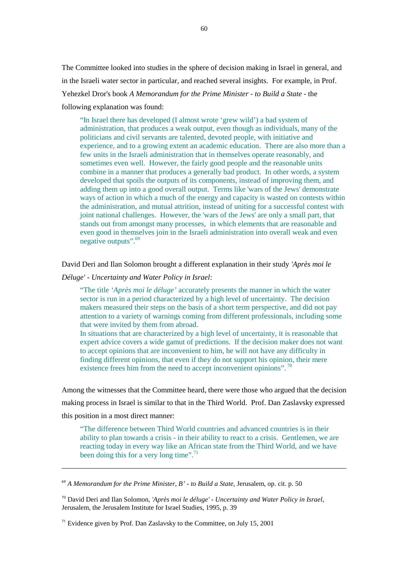The Committee looked into studies in the sphere of decision making in Israel in general, and in the Israeli water sector in particular, and reached several insights. For example, in Prof. Yehezkel Dror's book *A Memorandum for the Prime Minister - to Build a State* - the following explanation was found:

"In Israel there has developed (I almost wrote 'grew wild') a bad system of administration, that produces a weak output, even though as individuals, many of the politicians and civil servants are talented, devoted people, with initiative and experience, and to a growing extent an academic education. There are also more than a few units in the Israeli administration that in themselves operate reasonably, and sometimes even well. However, the fairly good people and the reasonable units combine in a manner that produces a generally bad product. In other words, a system developed that spoils the outputs of its components, instead of improving them, and adding them up into a good overall output. Terms like 'wars of the Jews' demonstrate ways of action in which a much of the energy and capacity is wasted on contests within the administration, and mutual attrition, instead of uniting for a successful contest with joint national challenges. However, the 'wars of the Jews' are only a small part, that stands out from amongst many processes, in which elements that are reasonable and even good in themselves join in the Israeli administration into overall weak and even negative outputs".<sup>69</sup>

David Deri and Ilan Solomon brought a different explanation in their study *'Après moi le* 

*Déluge'* - *Uncertainty and Water Policy in Israel*:

l

"The title *'Après moi le déluge'* accurately presents the manner in which the water sector is run in a period characterized by a high level of uncertainty. The decision makers measured their steps on the basis of a short term perspective, and did not pay attention to a variety of warnings coming from different professionals, including some that were invited by them from abroad.

In situations that are characterized by a high level of uncertainty, it is reasonable that expert advice covers a wide gamut of predictions. If the decision maker does not want to accept opinions that are inconvenient to him, he will not have any difficulty in finding different opinions, that even if they do not support his opinion, their mere existence frees him from the need to accept inconvenient opinions". <sup>70</sup>

Among the witnesses that the Committee heard, there were those who argued that the decision making process in Israel is similar to that in the Third World. Prof. Dan Zaslavsky expressed this position in a most direct manner:

"The difference between Third World countries and advanced countries is in their ability to plan towards a crisis - in their ability to react to a crisis. Gentlemen, we are reacting today in every way like an African state from the Third World, and we have been doing this for a very long time".<sup>71</sup>

<sup>69</sup> *A Memorandum for the Prime Minister, B' - to Build a State*, Jerusalem, op. cit. p. 50

<sup>70</sup> David Deri and Ilan Solomon, *'Après moi le déluge'* - *Uncertainty and Water Policy in Israel*, Jerusalem, the Jerusalem Institute for Israel Studies, 1995, p. 39

 $<sup>71</sup>$  Evidence given by Prof. Dan Zaslavsky to the Committee, on July 15, 2001</sup>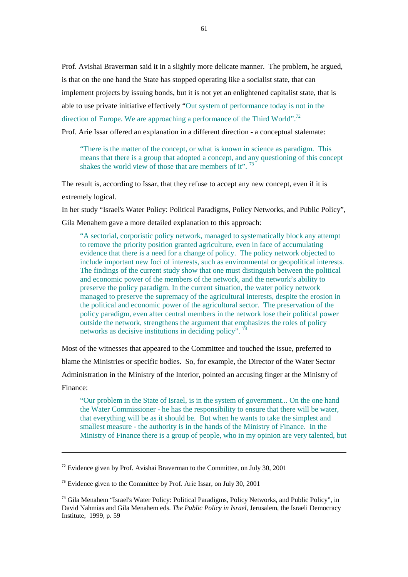Prof. Avishai Braverman said it in a slightly more delicate manner. The problem, he argued, is that on the one hand the State has stopped operating like a socialist state, that can implement projects by issuing bonds, but it is not yet an enlightened capitalist state, that is able to use private initiative effectively "Out system of performance today is not in the direction of Europe. We are approaching a performance of the Third World".<sup>72</sup> Prof. Arie Issar offered an explanation in a different direction - a conceptual stalemate:

"There is the matter of the concept, or what is known in science as paradigm. This means that there is a group that adopted a concept, and any questioning of this concept shakes the world view of those that are members of it".<sup>73</sup>

The result is, according to Issar, that they refuse to accept any new concept, even if it is extremely logical.

In her study "Israel's Water Policy: Political Paradigms, Policy Networks, and Public Policy",

Gila Menahem gave a more detailed explanation to this approach:

"A sectorial, corporistic policy network, managed to systematically block any attempt to remove the priority position granted agriculture, even in face of accumulating evidence that there is a need for a change of policy. The policy network objected to include important new foci of interests, such as environmental or geopolitical interests. The findings of the current study show that one must distinguish between the political and economic power of the members of the network, and the network's ability to preserve the policy paradigm. In the current situation, the water policy network managed to preserve the supremacy of the agricultural interests, despite the erosion in the political and economic power of the agricultural sector. The preservation of the policy paradigm, even after central members in the network lose their political power outside the network, strengthens the argument that emphasizes the roles of policy networks as decisive institutions in deciding policy".

Most of the witnesses that appeared to the Committee and touched the issue, preferred to blame the Ministries or specific bodies. So, for example, the Director of the Water Sector Administration in the Ministry of the Interior, pointed an accusing finger at the Ministry of Finance:

"Our problem in the State of Israel, is in the system of government... On the one hand the Water Commissioner - he has the responsibility to ensure that there will be water, that everything will be as it should be. But when he wants to take the simplest and smallest measure - the authority is in the hands of the Ministry of Finance. In the Ministry of Finance there is a group of people, who in my opinion are very talented, but

 $\overline{a}$ 

 $72$  Evidence given by Prof. Avishai Braverman to the Committee, on July 30, 2001

<sup>&</sup>lt;sup>73</sup> Evidence given to the Committee by Prof. Arie Issar, on July 30, 2001

<sup>74</sup> Gila Menahem "Israel's Water Policy: Political Paradigms, Policy Networks, and Public Policy", in David Nahmias and Gila Menahem eds. *The Public Policy in Israel*, Jerusalem, the Israeli Democracy Institute, 1999, p. 59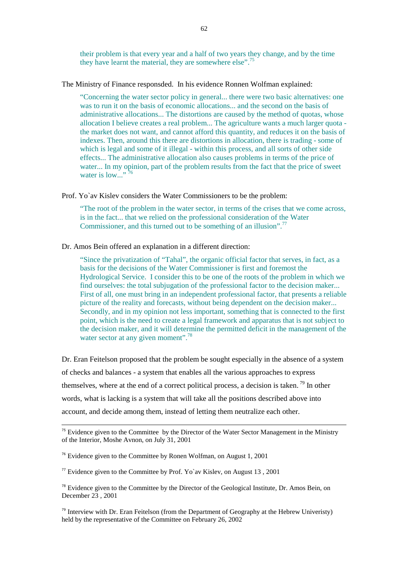their problem is that every year and a half of two years they change, and by the time they have learnt the material, they are somewhere else".<sup>75</sup>

The Ministry of Finance responsded. In his evidence Ronnen Wolfman explained:

"Concerning the water sector policy in general... there were two basic alternatives: one was to run it on the basis of economic allocations... and the second on the basis of administrative allocations... The distortions are caused by the method of quotas, whose allocation I believe creates a real problem... The agriculture wants a much larger quota the market does not want, and cannot afford this quantity, and reduces it on the basis of indexes. Then, around this there are distortions in allocation, there is trading - some of which is legal and some of it illegal - within this process, and all sorts of other side effects... The administrative allocation also causes problems in terms of the price of water... In my opinion, part of the problem results from the fact that the price of sweet water is low..."  $^{76}$ 

Prof. Yo`av Kislev considers the Water Commissioners to be the problem:

"The root of the problem in the water sector, in terms of the crises that we come across, is in the fact... that we relied on the professional consideration of the Water Commissioner, and this turned out to be something of an illusion".<sup>77</sup>

Dr. Amos Bein offered an explanation in a different direction:

"Since the privatization of "Tahal", the organic official factor that serves, in fact, as a basis for the decisions of the Water Commissioner is first and foremost the Hydrological Service. I consider this to be one of the roots of the problem in which we find ourselves: the total subjugation of the professional factor to the decision maker... First of all, one must bring in an independent professional factor, that presents a reliable picture of the reality and forecasts, without being dependent on the decision maker... Secondly, and in my opinion not less important, something that is connected to the first point, which is the need to create a legal framework and apparatus that is not subject to the decision maker, and it will determine the permitted deficit in the management of the water sector at any given moment".<sup>78</sup>

Dr. Eran Feitelson proposed that the problem be sought especially in the absence of a system of checks and balances - a system that enables all the various approaches to express themselves, where at the end of a correct political process, a decision is taken.<sup>79</sup> In other words, what is lacking is a system that will take all the positions described above into account, and decide among them, instead of letting them neutralize each other.

 $\overline{a}$ 

 $75$  Evidence given to the Committee by the Director of the Water Sector Management in the Ministry of the Interior, Moshe Avnon, on July 31, 2001

 $76$  Evidence given to the Committee by Ronen Wolfman, on August 1, 2001

<sup>&</sup>lt;sup>77</sup> Evidence given to the Committee by Prof. Yo`av Kisley, on August 13, 2001

 $78$  Evidence given to the Committee by the Director of the Geological Institute, Dr. Amos Bein, on December 23 , 2001

 $<sup>79</sup>$  Interview with Dr. Eran Feitelson (from the Department of Geography at the Hebrew Univeristy)</sup> held by the representative of the Committee on February 26, 2002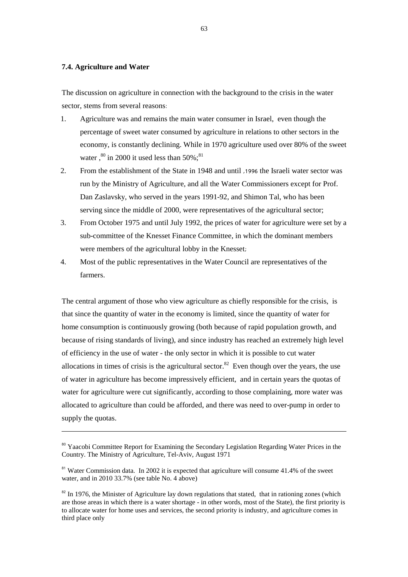### **7.4. Agriculture and Water**

 $\overline{a}$ 

The discussion on agriculture in connection with the background to the crisis in the water sector, stems from several reasons:

- 1. Agriculture was and remains the main water consumer in Israel, even though the percentage of sweet water consumed by agriculture in relations to other sectors in the economy, is constantly declining. While in 1970 agriculture used over 80% of the sweet water  $\cdot^{80}$  in 2000 it used less than 50%;<sup>81</sup>
- 2. From the establishment of the State in 1948 and until ,1996 the Israeli water sector was run by the Ministry of Agriculture, and all the Water Commissioners except for Prof. Dan Zaslavsky, who served in the years 1991-92, and Shimon Tal, who has been serving since the middle of 2000, were representatives of the agricultural sector;
- 3. From October 1975 and until July 1992, the prices of water for agriculture were set by a sub-committee of the Knesset Finance Committee, in which the dominant members were members of the agricultural lobby in the Knesset;
- 4. Most of the public representatives in the Water Council are representatives of the farmers.

The central argument of those who view agriculture as chiefly responsible for the crisis, is that since the quantity of water in the economy is limited, since the quantity of water for home consumption is continuously growing (both because of rapid population growth, and because of rising standards of living), and since industry has reached an extremely high level of efficiency in the use of water - the only sector in which it is possible to cut water allocations in times of crisis is the agricultural sector.<sup>82</sup> Even though over the years, the use of water in agriculture has become impressively efficient, and in certain years the quotas of water for agriculture were cut significantly, according to those complaining, more water was allocated to agriculture than could be afforded, and there was need to over-pump in order to supply the quotas.

<sup>&</sup>lt;sup>80</sup> Yaacobi Committee Report for Examining the Secondary Legislation Regarding Water Prices in the Country. The Ministry of Agriculture, Tel-Aviv, August 1971

<sup>&</sup>lt;sup>81</sup> Water Commission data. In 2002 it is expected that agriculture will consume 41.4% of the sweet water, and in 2010 33.7% (see table No. 4 above)

<sup>&</sup>lt;sup>82</sup> In 1976, the Minister of Agriculture lay down regulations that stated, that in rationing zones (which are those areas in which there is a water shortage - in other words, most of the State), the first priority is to allocate water for home uses and services, the second priority is industry, and agriculture comes in third place only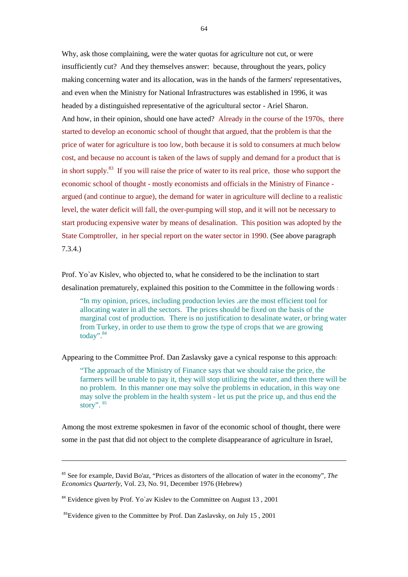Why, ask those complaining, were the water quotas for agriculture not cut, or were insufficiently cut? And they themselves answer: because, throughout the years, policy making concerning water and its allocation, was in the hands of the farmers' representatives, and even when the Ministry for National Infrastructures was established in 1996, it was headed by a distinguished representative of the agricultural sector - Ariel Sharon. And how, in their opinion, should one have acted? Already in the course of the 1970s, there started to develop an economic school of thought that argued, that the problem is that the price of water for agriculture is too low, both because it is sold to consumers at much below cost, and because no account is taken of the laws of supply and demand for a product that is in short supply.<sup>83</sup> If you will raise the price of water to its real price, those who support the economic school of thought - mostly economists and officials in the Ministry of Finance argued (and continue to argue), the demand for water in agriculture will decline to a realistic level, the water deficit will fall, the over-pumping will stop, and it will not be necessary to start producing expensive water by means of desalination. This position was adopted by the State Comptroller, in her special report on the water sector in 1990. (See above paragraph 7.3.4.)

Prof. Yo`av Kislev, who objected to, what he considered to be the inclination to start desalination prematurely, explained this position to the Committee in the following words :

"In my opinion, prices, including production levies ,are the most efficient tool for allocating water in all the sectors. The prices should be fixed on the basis of the marginal cost of production. There is no justification to desalinate water, or bring water from Turkey, in order to use them to grow the type of crops that we are growing today". 84

Appearing to the Committee Prof. Dan Zaslavsky gave a cynical response to this approach:

"The approach of the Ministry of Finance says that we should raise the price, the farmers will be unable to pay it, they will stop utilizing the water, and then there will be no problem. In this manner one may solve the problems in education, in this way one may solve the problem in the health system - let us put the price up, and thus end the story". 85

Among the most extreme spokesmen in favor of the economic school of thought, there were some in the past that did not object to the complete disappearance of agriculture in Israel,

 $\overline{a}$ 

<sup>83</sup> See for example, David Bo'az, "Prices as distorters of the allocation of water in the economy", *The Economics Quarterly*, Vol. 23, No. 91, December 1976 (Hebrew)

 $84$  Evidence given by Prof. Yo`av Kislev to the Committee on August 13, 2001

 $85$ Evidence given to the Committee by Prof. Dan Zaslavsky, on July 15, 2001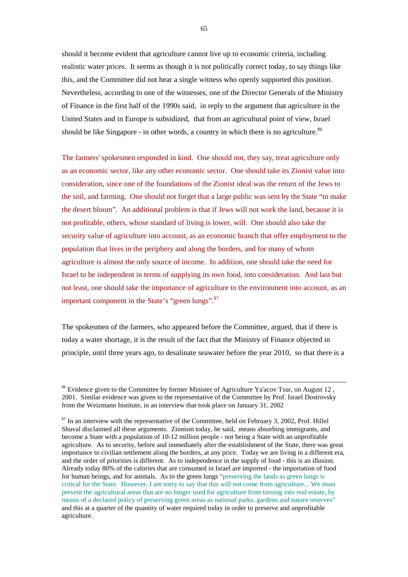should it become evident that agriculture cannot live up to economic criteria, including realistic water prices. It seems as though it is not politically correct today, to say things like this, and the Committee did not hear a single witness who openly supported this position. Nevertheless, according to one of the witnesses, one of the Director Generals of the Ministry of Finance in the first half of the 1990s said, in reply to the argument that agriculture in the United States and in Europe is subsidized, that from an agricultural point of view, Israel should be like Singapore - in other words, a country in which there is no agriculture.<sup>86</sup>

The farmers' spokesmen responded in kind. One should not, they say, treat agriculture only as an economic sector, like any other economic sector. One should take its Zionist value into consideration, since one of the foundations of the Zionist ideal was the return of the Jews to the soil, and farming. One should not forget that a large public was sent by the State "to make the desert bloom". An additional problem is that if Jews will not work the land, because it is not profitable, others, whose standard of living is lower, will. One should also take the security value of agriculture into account, as an economic branch that offer employment to the population that lives in the periphery and along the borders, and for many of whom agriculture is almost the only source of income. In addition, one should take the need for Israel to be independent in terms of supplying its own food, into consideration. And last but not least, one should take the importance of agriculture to the environment into account, as an important component in the State's "green lungs".<sup>87</sup>

The spokesmen of the farmers, who appeared before the Committee, argued, that if there is today a water shortage, it is the result of the fact that the Ministry of Finance objected in principle, until three years ago, to desalinate seawater before the year 2010, so that there is a

<sup>&</sup>lt;sup>86</sup> Evidence given to the Committee by former Minister of Agriculture Ya'acov Tsur, on August 12, 2001. Similar evidence was given to the representative of the Committee by Prof. Israel Dostrovsky from the Weizmann Institute, in an interview that took place on January 31, 2002

 $87$  In an interview with the representative of the Committee, held on February 3, 2002, Prof. Hillel Shuval disclaimed all these arguments. Zionism today, he said, means absorbing immigrants, and become a State with a population of 10-12 million people - not being a State with an unprofitable agriculture. As to security, before and immediately after the establishment of the State, there was great importance to civilian settlement along the borders, at any price. Today we are living in a different era, and the order of priorities is different. As to independence in the supply of food - this is an illusion. Already today 80% of the calories that are consumed in Israel are imported - the importation of food for human beings, and for animals. As to the green lungs "preserving the lands as green lungs is critical for the State. However, I am sorry to say that this will not come from agriculture... We must prevent the agricultural areas that are no longer used for agriculture from turning into real-estate, by means of a declared policy of preserving green areas as national parks, gardens and nature reserves" and this at a quarter of the quantity of water required today in order to preserve and unprofitable agriculture.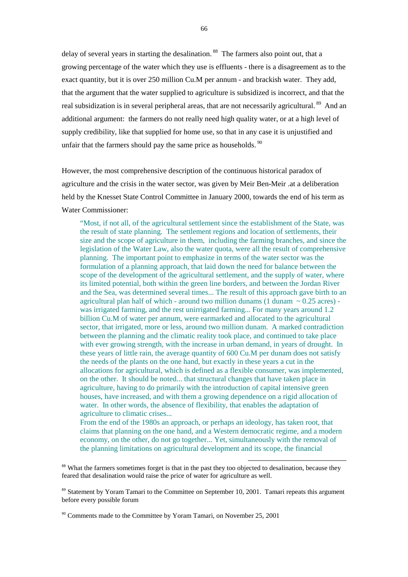delay of several years in starting the desalination.<sup>88</sup> The farmers also point out, that a growing percentage of the water which they use is effluents - there is a disagreement as to the exact quantity, but it is over 250 million Cu.M per annum - and brackish water. They add, that the argument that the water supplied to agriculture is subsidized is incorrect, and that the real subsidization is in several peripheral areas, that are not necessarily agricultural.<sup>89</sup> And an additional argument: the farmers do not really need high quality water, or at a high level of supply credibility, like that supplied for home use, so that in any case it is unjustified and unfair that the farmers should pay the same price as households. $90$ 

However, the most comprehensive description of the continuous historical paradox of agriculture and the crisis in the water sector, was given by Meir Ben-Meir ,at a deliberation held by the Knesset State Control Committee in January 2000, towards the end of his term as Water Commissioner:

"Most, if not all, of the agricultural settlement since the establishment of the State, was the result of state planning. The settlement regions and location of settlements, their size and the scope of agriculture in them, including the farming branches, and since the legislation of the Water Law, also the water quota, were all the result of comprehensive planning. The important point to emphasize in terms of the water sector was the formulation of a planning approach, that laid down the need for balance between the scope of the development of the agricultural settlement, and the supply of water, where its limited potential, both within the green line borders, and between the Jordan River and the Sea, was determined several times... The result of this approach gave birth to an agricultural plan half of which - around two million dunams (1 dunam  $\sim 0.25$  acres) was irrigated farming, and the rest unirrigated farming... For many years around 1.2 billion Cu.M of water per annum, were earmarked and allocated to the agricultural sector, that irrigated, more or less, around two million dunam. A marked contradiction between the planning and the climatic reality took place, and continued to take place with ever growing strength, with the increase in urban demand, in years of drought. In these years of little rain, the average quantity of 600 Cu.M per dunam does not satisfy the needs of the plants on the one hand, but exactly in these years a cut in the allocations for agricultural, which is defined as a flexible consumer, was implemented, on the other. It should be noted... that structural changes that have taken place in agriculture, having to do primarily with the introduction of capital intensive green houses, have increased, and with them a growing dependence on a rigid allocation of water. In other words, the absence of flexibility, that enables the adaptation of agriculture to climatic crises...

From the end of the 1980s an approach, or perhaps an ideology, has taken root, that claims that planning on the one hand, and a Western democratic regime, and a modern economy, on the other, do not go together... Yet, simultaneously with the removal of the planning limitations on agricultural development and its scope, the financial

l

<sup>88</sup> What the farmers sometimes forget is that in the past they too objected to desalination, because they feared that desalination would raise the price of water for agriculture as well.

<sup>&</sup>lt;sup>89</sup> Statement by Yoram Tamari to the Committee on September 10, 2001. Tamari repeats this argument before every possible forum

<sup>&</sup>lt;sup>90</sup> Comments made to the Committee by Yoram Tamari, on November 25, 2001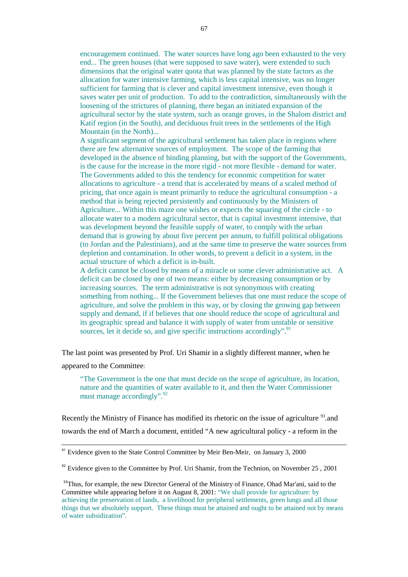encouragement continued. The water sources have long ago been exhausted to the very end... The green houses (that were supposed to save water), were extended to such dimensions that the original water quota that was planned by the state factors as the allocation for water intensive farming, which is less capital intensive, was no longer sufficient for farming that is clever and capital investment intensive, even though it saves water per unit of production. To add to the contradiction, simultaneously with the loosening of the strictures of planning, there began an initiated expansion of the agricultural sector by the state system, such as orange groves, in the Shalom district and Katif region (in the South), and deciduous fruit trees in the settlements of the High Mountain (in the North)...

A significant segment of the agricultural settlement has taken place in regions where there are few alternative sources of employment. The scope of the farming that developed in the absence of binding planning, but with the support of the Governments, is the cause for the increase in the more rigid - not more flexible - demand for water. The Governments added to this the tendency for economic competition for water allocations to agriculture - a trend that is accelerated by means of a scaled method of pricing, that once again is meant primarily to reduce the agricultural consumption - a method that is being rejected persistently and continuously by the Ministers of Agriculture... Within this maze one wishes or expects the squaring of the circle - to allocate water to a modern agricultural sector, that is capital investment intensive, that was development beyond the feasible supply of water, to comply with the urban demand that is growing by about five percent per annum, to fulfill political obligations (to Jordan and the Palestinians), and at the same time to preserve the water sources from depletion and contamination. In other words, to prevent a deficit in a system, in the actual structure of which a deficit is in-built.

A deficit cannot be closed by means of a miracle or some clever administrative act. A deficit can be closed by one of two means: either by decreasing consumption or by increasing sources. The term administrative is not synonymous with creating something from nothing... If the Government believes that one must reduce the scope of agriculture, and solve the problem in this way, or by closing the growing gap between supply and demand, if if believes that one should reduce the scope of agricultural and its geographic spread and balance it with supply of water from unstable or sensitive sources, let it decide so, and give specific instructions accordingly".<sup>91</sup>

The last point was presented by Prof. Uri Shamir in a slightly different manner, when he

appeared to the Committee:

 $\overline{a}$ 

"The Government is the one that must decide on the scope of agriculture, its location, nature and the quantities of water available to it, and then the Water Commissioner must manage accordingly".<sup>92</sup>

Recently the Ministry of Finance has modified its rhetoric on the issue of agriculture <sup>93</sup> and towards the end of March a document, entitled "A new agricultural policy - a reform in the

<sup>&</sup>lt;sup>91</sup> Evidence given to the State Control Committee by Meir Ben-Meir, on January 3, 2000

 $92$  Evidence given to the Committee by Prof. Uri Shamir, from the Technion, on November 25, 2001

<sup>&</sup>lt;sup>93</sup>Thus, for example, the new Director General of the Ministry of Finance, Ohad Mar'ani, said to the Committee while appearing before it on August 8, 2001: "We shall provide for agriculture: by achieving the preservation of lands, a livelihood for peripheral settlements, green lungs and all those things that we absolutely support. These things must be attained and ought to be attained not by means of water subsidization".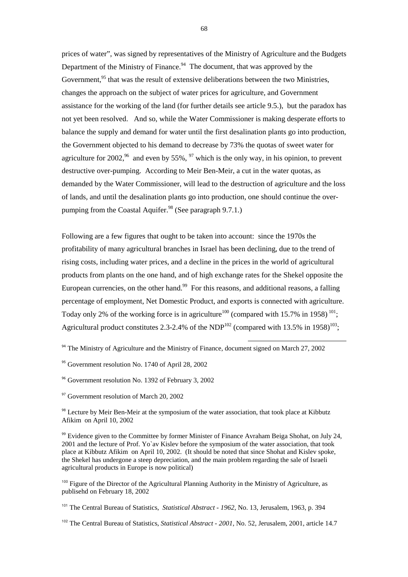prices of water", was signed by representatives of the Ministry of Agriculture and the Budgets Department of the Ministry of Finance.<sup>94</sup> The document, that was approved by the Government,<sup>95</sup> that was the result of extensive deliberations between the two Ministries, changes the approach on the subject of water prices for agriculture, and Government assistance for the working of the land (for further details see article 9.5.), but the paradox has not yet been resolved. And so, while the Water Commissioner is making desperate efforts to balance the supply and demand for water until the first desalination plants go into production, the Government objected to his demand to decrease by 73% the quotas of sweet water for agriculture for 2002,  $96$  and even by 55%,  $97$  which is the only way, in his opinion, to prevent destructive over-pumping. According to Meir Ben-Meir, a cut in the water quotas, as demanded by the Water Commissioner, will lead to the destruction of agriculture and the loss of lands, and until the desalination plants go into production, one should continue the overpumping from the Coastal Aquifer.<sup>98</sup> (See paragraph  $9.7.1$ .)

Following are a few figures that ought to be taken into account: since the 1970s the profitability of many agricultural branches in Israel has been declining, due to the trend of rising costs, including water prices, and a decline in the prices in the world of agricultural products from plants on the one hand, and of high exchange rates for the Shekel opposite the European currencies, on the other hand.<sup>99</sup> For this reasons, and additional reasons, a falling percentage of employment, Net Domestic Product, and exports is connected with agriculture. Today only 2% of the working force is in agriculture<sup>100</sup> (compared with 15.7% in 1958)<sup>101</sup>; Agricultural product constitutes 2.3-2.4% of the NDP<sup>102</sup> (compared with 13.5% in 1958)<sup>103</sup>;

 $94$  The Ministry of Agriculture and the Ministry of Finance, document signed on March 27, 2002

l

<sup>95</sup> Government resolution No. 1740 of April 28, 2002

<sup>96</sup> Government resolution No. 1392 of February 3, 2002

<sup>97</sup> Government resolution of March 20, 2002

<sup>98</sup> Lecture by Meir Ben-Meir at the symposium of the water association, that took place at Kibbutz Afikim on April 10, 2002

<sup>99</sup> Evidence given to the Committee by former Minister of Finance Avraham Beiga Shohat, on July 24, 2001 and the lecture of Prof. Yo`av Kislev before the symposium of the water association, that took place at Kibbutz Afikim on April 10, 2002. (It should be noted that since Shohat and Kislev spoke, the Shekel has undergone a steep depreciation, and the main problem regarding the sale of Israeli agricultural products in Europe is now political)

<sup>100</sup> Figure of the Director of the Agricultural Planning Authority in the Ministry of Agriculture, as publisehd on February 18, 2002

<sup>101</sup> The Central Bureau of Statistics, *Statistical Abstract - 1962*, No. 13, Jerusalem, 1963, p. 394

<sup>102</sup> The Central Bureau of Statistics, *Statistical Abstract - 2001*, No. 52, Jerusalem, 2001, article 14.7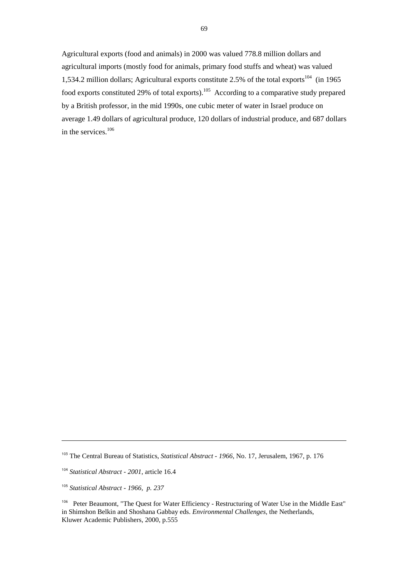Agricultural exports (food and animals) in 2000 was valued 778.8 million dollars and agricultural imports (mostly food for animals, primary food stuffs and wheat) was valued 1,534.2 million dollars; Agricultural exports constitute 2.5% of the total exports<sup>104</sup> (in 1965) food exports constituted 29% of total exports).<sup>105</sup> According to a comparative study prepared by a British professor, in the mid 1990s, one cubic meter of water in Israel produce on average 1.49 dollars of agricultural produce, 120 dollars of industrial produce, and 687 dollars in the services.<sup>106</sup>

 $\overline{a}$ 

<sup>103</sup> The Central Bureau of Statistics, *Statistical Abstract - 1966*, No. 17, Jerusalem, 1967, p. 176

<sup>104</sup> *Statistical Abstract - 2001*, article 16.4

<sup>105</sup> *Statistical Abstract - 1966, p. 237* 

<sup>&</sup>lt;sup>106</sup> Peter Beaumont, "The Quest for Water Efficiency - Restructuring of Water Use in the Middle East" in Shimshon Belkin and Shoshana Gabbay eds. *Environmental Challenges,* the Netherlands, Kluwer Academic Publishers, 2000, p.555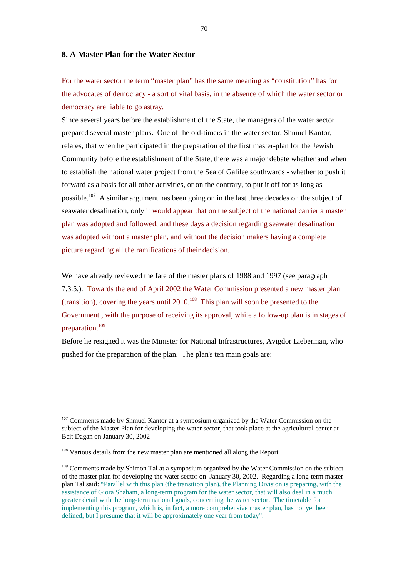## **8. A Master Plan for the Water Sector**

For the water sector the term "master plan" has the same meaning as "constitution" has for the advocates of democracy - a sort of vital basis, in the absence of which the water sector or democracy are liable to go astray.

Since several years before the establishment of the State, the managers of the water sector prepared several master plans. One of the old-timers in the water sector, Shmuel Kantor, relates, that when he participated in the preparation of the first master-plan for the Jewish Community before the establishment of the State, there was a major debate whether and when to establish the national water project from the Sea of Galilee southwards - whether to push it forward as a basis for all other activities, or on the contrary, to put it off for as long as possible.<sup>107</sup> A similar argument has been going on in the last three decades on the subject of seawater desalination, only it would appear that on the subject of the national carrier a master plan was adopted and followed, and these days a decision regarding seawater desalination was adopted without a master plan, and without the decision makers having a complete picture regarding all the ramifications of their decision.

We have already reviewed the fate of the master plans of 1988 and 1997 (see paragraph 7.3.5.). Towards the end of April 2002 the Water Commission presented a new master plan (transition), covering the years until 2010.<sup>108</sup> This plan will soon be presented to the Government , with the purpose of receiving its approval, while a follow-up plan is in stages of preparation.<sup>109</sup>

Before he resigned it was the Minister for National Infrastructures, Avigdor Lieberman, who pushed for the preparation of the plan. The plan's ten main goals are:

 $\overline{a}$ 

<sup>&</sup>lt;sup>107</sup> Comments made by Shmuel Kantor at a symposium organized by the Water Commission on the subject of the Master Plan for developing the water sector, that took place at the agricultural center at Beit Dagan on January 30, 2002

<sup>&</sup>lt;sup>108</sup> Various details from the new master plan are mentioned all along the Report

<sup>&</sup>lt;sup>109</sup> Comments made by Shimon Tal at a symposium organized by the Water Commission on the subject of the master plan for developing the water sector on January 30, 2002. Regarding a long-term master plan Tal said: "Parallel with this plan (the transition plan), the Planning Division is preparing, with the assistance of Giora Shaham, a long-term program for the water sector, that will also deal in a much greater detail with the long-term national goals, concerning the water sector. The timetable for implementing this program, which is, in fact, a more comprehensive master plan, has not yet been defined, but I presume that it will be approximately one year from today".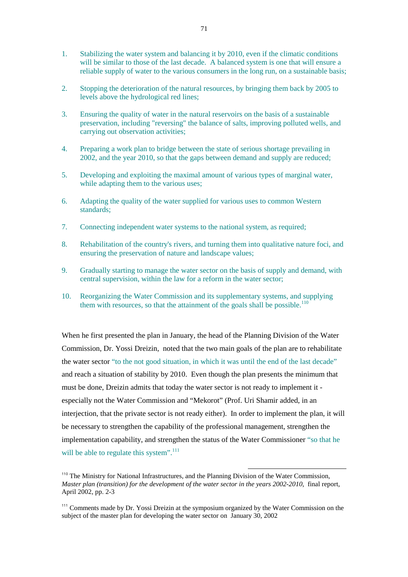- 1. Stabilizing the water system and balancing it by 2010, even if the climatic conditions will be similar to those of the last decade. A balanced system is one that will ensure a reliable supply of water to the various consumers in the long run, on a sustainable basis;
- 2. Stopping the deterioration of the natural resources, by bringing them back by 2005 to levels above the hydrological red lines;
- 3. Ensuring the quality of water in the natural reservoirs on the basis of a sustainable preservation, including "reversing" the balance of salts, improving polluted wells, and carrying out observation activities;
- 4. Preparing a work plan to bridge between the state of serious shortage prevailing in 2002, and the year 2010, so that the gaps between demand and supply are reduced;
- 5. Developing and exploiting the maximal amount of various types of marginal water, while adapting them to the various uses;
- 6. Adapting the quality of the water supplied for various uses to common Western standards;
- 7. Connecting independent water systems to the national system, as required;
- 8. Rehabilitation of the country's rivers, and turning them into qualitative nature foci, and ensuring the preservation of nature and landscape values;
- 9. Gradually starting to manage the water sector on the basis of supply and demand, with central supervision, within the law for a reform in the water sector;
- 10. Reorganizing the Water Commission and its supplementary systems, and supplying them with resources, so that the attainment of the goals shall be possible.<sup>110</sup>

When he first presented the plan in January, the head of the Planning Division of the Water Commission, Dr. Yossi Dreizin, noted that the two main goals of the plan are to rehabilitate the water sector "to the not good situation, in which it was until the end of the last decade" and reach a situation of stability by 2010. Even though the plan presents the minimum that must be done, Dreizin admits that today the water sector is not ready to implement it especially not the Water Commission and "Mekorot" (Prof. Uri Shamir added, in an interjection, that the private sector is not ready either). In order to implement the plan, it will be necessary to strengthen the capability of the professional management, strengthen the implementation capability, and strengthen the status of the Water Commissioner "so that he will be able to regulate this system". $111$ 

<sup>110</sup> The Ministry for National Infrastructures, and the Planning Division of the Water Commission, *Master plan (transition) for the development of the water sector in the years 2002-2010*, final report, April 2002, pp. 2-3

<sup>111</sup> Comments made by Dr. Yossi Dreizin at the symposium organized by the Water Commission on the subject of the master plan for developing the water sector on January 30, 2002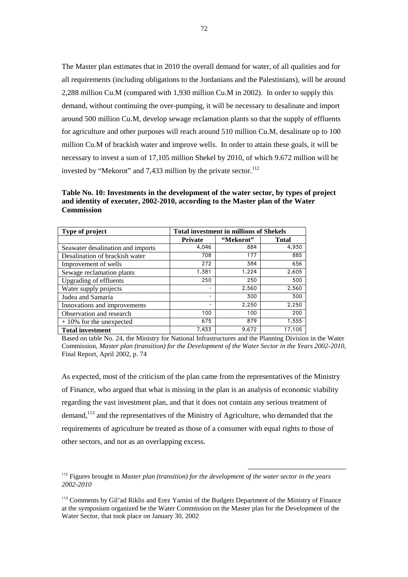The Master plan estimates that in 2010 the overall demand for water, of all qualities and for all requirements (including obligations to the Jordanians and the Palestinians), will be around 2,288 million Cu.M (compared with 1,930 million Cu.M in 2002). In order to supply this demand, without continuing the over-pumping, it will be necessary to desalinate and import around 500 million Cu.M, develop sewage reclamation plants so that the supply of effluents for agriculture and other purposes will reach around 510 million Cu.M, desalinate up to 100 million Cu.M of brackish water and improve wells. In order to attain these goals, it will be necessary to invest a sum of 17,105 million Shekel by 2010, of which 9.672 million will be invested by "Mekorot" and 7,433 million by the private sector. $^{112}$ 

**Table No. 10: Investments in the development of the water sector, by types of project and identity of executer, 2002-2010, according to the Master plan of the Water Commission** 

| Type of project                   | <b>Total investment in millions of Shekels</b> |           |              |  |
|-----------------------------------|------------------------------------------------|-----------|--------------|--|
|                                   | <b>Private</b>                                 | "Mekorot" | <b>Total</b> |  |
| Seawater desalination and imports | 4,046                                          | 884       | 4,930        |  |
| Desalination of brackish water    | 708                                            | 177       | 885          |  |
| Improvement of wells              | 272                                            | 384       | 656          |  |
| Sewage reclamation plants         | 1,381                                          | 1,224     | 2,605        |  |
| <b>Upgrading of effluents</b>     | 250                                            | 250       | 500          |  |
| Water supply projects             |                                                | 2,560     | 2,560        |  |
| Judea and Samaria                 |                                                | 300       | 300          |  |
| Innovations and improvements      |                                                | 2,250     | 2,250        |  |
| Observation and research          | 100                                            | 100       | 200          |  |
| $+10\%$ for the unexpected        | 675                                            | 879       | 1,555        |  |
| <b>Total investment</b>           | 7,433                                          | 9,672     | 17,105       |  |

Based on table No. 24, the Ministry for National Infrastructures and the Planning Division in the Water Commission, *Master plan (transition) for the Development of the Water Sector in the Years 2002-2010*, Final Report, April 2002, p. 74

As expected, most of the criticism of the plan came from the representatives of the Ministry of Finance, who argued that what is missing in the plan is an analysis of economic viability regarding the vast investment plan, and that it does not contain any serious treatment of demand,113 and the representatives of the Ministry of Agriculture, who demanded that the requirements of agriculture be treated as those of a consumer with equal rights to those of other sectors, and not as an overlapping excess.

<sup>112</sup> Figures brought in *Master plan (transition) for the development of the water sector in the years 2002-2010* 

<sup>&</sup>lt;sup>113</sup> Comments by Gil'ad Riklis and Erez Yamini of the Budgets Department of the Ministry of Finance at the symposium organized be the Water Commission on the Master plan for the Development of the Water Sector, that took place on January 30, 2002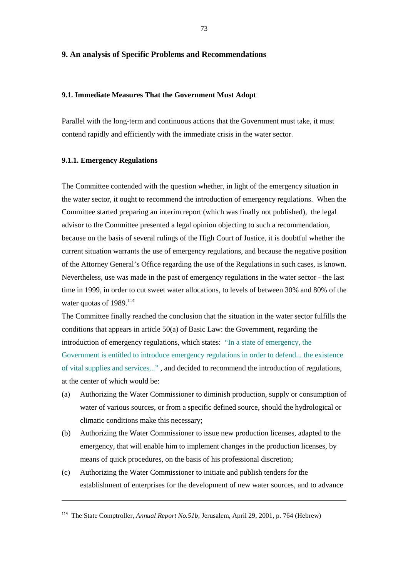# **9. An analysis of Specific Problems and Recommendations**

# **9.1. Immediate Measures That the Government Must Adopt**

Parallel with the long-term and continuous actions that the Government must take, it must contend rapidly and efficiently with the immediate crisis in the water sector.

# **9.1.1. Emergency Regulations**

 $\overline{a}$ 

The Committee contended with the question whether, in light of the emergency situation in the water sector, it ought to recommend the introduction of emergency regulations. When the Committee started preparing an interim report (which was finally not published), the legal advisor to the Committee presented a legal opinion objecting to such a recommendation, because on the basis of several rulings of the High Court of Justice, it is doubtful whether the current situation warrants the use of emergency regulations, and because the negative position of the Attorney General's Office regarding the use of the Regulations in such cases, is known. Nevertheless, use was made in the past of emergency regulations in the water sector - the last time in 1999, in order to cut sweet water allocations, to levels of between 30% and 80% of the water quotas of  $1989$ .<sup>114</sup>

The Committee finally reached the conclusion that the situation in the water sector fulfills the conditions that appears in article 50(a) of Basic Law: the Government, regarding the introduction of emergency regulations, which states: "In a state of emergency, the Government is entitled to introduce emergency regulations in order to defend... the existence of vital supplies and services..." , and decided to recommend the introduction of regulations, at the center of which would be:

- (a) Authorizing the Water Commissioner to diminish production, supply or consumption of water of various sources, or from a specific defined source, should the hydrological or climatic conditions make this necessary;
- (b) Authorizing the Water Commissioner to issue new production licenses, adapted to the emergency, that will enable him to implement changes in the production licenses, by means of quick procedures, on the basis of his professional discretion;
- (c) Authorizing the Water Commissioner to initiate and publish tenders for the establishment of enterprises for the development of new water sources, and to advance

<sup>114</sup> The State Comptroller, *Annual Report No.51b*, Jerusalem, April 29, 2001, p. 764 (Hebrew)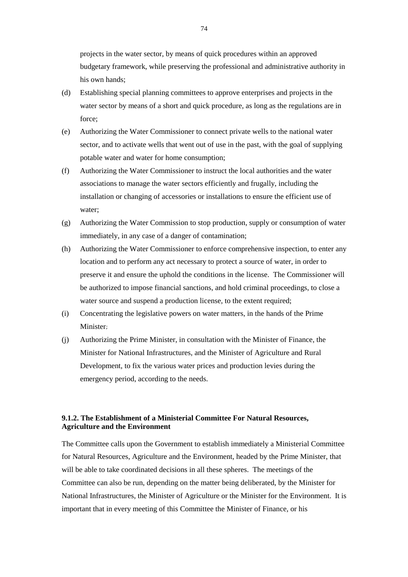projects in the water sector, by means of quick procedures within an approved budgetary framework, while preserving the professional and administrative authority in his own hands;

- (d) Establishing special planning committees to approve enterprises and projects in the water sector by means of a short and quick procedure, as long as the regulations are in force;
- (e) Authorizing the Water Commissioner to connect private wells to the national water sector, and to activate wells that went out of use in the past, with the goal of supplying potable water and water for home consumption;
- (f) Authorizing the Water Commissioner to instruct the local authorities and the water associations to manage the water sectors efficiently and frugally, including the installation or changing of accessories or installations to ensure the efficient use of water;
- (g) Authorizing the Water Commission to stop production, supply or consumption of water immediately, in any case of a danger of contamination;
- (h) Authorizing the Water Commissioner to enforce comprehensive inspection, to enter any location and to perform any act necessary to protect a source of water, in order to preserve it and ensure the uphold the conditions in the license. The Commissioner will be authorized to impose financial sanctions, and hold criminal proceedings, to close a water source and suspend a production license, to the extent required;
- (i) Concentrating the legislative powers on water matters, in the hands of the Prime Minister;
- (j) Authorizing the Prime Minister, in consultation with the Minister of Finance, the Minister for National Infrastructures, and the Minister of Agriculture and Rural Development, to fix the various water prices and production levies during the emergency period, according to the needs.

# **9.1.2. The Establishment of a Ministerial Committee For Natural Resources, Agriculture and the Environment**

The Committee calls upon the Government to establish immediately a Ministerial Committee for Natural Resources, Agriculture and the Environment, headed by the Prime Minister, that will be able to take coordinated decisions in all these spheres. The meetings of the Committee can also be run, depending on the matter being deliberated, by the Minister for National Infrastructures, the Minister of Agriculture or the Minister for the Environment. It is important that in every meeting of this Committee the Minister of Finance, or his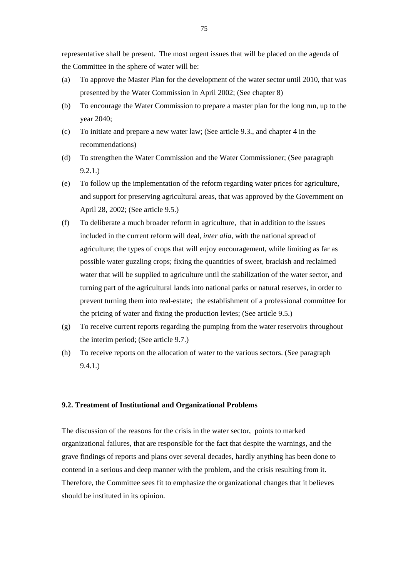representative shall be present. The most urgent issues that will be placed on the agenda of the Committee in the sphere of water will be:

- (a) To approve the Master Plan for the development of the water sector until 2010, that was presented by the Water Commission in April 2002; (See chapter 8)
- (b) To encourage the Water Commission to prepare a master plan for the long run, up to the year 2040;
- (c) To initiate and prepare a new water law; (See article 9.3., and chapter 4 in the recommendations)
- (d) To strengthen the Water Commission and the Water Commissioner; (See paragraph 9.2.1.)
- (e) To follow up the implementation of the reform regarding water prices for agriculture, and support for preserving agricultural areas, that was approved by the Government on April 28, 2002; (See article 9.5.)
- (f) To deliberate a much broader reform in agriculture, that in addition to the issues included in the current reform will deal, *inter alia*, with the national spread of agriculture; the types of crops that will enjoy encouragement, while limiting as far as possible water guzzling crops; fixing the quantities of sweet, brackish and reclaimed water that will be supplied to agriculture until the stabilization of the water sector, and turning part of the agricultural lands into national parks or natural reserves, in order to prevent turning them into real-estate; the establishment of a professional committee for the pricing of water and fixing the production levies; (See article 9.5.)
- (g) To receive current reports regarding the pumping from the water reservoirs throughout the interim period; (See article 9.7.)
- (h) To receive reports on the allocation of water to the various sectors. (See paragraph 9.4.1.)

# **9.2. Treatment of Institutional and Organizational Problems**

The discussion of the reasons for the crisis in the water sector, points to marked organizational failures, that are responsible for the fact that despite the warnings, and the grave findings of reports and plans over several decades, hardly anything has been done to contend in a serious and deep manner with the problem, and the crisis resulting from it. Therefore, the Committee sees fit to emphasize the organizational changes that it believes should be instituted in its opinion.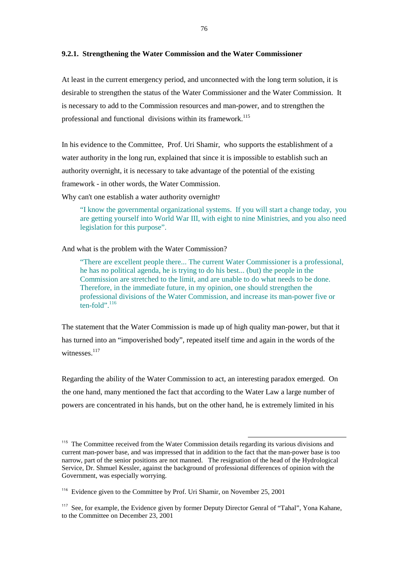# **9.2.1. Strengthening the Water Commission and the Water Commissioner**

At least in the current emergency period, and unconnected with the long term solution, it is desirable to strengthen the status of the Water Commissioner and the Water Commission. It is necessary to add to the Commission resources and man-power, and to strengthen the professional and functional divisions within its framework.<sup>115</sup>

In his evidence to the Committee, Prof. Uri Shamir, who supports the establishment of a water authority in the long run, explained that since it is impossible to establish such an authority overnight, it is necessary to take advantage of the potential of the existing framework - in other words, the Water Commission.

Why can't one establish a water authority overnight?

 "I know the governmental organizational systems. If you will start a change today, you are getting yourself into World War III, with eight to nine Ministries, and you also need legislation for this purpose".

And what is the problem with the Water Commission?

 "There are excellent people there... The current Water Commissioner is a professional, he has no political agenda, he is trying to do his best... (but) the people in the Commission are stretched to the limit, and are unable to do what needs to be done. Therefore, in the immediate future, in my opinion, one should strengthen the professional divisions of the Water Commission, and increase its man-power five or  $t$ en-fold".  $116$ 

The statement that the Water Commission is made up of high quality man-power, but that it has turned into an "impoverished body", repeated itself time and again in the words of the witnesses.<sup>117</sup>

Regarding the ability of the Water Commission to act, an interesting paradox emerged. On the one hand, many mentioned the fact that according to the Water Law a large number of powers are concentrated in his hands, but on the other hand, he is extremely limited in his

<sup>&</sup>lt;sup>115</sup> The Committee received from the Water Commission details regarding its various divisions and current man-power base, and was impressed that in addition to the fact that the man-power base is too narrow, part of the senior positions are not manned. The resignation of the head of the Hydrological Service, Dr. Shmuel Kessler, against the background of professional differences of opinion with the Government, was especially worrying.

<sup>116</sup> Evidence given to the Committee by Prof. Uri Shamir, on November 25, 2001

<sup>&</sup>lt;sup>117</sup> See, for example, the Evidence given by former Deputy Director Genral of "Tahal", Yona Kahane, to the Committee on December 23, 2001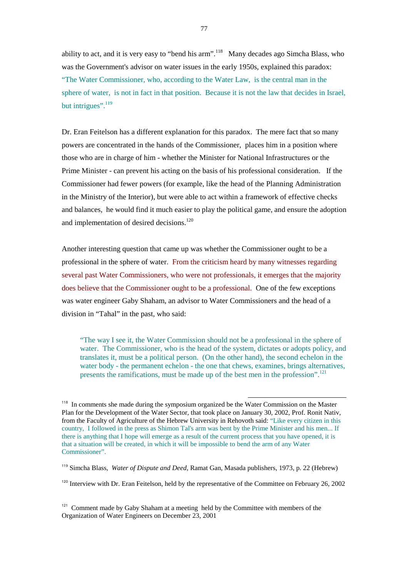ability to act, and it is very easy to "bend his arm".<sup>118</sup> Many decades ago Simcha Blass, who was the Government's advisor on water issues in the early 1950s, explained this paradox: "The Water Commissioner, who, according to the Water Law, is the central man in the sphere of water, is not in fact in that position. Because it is not the law that decides in Israel, but intrigues".<sup>119</sup>

Dr. Eran Feitelson has a different explanation for this paradox. The mere fact that so many powers are concentrated in the hands of the Commissioner, places him in a position where those who are in charge of him - whether the Minister for National Infrastructures or the Prime Minister - can prevent his acting on the basis of his professional consideration. If the Commissioner had fewer powers (for example, like the head of the Planning Administration in the Ministry of the Interior), but were able to act within a framework of effective checks and balances, he would find it much easier to play the political game, and ensure the adoption and implementation of desired decisions.<sup>120</sup>

Another interesting question that came up was whether the Commissioner ought to be a professional in the sphere of water. From the criticism heard by many witnesses regarding several past Water Commissioners, who were not professionals, it emerges that the majority does believe that the Commissioner ought to be a professional. One of the few exceptions was water engineer Gaby Shaham, an advisor to Water Commissioners and the head of a division in "Tahal" in the past, who said:

 "The way I see it, the Water Commission should not be a professional in the sphere of water. The Commissioner, who is the head of the system, dictates or adopts policy, and translates it, must be a political person. (On the other hand), the second echelon in the water body - the permanent echelon - the one that chews, examines, brings alternatives, presents the ramifications, must be made up of the best men in the profession".<sup>121</sup>

<sup>&</sup>lt;sup>118</sup> In comments she made during the symposium organized be the Water Commission on the Master Plan for the Development of the Water Sector, that took place on January 30, 2002, Prof. Ronit Nativ, from the Faculty of Agriculture of the Hebrew University in Rehovoth said: "Like every citizen in this country, I followed in the press as Shimon Tal's arm was bent by the Prime Minister and his men... If there is anything that I hope will emerge as a result of the current process that you have opened, it is that a situation will be created, in which it will be impossible to bend the arm of any Water Commissioner".

<sup>119</sup> Simcha Blass, *Water of Dispute and Deed*, Ramat Gan, Masada publishers, 1973, p. 22 (Hebrew)

<sup>&</sup>lt;sup>120</sup> Interview with Dr. Eran Feitelson, held by the representative of the Committee on February 26, 2002

 $121$  Comment made by Gaby Shaham at a meeting held by the Committee with members of the Organization of Water Engineers on December 23, 2001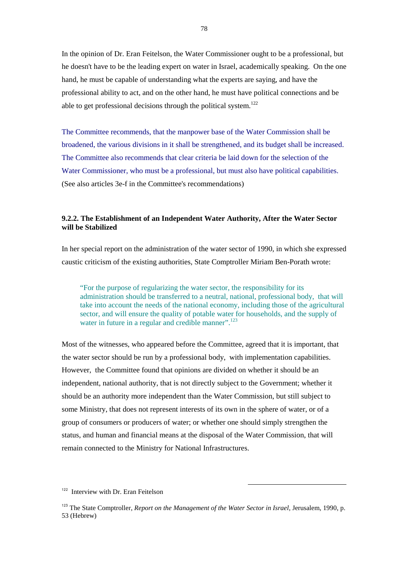In the opinion of Dr. Eran Feitelson, the Water Commissioner ought to be a professional, but he doesn't have to be the leading expert on water in Israel, academically speaking. On the one hand, he must be capable of understanding what the experts are saying, and have the professional ability to act, and on the other hand, he must have political connections and be able to get professional decisions through the political system.<sup>122</sup>

The Committee recommends, that the manpower base of the Water Commission shall be broadened, the various divisions in it shall be strengthened, and its budget shall be increased. The Committee also recommends that clear criteria be laid down for the selection of the Water Commissioner, who must be a professional, but must also have political capabilities. (See also articles 3e-f in the Committee's recommendations)

# **9.2.2. The Establishment of an Independent Water Authority, After the Water Sector will be Stabilized**

In her special report on the administration of the water sector of 1990, in which she expressed caustic criticism of the existing authorities, State Comptroller Miriam Ben-Porath wrote:

 "For the purpose of regularizing the water sector, the responsibility for its administration should be transferred to a neutral, national, professional body, that will take into account the needs of the national economy, including those of the agricultural sector, and will ensure the quality of potable water for households, and the supply of water in future in a regular and credible manner".<sup>123</sup>

Most of the witnesses, who appeared before the Committee, agreed that it is important, that the water sector should be run by a professional body, with implementation capabilities. However, the Committee found that opinions are divided on whether it should be an independent, national authority, that is not directly subject to the Government; whether it should be an authority more independent than the Water Commission, but still subject to some Ministry, that does not represent interests of its own in the sphere of water, or of a group of consumers or producers of water; or whether one should simply strengthen the status, and human and financial means at the disposal of the Water Commission, that will remain connected to the Ministry for National Infrastructures.

<sup>&</sup>lt;sup>122</sup> Interview with Dr. Eran Feitelson

<sup>123</sup> The State Comptroller, *Report on the Management of the Water Sector in Israel,* Jerusalem, 1990, p. 53 (Hebrew)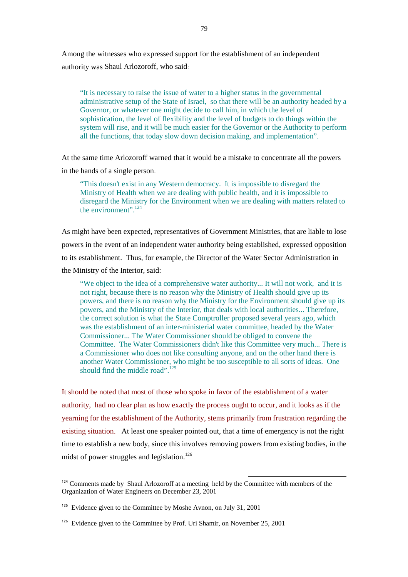Among the witnesses who expressed support for the establishment of an independent authority was Shaul Arlozoroff, who said:

 "It is necessary to raise the issue of water to a higher status in the governmental administrative setup of the State of Israel, so that there will be an authority headed by a Governor, or whatever one might decide to call him, in which the level of sophistication, the level of flexibility and the level of budgets to do things within the system will rise, and it will be much easier for the Governor or the Authority to perform all the functions, that today slow down decision making, and implementation".

At the same time Arlozoroff warned that it would be a mistake to concentrate all the powers in the hands of a single person.

 "This doesn't exist in any Western democracy. It is impossible to disregard the Ministry of Health when we are dealing with public health, and it is impossible to disregard the Ministry for the Environment when we are dealing with matters related to the environment".<sup>124</sup>

As might have been expected, representatives of Government Ministries, that are liable to lose powers in the event of an independent water authority being established, expressed opposition to its establishment. Thus, for example, the Director of the Water Sector Administration in the Ministry of the Interior, said:

 "We object to the idea of a comprehensive water authority... It will not work, and it is not right, because there is no reason why the Ministry of Health should give up its powers, and there is no reason why the Ministry for the Environment should give up its powers, and the Ministry of the Interior, that deals with local authorities... Therefore, the correct solution is what the State Comptroller proposed several years ago, which was the establishment of an inter-ministerial water committee, headed by the Water Commissioner... The Water Commissioner should be obliged to convene the Committee. The Water Commissioners didn't like this Committee very much... There is a Commissioner who does not like consulting anyone, and on the other hand there is another Water Commissioner, who might be too susceptible to all sorts of ideas. One should find the middle road".<sup>125</sup>

It should be noted that most of those who spoke in favor of the establishment of a water authority, had no clear plan as how exactly the process ought to occur, and it looks as if the yearning for the establishment of the Authority, stems primarily from frustration regarding the existing situation. At least one speaker pointed out, that a time of emergency is not the right time to establish a new body, since this involves removing powers from existing bodies, in the midst of power struggles and legislation.<sup>126</sup>

<sup>&</sup>lt;sup>124</sup> Comments made by Shaul Arlozoroff at a meeting held by the Committee with members of the Organization of Water Engineers on December 23, 2001

<sup>&</sup>lt;sup>125</sup> Evidence given to the Committee by Moshe Avnon, on July 31, 2001

<sup>&</sup>lt;sup>126</sup> Evidence given to the Committee by Prof. Uri Shamir, on November 25, 2001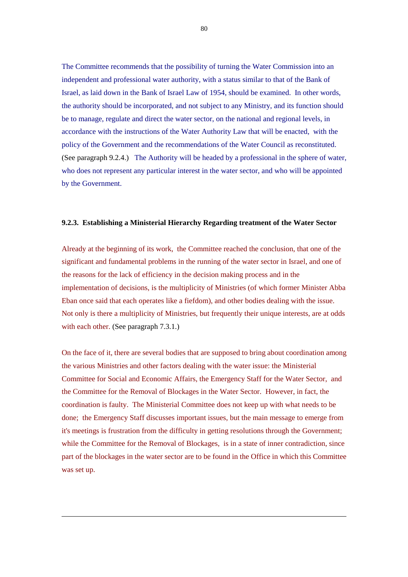The Committee recommends that the possibility of turning the Water Commission into an independent and professional water authority, with a status similar to that of the Bank of Israel, as laid down in the Bank of Israel Law of 1954, should be examined. In other words, the authority should be incorporated, and not subject to any Ministry, and its function should be to manage, regulate and direct the water sector, on the national and regional levels, in accordance with the instructions of the Water Authority Law that will be enacted, with the policy of the Government and the recommendations of the Water Council as reconstituted. (See paragraph 9.2.4.) The Authority will be headed by a professional in the sphere of water, who does not represent any particular interest in the water sector, and who will be appointed by the Government.

### **9.2.3. Establishing a Ministerial Hierarchy Regarding treatment of the Water Sector**

Already at the beginning of its work, the Committee reached the conclusion, that one of the significant and fundamental problems in the running of the water sector in Israel, and one of the reasons for the lack of efficiency in the decision making process and in the implementation of decisions, is the multiplicity of Ministries (of which former Minister Abba Eban once said that each operates like a fiefdom), and other bodies dealing with the issue. Not only is there a multiplicity of Ministries, but frequently their unique interests, are at odds with each other. (See paragraph 7.3.1.)

On the face of it, there are several bodies that are supposed to bring about coordination among the various Ministries and other factors dealing with the water issue: the Ministerial Committee for Social and Economic Affairs, the Emergency Staff for the Water Sector, and the Committee for the Removal of Blockages in the Water Sector. However, in fact, the coordination is faulty. The Ministerial Committee does not keep up with what needs to be done; the Emergency Staff discusses important issues, but the main message to emerge from it's meetings is frustration from the difficulty in getting resolutions through the Government; while the Committee for the Removal of Blockages, is in a state of inner contradiction, since part of the blockages in the water sector are to be found in the Office in which this Committee was set up.

 $\overline{a}$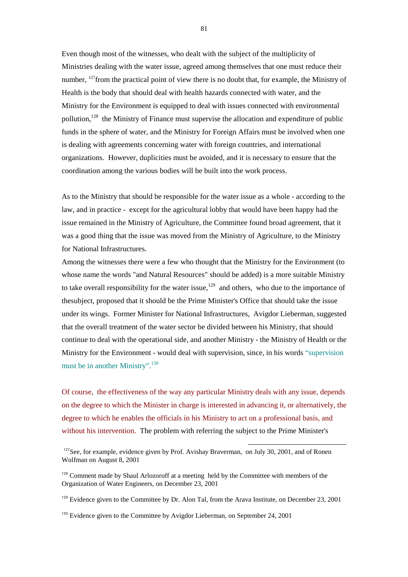Even though most of the witnesses, who dealt with the subject of the multiplicity of Ministries dealing with the water issue, agreed among themselves that one must reduce their number, <sup>127</sup>from the practical point of view there is no doubt that, for example, the Ministry of Health is the body that should deal with health hazards connected with water, and the Ministry for the Environment is equipped to deal with issues connected with environmental pollution,<sup>128</sup> the Ministry of Finance must supervise the allocation and expenditure of public funds in the sphere of water, and the Ministry for Foreign Affairs must be involved when one is dealing with agreements concerning water with foreign countries, and international organizations. However, duplicities must be avoided, and it is necessary to ensure that the coordination among the various bodies will be built into the work process.

As to the Ministry that should be responsible for the water issue as a whole - according to the law, and in practice - except for the agricultural lobby that would have been happy had the issue remained in the Ministry of Agriculture, the Committee found broad agreement, that it was a good thing that the issue was moved from the Ministry of Agriculture, to the Ministry for National Infrastructures.

Among the witnesses there were a few who thought that the Ministry for the Environment (to whose name the words "and Natural Resources" should be added) is a more suitable Ministry to take overall responsibility for the water issue,<sup>129</sup> and others, who due to the importance of thesubject, proposed that it should be the Prime Minister's Office that should take the issue under its wings. Former Minister for National Infrastructures, Avigdor Lieberman, suggested that the overall treatment of the water sector be divided between his Ministry, that should continue to deal with the operational side, and another Ministry - the Ministry of Health or the Ministry for the Environment - would deal with supervision, since, in his words "supervision must be in another Ministry".<sup>130</sup>

Of course, the effectiveness of the way any particular Ministry deals with any issue, depends on the degree to which the Minister in charge is interested in advancing it, or alternatively, the degree to which he enables the officials in his Ministry to act on a professional basis, and without his intervention. The problem with referring the subject to the Prime Minister's

 $127$ See, for example, evidence given by Prof. Avishay Braverman, on July 30, 2001, and of Ronen Wolfman on August 8, 2001

<sup>&</sup>lt;sup>128</sup> Comment made by Shaul Arlozoroff at a meeting held by the Committee with members of the Organization of Water Engineers, on December 23, 2001

<sup>&</sup>lt;sup>129</sup> Evidence given to the Committee by Dr. Alon Tal, from the Arava Institute, on December 23, 2001

 $130$  Evidence given to the Committee by Avigdor Lieberman, on September 24, 2001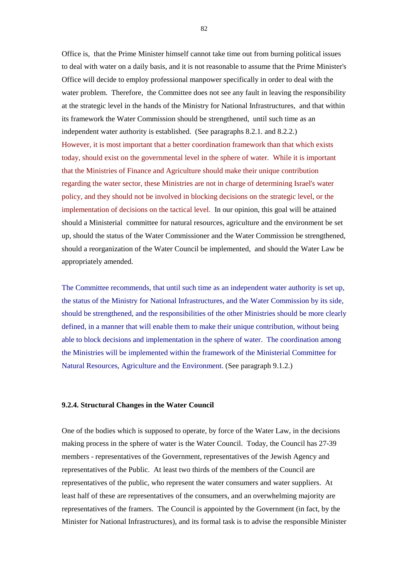Office is, that the Prime Minister himself cannot take time out from burning political issues to deal with water on a daily basis, and it is not reasonable to assume that the Prime Minister's Office will decide to employ professional manpower specifically in order to deal with the water problem. Therefore, the Committee does not see any fault in leaving the responsibility at the strategic level in the hands of the Ministry for National Infrastructures, and that within its framework the Water Commission should be strengthened, until such time as an independent water authority is established. (See paragraphs 8.2.1. and 8.2.2.) However, it is most important that a better coordination framework than that which exists today, should exist on the governmental level in the sphere of water. While it is important that the Ministries of Finance and Agriculture should make their unique contribution regarding the water sector, these Ministries are not in charge of determining Israel's water policy, and they should not be involved in blocking decisions on the strategic level, or the implementation of decisions on the tactical level. In our opinion, this goal will be attained should a Ministerial committee for natural resources, agriculture and the environment be set up, should the status of the Water Commissioner and the Water Commission be strengthened, should a reorganization of the Water Council be implemented, and should the Water Law be appropriately amended.

The Committee recommends, that until such time as an independent water authority is set up, the status of the Ministry for National Infrastructures, and the Water Commission by its side, should be strengthened, and the responsibilities of the other Ministries should be more clearly defined, in a manner that will enable them to make their unique contribution, without being able to block decisions and implementation in the sphere of water. The coordination among the Ministries will be implemented within the framework of the Ministerial Committee for Natural Resources, Agriculture and the Environment. (See paragraph 9.1.2.)

#### **9.2.4. Structural Changes in the Water Council**

One of the bodies which is supposed to operate, by force of the Water Law, in the decisions making process in the sphere of water is the Water Council. Today, the Council has 27-39 members - representatives of the Government, representatives of the Jewish Agency and representatives of the Public. At least two thirds of the members of the Council are representatives of the public, who represent the water consumers and water suppliers. At least half of these are representatives of the consumers, and an overwhelming majority are representatives of the framers. The Council is appointed by the Government (in fact, by the Minister for National Infrastructures), and its formal task is to advise the responsible Minister

82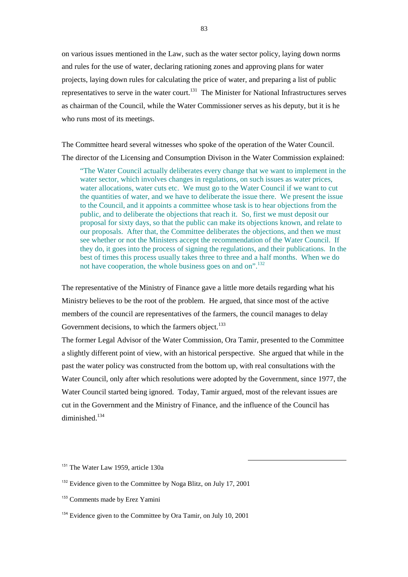on various issues mentioned in the Law, such as the water sector policy, laying down norms and rules for the use of water, declaring rationing zones and approving plans for water projects, laying down rules for calculating the price of water, and preparing a list of public representatives to serve in the water court.<sup>131</sup> The Minister for National Infrastructures serves as chairman of the Council, while the Water Commissioner serves as his deputy, but it is he who runs most of its meetings.

The Committee heard several witnesses who spoke of the operation of the Water Council. The director of the Licensing and Consumption Divison in the Water Commission explained:

 "The Water Council actually deliberates every change that we want to implement in the water sector, which involves changes in regulations, on such issues as water prices, water allocations, water cuts etc. We must go to the Water Council if we want to cut the quantities of water, and we have to deliberate the issue there. We present the issue to the Council, and it appoints a committee whose task is to hear objections from the public, and to deliberate the objections that reach it. So, first we must deposit our proposal for sixty days, so that the public can make its objections known, and relate to our proposals. After that, the Committee deliberates the objections, and then we must see whether or not the Ministers accept the recommendation of the Water Council. If they do, it goes into the process of signing the regulations, and their publications. In the best of times this process usually takes three to three and a half months. When we do not have cooperation, the whole business goes on and on".<sup>132</sup>

The representative of the Ministry of Finance gave a little more details regarding what his Ministry believes to be the root of the problem. He argued, that since most of the active members of the council are representatives of the farmers, the council manages to delay Government decisions, to which the farmers object.<sup>133</sup>

The former Legal Advisor of the Water Commission, Ora Tamir, presented to the Committee a slightly different point of view, with an historical perspective. She argued that while in the past the water policy was constructed from the bottom up, with real consultations with the Water Council, only after which resolutions were adopted by the Government, since 1977, the Water Council started being ignored. Today, Tamir argued, most of the relevant issues are cut in the Government and the Ministry of Finance, and the influence of the Council has diminished<sup>134</sup>

<sup>&</sup>lt;sup>131</sup> The Water Law 1959, article 130a

<sup>&</sup>lt;sup>132</sup> Evidence given to the Committee by Noga Blitz, on July 17, 2001

<sup>&</sup>lt;sup>133</sup> Comments made by Erez Yamini

<sup>&</sup>lt;sup>134</sup> Evidence given to the Committee by Ora Tamir, on July 10, 2001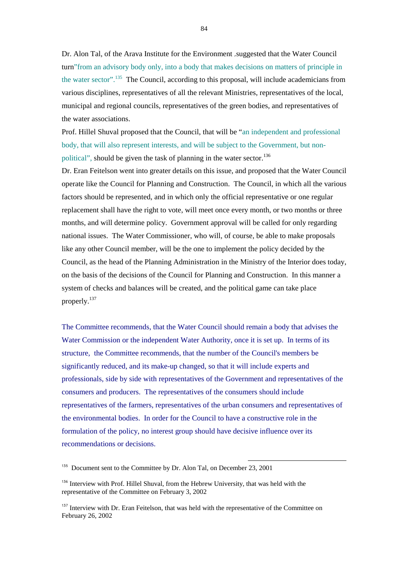Dr. Alon Tal, of the Arava Institute for the Environment ,suggested that the Water Council turn"from an advisory body only, into a body that makes decisions on matters of principle in the water sector".135 The Council, according to this proposal, will include academicians from various disciplines, representatives of all the relevant Ministries, representatives of the local, municipal and regional councils, representatives of the green bodies, and representatives of the water associations.

Prof. Hillel Shuval proposed that the Council, that will be "an independent and professional body, that will also represent interests, and will be subject to the Government, but nonpolitical", should be given the task of planning in the water sector.<sup>136</sup>

Dr. Eran Feitelson went into greater details on this issue, and proposed that the Water Council operate like the Council for Planning and Construction. The Council, in which all the various factors should be represented, and in which only the official representative or one regular replacement shall have the right to vote, will meet once every month, or two months or three months, and will determine policy. Government approval will be called for only regarding national issues. The Water Commissioner, who will, of course, be able to make proposals like any other Council member, will be the one to implement the policy decided by the Council, as the head of the Planning Administration in the Ministry of the Interior does today, on the basis of the decisions of the Council for Planning and Construction. In this manner a system of checks and balances will be created, and the political game can take place properly.137

The Committee recommends, that the Water Council should remain a body that advises the Water Commission or the independent Water Authority, once it is set up. In terms of its structure, the Committee recommends, that the number of the Council's members be significantly reduced, and its make-up changed, so that it will include experts and professionals, side by side with representatives of the Government and representatives of the consumers and producers. The representatives of the consumers should include representatives of the farmers, representatives of the urban consumers and representatives of the environmental bodies. In order for the Council to have a constructive role in the formulation of the policy, no interest group should have decisive influence over its recommendations or decisions.

l

<sup>135</sup> Document sent to the Committee by Dr. Alon Tal, on December 23, 2001

<sup>&</sup>lt;sup>136</sup> Interview with Prof. Hillel Shuval, from the Hebrew University, that was held with the representative of the Committee on February 3, 2002

<sup>&</sup>lt;sup>137</sup> Interview with Dr. Eran Feitelson, that was held with the representative of the Committee on February 26, 2002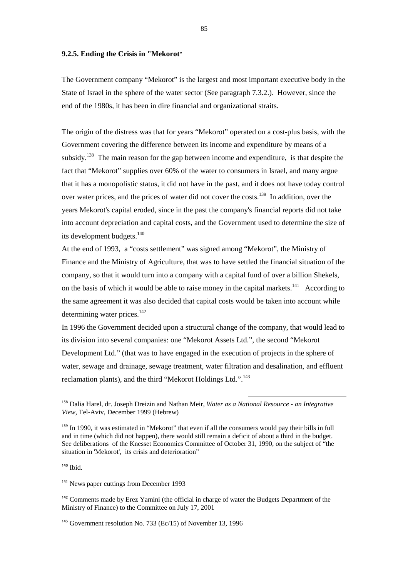#### **9.2.5. Ending the Crisis in "Mekorot**"

The Government company "Mekorot" is the largest and most important executive body in the State of Israel in the sphere of the water sector (See paragraph 7.3.2.). However, since the end of the 1980s, it has been in dire financial and organizational straits.

The origin of the distress was that for years "Mekorot" operated on a cost-plus basis, with the Government covering the difference between its income and expenditure by means of a subsidy.<sup>138</sup> The main reason for the gap between income and expenditure, is that despite the fact that "Mekorot" supplies over 60% of the water to consumers in Israel, and many argue that it has a monopolistic status, it did not have in the past, and it does not have today control over water prices, and the prices of water did not cover the costs.<sup>139</sup> In addition, over the years Mekorot's capital eroded, since in the past the company's financial reports did not take into account depreciation and capital costs, and the Government used to determine the size of its development budgets.<sup>140</sup>

At the end of 1993, a "costs settlement" was signed among "Mekorot", the Ministry of Finance and the Ministry of Agriculture, that was to have settled the financial situation of the company, so that it would turn into a company with a capital fund of over a billion Shekels, on the basis of which it would be able to raise money in the capital markets.<sup>141</sup> According to the same agreement it was also decided that capital costs would be taken into account while determining water prices.<sup>142</sup>

In 1996 the Government decided upon a structural change of the company, that would lead to its division into several companies: one "Mekorot Assets Ltd.", the second "Mekorot Development Ltd." (that was to have engaged in the execution of projects in the sphere of water, sewage and drainage, sewage treatment, water filtration and desalination, and effluent reclamation plants), and the third "Mekorot Holdings Ltd.".<sup>143</sup>

l

 $140$  Ibid.

<sup>141</sup> News paper cuttings from December 1993

<sup>142</sup> Comments made by Erez Yamini (the official in charge of water the Budgets Department of the Ministry of Finance) to the Committee on July 17, 2001

<sup>138</sup> Dalia Harel, dr. Joseph Dreizin and Nathan Meir, *Water as a National Resource - an Integrative View*, Tel-Aviv, December 1999 (Hebrew)

<sup>&</sup>lt;sup>139</sup> In 1990, it was estimated in "Mekorot" that even if all the consumers would pay their bills in full and in time (which did not happen), there would still remain a deficit of about a third in the budget. See deliberations of the Knesset Economics Committee of October 31, 1990, on the subject of "the situation in 'Mekorot', its crisis and deterioration"

<sup>&</sup>lt;sup>143</sup> Government resolution No. 733 (Ec/15) of November 13, 1996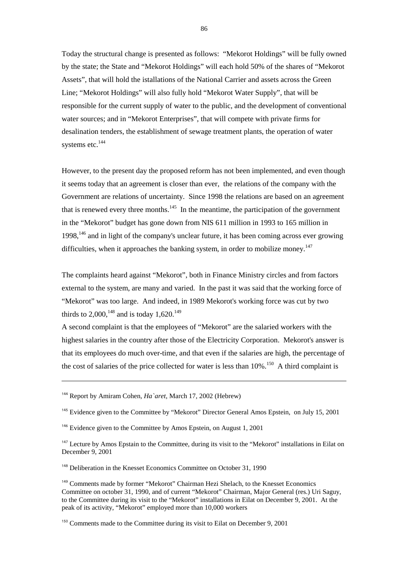Today the structural change is presented as follows: "Mekorot Holdings" will be fully owned by the state; the State and "Mekorot Holdings" will each hold 50% of the shares of "Mekorot Assets", that will hold the istallations of the National Carrier and assets across the Green Line; "Mekorot Holdings" will also fully hold "Mekorot Water Supply", that will be responsible for the current supply of water to the public, and the development of conventional water sources; and in "Mekorot Enterprises", that will compete with private firms for desalination tenders, the establishment of sewage treatment plants, the operation of water systems etc.<sup>144</sup>

However, to the present day the proposed reform has not been implemented, and even though it seems today that an agreement is closer than ever, the relations of the company with the Government are relations of uncertainty. Since 1998 the relations are based on an agreement that is renewed every three months.<sup>145</sup> In the meantime, the participation of the government in the "Mekorot" budget has gone down from NIS 611 million in 1993 to 165 million in 1998, $146$  and in light of the company's unclear future, it has been coming across ever growing difficulties, when it approaches the banking system, in order to mobilize money.<sup>147</sup>

The complaints heard against "Mekorot", both in Finance Ministry circles and from factors external to the system, are many and varied. In the past it was said that the working force of "Mekorot" was too large. And indeed, in 1989 Mekorot's working force was cut by two thirds to  $2,000$ , <sup>148</sup> and is today  $1,620$ , <sup>149</sup>

A second complaint is that the employees of "Mekorot" are the salaried workers with the highest salaries in the country after those of the Electricity Corporation. Mekorot's answer is that its employees do much over-time, and that even if the salaries are high, the percentage of the cost of salaries of the price collected for water is less than  $10\%$ .<sup>150</sup> A third complaint is

l

<sup>148</sup> Deliberation in the Knesset Economics Committee on October 31, 1990

<sup>144</sup> Report by Amiram Cohen, *Ha`aret*, March 17, 2002 (Hebrew)

<sup>145</sup> Evidence given to the Committee by "Mekorot" Director General Amos Epstein, on July 15, 2001

<sup>&</sup>lt;sup>146</sup> Evidence given to the Committee by Amos Epstein, on August 1, 2001

<sup>&</sup>lt;sup>147</sup> Lecture by Amos Epstain to the Committee, during its visit to the "Mekorot" installations in Eilat on December 9, 2001

<sup>&</sup>lt;sup>149</sup> Comments made by former "Mekorot" Chairman Hezi Shelach, to the Knesset Economics Committee on october 31, 1990, and of current "Mekorot" Chairman, Major General (res.) Uri Saguy, to the Committee during its visit to the "Mekorot" installations in Eilat on December 9, 2001. At the peak of its activity, "Mekorot" employed more than 10,000 workers

 $150$  Comments made to the Committee during its visit to Eilat on December 9, 2001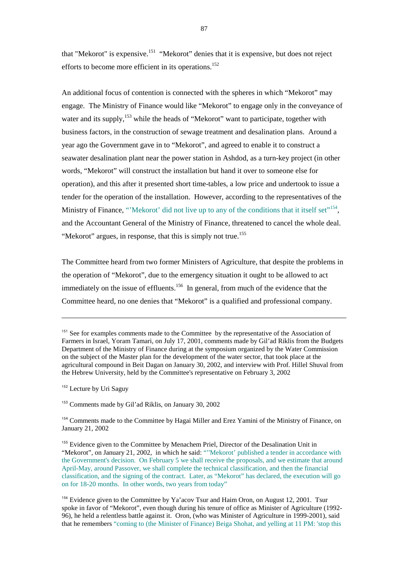that "Mekorot" is expensive.151 "Mekorot" denies that it is expensive, but does not reject efforts to become more efficient in its operations.<sup>152</sup>

An additional focus of contention is connected with the spheres in which "Mekorot" may engage. The Ministry of Finance would like "Mekorot" to engage only in the conveyance of water and its supply,<sup>153</sup> while the heads of "Mekorot" want to participate, together with business factors, in the construction of sewage treatment and desalination plans. Around a year ago the Government gave in to "Mekorot", and agreed to enable it to construct a seawater desalination plant near the power station in Ashdod, as a turn-key project (in other words, "Mekorot" will construct the installation but hand it over to someone else for operation), and this after it presented short time-tables, a low price and undertook to issue a tender for the operation of the installation. However, according to the representatives of the Ministry of Finance, "'Mekorot' did not live up to any of the conditions that it itself set"<sup>154</sup>, and the Accountant General of the Ministry of Finance, threatened to cancel the whole deal. "Mekorot" argues, in response, that this is simply not true.<sup>155</sup>

The Committee heard from two former Ministers of Agriculture, that despite the problems in the operation of "Mekorot", due to the emergency situation it ought to be allowed to act immediately on the issue of effluents.<sup>156</sup> In general, from much of the evidence that the Committee heard, no one denies that "Mekorot" is a qualified and professional company.

<sup>152</sup> Lecture by Uri Saguy

 $\overline{a}$ 

<sup>153</sup> Comments made by Gil'ad Riklis, on January 30, 2002

<sup>&</sup>lt;sup>151</sup> See for examples comments made to the Committee by the representative of the Association of Farmers in Israel, Yoram Tamari, on July 17, 2001, comments made by Gil'ad Riklis from the Budgets Department of the Ministry of Finance during at the symposium organized by the Water Commission on the subject of the Master plan for the development of the water sector, that took place at the agricultural compound in Beit Dagan on January 30, 2002, and interview with Prof. Hillel Shuval from the Hebrew University, held by the Committee's representative on February 3, 2002

<sup>&</sup>lt;sup>154</sup> Comments made to the Committee by Hagai Miller and Erez Yamini of the Ministry of Finance, on January 21, 2002

<sup>&</sup>lt;sup>155</sup> Evidence given to the Committee by Menachem Priel, Director of the Desalination Unit in "Mekorot", on January 21, 2002, in which he said: "''Mekorot' published a tender in accordance with the Government's decision. On February 5 we shall receive the proposals, and we estimate that around April-May, around Passover, we shall complete the technical classification, and then the financial classification, and the signing of the contract. Later, as "Mekorot" has declared, the execution will go on for 18-20 months. In other words, two years from today"

<sup>&</sup>lt;sup>156</sup> Evidence given to the Committee by Ya'acov Tsur and Haim Oron, on August 12, 2001. Tsur spoke in favor of "Mekorot", even though during his tenure of office as Minister of Agriculture (1992- 96), he held a relentless battle against it. Oron, (who was Minister of Agriculture in 1999-2001), said that he remembers "coming to (the Minister of Finance) Beiga Shohat, and yelling at 11 PM: 'stop this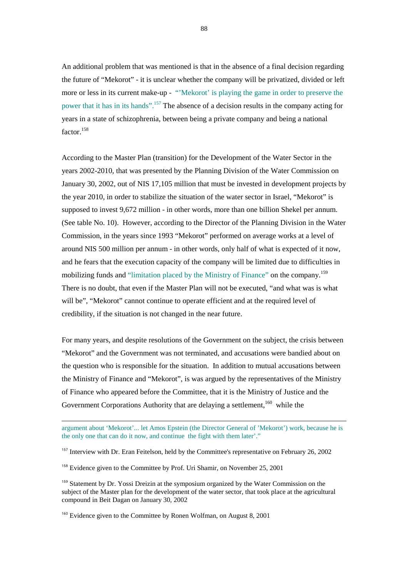An additional problem that was mentioned is that in the absence of a final decision regarding the future of "Mekorot" - it is unclear whether the company will be privatized, divided or left more or less in its current make-up - "'Mekorot' is playing the game in order to preserve the power that it has in its hands".<sup>157</sup> The absence of a decision results in the company acting for years in a state of schizophrenia, between being a private company and being a national factor.<sup>158</sup>

According to the Master Plan (transition) for the Development of the Water Sector in the years 2002-2010, that was presented by the Planning Division of the Water Commission on January 30, 2002, out of NIS 17,105 million that must be invested in development projects by the year 2010, in order to stabilize the situation of the water sector in Israel, "Mekorot" is supposed to invest 9,672 million - in other words, more than one billion Shekel per annum. (See table No. 10). However, according to the Director of the Planning Division in the Water Commission, in the years since 1993 "Mekorot" performed on average works at a level of around NIS 500 million per annum - in other words, only half of what is expected of it now, and he fears that the execution capacity of the company will be limited due to difficulties in mobilizing funds and "limitation placed by the Ministry of Finance" on the company.<sup>159</sup> There is no doubt, that even if the Master Plan will not be executed, "and what was is what will be", "Mekorot" cannot continue to operate efficient and at the required level of credibility, if the situation is not changed in the near future.

For many years, and despite resolutions of the Government on the subject, the crisis between "Mekorot" and the Government was not terminated, and accusations were bandied about on the question who is responsible for the situation. In addition to mutual accusations between the Ministry of Finance and "Mekorot", is was argued by the representatives of the Ministry of Finance who appeared before the Committee, that it is the Ministry of Justice and the Government Corporations Authority that are delaying a settlement,<sup>160</sup> while the

argument about 'Mekorot'... let Amos Epstein (the Director General of 'Mekorot') work, because he is the only one that can do it now, and continue the fight with them later'."

<sup>&</sup>lt;sup>157</sup> Interview with Dr. Eran Feitelson, held by the Committee's representative on February 26, 2002

<sup>&</sup>lt;sup>158</sup> Evidence given to the Committee by Prof. Uri Shamir, on November 25, 2001

<sup>&</sup>lt;sup>159</sup> Statement by Dr. Yossi Dreizin at the symposium organized by the Water Commission on the subject of the Master plan for the development of the water sector, that took place at the agricultural compound in Beit Dagan on January 30, 2002

<sup>&</sup>lt;sup>160</sup> Evidence given to the Committee by Ronen Wolfman, on August 8, 2001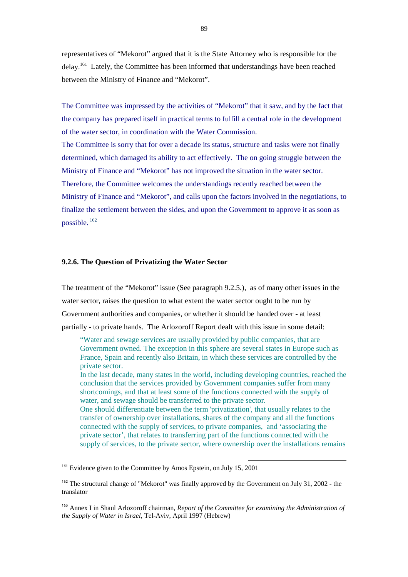representatives of "Mekorot" argued that it is the State Attorney who is responsible for the delay.<sup>161</sup> Lately, the Committee has been informed that understandings have been reached between the Ministry of Finance and "Mekorot".

The Committee was impressed by the activities of "Mekorot" that it saw, and by the fact that the company has prepared itself in practical terms to fulfill a central role in the development of the water sector, in coordination with the Water Commission. The Committee is sorry that for over a decade its status, structure and tasks were not finally determined, which damaged its ability to act effectively. The on going struggle between the Ministry of Finance and "Mekorot" has not improved the situation in the water sector. Therefore, the Committee welcomes the understandings recently reached between the Ministry of Finance and "Mekorot", and calls upon the factors involved in the negotiations, to finalize the settlement between the sides, and upon the Government to approve it as soon as possible. <sup>162</sup>

# **9.2.6. The Question of Privatizing the Water Sector**

The treatment of the "Mekorot" issue (See paragraph 9.2.5.), as of many other issues in the water sector, raises the question to what extent the water sector ought to be run by Government authorities and companies, or whether it should be handed over - at least partially - to private hands. The Arlozoroff Report dealt with this issue in some detail:

 "Water and sewage services are usually provided by public companies, that are Government owned. The exception in this sphere are several states in Europe such as France, Spain and recently also Britain, in which these services are controlled by the private sector.

In the last decade, many states in the world, including developing countries, reached the conclusion that the services provided by Government companies suffer from many shortcomings, and that at least some of the functions connected with the supply of water, and sewage should be transferred to the private sector.

One should differentiate between the term 'privatization', that usually relates to the transfer of ownership over installations, shares of the company and all the functions connected with the supply of services, to private companies, and 'associating the private sector', that relates to transferring part of the functions connected with the supply of services, to the private sector, where ownership over the installations remains

l

<sup>161</sup> Evidence given to the Committee by Amos Epstein, on July 15, 2001

<sup>163</sup> Annex I in Shaul Arlozoroff chairman, *Report of the Committee for examining the Administration of the Supply of Water in Israel*, Tel-Aviv, April 1997 (Hebrew)

<sup>&</sup>lt;sup>162</sup> The structural change of "Mekorot" was finally approved by the Government on July 31, 2002 - the translator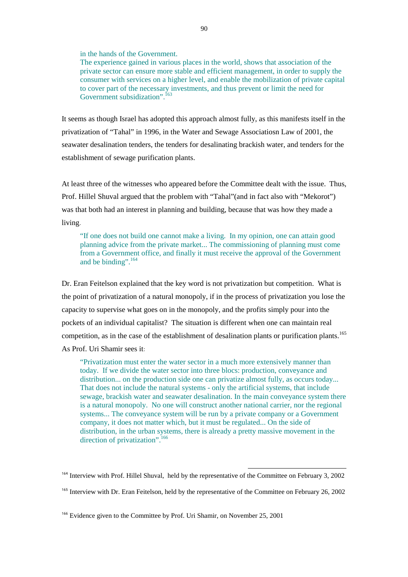in the hands of the Government.

The experience gained in various places in the world, shows that association of the private sector can ensure more stable and efficient management, in order to supply the consumer with services on a higher level, and enable the mobilization of private capital to cover part of the necessary investments, and thus prevent or limit the need for Government subsidization".<sup>163</sup>

It seems as though Israel has adopted this approach almost fully, as this manifests itself in the privatization of "Tahal" in 1996, in the Water and Sewage Associatiosn Law of 2001, the seawater desalination tenders, the tenders for desalinating brackish water, and tenders for the establishment of sewage purification plants.

At least three of the witnesses who appeared before the Committee dealt with the issue. Thus, Prof. Hillel Shuval argued that the problem with "Tahal"(and in fact also with "Mekorot") was that both had an interest in planning and building, because that was how they made a living.

 "If one does not build one cannot make a living. In my opinion, one can attain good planning advice from the private market... The commissioning of planning must come from a Government office, and finally it must receive the approval of the Government and be binding".<sup>164</sup>

Dr. Eran Feitelson explained that the key word is not privatization but competition. What is the point of privatization of a natural monopoly, if in the process of privatization you lose the capacity to supervise what goes on in the monopoly, and the profits simply pour into the pockets of an individual capitalist? The situation is different when one can maintain real competition, as in the case of the establishment of desalination plants or purification plants.<sup>165</sup> As Prof. Uri Shamir sees it:

 "Privatization must enter the water sector in a much more extensively manner than today. If we divide the water sector into three blocs: production, conveyance and distribution... on the production side one can privatize almost fully, as occurs today... That does not include the natural systems - only the artificial systems, that include sewage, brackish water and seawater desalination. In the main conveyance system there is a natural monopoly. No one will construct another national carrier, nor the regional systems... The conveyance system will be run by a private company or a Government company, it does not matter which, but it must be regulated... On the side of distribution, in the urban systems, there is already a pretty massive movement in the direction of privatization".<sup>166</sup>

<sup>&</sup>lt;sup>164</sup> Interview with Prof. Hillel Shuval, held by the representative of the Committee on February 3, 2002

<sup>&</sup>lt;sup>165</sup> Interview with Dr. Eran Feitelson, held by the representative of the Committee on February 26, 2002

<sup>&</sup>lt;sup>166</sup> Evidence given to the Committee by Prof. Uri Shamir, on November 25, 2001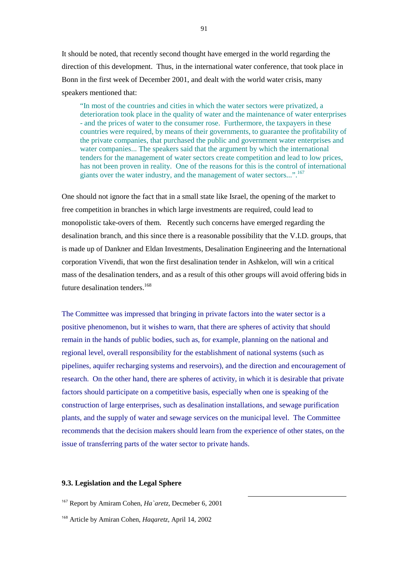It should be noted, that recently second thought have emerged in the world regarding the direction of this development. Thus, in the international water conference, that took place in Bonn in the first week of December 2001, and dealt with the world water crisis, many speakers mentioned that:

 "In most of the countries and cities in which the water sectors were privatized, a deterioration took place in the quality of water and the maintenance of water enterprises - and the prices of water to the consumer rose. Furthermore, the taxpayers in these countries were required, by means of their governments, to guarantee the profitability of the private companies, that purchased the public and government water enterprises and water companies... The speakers said that the argument by which the international tenders for the management of water sectors create competition and lead to low prices, has not been proven in reality. One of the reasons for this is the control of international giants over the water industry, and the management of water sectors...".<sup>167</sup>

One should not ignore the fact that in a small state like Israel, the opening of the market to free competition in branches in which large investments are required, could lead to monopolistic take-overs of them. Recently such concerns have emerged regarding the desalination branch, and this since there is a reasonable possibility that the V.I.D. groups, that is made up of Dankner and Eldan Investments, Desalination Engineering and the International corporation Vivendi, that won the first desalination tender in Ashkelon, will win a critical mass of the desalination tenders, and as a result of this other groups will avoid offering bids in future desalination tenders.<sup>168</sup>

The Committee was impressed that bringing in private factors into the water sector is a positive phenomenon, but it wishes to warn, that there are spheres of activity that should remain in the hands of public bodies, such as, for example, planning on the national and regional level, overall responsibility for the establishment of national systems (such as pipelines, aquifer recharging systems and reservoirs), and the direction and encouragement of research. On the other hand, there are spheres of activity, in which it is desirable that private factors should participate on a competitive basis, especially when one is speaking of the construction of large enterprises, such as desalination installations, and sewage purification plants, and the supply of water and sewage services on the municipal level. The Committee recommends that the decision makers should learn from the experience of other states, on the issue of transferring parts of the water sector to private hands.

l

# **9.3. Legislation and the Legal Sphere**

<sup>167</sup> Report by Amiram Cohen, *Ha`aretz*, Decmeber 6, 2001

<sup>168</sup> Article by Amiran Cohen, *Haqaretz*, April 14, 2002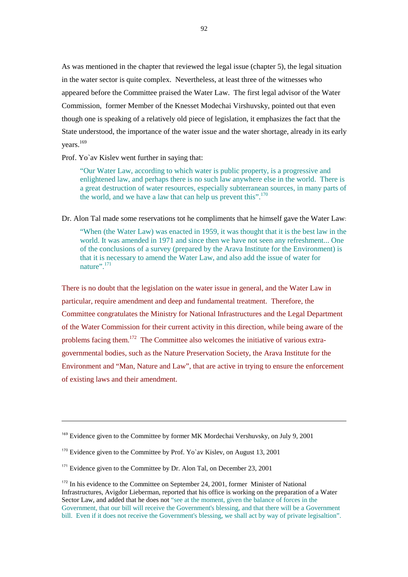As was mentioned in the chapter that reviewed the legal issue (chapter 5), the legal situation in the water sector is quite complex. Nevertheless, at least three of the witnesses who appeared before the Committee praised the Water Law. The first legal advisor of the Water Commission, former Member of the Knesset Modechai Virshuvsky, pointed out that even though one is speaking of a relatively old piece of legislation, it emphasizes the fact that the State understood, the importance of the water issue and the water shortage, already in its early years.<sup>169</sup>

### Prof. Yo`av Kislev went further in saying that:

 "Our Water Law, according to which water is public property, is a progressive and enlightened law, and perhaps there is no such law anywhere else in the world. There is a great destruction of water resources, especially subterranean sources, in many parts of the world, and we have a law that can help us prevent this".<sup>170</sup>

### Dr. Alon Tal made some reservations tot he compliments that he himself gave the Water Law:

 "When (the Water Law) was enacted in 1959, it was thought that it is the best law in the world. It was amended in 1971 and since then we have not seen any refreshment... One of the conclusions of a survey (prepared by the Arava Institute for the Environment) is that it is necessary to amend the Water Law, and also add the issue of water for nature". $\frac{171}{2}$ 

There is no doubt that the legislation on the water issue in general, and the Water Law in particular, require amendment and deep and fundamental treatment. Therefore, the Committee congratulates the Ministry for National Infrastructures and the Legal Department of the Water Commission for their current activity in this direction, while being aware of the problems facing them.172 The Committee also welcomes the initiative of various extragovernmental bodies, such as the Nature Preservation Society, the Arava Institute for the Environment and "Man, Nature and Law", that are active in trying to ensure the enforcement of existing laws and their amendment.

<sup>&</sup>lt;sup>169</sup> Evidence given to the Committee by former MK Mordechai Vershuvsky, on July 9, 2001

 $170$  Evidence given to the Committee by Prof. Yo`av Kisley, on August 13, 2001

<sup>&</sup>lt;sup>171</sup> Evidence given to the Committee by Dr. Alon Tal, on December 23, 2001

<sup>&</sup>lt;sup>172</sup> In his evidence to the Committee on September 24, 2001, former Minister of National Infrastructures, Avigdor Lieberman, reported that his office is working on the preparation of a Water Sector Law, and added that he does not "see at the moment, given the balance of forces in the Government, that our bill will receive the Government's blessing, and that there will be a Government bill. Even if it does not receive the Government's blessing, we shall act by way of private legisaltion".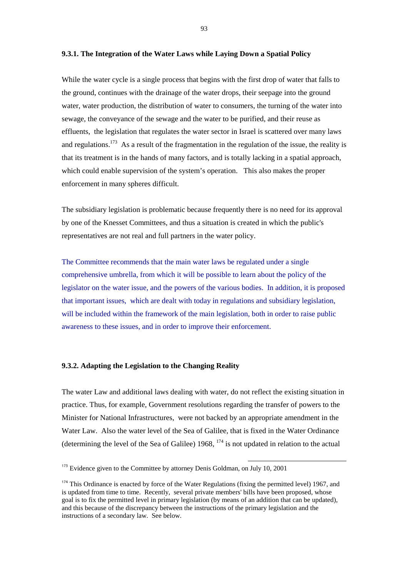#### **9.3.1. The Integration of the Water Laws while Laying Down a Spatial Policy**

While the water cycle is a single process that begins with the first drop of water that falls to the ground, continues with the drainage of the water drops, their seepage into the ground water, water production, the distribution of water to consumers, the turning of the water into sewage, the conveyance of the sewage and the water to be purified, and their reuse as effluents, the legislation that regulates the water sector in Israel is scattered over many laws and regulations.<sup>173</sup> As a result of the fragmentation in the regulation of the issue, the reality is that its treatment is in the hands of many factors, and is totally lacking in a spatial approach, which could enable supervision of the system's operation. This also makes the proper enforcement in many spheres difficult.

The subsidiary legislation is problematic because frequently there is no need for its approval by one of the Knesset Committees, and thus a situation is created in which the public's representatives are not real and full partners in the water policy.

The Committee recommends that the main water laws be regulated under a single comprehensive umbrella, from which it will be possible to learn about the policy of the legislator on the water issue, and the powers of the various bodies. In addition, it is proposed that important issues, which are dealt with today in regulations and subsidiary legislation, will be included within the framework of the main legislation, both in order to raise public awareness to these issues, and in order to improve their enforcement.

# **9.3.2. Adapting the Legislation to the Changing Reality**

The water Law and additional laws dealing with water, do not reflect the existing situation in practice. Thus, for example, Government resolutions regarding the transfer of powers to the Minister for National Infrastructures, were not backed by an appropriate amendment in the Water Law. Also the water level of the Sea of Galilee, that is fixed in the Water Ordinance (determining the level of the Sea of Galilee)  $1968$ ,  $^{174}$  is not updated in relation to the actual

<sup>&</sup>lt;sup>173</sup> Evidence given to the Committee by attorney Denis Goldman, on July 10, 2001

<sup>&</sup>lt;sup>174</sup> This Ordinance is enacted by force of the Water Regulations (fixing the permitted level) 1967, and is updated from time to time. Recently, several private members' bills have been proposed, whose goal is to fix the permitted level in primary legislation (by means of an addition that can be updated), and this because of the discrepancy between the instructions of the primary legislation and the instructions of a secondary law. See below.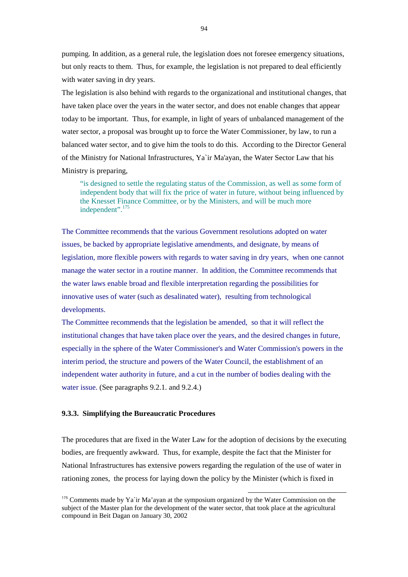pumping. In addition, as a general rule, the legislation does not foresee emergency situations, but only reacts to them. Thus, for example, the legislation is not prepared to deal efficiently with water saving in dry years.

The legislation is also behind with regards to the organizational and institutional changes, that have taken place over the years in the water sector, and does not enable changes that appear today to be important. Thus, for example, in light of years of unbalanced management of the water sector, a proposal was brought up to force the Water Commissioner, by law, to run a balanced water sector, and to give him the tools to do this. According to the Director General of the Ministry for National Infrastructures, Ya`ir Ma'ayan, the Water Sector Law that his Ministry is preparing,

 "is designed to settle the regulating status of the Commission, as well as some form of independent body that will fix the price of water in future, without being influenced by the Knesset Finance Committee, or by the Ministers, and will be much more independent".175

The Committee recommends that the various Government resolutions adopted on water issues, be backed by appropriate legislative amendments, and designate, by means of legislation, more flexible powers with regards to water saving in dry years, when one cannot manage the water sector in a routine manner. In addition, the Committee recommends that the water laws enable broad and flexible interpretation regarding the possibilities for innovative uses of water (such as desalinated water), resulting from technological developments.

The Committee recommends that the legislation be amended, so that it will reflect the institutional changes that have taken place over the years, and the desired changes in future, especially in the sphere of the Water Commissioner's and Water Commission's powers in the interim period, the structure and powers of the Water Council, the establishment of an independent water authority in future, and a cut in the number of bodies dealing with the water issue. (See paragraphs 9.2.1. and 9.2.4.)

### **9.3.3. Simplifying the Bureaucratic Procedures**

The procedures that are fixed in the Water Law for the adoption of decisions by the executing bodies, are frequently awkward. Thus, for example, despite the fact that the Minister for National Infrastructures has extensive powers regarding the regulation of the use of water in rationing zones, the process for laying down the policy by the Minister (which is fixed in

<sup>&</sup>lt;sup>175</sup> Comments made by Ya`ir Ma'ayan at the symposium organized by the Water Commission on the subject of the Master plan for the development of the water sector, that took place at the agricultural compound in Beit Dagan on January 30, 2002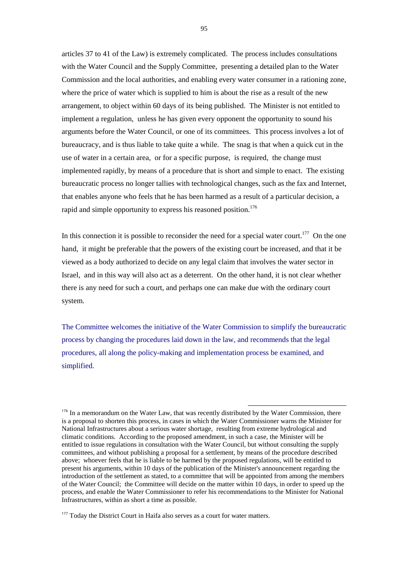articles 37 to 41 of the Law) is extremely complicated. The process includes consultations with the Water Council and the Supply Committee, presenting a detailed plan to the Water Commission and the local authorities, and enabling every water consumer in a rationing zone, where the price of water which is supplied to him is about the rise as a result of the new arrangement, to object within 60 days of its being published. The Minister is not entitled to implement a regulation, unless he has given every opponent the opportunity to sound his arguments before the Water Council, or one of its committees. This process involves a lot of bureaucracy, and is thus liable to take quite a while. The snag is that when a quick cut in the use of water in a certain area, or for a specific purpose, is required, the change must implemented rapidly, by means of a procedure that is short and simple to enact. The existing bureaucratic process no longer tallies with technological changes, such as the fax and Internet, that enables anyone who feels that he has been harmed as a result of a particular decision, a rapid and simple opportunity to express his reasoned position.<sup>176</sup>

In this connection it is possible to reconsider the need for a special water court.<sup>177</sup> On the one hand, it might be preferable that the powers of the existing court be increased, and that it be viewed as a body authorized to decide on any legal claim that involves the water sector in Israel, and in this way will also act as a deterrent. On the other hand, it is not clear whether there is any need for such a court, and perhaps one can make due with the ordinary court system.

The Committee welcomes the initiative of the Water Commission to simplify the bureaucratic process by changing the procedures laid down in the law, and recommends that the legal procedures, all along the policy-making and implementation process be examined, and simplified.

<sup>&</sup>lt;sup>176</sup> In a memorandum on the Water Law, that was recently distributed by the Water Commission, there is a proposal to shorten this process, in cases in which the Water Commissioner warns the Minister for National Infrastructures about a serious water shortage, resulting from extreme hydrological and climatic conditions. According to the proposed amendment, in such a case, the Minister will be entitled to issue regulations in consultation with the Water Council, but without consulting the supply committees, and without publishing a proposal for a settlement, by means of the procedure described above; whoever feels that he is liable to be harmed by the proposed regulations, will be entitled to present his arguments, within 10 days of the publication of the Minister's announcement regarding the introduction of the settlement as stated, to a committee that will be appointed from among the members of the Water Council; the Committee will decide on the matter within 10 days, in order to speed up the process, and enable the Water Commissioner to refer his recommendations to the Minister for National Infrastructures, within as short a time as possible.

<sup>&</sup>lt;sup>177</sup> Today the District Court in Haifa also serves as a court for water matters.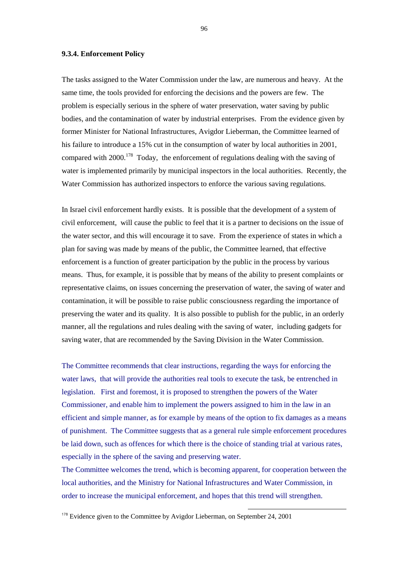#### **9.3.4. Enforcement Policy**

The tasks assigned to the Water Commission under the law, are numerous and heavy. At the same time, the tools provided for enforcing the decisions and the powers are few. The problem is especially serious in the sphere of water preservation, water saving by public bodies, and the contamination of water by industrial enterprises. From the evidence given by former Minister for National Infrastructures, Avigdor Lieberman, the Committee learned of his failure to introduce a 15% cut in the consumption of water by local authorities in 2001, compared with  $2000$ <sup>178</sup> Today, the enforcement of regulations dealing with the saving of water is implemented primarily by municipal inspectors in the local authorities. Recently, the Water Commission has authorized inspectors to enforce the various saving regulations.

In Israel civil enforcement hardly exists. It is possible that the development of a system of civil enforcement, will cause the public to feel that it is a partner to decisions on the issue of the water sector, and this will encourage it to save. From the experience of states in which a plan for saving was made by means of the public, the Committee learned, that effective enforcement is a function of greater participation by the public in the process by various means. Thus, for example, it is possible that by means of the ability to present complaints or representative claims, on issues concerning the preservation of water, the saving of water and contamination, it will be possible to raise public consciousness regarding the importance of preserving the water and its quality. It is also possible to publish for the public, in an orderly manner, all the regulations and rules dealing with the saving of water, including gadgets for saving water, that are recommended by the Saving Division in the Water Commission.

The Committee recommends that clear instructions, regarding the ways for enforcing the water laws, that will provide the authorities real tools to execute the task, be entrenched in legislation. First and foremost, it is proposed to strengthen the powers of the Water Commissioner, and enable him to implement the powers assigned to him in the law in an efficient and simple manner, as for example by means of the option to fix damages as a means of punishment. The Committee suggests that as a general rule simple enforcement procedures be laid down, such as offences for which there is the choice of standing trial at various rates, especially in the sphere of the saving and preserving water.

The Committee welcomes the trend, which is becoming apparent, for cooperation between the local authorities, and the Ministry for National Infrastructures and Water Commission, in order to increase the municipal enforcement, and hopes that this trend will strengthen.

<sup>&</sup>lt;sup>178</sup> Evidence given to the Committee by Avigdor Lieberman, on September 24, 2001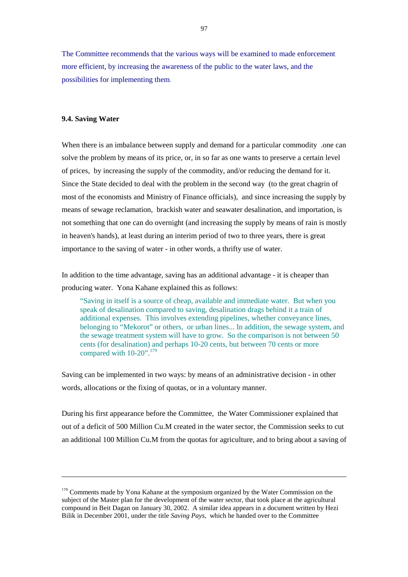The Committee recommends that the various ways will be examined to made enforcement more efficient, by increasing the awareness of the public to the water laws, and the possibilities for implementing them.

### **9.4. Saving Water**

 $\overline{a}$ 

When there is an imbalance between supply and demand for a particular commodity , one can solve the problem by means of its price, or, in so far as one wants to preserve a certain level of prices, by increasing the supply of the commodity, and/or reducing the demand for it. Since the State decided to deal with the problem in the second way (to the great chagrin of most of the economists and Ministry of Finance officials), and since increasing the supply by means of sewage reclamation, brackish water and seawater desalination, and importation, is not something that one can do overnight (and increasing the supply by means of rain is mostly in heaven's hands), at least during an interim period of two to three years, there is great importance to the saving of water - in other words, a thrifty use of water.

In addition to the time advantage, saving has an additional advantage - it is cheaper than producing water. Yona Kahane explained this as follows:

 "Saving in itself is a source of cheap, available and immediate water. But when you speak of desalination compared to saving, desalination drags behind it a train of additional expenses. This involves extending pipelines, whether conveyance lines, belonging to "Mekorot" or others, or urban lines... In addition, the sewage system, and the sewage treatment system will have to grow. So the comparison is not between 50 cents (for desalination) and perhaps 10-20 cents, but between 70 cents or more compared with  $10-20$ ".<sup>179</sup>

Saving can be implemented in two ways: by means of an administrative decision - in other words, allocations or the fixing of quotas, or in a voluntary manner.

During his first appearance before the Committee, the Water Commissioner explained that out of a deficit of 500 Million Cu.M created in the water sector, the Commission seeks to cut an additional 100 Million Cu.M from the quotas for agriculture, and to bring about a saving of

<sup>&</sup>lt;sup>179</sup> Comments made by Yona Kahane at the symposium organized by the Water Commission on the subject of the Master plan for the development of the water sector, that took place at the agricultural compound in Beit Dagan on January 30, 2002. A similar idea appears in a document written by Hezi Bilik in December 2001, under the title *Saving Pays*, which he handed over to the Committee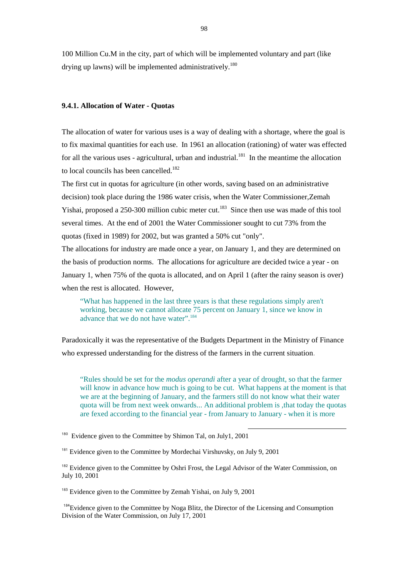100 Million Cu.M in the city, part of which will be implemented voluntary and part (like drying up lawns) will be implemented administratively.<sup>180</sup>

#### **9.4.1. Allocation of Water - Quotas**

The allocation of water for various uses is a way of dealing with a shortage, where the goal is to fix maximal quantities for each use. In 1961 an allocation (rationing) of water was effected for all the various uses - agricultural, urban and industrial.<sup>181</sup> In the meantime the allocation to local councils has been cancelled.<sup>182</sup>

The first cut in quotas for agriculture (in other words, saving based on an administrative decision) took place during the 1986 water crisis, when the Water Commissioner,Zemah Yishai, proposed a 250-300 million cubic meter cut.<sup>183</sup> Since then use was made of this tool several times. At the end of 2001 the Water Commissioner sought to cut 73% from the quotas (fixed in 1989) for 2002, but was granted a 50% cut "only".

The allocations for industry are made once a year, on January 1, and they are determined on the basis of production norms. The allocations for agriculture are decided twice a year - on January 1, when 75% of the quota is allocated, and on April 1 (after the rainy season is over) when the rest is allocated. However,

 "What has happened in the last three years is that these regulations simply aren't working, because we cannot allocate 75 percent on January 1, since we know in advance that we do not have water".184

Paradoxically it was the representative of the Budgets Department in the Ministry of Finance who expressed understanding for the distress of the farmers in the current situation.

 "Rules should be set for the *modus operandi* after a year of drought, so that the farmer will know in advance how much is going to be cut. What happens at the moment is that we are at the beginning of January, and the farmers still do not know what their water quota will be from next week onwards... An additional problem is ,that today the quotas are fexed according to the financial year - from January to January - when it is more

<sup>&</sup>lt;sup>180</sup> Evidence given to the Committee by Shimon Tal, on July1, 2001

<sup>&</sup>lt;sup>181</sup> Evidence given to the Committee by Mordechai Virshuvsky, on July 9, 2001

<sup>&</sup>lt;sup>182</sup> Evidence given to the Committee by Oshri Frost, the Legal Advisor of the Water Commission, on July 10, 2001

<sup>&</sup>lt;sup>183</sup> Evidence given to the Committee by Zemah Yishai, on July 9, 2001

<sup>&</sup>lt;sup>184</sup>Evidence given to the Committee by Noga Blitz, the Director of the Licensing and Consumption Division of the Water Commission, on July 17, 2001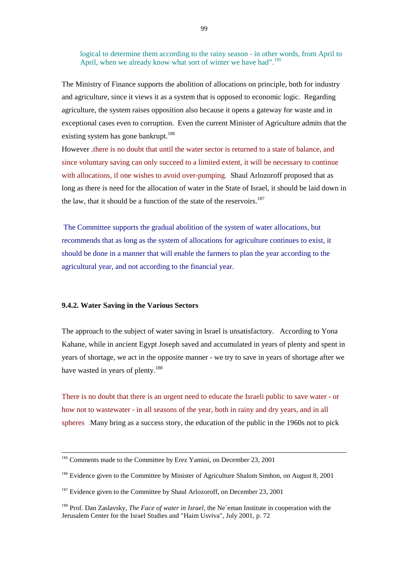logical to determine them according to the rainy season - in other words, from April to April, when we already know what sort of winter we have had".<sup>185</sup>

The Ministry of Finance supports the abolition of allocations on principle, both for industry and agriculture, since it views it as a system that is opposed to economic logic. Regarding agriculture, the system raises opposition also because it opens a gateway for waste and in exceptional cases even to corruption. Even the current Minister of Agriculture admits that the existing system has gone bankrupt.<sup>186</sup>

However ,there is no doubt that until the water sector is returned to a state of balance, and since voluntary saving can only succeed to a limited extent, it will be necessary to continue with allocations, if one wishes to avoid over-pumping. Shaul Arlozoroff proposed that as long as there is need for the allocation of water in the State of Israel, it should be laid down in the law, that it should be a function of the state of the reservoirs.<sup>187</sup>

The Committee supports the gradual abolition of the system of water allocations, but recommends that as long as the system of allocations for agriculture continues to exist, it should be done in a manner that will enable the farmers to plan the year according to the agricultural year, and not according to the financial year.

#### **9.4.2. Water Saving in the Various Sectors**

 $\overline{a}$ 

The approach to the subject of water saving in Israel is unsatisfactory. According to Yona Kahane, while in ancient Egypt Joseph saved and accumulated in years of plenty and spent in years of shortage, we act in the opposite manner - we try to save in years of shortage after we have wasted in years of plenty.<sup>188</sup>

There is no doubt that there is an urgent need to educate the Israeli public to save water - or how not to wastewater - in all seasons of the year, both in rainy and dry years, and in all spheres .Many bring as a success story, the education of the public in the 1960s not to pick

<sup>&</sup>lt;sup>185</sup> Comments made to the Committee by Erez Yamini, on December 23, 2001

<sup>&</sup>lt;sup>186</sup> Evidence given to the Committee by Minister of Agriculture Shalom Simhon, on August 8, 2001

<sup>&</sup>lt;sup>187</sup> Evidence given to the Committee by Shaul Arlozoroff, on December 23, 2001

<sup>188</sup> Prof. Dan Zaslavsky, *The Face of water in Israel,* the Ne`eman Institute in cooperation with the Jerusalem Center for the Israel Studies and "Haim Usviva", July 2001, p. 72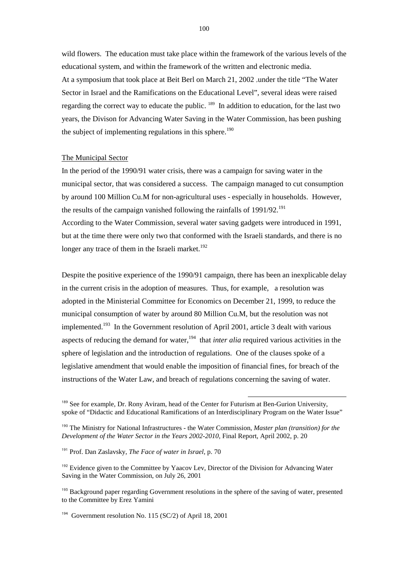wild flowers. The education must take place within the framework of the various levels of the educational system, and within the framework of the written and electronic media. At a symposium that took place at Beit Berl on March 21, 2002 ,under the title "The Water Sector in Israel and the Ramifications on the Educational Level", several ideas were raised regarding the correct way to educate the public. <sup>189</sup> In addition to education, for the last two years, the Divison for Advancing Water Saving in the Water Commission, has been pushing the subject of implementing regulations in this sphere.<sup>190</sup>

#### The Municipal Sector

In the period of the 1990/91 water crisis, there was a campaign for saving water in the municipal sector, that was considered a success. The campaign managed to cut consumption by around 100 Million Cu.M for non-agricultural uses - especially in households. However, the results of the campaign vanished following the rainfalls of  $1991/92$ <sup>191</sup>

According to the Water Commission, several water saving gadgets were introduced in 1991, but at the time there were only two that conformed with the Israeli standards, and there is no longer any trace of them in the Israeli market.<sup>192</sup>

Despite the positive experience of the 1990/91 campaign, there has been an inexplicable delay in the current crisis in the adoption of measures. Thus, for example, a resolution was adopted in the Ministerial Committee for Economics on December 21, 1999, to reduce the municipal consumption of water by around 80 Million Cu.M, but the resolution was not implemented.<sup>193</sup> In the Government resolution of April 2001, article 3 dealt with various aspects of reducing the demand for water,<sup>194</sup> that *inter alia* required various activities in the sphere of legislation and the introduction of regulations. One of the clauses spoke of a legislative amendment that would enable the imposition of financial fines, for breach of the instructions of the Water Law, and breach of regulations concerning the saving of water.

l

<sup>194</sup> Government resolution No. 115 (SC/2) of April 18, 2001

<sup>&</sup>lt;sup>189</sup> See for example, Dr. Rony Aviram, head of the Center for Futurism at Ben-Gurion University, spoke of "Didactic and Educational Ramifications of an Interdisciplinary Program on the Water Issue"

<sup>190</sup> The Ministry for National Infrastructures - the Water Commission, *Master plan (transition) for the Development of the Water Sector in the Years 2002-2010*, Final Report, April 2002, p. 20

<sup>191</sup> Prof. Dan Zaslavsky, *The Face of water in Israel*, p. 70

<sup>&</sup>lt;sup>192</sup> Evidence given to the Committee by Yaacov Lev, Director of the Division for Advancing Water Saving in the Water Commission, on July 26, 2001

<sup>&</sup>lt;sup>193</sup> Background paper regarding Government resolutions in the sphere of the saving of water, presented to the Committee by Erez Yamini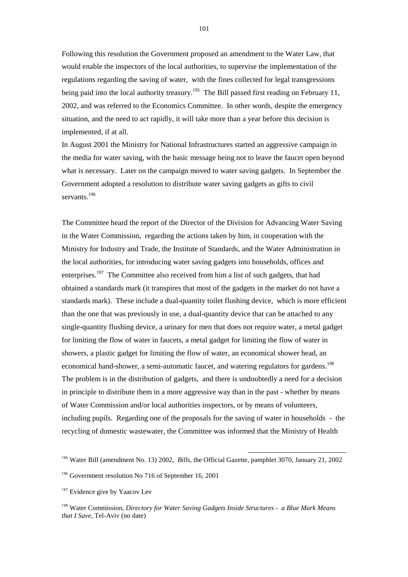Following this resolution the Government proposed an amendment to the Water Law, that would enable the inspectors of the local authorities, to supervise the implementation of the regulations regarding the saving of water, with the fines collected for legal transgressions being paid into the local authority treasury.<sup>195</sup> The Bill passed first reading on February 11, 2002, and was referred to the Economics Committee. In other words, despite the emergency situation, and the need to act rapidly, it will take more than a year before this decision is implemented, if at all.

In August 2001 the Ministry for National Infrastructures started an aggressive campaign in the media for water saving, with the basic message being not to leave the faucet open beyond what is necessary. Later on the campaign moved to water saving gadgets. In September the Government adopted a resolution to distribute water saving gadgets as gifts to civil servants.<sup>196</sup>

The Committee heard the report of the Director of the Division for Advancing Water Saving in the Water Commission, regarding the actions taken by him, in cooperation with the Ministry for Industry and Trade, the Institute of Standards, and the Water Administration in the local authorities, for introducing water saving gadgets into households, offices and enterprises.<sup>197</sup> The Committee also received from him a list of such gadgets, that had obtained a standards mark (it transpires that most of the gadgets in the market do not have a standards mark). These include a dual-quantity toilet flushing device, which is more efficient than the one that was previously in use, a dual-quantity device that can be attached to any single-quantity flushing device, a urinary for men that does not require water, a metal gadget for limiting the flow of water in faucets, a metal gadget for limiting the flow of water in showers, a plastic gadget for limiting the flow of water, an economical shower head, an economical hand-shower, a semi-automatic faucet, and watering regulators for gardens.<sup>198</sup> The problem is in the distribution of gadgets, and there is undoubtedly a need for a decision in principle to distribute them in a more aggressive way than in the past - whether by means of Water Commission and/or local authorities inspectors, or by means of volunteers, including pupils. Regarding one of the proposals for the saving of water in households - the recycling of domestic wastewater, the Committee was informed that the Ministry of Health

<sup>195</sup> Water Bill (amendment No. 13) 2002, *Bills*, the Official Gazette, pamphlet 3070, January 21, 2002

<sup>196</sup> Government resolution No 716 of September 16, 2001

<sup>&</sup>lt;sup>197</sup> Evidence give by Yaacov Lev

<sup>198</sup> Water Commission, *Directory for Water Saving Gadgets Inside Structures - a Blue Mark Means that I Save*, Tel-Aviv (no date)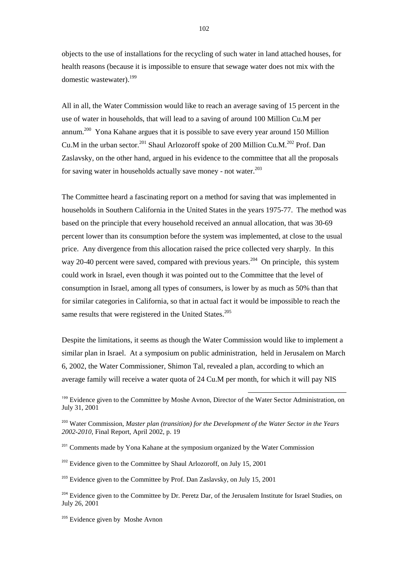objects to the use of installations for the recycling of such water in land attached houses, for health reasons (because it is impossible to ensure that sewage water does not mix with the domestic wastewater).<sup>199</sup>

All in all, the Water Commission would like to reach an average saving of 15 percent in the use of water in households, that will lead to a saving of around 100 Million Cu.M per annum.200 Yona Kahane argues that it is possible to save every year around 150 Million Cu.M in the urban sector.<sup>201</sup> Shaul Arlozoroff spoke of 200 Million Cu.M.<sup>202</sup> Prof. Dan Zaslavsky, on the other hand, argued in his evidence to the committee that all the proposals for saving water in households actually save money - not water.<sup>203</sup>

The Committee heard a fascinating report on a method for saving that was implemented in households in Southern California in the United States in the years 1975-77. The method was based on the principle that every household received an annual allocation, that was 30-69 percent lower than its consumption before the system was implemented, at close to the usual price. Any divergence from this allocation raised the price collected very sharply. In this way 20-40 percent were saved, compared with previous years.<sup>204</sup> On principle, this system could work in Israel, even though it was pointed out to the Committee that the level of consumption in Israel, among all types of consumers, is lower by as much as 50% than that for similar categories in California, so that in actual fact it would be impossible to reach the same results that were registered in the United States. $205$ 

Despite the limitations, it seems as though the Water Commission would like to implement a similar plan in Israel. At a symposium on public administration, held in Jerusalem on March 6, 2002, the Water Commissioner, Shimon Tal, revealed a plan, according to which an average family will receive a water quota of 24 Cu.M per month, for which it will pay NIS

<sup>199</sup> Evidence given to the Committee by Moshe Avnon, Director of the Water Sector Administration, on July 31, 2001

l

<sup>200</sup> Water Commission, *Master plan (transition) for the Development of the Water Sector in the Years 2002-2010*, Final Report, April 2002, p. 19

<sup>201</sup> Comments made by Yona Kahane at the symposium organized by the Water Commission

 $202$  Evidence given to the Committee by Shaul Arlozoroff, on July 15, 2001

 $203$  Evidence given to the Committee by Prof. Dan Zaslavsky, on July 15, 2001

<sup>204</sup> Evidence given to the Committee by Dr. Peretz Dar, of the Jerusalem Institute for Israel Studies, on July 26, 2001

<sup>205</sup> Evidence given by Moshe Avnon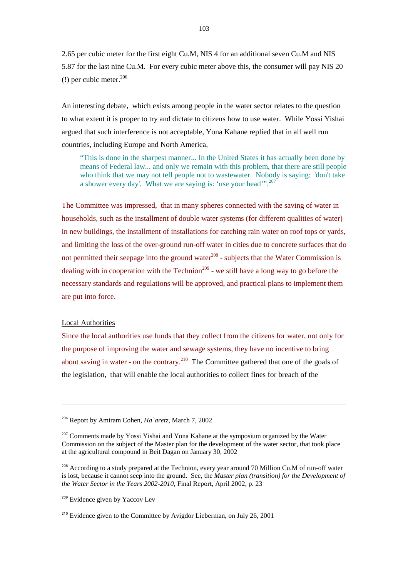2.65 per cubic meter for the first eight Cu.M, NIS 4 for an additional seven Cu.M and NIS 5.87 for the last nine Cu.M. For every cubic meter above this, the consumer will pay NIS 20 (!) per cubic meter. $206$ 

An interesting debate, which exists among people in the water sector relates to the question to what extent it is proper to try and dictate to citizens how to use water. While Yossi Yishai argued that such interference is not acceptable, Yona Kahane replied that in all well run countries, including Europe and North America,

 "This is done in the sharpest manner... In the United States it has actually been done by means of Federal law... and only we remain with this problem, that there are still people who think that we may not tell people not to wastewater. Nobody is saying: 'don't take a shower every day'. What we are saying is: 'use your head'".<sup>207</sup>

The Committee was impressed, that in many spheres connected with the saving of water in households, such as the installment of double water systems (for different qualities of water) in new buildings, the installment of installations for catching rain water on roof tops or yards, and limiting the loss of the over-ground run-off water in cities due to concrete surfaces that do not permitted their seepage into the ground water $^{208}$  - subjects that the Water Commission is dealing with in cooperation with the Technion<sup>209</sup> - we still have a long way to go before the necessary standards and regulations will be approved, and practical plans to implement them are put into force.

# Local Authorities

 $\overline{a}$ 

Since the local authorities use funds that they collect from the citizens for water, not only for the purpose of improving the water and sewage systems, they have no incentive to bring about saving in water - on the contrary.<sup>210</sup> The Committee gathered that one of the goals of the legislation, that will enable the local authorities to collect fines for breach of the

<sup>206</sup> Report by Amiram Cohen, *Ha`aretz*, March 7, 2002

<sup>&</sup>lt;sup>207</sup> Comments made by Yossi Yishai and Yona Kahane at the symposium organized by the Water Commission on the subject of the Master plan for the development of the water sector, that took place at the agricultural compound in Beit Dagan on January 30, 2002

<sup>&</sup>lt;sup>208</sup> According to a study prepared at the Technion, every year around 70 Million Cu.M of run-off water is lost, because it cannot seep into the ground. See, the *Master plan (transition) for the Development of the Water Sector in the Years 2002-2010*, Final Report, April 2002, p. 23

<sup>&</sup>lt;sup>209</sup> Evidence given by Yaccov Lev

<sup>&</sup>lt;sup>210</sup> Evidence given to the Committee by Avigdor Lieberman, on July 26, 2001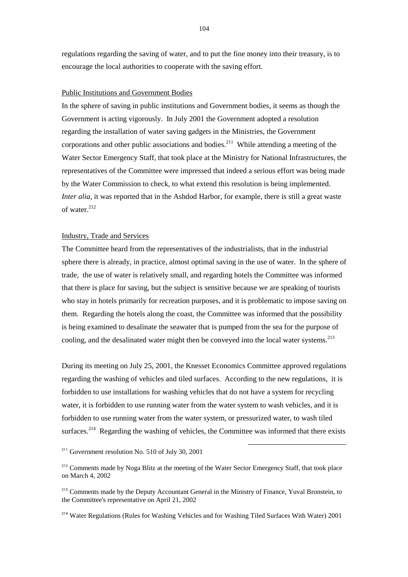regulations regarding the saving of water, and to put the fine money into their treasury, is to encourage the local authorities to cooperate with the saving effort.

### Public Institutions and Government Bodies

In the sphere of saving in public institutions and Government bodies, it seems as though the Government is acting vigorously. In July 2001 the Government adopted a resolution regarding the installation of water saving gadgets in the Ministries, the Government corporations and other public associations and bodies.<sup>211</sup> While attending a meeting of the Water Sector Emergency Staff, that took place at the Ministry for National Infrastructures, the representatives of the Committee were impressed that indeed a serious effort was being made by the Water Commission to check, to what extend this resolution is being implemented. *Inter alia*, it was reported that in the Ashdod Harbor, for example, there is still a great waste of water.<sup>212</sup>

# Industry, Trade and Services

The Committee heard from the representatives of the industrialists, that in the industrial sphere there is already, in practice, almost optimal saving in the use of water. In the sphere of trade, the use of water is relatively small, and regarding hotels the Committee was informed that there is place for saving, but the subject is sensitive because we are speaking of tourists who stay in hotels primarily for recreation purposes, and it is problematic to impose saving on them. Regarding the hotels along the coast, the Committee was informed that the possibility is being examined to desalinate the seawater that is pumped from the sea for the purpose of cooling, and the desalinated water might then be conveyed into the local water systems.<sup>213</sup>

During its meeting on July 25, 2001, the Knesset Economics Committee approved regulations regarding the washing of vehicles and tiled surfaces. According to the new regulations, it is forbidden to use installations for washing vehicles that do not have a system for recycling water, it is forbidden to use running water from the water system to wash vehicles, and it is forbidden to use running water from the water system, or pressurized water, to wash tiled surfaces.<sup>214</sup> Regarding the washing of vehicles, the Committee was informed that there exists

l

<sup>214</sup> Water Regulations (Rules for Washing Vehicles and for Washing Tiled Surfaces With Water) 2001

 $211$  Government resolution No. 510 of July 30, 2001

<sup>&</sup>lt;sup>212</sup> Comments made by Noga Blitz at the meeting of the Water Sector Emergency Staff, that took place on March 4, 2002

<sup>&</sup>lt;sup>213</sup> Comments made by the Deputy Accountant General in the Ministry of Finance, Yuval Bronstein, to the Committee's representative on April 21, 2002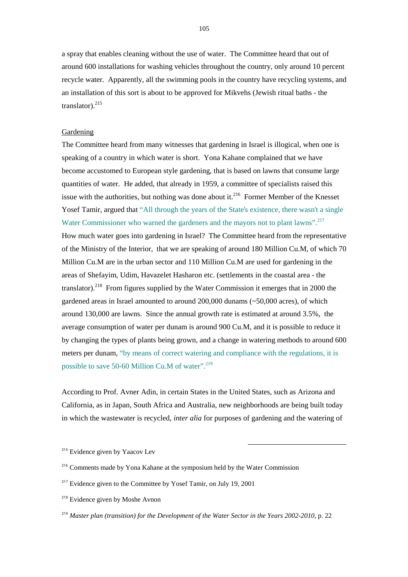a spray that enables cleaning without the use of water. The Committee heard that out of around 600 installations for washing vehicles throughout the country, only around 10 percent recycle water. Apparently, all the swimming pools in the country have recycling systems, and an installation of this sort is about to be approved for Mikvehs (Jewish ritual baths - the translator).<sup>215</sup>

# Gardening

The Committee heard from many witnesses that gardening in Israel is illogical, when one is speaking of a country in which water is short. Yona Kahane complained that we have become accustomed to European style gardening, that is based on lawns that consume large quantities of water. He added, that already in 1959, a committee of specialists raised this issue with the authorities, but nothing was done about it.<sup>216</sup> Former Member of the Knesset Yosef Tamir, argued that "All through the years of the State's existence, there wasn't a single Water Commissioner who warned the gardeners and the mayors not to plant lawns".<sup>217</sup> How much water goes into gardening in Israel? The Committee heard from the representative of the Ministry of the Interior, that we are speaking of around 180 Million Cu.M, of which 70 Million Cu.M are in the urban sector and 110 Million Cu.M are used for gardening in the areas of Shefayim, Udim, Havazelet Hasharon etc. (settlements in the coastal area - the translator).<sup>218</sup> From figures supplied by the Water Commission it emerges that in 2000 the gardened areas in Israel amounted to around 200,000 dunams (~50,000 acres), of which around 130,000 are lawns. Since the annual growth rate is estimated at around 3.5%, the average consumption of water per dunam is around 900 Cu.M, and it is possible to reduce it by changing the types of plants being grown, and a change in watering methods to around 600 meters per dunam, "by means of correct watering and compliance with the regulations, it is possible to save 50-60 Million Cu.M of water".<sup>219</sup>

According to Prof. Avner Adin, in certain States in the United States, such as Arizona and California, as in Japan, South Africa and Australia, new neighborhoods are being built today in which the wastewater is recycled, *inter alia* for purposes of gardening and the watering of

<sup>&</sup>lt;sup>215</sup> Evidence given by Yaacov Lev

<sup>&</sup>lt;sup>216</sup> Comments made by Yona Kahane at the symposium held by the Water Commission

 $2^{17}$  Evidence given to the Committee by Yosef Tamir, on July 19, 2001

<sup>&</sup>lt;sup>218</sup> Evidence given by Moshe Avnon

<sup>219</sup> *Master plan (transition) for the Development of the Water Sector in the Years 2002-2010*, p. 22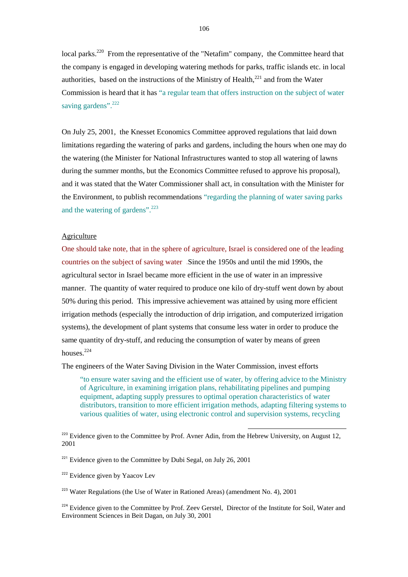local parks.<sup>220</sup> From the representative of the "Netafim" company, the Committee heard that the company is engaged in developing watering methods for parks, traffic islands etc. in local authorities, based on the instructions of the Ministry of Health, $^{221}$  and from the Water Commission is heard that it has "a regular team that offers instruction on the subject of water saving gardens".<sup>222</sup>

On July 25, 2001, the Knesset Economics Committee approved regulations that laid down limitations regarding the watering of parks and gardens, including the hours when one may do the watering (the Minister for National Infrastructures wanted to stop all watering of lawns during the summer months, but the Economics Committee refused to approve his proposal), and it was stated that the Water Commissioner shall act, in consultation with the Minister for the Environment, to publish recommendations "regarding the planning of water saving parks and the watering of gardens".<sup>223</sup>

### Agriculture

One should take note, that in the sphere of agriculture, Israel is considered one of the leading countries on the subject of saving water .Since the 1950s and until the mid 1990s, the agricultural sector in Israel became more efficient in the use of water in an impressive manner. The quantity of water required to produce one kilo of dry-stuff went down by about 50% during this period. This impressive achievement was attained by using more efficient irrigation methods (especially the introduction of drip irrigation, and computerized irrigation systems), the development of plant systems that consume less water in order to produce the same quantity of dry-stuff, and reducing the consumption of water by means of green houses $224$ 

The engineers of the Water Saving Division in the Water Commission, invest efforts

 "to ensure water saving and the efficient use of water, by offering advice to the Ministry of Agriculture, in examining irrigation plans, rehabilitating pipelines and pumping equipment, adapting supply pressures to optimal operation characteristics of water distributors, transition to more efficient irrigation methods, adapting filtering systems to various qualities of water, using electronic control and supervision systems, recycling

l

<sup>221</sup> Evidence given to the Committee by Dubi Segal, on July 26, 2001

<sup>222</sup> Evidence given by Yaacov Lev

 $223$  Water Regulations (the Use of Water in Rationed Areas) (amendment No. 4), 2001

 $^{224}$  Evidence given to the Committee by Prof. Zeev Gerstel, Director of the Institute for Soil, Water and Environment Sciences in Beit Dagan, on July 30, 2001

<sup>&</sup>lt;sup>220</sup> Evidence given to the Committee by Prof. Avner Adin, from the Hebrew University, on August 12, 2001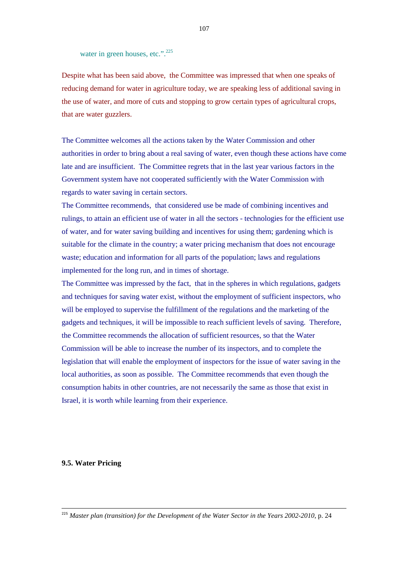water in green houses, etc.".<sup>225</sup>

Despite what has been said above, the Committee was impressed that when one speaks of reducing demand for water in agriculture today, we are speaking less of additional saving in the use of water, and more of cuts and stopping to grow certain types of agricultural crops, that are water guzzlers.

The Committee welcomes all the actions taken by the Water Commission and other authorities in order to bring about a real saving of water, even though these actions have come late and are insufficient. The Committee regrets that in the last year various factors in the Government system have not cooperated sufficiently with the Water Commission with regards to water saving in certain sectors.

The Committee recommends, that considered use be made of combining incentives and rulings, to attain an efficient use of water in all the sectors - technologies for the efficient use of water, and for water saving building and incentives for using them; gardening which is suitable for the climate in the country; a water pricing mechanism that does not encourage waste; education and information for all parts of the population; laws and regulations implemented for the long run, and in times of shortage.

The Committee was impressed by the fact, that in the spheres in which regulations, gadgets and techniques for saving water exist, without the employment of sufficient inspectors, who will be employed to supervise the fulfillment of the regulations and the marketing of the gadgets and techniques, it will be impossible to reach sufficient levels of saving. Therefore, the Committee recommends the allocation of sufficient resources, so that the Water Commission will be able to increase the number of its inspectors, and to complete the legislation that will enable the employment of inspectors for the issue of water saving in the local authorities, as soon as possible. The Committee recommends that even though the consumption habits in other countries, are not necessarily the same as those that exist in Israel, it is worth while learning from their experience.

#### **9.5. Water Pricing**

 $\overline{a}$ 

<sup>225</sup> *Master plan (transition) for the Development of the Water Sector in the Years 2002-2010*, p. 24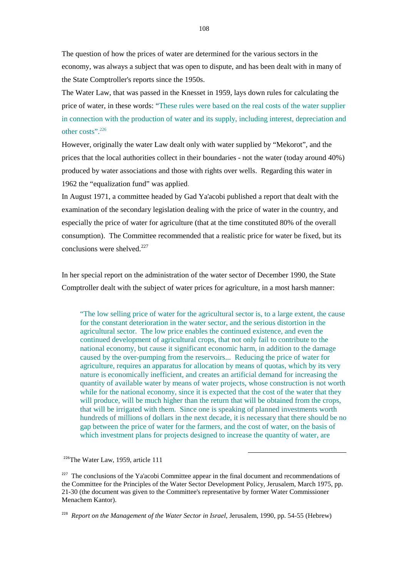The question of how the prices of water are determined for the various sectors in the economy, was always a subject that was open to dispute, and has been dealt with in many of the State Comptroller's reports since the 1950s.

The Water Law, that was passed in the Knesset in 1959, lays down rules for calculating the price of water, in these words: "These rules were based on the real costs of the water supplier in connection with the production of water and its supply, including interest, depreciation and other costs".226

However, originally the water Law dealt only with water supplied by "Mekorot", and the prices that the local authorities collect in their boundaries - not the water (today around 40%) produced by water associations and those with rights over wells. Regarding this water in 1962 the "equalization fund" was applied.

In August 1971, a committee headed by Gad Ya'acobi published a report that dealt with the examination of the secondary legislation dealing with the price of water in the country, and especially the price of water for agriculture (that at the time constituted 80% of the overall consumption). The Committee recommended that a realistic price for water be fixed, but its conclusions were shelved. $227$ 

In her special report on the administration of the water sector of December 1990, the State Comptroller dealt with the subject of water prices for agriculture, in a most harsh manner:

 "The low selling price of water for the agricultural sector is, to a large extent, the cause for the constant deterioration in the water sector, and the serious distortion in the agricultural sector. The low price enables the continued existence, and even the continued development of agricultural crops, that not only fail to contribute to the national economy, but cause it significant economic harm, in addition to the damage caused by the over-pumping from the reservoirs... Reducing the price of water for agriculture, requires an apparatus for allocation by means of quotas, which by its very nature is economically inefficient, and creates an artificial demand for increasing the quantity of available water by means of water projects, whose construction is not worth while for the national economy, since it is expected that the cost of the water that they will produce, will be much higher than the return that will be obtained from the crops, that will be irrigated with them. Since one is speaking of planned investments worth hundreds of millions of dollars in the next decade, it is necessary that there should be no gap between the price of water for the farmers, and the cost of water, on the basis of which investment plans for projects designed to increase the quantity of water, are

l

<sup>226</sup>The Water Law, 1959, article 111

 $227$  The conclusions of the Ya'acobi Committee appear in the final document and recommendations of the Committee for the Principles of the Water Sector Development Policy, Jerusalem, March 1975, pp. 21-30 (the document was given to the Committee's representative by former Water Commissioner Menachem Kantor).

<sup>228</sup> *Report on the Management of the Water Sector in Israel,* Jerusalem, 1990, pp. 54-55 (Hebrew)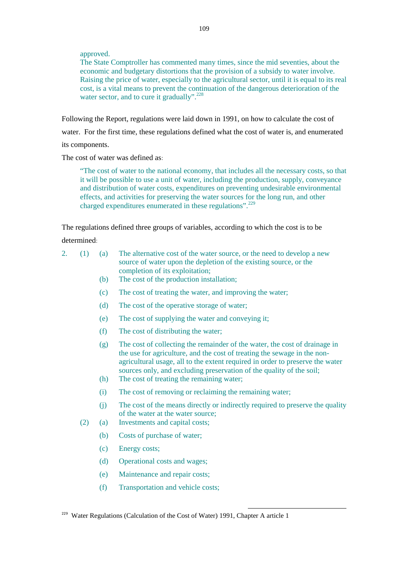approved.

The State Comptroller has commented many times, since the mid seventies, about the economic and budgetary distortions that the provision of a subsidy to water involve. Raising the price of water, especially to the agricultural sector, until it is equal to its real cost, is a vital means to prevent the continuation of the dangerous deterioration of the water sector, and to cure it gradually".<sup>228</sup>

Following the Report, regulations were laid down in 1991, on how to calculate the cost of water. For the first time, these regulations defined what the cost of water is, and enumerated its components.

The cost of water was defined as:

 "The cost of water to the national economy, that includes all the necessary costs, so that it will be possible to use a unit of water, including the production, supply, conveyance and distribution of water costs, expenditures on preventing undesirable environmental effects, and activities for preserving the water sources for the long run, and other charged expenditures enumerated in these regulations".<sup>229</sup>

The regulations defined three groups of variables, according to which the cost is to be

determined:

| 2. | (1) | (a)        | The alternative cost of the water source, or the need to develop a new<br>source of water upon the depletion of the existing source, or the<br>completion of its exploitation;                                                                                                                                                                               |
|----|-----|------------|--------------------------------------------------------------------------------------------------------------------------------------------------------------------------------------------------------------------------------------------------------------------------------------------------------------------------------------------------------------|
|    |     | (b)        | The cost of the production installation;                                                                                                                                                                                                                                                                                                                     |
|    |     | (c)        | The cost of treating the water, and improving the water;                                                                                                                                                                                                                                                                                                     |
|    |     | (d)        | The cost of the operative storage of water;                                                                                                                                                                                                                                                                                                                  |
|    |     | (e)        | The cost of supplying the water and conveying it;                                                                                                                                                                                                                                                                                                            |
|    |     | (f)        | The cost of distributing the water;                                                                                                                                                                                                                                                                                                                          |
|    |     | (g)<br>(h) | The cost of collecting the remainder of the water, the cost of drainage in<br>the use for agriculture, and the cost of treating the sewage in the non-<br>agricultural usage, all to the extent required in order to preserve the water<br>sources only, and excluding preservation of the quality of the soil;<br>The cost of treating the remaining water; |
|    |     | (i)        | The cost of removing or reclaiming the remaining water;                                                                                                                                                                                                                                                                                                      |
|    |     | (j)        | The cost of the means directly or indirectly required to preserve the quality<br>of the water at the water source;                                                                                                                                                                                                                                           |
|    | (2) | (a)        | Investments and capital costs;                                                                                                                                                                                                                                                                                                                               |
|    |     | (b)        | Costs of purchase of water;                                                                                                                                                                                                                                                                                                                                  |
|    |     | (c)        | Energy costs;                                                                                                                                                                                                                                                                                                                                                |
|    |     | (d)        | Operational costs and wages;                                                                                                                                                                                                                                                                                                                                 |
|    |     | (e)        | Maintenance and repair costs;                                                                                                                                                                                                                                                                                                                                |

l

(f) Transportation and vehicle costs;

<sup>&</sup>lt;sup>229</sup> Water Regulations (Calculation of the Cost of Water) 1991, Chapter A article 1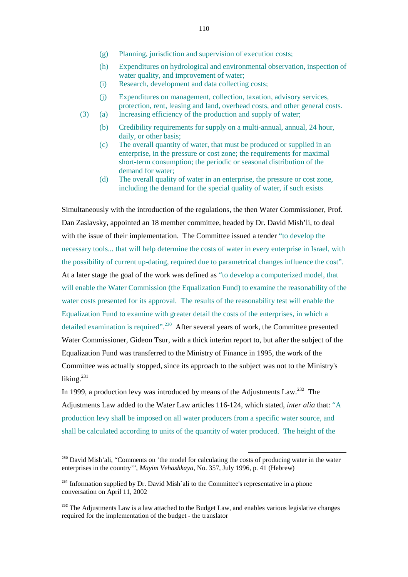- (g) Planning, jurisdiction and supervision of execution costs;
- (h) Expenditures on hydrological and environmental observation, inspection of water quality, and improvement of water;
- (i) Research, development and data collecting costs;
- (j) Expenditures on management, collection, taxation, advisory services, protection, rent, leasing and land, overhead costs, and other general costs.
- (3) (a) Increasing efficiency of the production and supply of water;
	- (b) Credibility requirements for supply on a multi-annual, annual, 24 hour, daily, or other basis;
	- (c) The overall quantity of water, that must be produced or supplied in an enterprise, in the pressure or cost zone; the requirements for maximal short-term consumption; the periodic or seasonal distribution of the demand for water;
	- (d) The overall quality of water in an enterprise, the pressure or cost zone, including the demand for the special quality of water, if such exists.

Simultaneously with the introduction of the regulations, the then Water Commissioner, Prof. Dan Zaslavsky, appointed an 18 member committee, headed by Dr. David Mish'li, to deal with the issue of their implementation. The Committee issued a tender "to develop the necessary tools... that will help determine the costs of water in every enterprise in Israel, with the possibility of current up-dating, required due to parametrical changes influence the cost". At a later stage the goal of the work was defined as "to develop a computerized model, that will enable the Water Commission (the Equalization Fund) to examine the reasonability of the water costs presented for its approval. The results of the reasonability test will enable the Equalization Fund to examine with greater detail the costs of the enterprises, in which a detailed examination is required".<sup>230</sup> After several years of work, the Committee presented Water Commissioner, Gideon Tsur, with a thick interim report to, but after the subject of the Equalization Fund was transferred to the Ministry of Finance in 1995, the work of the Committee was actually stopped, since its approach to the subject was not to the Ministry's liking.<sup>231</sup>

In 1999, a production levy was introduced by means of the Adjustments  $Law<sup>232</sup>$ . The Adjustments Law added to the Water Law articles 116-124, which stated, *inter alia* that: "A production levy shall be imposed on all water producers from a specific water source, and shall be calculated according to units of the quantity of water produced. The height of the

<sup>&</sup>lt;sup>230</sup> David Mish'ali, "Comments on 'the model for calculating the costs of producing water in the water enterprises in the country'", *Mayim Vehashkaya*, No. 357, July 1996, p. 41 (Hebrew)

<sup>&</sup>lt;sup>231</sup> Information supplied by Dr. David Mish`ali to the Committee's representative in a phone conversation on April 11, 2002

 $232$  The Adjustments Law is a law attached to the Budget Law, and enables various legislative changes required for the implementation of the budget - the translator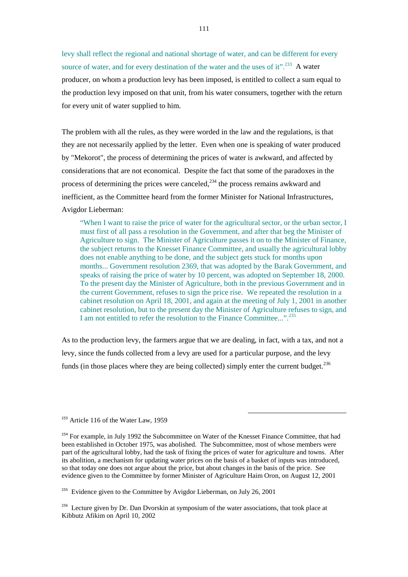levy shall reflect the regional and national shortage of water, and can be different for every source of water, and for every destination of the water and the uses of it".<sup>233</sup> A water producer, on whom a production levy has been imposed, is entitled to collect a sum equal to the production levy imposed on that unit, from his water consumers, together with the return for every unit of water supplied to him.

The problem with all the rules, as they were worded in the law and the regulations, is that they are not necessarily applied by the letter. Even when one is speaking of water produced by "Mekorot", the process of determining the prices of water is awkward, and affected by considerations that are not economical. Despite the fact that some of the paradoxes in the process of determining the prices were canceled, $^{234}$  the process remains awkward and inefficient, as the Committee heard from the former Minister for National Infrastructures, Avigdor Lieberman:

 "When I want to raise the price of water for the agricultural sector, or the urban sector, I must first of all pass a resolution in the Government, and after that beg the Minister of Agriculture to sign. The Minister of Agriculture passes it on to the Minister of Finance, the subject returns to the Knesset Finance Committee, and usually the agricultural lobby does not enable anything to be done, and the subject gets stuck for months upon months... Government resolution 2369, that was adopted by the Barak Government, and speaks of raising the price of water by 10 percent, was adopted on September 18, 2000. To the present day the Minister of Agriculture, both in the previous Government and in the current Government, refuses to sign the price rise. We repeated the resolution in a cabinet resolution on April 18, 2001, and again at the meeting of July 1, 2001 in another cabinet resolution, but to the present day the Minister of Agriculture refuses to sign, and I am not entitled to refer the resolution to the Finance Committee...".<sup>235</sup>

As to the production levy, the farmers argue that we are dealing, in fact, with a tax, and not a levy, since the funds collected from a levy are used for a particular purpose, and the levy funds (in those places where they are being collected) simply enter the current budget.<sup>236</sup>

<sup>233</sup> Article 116 of the Water Law, 1959

<sup>&</sup>lt;sup>234</sup> For example, in July 1992 the Subcommittee on Water of the Knesset Finance Committee, that had been established in October 1975, was abolished. The Subcommittee, most of whose members were part of the agricultural lobby, had the task of fixing the prices of water for agriculture and towns. After its abolition, a mechanism for updating water prices on the basis of a basket of inputs was introduced, so that today one does not argue about the price, but about changes in the basis of the price. See evidence given to the Committee by former Minister of Agriculture Haim Oron, on August 12, 2001

 $235$  Evidence given to the Committee by Avigdor Lieberman, on July 26, 2001

<sup>&</sup>lt;sup>236</sup> Lecture given by Dr. Dan Dvorskin at symposium of the water associations, that took place at Kibbutz Afikim on April 10, 2002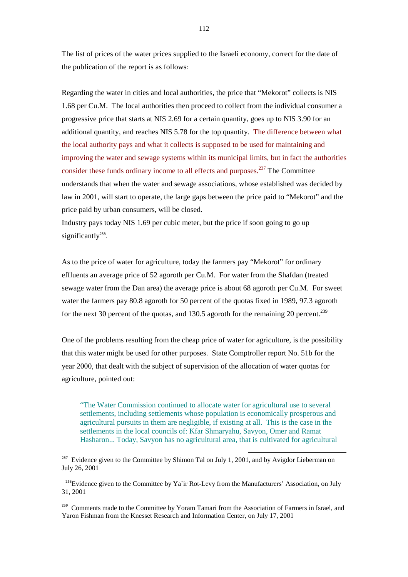The list of prices of the water prices supplied to the Israeli economy, correct for the date of the publication of the report is as follows:

Regarding the water in cities and local authorities, the price that "Mekorot" collects is NIS 1.68 per Cu.M. The local authorities then proceed to collect from the individual consumer a progressive price that starts at NIS 2.69 for a certain quantity, goes up to NIS 3.90 for an additional quantity, and reaches NIS 5.78 for the top quantity. The difference between what the local authority pays and what it collects is supposed to be used for maintaining and improving the water and sewage systems within its municipal limits, but in fact the authorities consider these funds ordinary income to all effects and purposes.<sup>237</sup> The Committee understands that when the water and sewage associations, whose established was decided by law in 2001, will start to operate, the large gaps between the price paid to "Mekorot" and the price paid by urban consumers, will be closed.

Industry pays today NIS 1.69 per cubic meter, but the price if soon going to go up significantly $238$ .

As to the price of water for agriculture, today the farmers pay "Mekorot" for ordinary effluents an average price of 52 agoroth per Cu.M. For water from the Shafdan (treated sewage water from the Dan area) the average price is about 68 agoroth per Cu.M. For sweet water the farmers pay 80.8 agoroth for 50 percent of the quotas fixed in 1989, 97.3 agoroth for the next 30 percent of the quotas, and 130.5 agoroth for the remaining 20 percent.<sup>239</sup>

One of the problems resulting from the cheap price of water for agriculture, is the possibility that this water might be used for other purposes. State Comptroller report No. 51b for the year 2000, that dealt with the subject of supervision of the allocation of water quotas for agriculture, pointed out:

 "The Water Commission continued to allocate water for agricultural use to several settlements, including settlements whose population is economically prosperous and agricultural pursuits in them are negligible, if existing at all. This is the case in the settlements in the local councils of: Kfar Shmaryahu, Savyon, Omer and Ramat Hasharon... Today, Savyon has no agricultural area, that is cultivated for agricultural

l

 $^{238}$ Evidence given to the Committee by Ya`ir Rot-Levy from the Manufacturers' Association, on July 31, 2001

<sup>239</sup> Comments made to the Committee by Yoram Tamari from the Association of Farmers in Israel, and Yaron Fishman from the Knesset Research and Information Center, on July 17, 2001

 $237$  Evidence given to the Committee by Shimon Tal on July 1, 2001, and by Avigdor Lieberman on July 26, 2001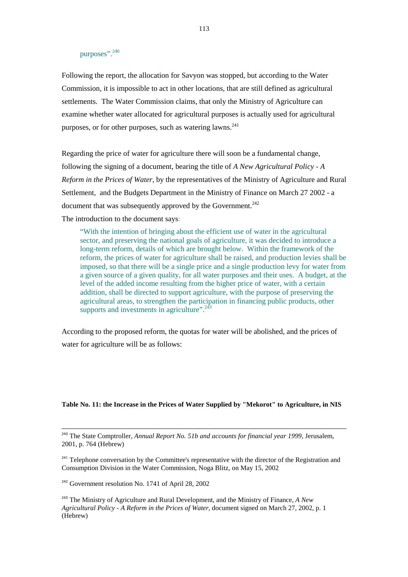# purposes".<sup>240</sup>

Following the report, the allocation for Savyon was stopped, but according to the Water Commission, it is impossible to act in other locations, that are still defined as agricultural settlements. The Water Commission claims, that only the Ministry of Agriculture can examine whether water allocated for agricultural purposes is actually used for agricultural purposes, or for other purposes, such as watering  $lawns$ .<sup>241</sup>

Regarding the price of water for agriculture there will soon be a fundamental change, following the signing of a document, bearing the title of *A New Agricultural Policy - A Reform in the Prices of Water*, by the representatives of the Ministry of Agriculture and Rural Settlement, and the Budgets Department in the Ministry of Finance on March 27 2002 - a document that was subsequently approved by the Government.<sup>242</sup>

The introduction to the document says:

 "With the intention of bringing about the efficient use of water in the agricultural sector, and preserving the national goals of agriculture, it was decided to introduce a long-term reform, details of which are brought below. Within the framework of the reform, the prices of water for agriculture shall be raised, and production levies shall be imposed, so that there will be a single price and a single production levy for water from a given source of a given quality, for all water purposes and their uses. A budget, at the level of the added income resulting from the higher price of water, with a certain addition, shall be directed to support agriculture, with the purpose of preserving the agricultural areas, to strengthen the participation in financing public products, other supports and investments in agriculture". $243$ 

According to the proposed reform, the quotas for water will be abolished, and the prices of water for agriculture will be as follows:

#### **Table No. 11: the Increase in the Prices of Water Supplied by "Mekorot" to Agriculture, in NIS**

<sup>240</sup> The State Comptroller, *Annual Report No. 51b and accounts for financial year 1999*, Jerusalem, 2001, p. 764 (Hebrew)

<sup>241</sup> Telephone conversation by the Committee's representative with the director of the Registration and Consumption Division in the Water Commission, Noga Blitz, on May 15, 2002

<sup>242</sup> Government resolution No. 1741 of April 28, 2002

 $\overline{a}$ 

<sup>243</sup> The Ministry of Agriculture and Rural Development, and the Ministry of Finance, *A New Agricultural Policy - A Reform in the Prices of Water*, document signed on March 27, 2002, p. 1 (Hebrew)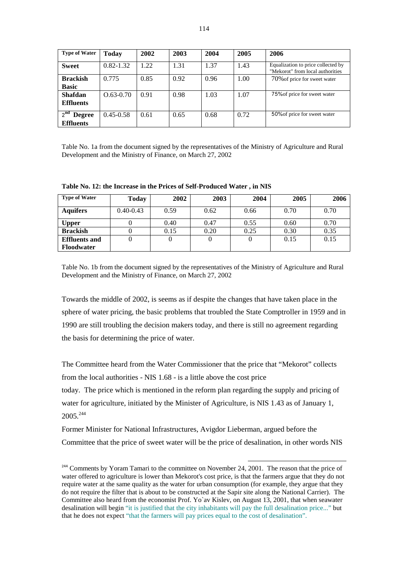| <b>Type of Water</b>                                 | <b>Today</b>  | 2002 | 2003 | 2004 | 2005 | 2006                                                                   |
|------------------------------------------------------|---------------|------|------|------|------|------------------------------------------------------------------------|
| <b>Sweet</b>                                         | $0.82 - 1.32$ | 1.22 | 1.31 | 1.37 | 1.43 | Equalization to price collected by<br>"Mekorot" from local authorities |
| <b>Brackish</b><br><b>Basic</b>                      | 0.775         | 0.85 | 0.92 | 0.96 | 1.00 | 70% of price for sweet water                                           |
| <b>Shafdan</b><br><b>Effluents</b>                   | $O.63 - 0.70$ | 0.91 | 0.98 | 1.03 | 1.07 | 75% of price for sweet water                                           |
| $2^{\text{nd}}$<br><b>Degree</b><br><b>Effluents</b> | $0.45 - 0.58$ | 0.61 | 0.65 | 0.68 | 0.72 | 50% of price for sweet water                                           |

Table No. 1a from the document signed by the representatives of the Ministry of Agriculture and Rural Development and the Ministry of Finance, on March 27, 2002

| Table No. 12: the Increase in the Prices of Self-Produced Water, in NIS |  |  |  |
|-------------------------------------------------------------------------|--|--|--|
|                                                                         |  |  |  |

| <b>Type of Water</b> | <b>Today</b>  | 2002 | 2003 | 2004 | 2005 | 2006 |
|----------------------|---------------|------|------|------|------|------|
| <b>Aquifers</b>      | $0.40 - 0.43$ | 0.59 | 0.62 | 0.66 | 0.70 | 0.70 |
| <b>Upper</b>         |               | 0.40 | 0.47 | 0.55 | 0.60 | 0.70 |
| <b>Brackish</b>      |               | 0.15 | 0.20 | 0.25 | 0.30 | 0.35 |
| <b>Effluents and</b> |               |      |      |      | 0.15 | 0.15 |
| <b>Floodwater</b>    |               |      |      |      |      |      |

Table No. 1b from the document signed by the representatives of the Ministry of Agriculture and Rural Development and the Ministry of Finance, on March 27, 2002

Towards the middle of 2002, is seems as if despite the changes that have taken place in the sphere of water pricing, the basic problems that troubled the State Comptroller in 1959 and in 1990 are still troubling the decision makers today, and there is still no agreement regarding the basis for determining the price of water.

The Committee heard from the Water Commissioner that the price that "Mekorot" collects from the local authorities - NIS 1.68 - is a little above the cost price today. The price which is mentioned in the reform plan regarding the supply and pricing of

water for agriculture, initiated by the Minister of Agriculture, is NIS 1.43 as of January 1, 2005.<sup>244</sup>

Former Minister for National Infrastructures, Avigdor Lieberman, argued before the Committee that the price of sweet water will be the price of desalination, in other words NIS

<sup>&</sup>lt;sup>244</sup> Comments by Yoram Tamari to the committee on November 24, 2001. The reason that the price of water offered to agriculture is lower than Mekorot's cost price, is that the farmers argue that they do not require water at the same quality as the water for urban consumption (for example, they argue that they do not require the filter that is about to be constructed at the Sapir site along the National Carrier). The Committee also heard from the economist Prof. Yo`av Kislev, on August 13, 2001, that when seawater desalination will begin "it is justified that the city inhabitants will pay the full desalination price..." but that he does not expect "that the farmers will pay prices equal to the cost of desalination".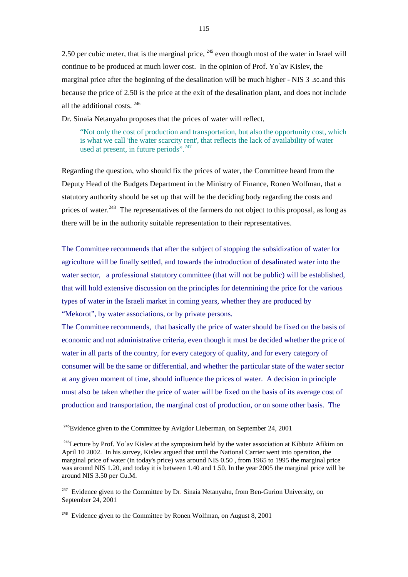2.50 per cubic meter, that is the marginal price, <sup>245</sup> even though most of the water in Israel will continue to be produced at much lower cost. In the opinion of Prof. Yo`av Kislev, the marginal price after the beginning of the desalination will be much higher - NIS 3 ,50.and this because the price of 2.50 is the price at the exit of the desalination plant, and does not include all the additional costs. 246

Dr. Sinaia Netanyahu proposes that the prices of water will reflect,

 "Not only the cost of production and transportation, but also the opportunity cost, which is what we call 'the water scarcity rent', that reflects the lack of availability of water used at present, in future periods".  $247$ 

Regarding the question, who should fix the prices of water, the Committee heard from the Deputy Head of the Budgets Department in the Ministry of Finance, Ronen Wolfman, that a statutory authority should be set up that will be the deciding body regarding the costs and prices of water.<sup>248</sup> The representatives of the farmers do not object to this proposal, as long as there will be in the authority suitable representation to their representatives.

The Committee recommends that after the subject of stopping the subsidization of water for agriculture will be finally settled, and towards the introduction of desalinated water into the water sector, a professional statutory committee (that will not be public) will be established, that will hold extensive discussion on the principles for determining the price for the various types of water in the Israeli market in coming years, whether they are produced by "Mekorot", by water associations, or by private persons.

The Committee recommends, that basically the price of water should be fixed on the basis of economic and not administrative criteria, even though it must be decided whether the price of water in all parts of the country, for every category of quality, and for every category of consumer will be the same or differential, and whether the particular state of the water sector at any given moment of time, should influence the prices of water. A decision in principle must also be taken whether the price of water will be fixed on the basis of its average cost of production and transportation, the marginal cost of production, or on some other basis. The

l

 $248$  Evidence given to the Committee by Ronen Wolfman, on August 8, 2001

 $245$ Evidence given to the Committee by Avigdor Lieberman, on September 24, 2001

<sup>&</sup>lt;sup>246</sup>Lecture by Prof. Yo`av Kislev at the symposium held by the water association at Kibbutz Afikim on April 10 2002. In his survey, Kislev argued that until the National Carrier went into operation, the marginal price of water (in today's price) was around NIS 0.50 , from 1965 to 1995 the marginal price was around NIS 1.20, and today it is between 1.40 and 1.50. In the year 2005 the marginal price will be around NIS 3.50 per Cu.M.

<sup>&</sup>lt;sup>247</sup> Evidence given to the Committee by Dr. Sinaia Netanyahu, from Ben-Gurion University, on September 24, 2001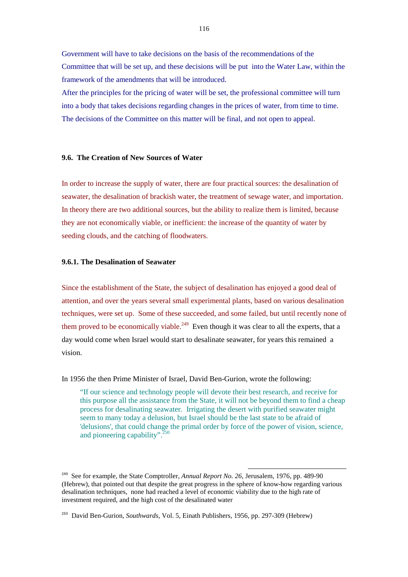Government will have to take decisions on the basis of the recommendations of the Committee that will be set up, and these decisions will be put into the Water Law, within the framework of the amendments that will be introduced.

After the principles for the pricing of water will be set, the professional committee will turn into a body that takes decisions regarding changes in the prices of water, from time to time. The decisions of the Committee on this matter will be final, and not open to appeal.

## **9.6. The Creation of New Sources of Water**

In order to increase the supply of water, there are four practical sources: the desalination of seawater, the desalination of brackish water, the treatment of sewage water, and importation. In theory there are two additional sources, but the ability to realize them is limited, because they are not economically viable, or inefficient: the increase of the quantity of water by seeding clouds, and the catching of floodwaters.

## **9.6.1. The Desalination of Seawater**

Since the establishment of the State, the subject of desalination has enjoyed a good deal of attention, and over the years several small experimental plants, based on various desalination techniques, were set up. Some of these succeeded, and some failed, but until recently none of them proved to be economically viable.<sup>249</sup> Even though it was clear to all the experts, that a day would come when Israel would start to desalinate seawater, for years this remained a vision.

In 1956 the then Prime Minister of Israel, David Ben-Gurion, wrote the following:

 "If our science and technology people will devote their best research, and receive for this purpose all the assistance from the State, it will not be beyond them to find a cheap process for desalinating seawater. Irrigating the desert with purified seawater might seem to many today a delusion, but Israel should be the last state to be afraid of 'delusions', that could change the primal order by force of the power of vision, science, and pioneering capability".<sup>250</sup>

<sup>&</sup>lt;sup>249</sup> See for example, the State Comptroller, *Annual Report No. 26*, Jerusalem, 1976, pp. 489-90 (Hebrew), that pointed out that despite the great progress in the sphere of know-how regarding various desalination techniques, none had reached a level of economic viability due to the high rate of investment required, and the high cost of the desalinated water

<sup>250</sup> David Ben-Gurion, *Southwards*, Vol. 5, Einath Publishers, 1956, pp. 297-309 (Hebrew)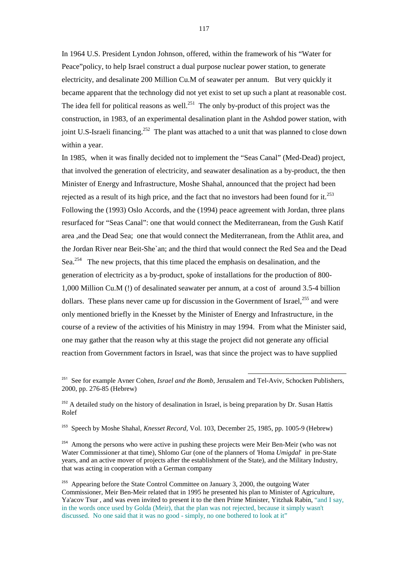In 1964 U.S. President Lyndon Johnson, offered, within the framework of his "Water for Peace"policy, to help Israel construct a dual purpose nuclear power station, to generate electricity, and desalinate 200 Million Cu.M of seawater per annum. But very quickly it became apparent that the technology did not yet exist to set up such a plant at reasonable cost. The idea fell for political reasons as well.<sup>251</sup> The only by-product of this project was the construction, in 1983, of an experimental desalination plant in the Ashdod power station, with joint U.S-Israeli financing.<sup>252</sup> The plant was attached to a unit that was planned to close down within a year.

In 1985, when it was finally decided not to implement the "Seas Canal" (Med-Dead) project, that involved the generation of electricity, and seawater desalination as a by-product, the then Minister of Energy and Infrastructure, Moshe Shahal, announced that the project had been rejected as a result of its high price, and the fact that no investors had been found for it.<sup>253</sup> Following the (1993) Oslo Accords, and the (1994) peace agreement with Jordan, three plans resurfaced for "Seas Canal": one that would connect the Mediterranean, from the Gush Katif area ,and the Dead Sea; one that would connect the Mediterranean, from the Athlit area, and the Jordan River near Beit-She`an; and the third that would connect the Red Sea and the Dead Sea.<sup>254</sup> The new projects, that this time placed the emphasis on desalination, and the generation of electricity as a by-product, spoke of installations for the production of 800- 1,000 Million Cu.M (!) of desalinated seawater per annum, at a cost of around 3.5-4 billion dollars. These plans never came up for discussion in the Government of Israel, $^{255}$  and were only mentioned briefly in the Knesset by the Minister of Energy and Infrastructure, in the course of a review of the activities of his Ministry in may 1994. From what the Minister said, one may gather that the reason why at this stage the project did not generate any official reaction from Government factors in Israel, was that since the project was to have supplied

<sup>251</sup> See for example Avner Cohen, *Israel and the Bomb*, Jerusalem and Tel-Aviv, Schocken Publishers, 2000, pp. 276-85 (Hebrew)

l

<sup>252</sup> A detailed study on the history of desalination in Israel, is being preparation by Dr. Susan Hattis Rolef

<sup>253</sup> Speech by Moshe Shahal*, Knesset Record,* Vol. 103, December 25, 1985, pp. 1005-9 (Hebrew)

<sup>254</sup> Among the persons who were active in pushing these projects were Meir Ben-Meir (who was not Water Commissioner at that time), Shlomo Gur (one of the planners of 'Homa *Umigdal*' in pre-State years, and an active mover of projects after the establishment of the State), and the Military Industry, that was acting in cooperation with a German company

<sup>255</sup> Appearing before the State Control Committee on January 3, 2000, the outgoing Water Commissioner, Meir Ben-Meir related that in 1995 he presented his plan to Minister of Agriculture, Ya'acov Tsur , and was even invited to present it to the then Prime Minister, Yitzhak Rabin, "and I say, in the words once used by Golda (Meir), that the plan was not rejected, because it simply wasn't discussed. No one said that it was no good - simply, no one bothered to look at it"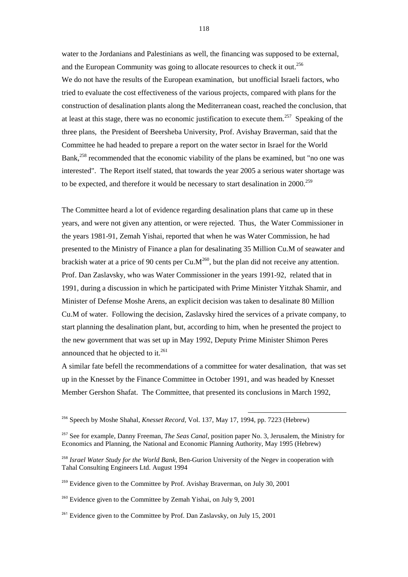water to the Jordanians and Palestinians as well, the financing was supposed to be external, and the European Community was going to allocate resources to check it out.<sup>256</sup> We do not have the results of the European examination, but unofficial Israeli factors, who tried to evaluate the cost effectiveness of the various projects, compared with plans for the construction of desalination plants along the Mediterranean coast, reached the conclusion, that at least at this stage, there was no economic justification to execute them.<sup>257</sup> Speaking of the three plans, the President of Beersheba University, Prof. Avishay Braverman, said that the Committee he had headed to prepare a report on the water sector in Israel for the World Bank,<sup>258</sup> recommended that the economic viability of the plans be examined, but "no one was interested". The Report itself stated, that towards the year 2005 a serious water shortage was to be expected, and therefore it would be necessary to start desalination in 2000.<sup>259</sup>

The Committee heard a lot of evidence regarding desalination plans that came up in these years, and were not given any attention, or were rejected. Thus, the Water Commissioner in the years 1981-91, Zemah Yishai, reported that when he was Water Commission, he had presented to the Ministry of Finance a plan for desalinating 35 Million Cu.M of seawater and brackish water at a price of 90 cents per  $Cu.M^{260}$ , but the plan did not receive any attention. Prof. Dan Zaslavsky, who was Water Commissioner in the years 1991-92, related that in 1991, during a discussion in which he participated with Prime Minister Yitzhak Shamir, and Minister of Defense Moshe Arens, an explicit decision was taken to desalinate 80 Million Cu.M of water. Following the decision, Zaslavsky hired the services of a private company, to start planning the desalination plant, but, according to him, when he presented the project to the new government that was set up in May 1992, Deputy Prime Minister Shimon Peres announced that he objected to it.<sup>261</sup>

A similar fate befell the recommendations of a committee for water desalination, that was set up in the Knesset by the Finance Committee in October 1991, and was headed by Knesset Member Gershon Shafat. The Committee, that presented its conclusions in March 1992,

<sup>256</sup> Speech by Moshe Shahal*, Knesset Record,* Vol. 137, May 17, 1994, pp. 7223 (Hebrew)

<sup>257</sup> See for example, Danny Freeman, *The Seas Canal*, position paper No. 3, Jerusalem, the Ministry for Economics and Planning, the National and Economic Planning Authority, May 1995 (Hebrew)

<sup>258</sup> *Israel Water Study for the World Bank*, Ben-Gurion University of the Negev in cooperation with Tahal Consulting Engineers Ltd. August 1994

<sup>&</sup>lt;sup>259</sup> Evidence given to the Committee by Prof. Avishay Braverman, on July 30, 2001

<sup>&</sup>lt;sup>260</sup> Evidence given to the Committee by Zemah Yishai, on July 9, 2001

 $261$  Evidence given to the Committee by Prof. Dan Zaslavsky, on July 15, 2001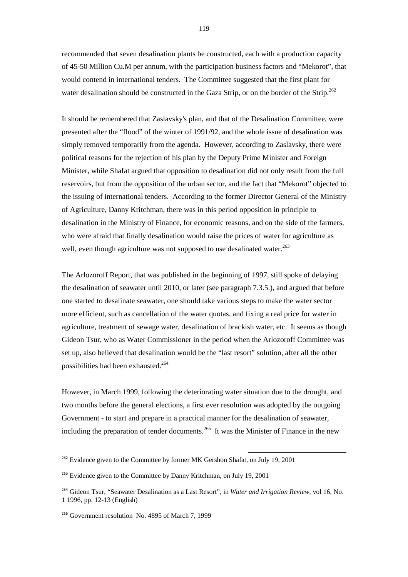recommended that seven desalination plants be constructed, each with a production capacity of 45-50 Million Cu.M per annum, with the participation business factors and "Mekorot", that would contend in international tenders. The Committee suggested that the first plant for water desalination should be constructed in the Gaza Strip, or on the border of the Strip.<sup>262</sup>

It should be remembered that Zaslavsky's plan, and that of the Desalination Committee, were presented after the "flood" of the winter of 1991/92, and the whole issue of desalination was simply removed temporarily from the agenda. However, according to Zaslavsky, there were political reasons for the rejection of his plan by the Deputy Prime Minister and Foreign Minister, while Shafat argued that opposition to desalination did not only result from the full reservoirs, but from the opposition of the urban sector, and the fact that "Mekorot" objected to the issuing of international tenders. According to the former Director General of the Ministry of Agriculture, Danny Kritchman, there was in this period opposition in principle to desalination in the Ministry of Finance, for economic reasons, and on the side of the farmers, who were afraid that finally desalination would raise the prices of water for agriculture as well, even though agriculture was not supposed to use desalinated water.<sup>263</sup>

The Arlozoroff Report, that was published in the beginning of 1997, still spoke of delaying the desalination of seawater until 2010, or later (see paragraph 7.3.5.), and argued that before one started to desalinate seawater, one should take various steps to make the water sector more efficient, such as cancellation of the water quotas, and fixing a real price for water in agriculture, treatment of sewage water, desalination of brackish water, etc. It seems as though Gideon Tsur, who as Water Commissioner in the period when the Arlozoroff Committee was set up, also believed that desalination would be the "last resort" solution, after all the other possibilities had been exhausted.<sup>264</sup>

However, in March 1999, following the deteriorating water situation due to the drought, and two months before the general elections, a first ever resolution was adopted by the outgoing Government - to start and prepare in a practical manner for the desalination of seawater, including the preparation of tender documents.<sup>265</sup> It was the Minister of Finance in the new

 $262$  Evidence given to the Committee by former MK Gershon Shafat, on July 19, 2001

<sup>&</sup>lt;sup>263</sup> Evidence given to the Committee by Danny Kritchman, on July 19, 2001

<sup>264</sup> Gideon Tsur, "Seawater Desalination as a Last Resort", in *Water and Irrigation Review*, vol 16, No. 1 1996, pp. 12-13 (English)

<sup>&</sup>lt;sup>265</sup> Government resolution No. 4895 of March 7, 1999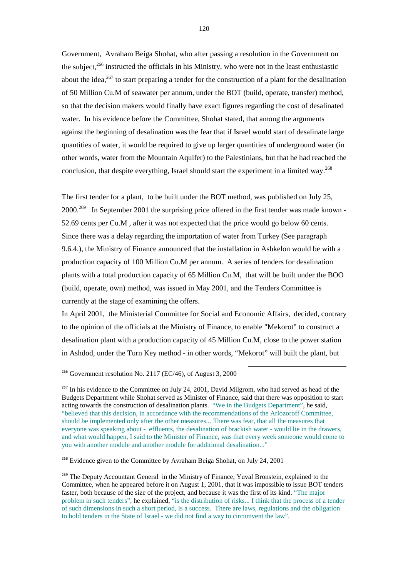Government, Avraham Beiga Shohat, who after passing a resolution in the Government on the subject, $^{266}$  instructed the officials in his Ministry, who were not in the least enthusiastic about the idea,  $267$  to start preparing a tender for the construction of a plant for the desalination of 50 Million Cu.M of seawater per annum, under the BOT (build, operate, transfer) method, so that the decision makers would finally have exact figures regarding the cost of desalinated water. In his evidence before the Committee, Shohat stated, that among the arguments against the beginning of desalination was the fear that if Israel would start of desalinate large quantities of water, it would be required to give up larger quantities of underground water (in other words, water from the Mountain Aquifer) to the Palestinians, but that he had reached the conclusion, that despite everything, Israel should start the experiment in a limited way.<sup>268</sup>

The first tender for a plant, to be built under the BOT method, was published on July 25, 2000.<sup>269</sup> In September 2001 the surprising price offered in the first tender was made known -52.69 cents per Cu.M , after it was not expected that the price would go below 60 cents. Since there was a delay regarding the importation of water from Turkey (See paragraph 9.6.4.), the Ministry of Finance announced that the installation in Ashkelon would be with a production capacity of 100 Million Cu.M per annum. A series of tenders for desalination plants with a total production capacity of 65 Million Cu.M, that will be built under the BOO (build, operate, own) method, was issued in May 2001, and the Tenders Committee is currently at the stage of examining the offers.

In April 2001, the Ministerial Committee for Social and Economic Affairs, decided, contrary to the opinion of the officials at the Ministry of Finance, to enable "Mekorot" to construct a desalination plant with a production capacity of 45 Million Cu.M, close to the power station in Ashdod, under the Turn Key method - in other words, "Mekorot" will built the plant, but

l

## $266$  Government resolution No. 2117 (EC/46), of August 3, 2000

 $267$  In his evidence to the Committee on July 24, 2001, David Milgrom, who had served as head of the Budgets Department while Shohat served as Minister of Finance, said that there was opposition to start acting towards the construction of desalination plants. "We in the Budgets Department", he said, "believed that this decision, in accordance with the recommendations of the Arlozoroff Committee, should be implemented only after the other measures... There was fear, that all the measures that everyone was speaking about - effluents, the desalination of brackish water - would lie in the drawers, and what would happen, I said to the Minister of Finance, was that every week someone would come to you with another module and another module for additional desalination..."

<sup>268</sup> Evidence given to the Committee by Avraham Beiga Shohat, on July 24, 2001

<sup>&</sup>lt;sup>269</sup> The Deputy Accountant General in the Ministry of Finance, Yuval Bronstein, explained to the Committee, when he appeared before it on August 1, 2001, that it was impossible to issue BOT tenders faster, both because of the size of the project, and because it was the first of its kind. "The major problem in such tenders", he explained, "is the distribution of risks... I think that the process of a tender of such dimensions in such a short period, is a success. There are laws, regulations and the obligation to hold tenders in the State of Israel - we did not find a way to circumvent the law".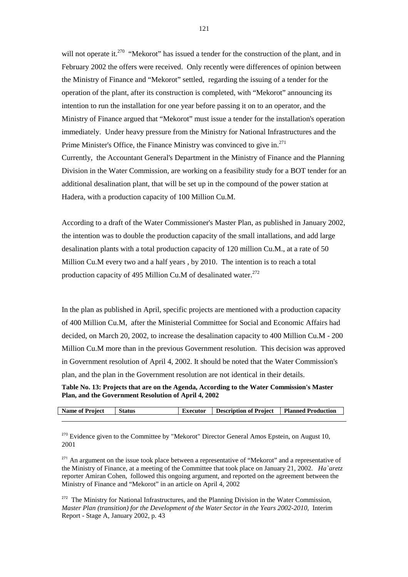will not operate it.<sup>270</sup> "Mekorot" has issued a tender for the construction of the plant, and in February 2002 the offers were received. Only recently were differences of opinion between the Ministry of Finance and "Mekorot" settled, regarding the issuing of a tender for the operation of the plant, after its construction is completed, with "Mekorot" announcing its intention to run the installation for one year before passing it on to an operator, and the Ministry of Finance argued that "Mekorot" must issue a tender for the installation's operation immediately. Under heavy pressure from the Ministry for National Infrastructures and the Prime Minister's Office, the Finance Ministry was convinced to give in. $^{271}$ Currently, the Accountant General's Department in the Ministry of Finance and the Planning Division in the Water Commission, are working on a feasibility study for a BOT tender for an additional desalination plant, that will be set up in the compound of the power station at Hadera, with a production capacity of 100 Million Cu.M.

According to a draft of the Water Commissioner's Master Plan, as published in January 2002, the intention was to double the production capacity of the small intallations, and add large desalination plants with a total production capacity of 120 million Cu.M., at a rate of 50 Million Cu.M every two and a half years , by 2010. The intention is to reach a total production capacity of 495 Million Cu.M of desalinated water.<sup>272</sup>

In the plan as published in April, specific projects are mentioned with a production capacity of 400 Million Cu.M, after the Ministerial Committee for Social and Economic Affairs had decided, on March 20, 2002, to increase the desalination capacity to 400 Million Cu.M - 200 Million Cu.M more than in the previous Government resolution. This decision was approved in Government resolution of April 4, 2002. It should be noted that the Water Commission's plan, and the plan in the Government resolution are not identical in their details.

**Table No. 13: Projects that are on the Agenda, According to the Water Commission's Master Plan, and the Government Resolution of April 4, 2002** 

| <b>Name of Project</b> | <b>Status</b> | Executor | Description of Project   Planned Production |  |
|------------------------|---------------|----------|---------------------------------------------|--|
|                        |               |          |                                             |  |

 $270$  Evidence given to the Committee by "Mekorot" Director General Amos Epstein, on August 10, 2001

l

 $271$  An argument on the issue took place between a representative of "Mekorot" and a representative of the Ministry of Finance, at a meeting of the Committee that took place on January 21, 2002. *Ha`aretz* reporter Amiran Cohen, followed this ongoing argument, and reported on the agreement between the Ministry of Finance and "Mekorot" in an article on April 4, 2002

<sup>272</sup> The Ministry for National Infrastructures, and the Planning Division in the Water Commission, *Master Plan (transition) for the Development of the Water Sector in the Years 2002-2010*, Interim Report - Stage A, January 2002, p. 43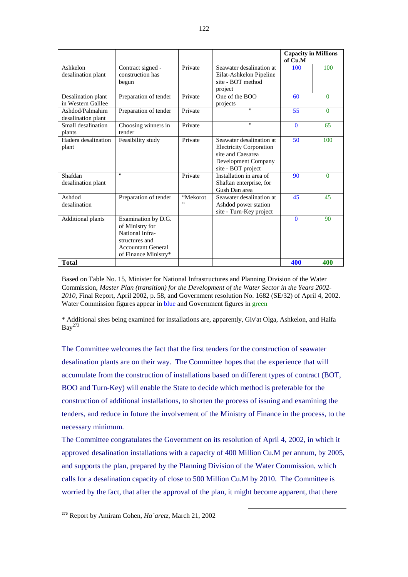|                                          |                                                                                                                                  |                |                                                                                                                              | <b>Capacity in Millions</b><br>of Cu.M |          |
|------------------------------------------|----------------------------------------------------------------------------------------------------------------------------------|----------------|------------------------------------------------------------------------------------------------------------------------------|----------------------------------------|----------|
| Ashkelon<br>desalination plant           | Contract signed -<br>construction has<br>begun                                                                                   | Private        | Seawater desalination at<br>Eilat-Ashkelon Pipeline<br>site - BOT method<br>project                                          | 100                                    | 100      |
| Desalination plant<br>in Western Galilee | Preparation of tender                                                                                                            | Private        | One of the BOO<br>projects                                                                                                   | 60                                     | $\Omega$ |
| Ashdod/Palmahim<br>desalination plant    | Preparation of tender                                                                                                            | Private        | $\mathbf{u}$                                                                                                                 | 55                                     | $\Omega$ |
| Small desalination<br>plants             | Choosing winners in<br>tender                                                                                                    | Private        | $\mathbf{u}$                                                                                                                 | $\Omega$                               | 65       |
| Hadera desalination<br>plant             | Feasibility study                                                                                                                | Private        | Seawater desalination at<br><b>Electricity Corporation</b><br>site and Caesarea<br>Development Company<br>site - BOT project | 50                                     | 100      |
| Shafdan<br>desalination plant            | $\mathbf{u}$                                                                                                                     | Private        | Installation in area of<br>Shaftan enterprise, for<br>Gush Dan area                                                          | 90                                     | $\Omega$ |
| Ashdod<br>desalination                   | Preparation of tender                                                                                                            | "Mekorot<br>,, | Seawater desalination at<br>Ashdod power station<br>site - Turn-Key project                                                  | 45                                     | 45       |
| <b>Additional plants</b>                 | Examination by D.G.<br>of Ministry for<br>National Infra-<br>structures and<br><b>Accountant General</b><br>of Finance Ministry* |                |                                                                                                                              | $\Omega$                               | 90       |
| <b>Total</b>                             |                                                                                                                                  |                |                                                                                                                              | 400                                    | 400      |

Based on Table No. 15, Minister for National Infrastructures and Planning Division of the Water Commission, *Master Plan (transition) for the Development of the Water Sector in the Years 2002- 2010*, Final Report, April 2002, p. 58, and Government resolution No. 1682 (SE/32) of April 4, 2002. Water Commission figures appear in blue and Government figures in green

\* Additional sites being examined for installations are, apparently, Giv'at Olga, Ashkelon, and Haifa  $Bav^{273}$ 

The Committee welcomes the fact that the first tenders for the construction of seawater desalination plants are on their way. The Committee hopes that the experience that will accumulate from the construction of installations based on different types of contract (BOT, BOO and Turn-Key) will enable the State to decide which method is preferable for the construction of additional installations, to shorten the process of issuing and examining the tenders, and reduce in future the involvement of the Ministry of Finance in the process, to the necessary minimum.

The Committee congratulates the Government on its resolution of April 4, 2002, in which it approved desalination installations with a capacity of 400 Million Cu.M per annum, by 2005, and supports the plan, prepared by the Planning Division of the Water Commission, which calls for a desalination capacity of close to 500 Million Cu.M by 2010. The Committee is worried by the fact, that after the approval of the plan, it might become apparent, that there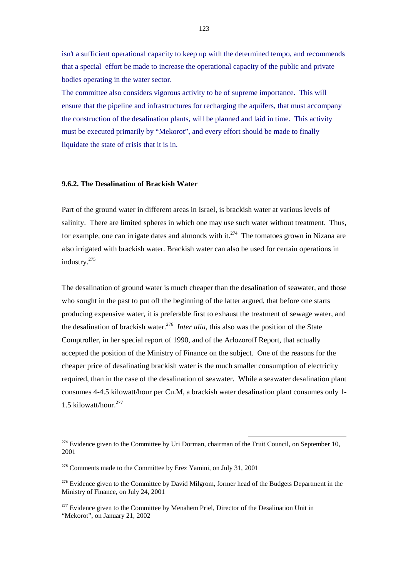isn't a sufficient operational capacity to keep up with the determined tempo, and recommends that a special effort be made to increase the operational capacity of the public and private bodies operating in the water sector.

The committee also considers vigorous activity to be of supreme importance. This will ensure that the pipeline and infrastructures for recharging the aquifers, that must accompany the construction of the desalination plants, will be planned and laid in time. This activity must be executed primarily by "Mekorot", and every effort should be made to finally liquidate the state of crisis that it is in.

## **9.6.2. The Desalination of Brackish Water**

Part of the ground water in different areas in Israel, is brackish water at various levels of salinity. There are limited spheres in which one may use such water without treatment. Thus, for example, one can irrigate dates and almonds with it.<sup> $274$ </sup> The tomatoes grown in Nizana are also irrigated with brackish water. Brackish water can also be used for certain operations in industry.<sup>275</sup>

The desalination of ground water is much cheaper than the desalination of seawater, and those who sought in the past to put off the beginning of the latter argued, that before one starts producing expensive water, it is preferable first to exhaust the treatment of sewage water, and the desalination of brackish water.<sup>276</sup> *Inter alia*, this also was the position of the State Comptroller, in her special report of 1990, and of the Arlozoroff Report, that actually accepted the position of the Ministry of Finance on the subject. One of the reasons for the cheaper price of desalinating brackish water is the much smaller consumption of electricity required, than in the case of the desalination of seawater. While a seawater desalination plant consumes 4-4.5 kilowatt/hour per Cu.M, a brackish water desalination plant consumes only 1- 1.5 kilowatt/hour. $277$ 

 $274$  Evidence given to the Committee by Uri Dorman, chairman of the Fruit Council, on September 10, 2001

 $275$  Comments made to the Committee by Erez Yamini, on July 31, 2001

<sup>&</sup>lt;sup>276</sup> Evidence given to the Committee by David Milgrom, former head of the Budgets Department in the Ministry of Finance, on July 24, 2001

 $277$  Evidence given to the Committee by Menahem Priel, Director of the Desalination Unit in "Mekorot", on January 21, 2002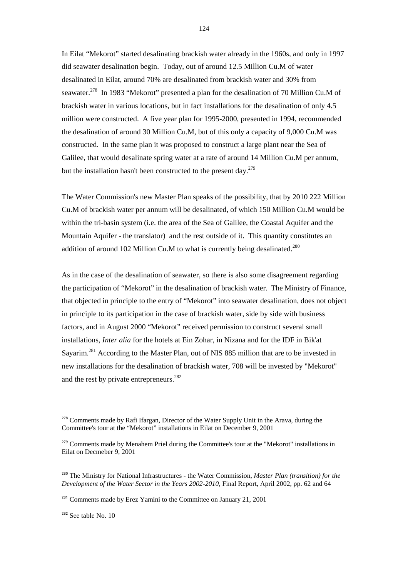In Eilat "Mekorot" started desalinating brackish water already in the 1960s, and only in 1997 did seawater desalination begin. Today, out of around 12.5 Million Cu.M of water desalinated in Eilat, around 70% are desalinated from brackish water and 30% from seawater.<sup>278</sup> In 1983 "Mekorot" presented a plan for the desalination of 70 Million Cu.M of brackish water in various locations, but in fact installations for the desalination of only 4.5 million were constructed. A five year plan for 1995-2000, presented in 1994, recommended the desalination of around 30 Million Cu.M, but of this only a capacity of 9,000 Cu.M was constructed. In the same plan it was proposed to construct a large plant near the Sea of Galilee, that would desalinate spring water at a rate of around 14 Million Cu.M per annum, but the installation hasn't been constructed to the present day.<sup>279</sup>

The Water Commission's new Master Plan speaks of the possibility, that by 2010 222 Million Cu.M of brackish water per annum will be desalinated, of which 150 Million Cu.M would be within the tri-basin system (i.e. the area of the Sea of Galilee, the Coastal Aquifer and the Mountain Aquifer - the translator) and the rest outside of it. This quantity constitutes an addition of around 102 Million Cu.M to what is currently being desalinated.<sup>280</sup>

As in the case of the desalination of seawater, so there is also some disagreement regarding the participation of "Mekorot" in the desalination of brackish water. The Ministry of Finance, that objected in principle to the entry of "Mekorot" into seawater desalination, does not object in principle to its participation in the case of brackish water, side by side with business factors, and in August 2000 "Mekorot" received permission to construct several small installations, *Inter alia* for the hotels at Ein Zohar, in Nizana and for the IDF in Bik'at Sayarim.<sup>281</sup> According to the Master Plan, out of NIS 885 million that are to be invested in new installations for the desalination of brackish water, 708 will be invested by "Mekorot" and the rest by private entrepreneurs.<sup>282</sup>

l

<sup>282</sup> See table No. 10

 $278$  Comments made by Rafi Ifargan, Director of the Water Supply Unit in the Arava, during the Committee's tour at the "Mekorot" installations in Eilat on December 9, 2001

<sup>&</sup>lt;sup>279</sup> Comments made by Menahem Priel during the Committee's tour at the "Mekorot" installations in Eilat on Decmeber 9, 2001

<sup>280</sup> The Ministry for National Infrastructures - the Water Commission, *Master Plan (transition) for the Development of the Water Sector in the Years 2002-2010*, Final Report, April 2002, pp. 62 and 64

 $281$  Comments made by Erez Yamini to the Committee on January 21, 2001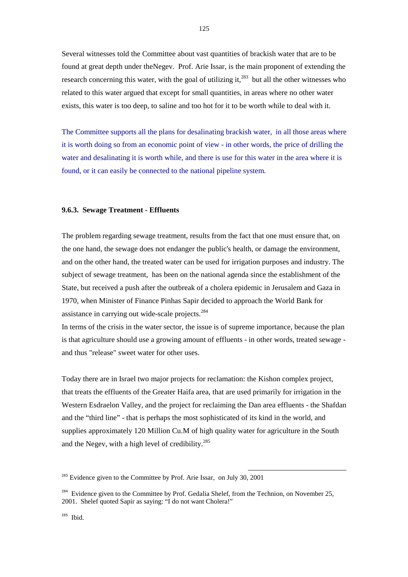Several witnesses told the Committee about vast quantities of brackish water that are to be found at great depth under theNegev. Prof. Arie Issar, is the main proponent of extending the research concerning this water, with the goal of utilizing it, $^{283}$  but all the other witnesses who related to this water argued that except for small quantities, in areas where no other water exists, this water is too deep, to saline and too hot for it to be worth while to deal with it.

The Committee supports all the plans for desalinating brackish water, in all those areas where it is worth doing so from an economic point of view - in other words, the price of drilling the water and desalinating it is worth while, and there is use for this water in the area where it is found, or it can easily be connected to the national pipeline system.

### **9.6.3. Sewage Treatment - Effluents**

The problem regarding sewage treatment, results from the fact that one must ensure that, on the one hand, the sewage does not endanger the public's health, or damage the environment, and on the other hand, the treated water can be used for irrigation purposes and industry. The subject of sewage treatment, has been on the national agenda since the establishment of the State, but received a push after the outbreak of a cholera epidemic in Jerusalem and Gaza in 1970, when Minister of Finance Pinhas Sapir decided to approach the World Bank for assistance in carrying out wide-scale projects.<sup>284</sup>

In terms of the crisis in the water sector, the issue is of supreme importance, because the plan is that agriculture should use a growing amount of effluents - in other words, treated sewage and thus "release" sweet water for other uses.

Today there are in Israel two major projects for reclamation: the Kishon complex project, that treats the effluents of the Greater Haifa area, that are used primarily for irrigation in the Western Esdraelon Valley, and the project for reclaiming the Dan area effluents - the Shafdan and the "third line" - that is perhaps the most sophisticated of its kind in the world, and supplies approximately 120 Million Cu.M of high quality water for agriculture in the South and the Negev, with a high level of credibility.<sup>285</sup>

 $283$  Evidence given to the Committee by Prof. Arie Issar, on July 30, 2001

 $284$  Evidence given to the Committee by Prof. Gedalia Shelef, from the Technion, on November 25, 2001. Shelef quoted Sapir as saving: "I do not want Cholera!"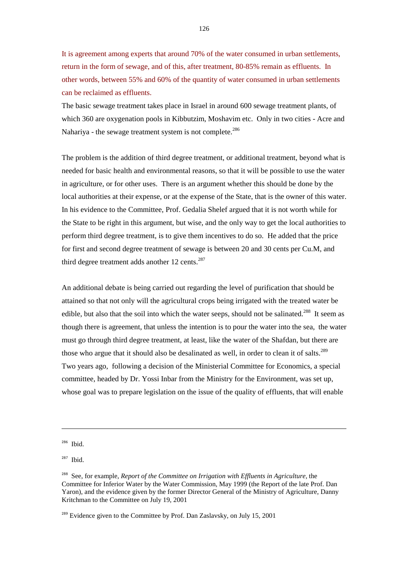It is agreement among experts that around 70% of the water consumed in urban settlements, return in the form of sewage, and of this, after treatment, 80-85% remain as effluents. In other words, between 55% and 60% of the quantity of water consumed in urban settlements can be reclaimed as effluents.

The basic sewage treatment takes place in Israel in around 600 sewage treatment plants, of which 360 are oxygenation pools in Kibbutzim, Moshavim etc. Only in two cities - Acre and Nahariya - the sewage treatment system is not complete.<sup>286</sup>

The problem is the addition of third degree treatment, or additional treatment, beyond what is needed for basic health and environmental reasons, so that it will be possible to use the water in agriculture, or for other uses. There is an argument whether this should be done by the local authorities at their expense, or at the expense of the State, that is the owner of this water. In his evidence to the Committee, Prof. Gedalia Shelef argued that it is not worth while for the State to be right in this argument, but wise, and the only way to get the local authorities to perform third degree treatment, is to give them incentives to do so. He added that the price for first and second degree treatment of sewage is between 20 and 30 cents per Cu.M, and third degree treatment adds another 12 cents.<sup>287</sup>

An additional debate is being carried out regarding the level of purification that should be attained so that not only will the agricultural crops being irrigated with the treated water be edible, but also that the soil into which the water seeps, should not be salinated.<sup>288</sup> It seem as though there is agreement, that unless the intention is to pour the water into the sea, the water must go through third degree treatment, at least, like the water of the Shafdan, but there are those who argue that it should also be desalinated as well, in order to clean it of salts.<sup>289</sup> Two years ago, following a decision of the Ministerial Committee for Economics, a special committee, headed by Dr. Yossi Inbar from the Ministry for the Environment, was set up, whose goal was to prepare legislation on the issue of the quality of effluents, that will enable

<sup>&</sup>lt;sup>286</sup> Ibid.

 $287$  Ibid.

<sup>&</sup>lt;sup>288</sup> See, for example, *Report of the Committee on Irrigation with Effluents in Agriculture*, the Committee for Inferior Water by the Water Commission, May 1999 (the Report of the late Prof. Dan Yaron), and the evidence given by the former Director General of the Ministry of Agriculture, Danny Kritchman to the Committee on July 19, 2001

<sup>&</sup>lt;sup>289</sup> Evidence given to the Committee by Prof. Dan Zaslavsky, on July 15, 2001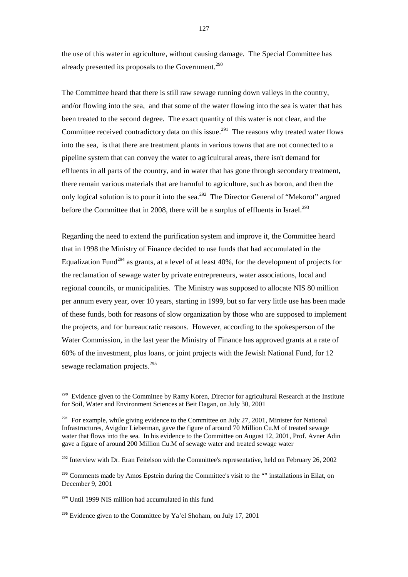the use of this water in agriculture, without causing damage. The Special Committee has already presented its proposals to the Government.<sup>290</sup>

The Committee heard that there is still raw sewage running down valleys in the country, and/or flowing into the sea, and that some of the water flowing into the sea is water that has been treated to the second degree. The exact quantity of this water is not clear, and the Committee received contradictory data on this issue.<sup>291</sup> The reasons why treated water flows into the sea, is that there are treatment plants in various towns that are not connected to a pipeline system that can convey the water to agricultural areas, there isn't demand for effluents in all parts of the country, and in water that has gone through secondary treatment, there remain various materials that are harmful to agriculture, such as boron, and then the only logical solution is to pour it into the sea.<sup>292</sup> The Director General of "Mekorot" argued before the Committee that in 2008, there will be a surplus of effluents in Israel.<sup>293</sup>

Regarding the need to extend the purification system and improve it, the Committee heard that in 1998 the Ministry of Finance decided to use funds that had accumulated in the Equalization Fund<sup>294</sup> as grants, at a level of at least  $40\%$ , for the development of projects for the reclamation of sewage water by private entrepreneurs, water associations, local and regional councils, or municipalities. The Ministry was supposed to allocate NIS 80 million per annum every year, over 10 years, starting in 1999, but so far very little use has been made of these funds, both for reasons of slow organization by those who are supposed to implement the projects, and for bureaucratic reasons. However, according to the spokesperson of the Water Commission, in the last year the Ministry of Finance has approved grants at a rate of 60% of the investment, plus loans, or joint projects with the Jewish National Fund, for 12 sewage reclamation projects.<sup>295</sup>

l

 $292$  Interview with Dr. Eran Feitelson with the Committee's representative, held on February 26, 2002

<sup>294</sup> Until 1999 NIS million had accumulated in this fund

<sup>295</sup> Evidence given to the Committee by Ya'el Shoham, on July 17, 2001

<sup>&</sup>lt;sup>290</sup> Evidence given to the Committee by Ramy Koren, Director for agricultural Research at the Institute for Soil, Water and Environment Sciences at Beit Dagan, on July 30, 2001

<sup>&</sup>lt;sup>291</sup> For example, while giving evidence to the Committee on July 27, 2001, Minister for National Infrastructures, Avigdor Lieberman, gave the figure of around 70 Million Cu.M of treated sewage water that flows into the sea. In his evidence to the Committee on August 12, 2001, Prof. Avner Adin gave a figure of around 200 Million Cu.M of sewage water and treated sewage water

<sup>&</sup>lt;sup>293</sup> Comments made by Amos Epstein during the Committee's visit to the "" installations in Eilat, on December 9, 2001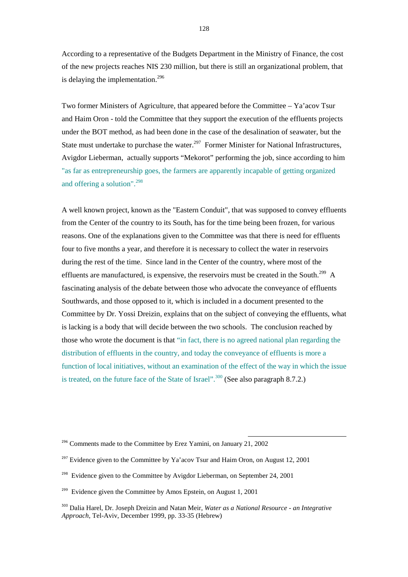According to a representative of the Budgets Department in the Ministry of Finance, the cost of the new projects reaches NIS 230 million, but there is still an organizational problem, that is delaying the implementation.<sup>296</sup>

Two former Ministers of Agriculture, that appeared before the Committee – Ya'acov Tsur and Haim Oron - told the Committee that they support the execution of the effluents projects under the BOT method, as had been done in the case of the desalination of seawater, but the State must undertake to purchase the water.<sup>297</sup> Former Minister for National Infrastructures, Avigdor Lieberman, actually supports "Mekorot" performing the job, since according to him "as far as entrepreneurship goes, the farmers are apparently incapable of getting organized and offering a solution".<sup>298</sup>

A well known project, known as the "Eastern Conduit", that was supposed to convey effluents from the Center of the country to its South, has for the time being been frozen, for various reasons. One of the explanations given to the Committee was that there is need for effluents four to five months a year, and therefore it is necessary to collect the water in reservoirs during the rest of the time. Since land in the Center of the country, where most of the effluents are manufactured, is expensive, the reservoirs must be created in the South.<sup>299</sup> A fascinating analysis of the debate between those who advocate the conveyance of effluents Southwards, and those opposed to it, which is included in a document presented to the Committee by Dr. Yossi Dreizin, explains that on the subject of conveying the effluents, what is lacking is a body that will decide between the two schools. The conclusion reached by those who wrote the document is that "in fact, there is no agreed national plan regarding the distribution of effluents in the country, and today the conveyance of effluents is more a function of local initiatives, without an examination of the effect of the way in which the issue is treated, on the future face of the State of Israel".<sup>300</sup> (See also paragraph 8.7.2.)

<sup>&</sup>lt;sup>296</sup> Comments made to the Committee by Erez Yamini, on January 21, 2002

<sup>&</sup>lt;sup>297</sup> Evidence given to the Committee by Ya'acov Tsur and Haim Oron, on August 12, 2001

<sup>&</sup>lt;sup>298</sup> Evidence given to the Committee by Avigdor Lieberman, on September 24, 2001

<sup>&</sup>lt;sup>299</sup> Evidence given the Committee by Amos Epstein, on August 1, 2001

<sup>300</sup> Dalia Harel, Dr. Joseph Dreizin and Natan Meir, *Water as a National Resource - an Integrative Approach*, Tel-Aviv, December 1999, pp. 33-35 (Hebrew)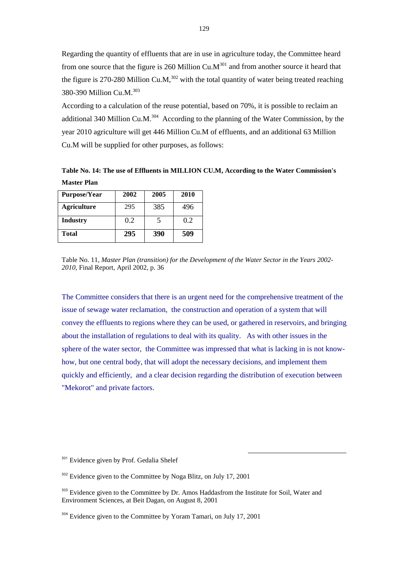Regarding the quantity of effluents that are in use in agriculture today, the Committee heard from one source that the figure is 260 Million Cu. $M^{301}$  and from another source it heard that the figure is 270-280 Million Cu.M,<sup>302</sup> with the total quantity of water being treated reaching 380-390 Million Cu.M.<sup>303</sup>

According to a calculation of the reuse potential, based on 70%, it is possible to reclaim an additional 340 Million Cu.M. $^{304}$  According to the planning of the Water Commission, by the year 2010 agriculture will get 446 Million Cu.M of effluents, and an additional 63 Million Cu.M will be supplied for other purposes, as follows:

**Table No. 14: The use of Effluents in MILLION CU.M, According to the Water Commission's Master Plan** 

| <b>Purpose/Year</b> | 2002 | 2005 | 2010 |
|---------------------|------|------|------|
| <b>Agriculture</b>  | 295  | 385  | 496  |
| <b>Industry</b>     | 0.2  | 5    | 0.2  |
| Total               | 295  | 390  | 509  |

Table No. 11, *Master Plan (transition) for the Development of the Water Sector in the Years 2002- 2010*, Final Report, April 2002, p. 36

The Committee considers that there is an urgent need for the comprehensive treatment of the issue of sewage water reclamation, the construction and operation of a system that will convey the effluents to regions where they can be used, or gathered in reservoirs, and bringing about the installation of regulations to deal with its quality. As with other issues in the sphere of the water sector, the Committee was impressed that what is lacking in is not knowhow, but one central body, that will adopt the necessary decisions, and implement them quickly and efficiently, and a clear decision regarding the distribution of execution between "Mekorot" and private factors.

<sup>&</sup>lt;sup>301</sup> Evidence given by Prof. Gedalia Shelef

<sup>&</sup>lt;sup>302</sup> Evidence given to the Committee by Noga Blitz, on July 17, 2001

<sup>&</sup>lt;sup>303</sup> Evidence given to the Committee by Dr. Amos Haddasfrom the Institute for Soil, Water and Environment Sciences, at Beit Dagan, on August 8, 2001

<sup>&</sup>lt;sup>304</sup> Evidence given to the Committee by Yoram Tamari, on July 17, 2001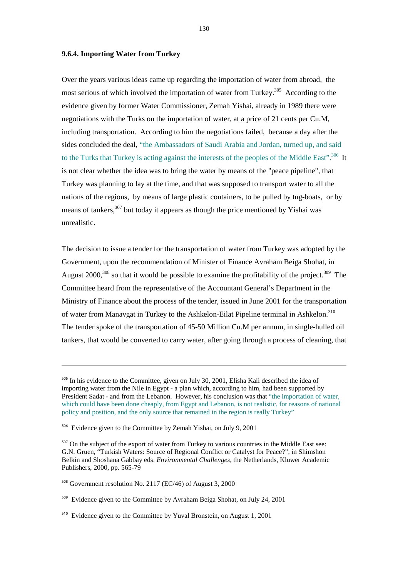#### **9.6.4. Importing Water from Turkey**

Over the years various ideas came up regarding the importation of water from abroad, the most serious of which involved the importation of water from Turkey.<sup>305</sup> According to the evidence given by former Water Commissioner, Zemah Yishai, already in 1989 there were negotiations with the Turks on the importation of water, at a price of 21 cents per Cu.M, including transportation. According to him the negotiations failed, because a day after the sides concluded the deal, "the Ambassadors of Saudi Arabia and Jordan, turned up, and said to the Turks that Turkey is acting against the interests of the peoples of the Middle East".<sup>306</sup> It is not clear whether the idea was to bring the water by means of the "peace pipeline", that Turkey was planning to lay at the time, and that was supposed to transport water to all the nations of the regions, by means of large plastic containers, to be pulled by tug-boats, or by means of tankers,<sup>307</sup> but today it appears as though the price mentioned by Yishai was unrealistic.

The decision to issue a tender for the transportation of water from Turkey was adopted by the Government, upon the recommendation of Minister of Finance Avraham Beiga Shohat, in August  $2000$ ,<sup>308</sup> so that it would be possible to examine the profitability of the project.<sup>309</sup> The Committee heard from the representative of the Accountant General's Department in the Ministry of Finance about the process of the tender, issued in June 2001 for the transportation of water from Manavgat in Turkey to the Ashkelon-Eilat Pipeline terminal in Ashkelon.<sup>310</sup> The tender spoke of the transportation of 45-50 Million Cu.M per annum, in single-hulled oil tankers, that would be converted to carry water, after going through a process of cleaning, that

<sup>&</sup>lt;sup>305</sup> In his evidence to the Committee, given on July 30, 2001, Elisha Kali described the idea of importing water from the Nile in Egypt - a plan which, according to him, had been supported by President Sadat - and from the Lebanon. However, his conclusion was that "the importation of water, which could have been done cheaply, from Egypt and Lebanon, is not realistic, for reasons of national policy and position, and the only source that remained in the region is really Turkey"

<sup>&</sup>lt;sup>306</sup> Evidence given to the Committee by Zemah Yishai, on July 9, 2001

 $307$  On the subject of the export of water from Turkey to various countries in the Middle East see: G.N. Gruen, "Turkish Waters: Source of Regional Conflict or Catalyst for Peace?", in Shimshon Belkin and Shoshana Gabbay eds. *Environmental Challenges*, the Netherlands, Kluwer Academic Publishers, 2000, pp. 565-79

<sup>308</sup> Government resolution No. 2117 (EC/46) of August 3, 2000

<sup>&</sup>lt;sup>309</sup> Evidence given to the Committee by Avraham Beiga Shohat, on July 24, 2001

<sup>310</sup> Evidence given to the Committee by Yuval Bronstein, on August 1, 2001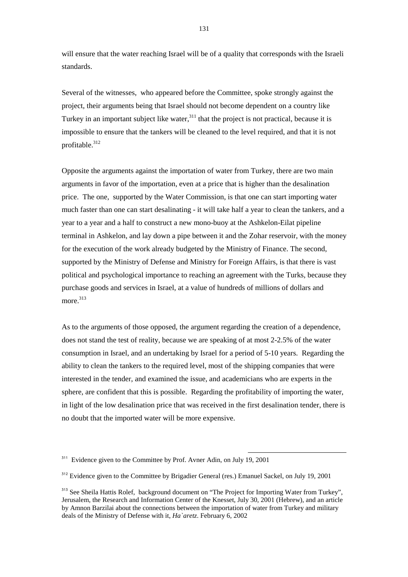will ensure that the water reaching Israel will be of a quality that corresponds with the Israeli standards.

Several of the witnesses, who appeared before the Committee, spoke strongly against the project, their arguments being that Israel should not become dependent on a country like Turkey in an important subject like water,  $311$  that the project is not practical, because it is impossible to ensure that the tankers will be cleaned to the level required, and that it is not profitable.<sup>312</sup>

Opposite the arguments against the importation of water from Turkey, there are two main arguments in favor of the importation, even at a price that is higher than the desalination price. The one, supported by the Water Commission, is that one can start importing water much faster than one can start desalinating - it will take half a year to clean the tankers, and a year to a year and a half to construct a new mono-buoy at the Ashkelon-Eilat pipeline terminal in Ashkelon, and lay down a pipe between it and the Zohar reservoir, with the money for the execution of the work already budgeted by the Ministry of Finance. The second, supported by the Ministry of Defense and Ministry for Foreign Affairs, is that there is vast political and psychological importance to reaching an agreement with the Turks, because they purchase goods and services in Israel, at a value of hundreds of millions of dollars and more.<sup>313</sup>

As to the arguments of those opposed, the argument regarding the creation of a dependence, does not stand the test of reality, because we are speaking of at most 2-2.5% of the water consumption in Israel, and an undertaking by Israel for a period of 5-10 years. Regarding the ability to clean the tankers to the required level, most of the shipping companies that were interested in the tender, and examined the issue, and academicians who are experts in the sphere, are confident that this is possible. Regarding the profitability of importing the water, in light of the low desalination price that was received in the first desalination tender, there is no doubt that the imported water will be more expensive.

<sup>&</sup>lt;sup>311</sup> Evidence given to the Committee by Prof. Avner Adin, on July 19, 2001

<sup>&</sup>lt;sup>312</sup> Evidence given to the Committee by Brigadier General (res.) Emanuel Sackel, on July 19, 2001

<sup>&</sup>lt;sup>313</sup> See Sheila Hattis Rolef, background document on "The Project for Importing Water from Turkey", Jerusalem, the Research and Information Center of the Knesset, July 30, 2001 (Hebrew), and an article by Amnon Barzilai about the connections between the importation of water from Turkey and military deals of the Ministry of Defense with it, *Ha`aretz*. February 6, 2002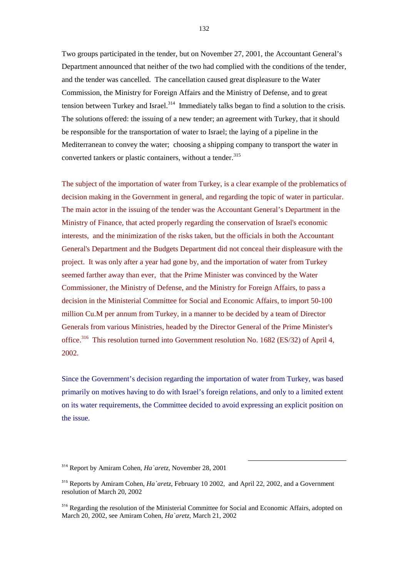Two groups participated in the tender, but on November 27, 2001, the Accountant General's Department announced that neither of the two had complied with the conditions of the tender, and the tender was cancelled. The cancellation caused great displeasure to the Water Commission, the Ministry for Foreign Affairs and the Ministry of Defense, and to great tension between Turkey and Israel.<sup>314</sup> Immediately talks began to find a solution to the crisis. The solutions offered: the issuing of a new tender; an agreement with Turkey, that it should be responsible for the transportation of water to Israel; the laying of a pipeline in the Mediterranean to convey the water; choosing a shipping company to transport the water in converted tankers or plastic containers, without a tender.<sup>315</sup>

The subject of the importation of water from Turkey, is a clear example of the problematics of decision making in the Government in general, and regarding the topic of water in particular. The main actor in the issuing of the tender was the Accountant General's Department in the Ministry of Finance, that acted properly regarding the conservation of Israel's economic interests, and the minimization of the risks taken, but the officials in both the Accountant General's Department and the Budgets Department did not conceal their displeasure with the project. It was only after a year had gone by, and the importation of water from Turkey seemed farther away than ever, that the Prime Minister was convinced by the Water Commissioner, the Ministry of Defense, and the Ministry for Foreign Affairs, to pass a decision in the Ministerial Committee for Social and Economic Affairs, to import 50-100 million Cu.M per annum from Turkey, in a manner to be decided by a team of Director Generals from various Ministries, headed by the Director General of the Prime Minister's office.<sup>316</sup> This resolution turned into Government resolution No. 1682 (ES/32) of April 4, 2002.

Since the Government's decision regarding the importation of water from Turkey, was based primarily on motives having to do with Israel's foreign relations, and only to a limited extent on its water requirements, the Committee decided to avoid expressing an explicit position on the issue.

<sup>314</sup> Report by Amiram Cohen, *Ha`aretz*, November 28, 2001

<sup>315</sup> Reports by Amiram Cohen, *Ha`aretz*, February 10 2002, and April 22, 2002, and a Government resolution of March 20, 2002

<sup>&</sup>lt;sup>316</sup> Regarding the resolution of the Ministerial Committee for Social and Economic Affairs, adopted on March 20, 2002, see Amiram Cohen, *Ha`aretz*, March 21, 2002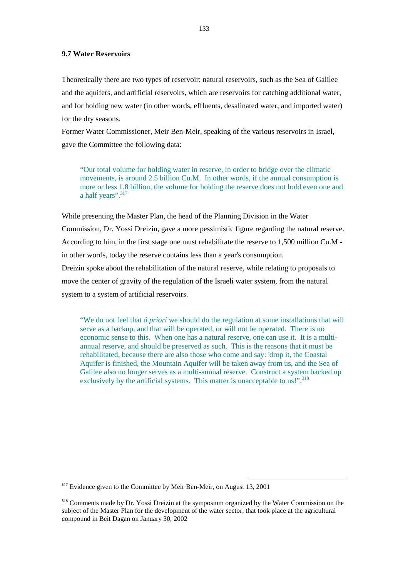## **9.7 Water Reservoirs**

Theoretically there are two types of reservoir: natural reservoirs, such as the Sea of Galilee and the aquifers, and artificial reservoirs, which are reservoirs for catching additional water, and for holding new water (in other words, effluents, desalinated water, and imported water) for the dry seasons.

Former Water Commissioner, Meir Ben-Meir, speaking of the various reservoirs in Israel, gave the Committee the following data:

 "Our total volume for holding water in reserve, in order to bridge over the climatic movements, is around 2.5 billion Cu.M. In other words, if the annual consumption is more or less 1.8 billion, the volume for holding the reserve does not hold even one and a half years".<sup>317</sup>

While presenting the Master Plan, the head of the Planning Division in the Water Commission, Dr. Yossi Dreizin, gave a more pessimistic figure regarding the natural reserve. According to him, in the first stage one must rehabilitate the reserve to 1,500 million Cu.M in other words, today the reserve contains less than a year's consumption. Dreizin spoke about the rehabilitation of the natural reserve, while relating to proposals to move the center of gravity of the regulation of the Israeli water system, from the natural system to a system of artificial reservoirs.

 "We do not feel that *á priori* we should do the regulation at some installations that will serve as a backup, and that will be operated, or will not be operated. There is no economic sense to this. When one has a natural reserve, one can use it. It is a multiannual reserve, and should be preserved as such. This is the reasons that it must be rehabilitated, because there are also those who come and say: 'drop it, the Coastal Aquifer is finished, the Mountain Aquifer will be taken away from us, and the Sea of Galilee also no longer serves as a multi-annual reserve. Construct a system backed up exclusively by the artificial systems. This matter is unacceptable to us!".<sup>318</sup>

<sup>317</sup> Evidence given to the Committee by Meir Ben-Meir, on August 13, 2001

<sup>&</sup>lt;sup>318</sup> Comments made by Dr. Yossi Dreizin at the symposium organized by the Water Commission on the subject of the Master Plan for the development of the water sector, that took place at the agricultural compound in Beit Dagan on January 30, 2002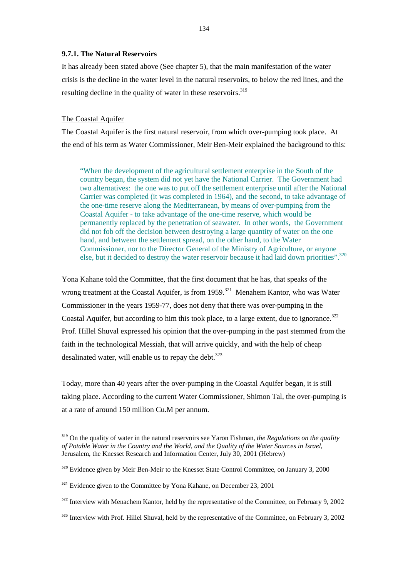#### **9.7.1. The Natural Reservoirs**

It has already been stated above (See chapter 5), that the main manifestation of the water crisis is the decline in the water level in the natural reservoirs, to below the red lines, and the resulting decline in the quality of water in these reservoirs.<sup>319</sup>

## The Coastal Aquifer

l

The Coastal Aquifer is the first natural reservoir, from which over-pumping took place. At the end of his term as Water Commissioner, Meir Ben-Meir explained the background to this:

 "When the development of the agricultural settlement enterprise in the South of the country began, the system did not yet have the National Carrier. The Government had two alternatives: the one was to put off the settlement enterprise until after the National Carrier was completed (it was completed in 1964), and the second, to take advantage of the one-time reserve along the Mediterranean, by means of over-pumping from the Coastal Aquifer - to take advantage of the one-time reserve, which would be permanently replaced by the penetration of seawater. In other words, the Government did not fob off the decision between destroying a large quantity of water on the one hand, and between the settlement spread, on the other hand, to the Water Commissioner, nor to the Director General of the Ministry of Agriculture, or anyone else, but it decided to destroy the water reservoir because it had laid down priorities".<sup>320</sup>

Yona Kahane told the Committee, that the first document that he has, that speaks of the wrong treatment at the Coastal Aquifer, is from  $1959$ <sup>321</sup> Menahem Kantor, who was Water Commissioner in the years 1959-77, does not deny that there was over-pumping in the Coastal Aquifer, but according to him this took place, to a large extent, due to ignorance.<sup>322</sup> Prof. Hillel Shuval expressed his opinion that the over-pumping in the past stemmed from the faith in the technological Messiah, that will arrive quickly, and with the help of cheap desalinated water, will enable us to repay the debt. $323$ 

Today, more than 40 years after the over-pumping in the Coastal Aquifer began, it is still taking place. According to the current Water Commissioner, Shimon Tal, the over-pumping is at a rate of around 150 million Cu.M per annum.

<sup>319</sup> On the quality of water in the natural reservoirs see Yaron Fishman, *the Regulations on the quality of Potable Water in the Country and the World, and the Quality of the Water Sources in Israel*, Jerusalem, the Knesset Research and Information Center, July 30, 2001 (Hebrew)

<sup>&</sup>lt;sup>320</sup> Evidence given by Meir Ben-Meir to the Knesset State Control Committee, on January 3, 2000

<sup>&</sup>lt;sup>321</sup> Evidence given to the Committee by Yona Kahane, on December 23, 2001

 $322$  Interview with Menachem Kantor, held by the representative of the Committee, on February 9, 2002

 $323$  Interview with Prof. Hillel Shuval, held by the representative of the Committee, on February 3, 2002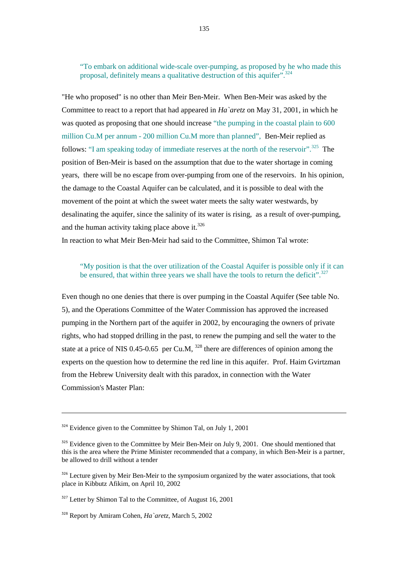"To embark on additional wide-scale over-pumping, as proposed by he who made this proposal, definitely means a qualitative destruction of this aquifer".<sup>324</sup>

"He who proposed" is no other than Meir Ben-Meir. When Ben-Meir was asked by the Committee to react to a report that had appeared in *Ha`aretz* on May 31, 2001, in which he was quoted as proposing that one should increase "the pumping in the coastal plain to 600 million Cu.M per annum - 200 million Cu.M more than planned", Ben-Meir replied as follows: "I am speaking today of immediate reserves at the north of the reservoir".<sup>325</sup> The position of Ben-Meir is based on the assumption that due to the water shortage in coming years, there will be no escape from over-pumping from one of the reservoirs. In his opinion, the damage to the Coastal Aquifer can be calculated, and it is possible to deal with the movement of the point at which the sweet water meets the salty water westwards, by desalinating the aquifer, since the salinity of its water is rising, as a result of over-pumping, and the human activity taking place above it. $326$ 

In reaction to what Meir Ben-Meir had said to the Committee, Shimon Tal wrote:

# "My position is that the over utilization of the Coastal Aquifer is possible only if it can be ensured, that within three years we shall have the tools to return the deficit".<sup>327</sup>

Even though no one denies that there is over pumping in the Coastal Aquifer (See table No. 5), and the Operations Committee of the Water Commission has approved the increased pumping in the Northern part of the aquifer in 2002, by encouraging the owners of private rights, who had stopped drilling in the past, to renew the pumping and sell the water to the state at a price of NIS 0.45-0.65 per Cu.M,  $328$  there are differences of opinion among the experts on the question how to determine the red line in this aquifer. Prof. Haim Gvirtzman from the Hebrew University dealt with this paradox, in connection with the Water Commission's Master Plan:

 $324$  Evidence given to the Committee by Shimon Tal, on July 1, 2001

 $325$  Evidence given to the Committee by Meir Ben-Meir on July 9, 2001. One should mentioned that this is the area where the Prime Minister recommended that a company, in which Ben-Meir is a partner, be allowed to drill without a tender

<sup>&</sup>lt;sup>326</sup> Lecture given by Meir Ben-Meir to the symposium organized by the water associations, that took place in Kibbutz Afikim, on April 10, 2002

 $327$  Letter by Shimon Tal to the Committee, of August 16, 2001

<sup>328</sup> Report by Amiram Cohen, *Ha`aretz*, March 5, 2002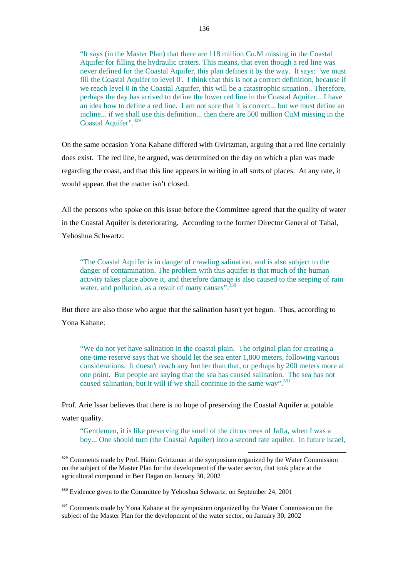"It says (in the Master Plan) that there are 118 million Cu.M missing in the Coastal Aquifer for filling the hydraulic craters. This means, that even though a red line was never defined for the Coastal Aquifer, this plan defines it by the way. It says: 'we must fill the Coastal Aquifer to level 0'. I think that this is not a correct definition, because if we reach level 0 in the Coastal Aquifer, this will be a catastrophic situation.. Therefore, perhaps the day has arrived to define the lower red line in the Coastal Aquifer... I have an idea how to define a red line. I am not sure that it is correct... but we must define an incline... if we shall use this definition... then there are 500 million CuM missing in the Coastal Aquifer".<sup>329</sup>

On the same occasion Yona Kahane differed with Gvirtzman, arguing that a red line certainly does exist. The red line, he argued, was determined on the day on which a plan was made regarding the coast, and that this line appears in writing in all sorts of places. At any rate, it would appear. that the matter isn't closed.

All the persons who spoke on this issue before the Committee agreed that the quality of water in the Coastal Aquifer is deteriorating. According to the former Director General of Tahal, Yehoshua Schwartz:

 "The Coastal Aquifer is in danger of crawling salination, and is also subject to the danger of contamination. The problem with this aquifer is that much of the human activity takes place above it, and therefore damage is also caused to the seeping of rain water, and pollution, as a result of many causes".<sup>330</sup>

But there are also those who argue that the salination hasn't yet begun. Thus, according to Yona Kahane:

 "We do not yet have salination in the coastal plain. The original plan for creating a one-time reserve says that we should let the sea enter 1,800 meters, following various considerations. It doesn't reach any further than that, or perhaps by 200 meters more at one point. But people are saying that the sea has caused salination. The sea has not caused salination, but it will if we shall continue in the same way".<sup>331</sup>

Prof. Arie Issar believes that there is no hope of preserving the Coastal Aquifer at potable water quality.

 "Gentlemen, it is like preserving the smell of the citrus trees of Jaffa, when I was a boy... One should turn (the Coastal Aquifer) into a second rate aquifer. In future Israel,

l

<sup>329</sup> Comments made by Prof. Haim Gvirtzman at the symposium organized by the Water Commission on the subject of the Master Plan for the development of the water sector, that took place at the agricultural compound in Beit Dagan on January 30, 2002

<sup>330</sup> Evidence given to the Committee by Yehoshua Schwartz, on September 24, 2001

<sup>331</sup> Comments made by Yona Kahane at the symposium organized by the Water Commission on the subject of the Master Plan for the development of the water sector, on January 30, 2002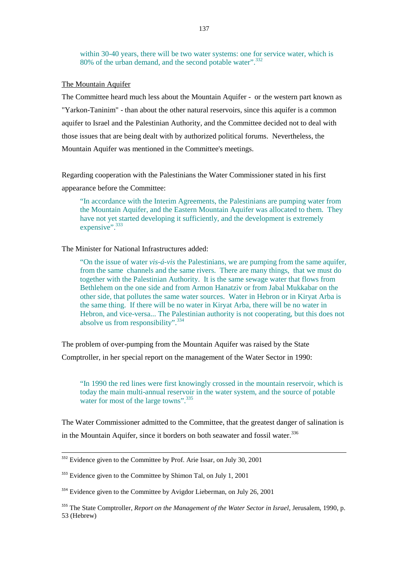within 30-40 years, there will be two water systems: one for service water, which is 80% of the urban demand, and the second potable water".<sup>332</sup>

## The Mountain Aquifer

The Committee heard much less about the Mountain Aquifer - or the western part known as "Yarkon-Taninim" - than about the other natural reservoirs, since this aquifer is a common aquifer to Israel and the Palestinian Authority, and the Committee decided not to deal with those issues that are being dealt with by authorized political forums. Nevertheless, the Mountain Aquifer was mentioned in the Committee's meetings.

Regarding cooperation with the Palestinians the Water Commissioner stated in his first appearance before the Committee:

 "In accordance with the Interim Agreements, the Palestinians are pumping water from the Mountain Aquifer, and the Eastern Mountain Aquifer was allocated to them. They have not yet started developing it sufficiently, and the development is extremely expensive".<sup>333</sup>

## The Minister for National Infrastructures added:

 "On the issue of water *vis-á-vis* the Palestinians, we are pumping from the same aquifer, from the same channels and the same rivers. There are many things, that we must do together with the Palestinian Authority. It is the same sewage water that flows from Bethlehem on the one side and from Armon Hanatziv or from Jabal Mukkabar on the other side, that pollutes the same water sources. Water in Hebron or in Kiryat Arba is the same thing. If there will be no water in Kiryat Arba, there will be no water in Hebron, and vice-versa... The Palestinian authority is not cooperating, but this does not absolve us from responsibility".<sup>334</sup>

The problem of over-pumping from the Mountain Aquifer was raised by the State

Comptroller, in her special report on the management of the Water Sector in 1990:

 "In 1990 the red lines were first knowingly crossed in the mountain reservoir, which is today the main multi-annual reservoir in the water system, and the source of potable water for most of the large towns".<sup>335</sup>

The Water Commissioner admitted to the Committee, that the greatest danger of salination is in the Mountain Aquifer, since it borders on both seawater and fossil water.<sup>336</sup>

<sup>&</sup>lt;sup>332</sup> Evidence given to the Committee by Prof. Arie Issar, on July 30, 2001

<sup>&</sup>lt;sup>333</sup> Evidence given to the Committee by Shimon Tal, on July 1, 2001

<sup>&</sup>lt;sup>334</sup> Evidence given to the Committee by Avigdor Lieberman, on July 26, 2001

<sup>335</sup> The State Comptroller, *Report on the Management of the Water Sector in Israel,* Jerusalem, 1990, p. 53 (Hebrew)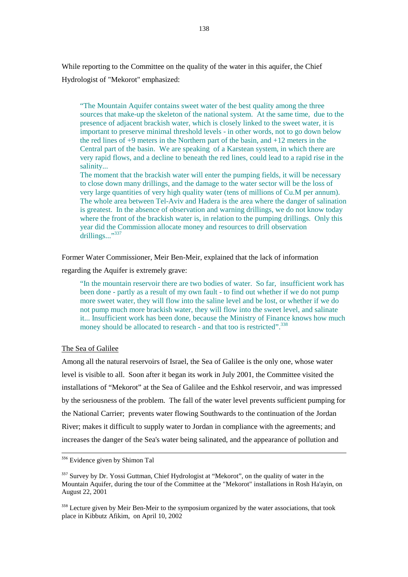While reporting to the Committee on the quality of the water in this aquifer, the Chief Hydrologist of "Mekorot" emphasized:

 "The Mountain Aquifer contains sweet water of the best quality among the three sources that make-up the skeleton of the national system. At the same time, due to the presence of adjacent brackish water, which is closely linked to the sweet water, it is important to preserve minimal threshold levels - in other words, not to go down below the red lines of +9 meters in the Northern part of the basin, and +12 meters in the Central part of the basin. We are speaking of a Karstean system, in which there are very rapid flows, and a decline to beneath the red lines, could lead to a rapid rise in the salinity...

The moment that the brackish water will enter the pumping fields, it will be necessary to close down many drillings, and the damage to the water sector will be the loss of very large quantities of very high quality water (tens of millions of Cu.M per annum). The whole area between Tel-Aviv and Hadera is the area where the danger of salination is greatest. In the absence of observation and warning drillings, we do not know today where the front of the brackish water is, in relation to the pumping drillings. Only this year did the Commission allocate money and resources to drill observation drillings..."<sup>337</sup>

Former Water Commissioner, Meir Ben-Meir, explained that the lack of information

regarding the Aquifer is extremely grave:

 "In the mountain reservoir there are two bodies of water. So far, insufficient work has been done - partly as a result of my own fault - to find out whether if we do not pump more sweet water, they will flow into the saline level and be lost, or whether if we do not pump much more brackish water, they will flow into the sweet level, and salinate it... Insufficient work has been done, because the Ministry of Finance knows how much money should be allocated to research - and that too is restricted".<sup>338</sup>

# The Sea of Galilee

Among all the natural reservoirs of Israel, the Sea of Galilee is the only one, whose water level is visible to all. Soon after it began its work in July 2001, the Committee visited the installations of "Mekorot" at the Sea of Galilee and the Eshkol reservoir, and was impressed by the seriousness of the problem. The fall of the water level prevents sufficient pumping for the National Carrier; prevents water flowing Southwards to the continuation of the Jordan River; makes it difficult to supply water to Jordan in compliance with the agreements; and increases the danger of the Sea's water being salinated, and the appearance of pollution and

<sup>336</sup> Evidence given by Shimon Tal

<sup>&</sup>lt;sup>337</sup> Survey by Dr. Yossi Guttman, Chief Hydrologist at "Mekorot", on the quality of water in the Mountain Aquifer, during the tour of the Committee at the "Mekorot" installations in Rosh Ha'ayin, on August 22, 2001

<sup>&</sup>lt;sup>338</sup> Lecture given by Meir Ben-Meir to the symposium organized by the water associations, that took place in Kibbutz Afikim, on April 10, 2002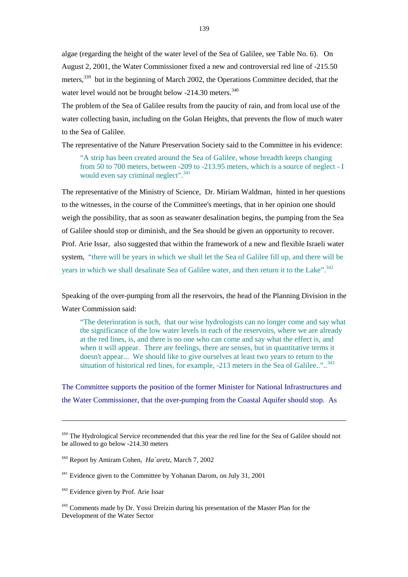algae (regarding the height of the water level of the Sea of Galilee, see Table No. 6). On August 2, 2001, the Water Commissioner fixed a new and controversial red line of -215.50 meters,<sup>339</sup> but in the beginning of March 2002, the Operations Committee decided, that the water level would not be brought below -214.30 meters.<sup>340</sup>

The problem of the Sea of Galilee results from the paucity of rain, and from local use of the water collecting basin, including on the Golan Heights, that prevents the flow of much water to the Sea of Galilee.

The representative of the Nature Preservation Society said to the Committee in his evidence:

 "A strip has been created around the Sea of Galilee, whose breadth keeps changing from 50 to 700 meters, between -209 to -213.95 meters, which is a source of neglect - I would even say criminal neglect".<sup>341</sup>

The representative of the Ministry of Science, Dr. Miriam Waldman, hinted in her questions to the witnesses, in the course of the Committee's meetings, that in her opinion one should weigh the possibility, that as soon as seawater desalination begins, the pumping from the Sea of Galilee should stop or diminish, and the Sea should be given an opportunity to recover. Prof. Arie Issar, also suggested that within the framework of a new and flexible Israeli water system, "there will be years in which we shall let the Sea of Galilee fill up, and there will be years in which we shall desalinate Sea of Galilee water, and then return it to the Lake".<sup>342</sup>

Speaking of the over-pumping from all the reservoirs, the head of the Planning Division in the Water Commission said:

 "The deterioration is such, that our wise hydrologists can no longer come and say what the significance of the low water levels in each of the reservoirs, where we are already at the red lines, is, and there is no one who can come and say what the effect is, and when it will appear. There are feelings, there are senses, but in quantitative terms it doesn't appear... We should like to give ourselves at least two years to return to the situation of historical red lines, for example, -213 meters in the Sea of Galilee.."..<sup>343</sup>

The Committee supports the position of the former Minister for National Infrastructures and the Water Commissioner, that the over-pumping from the Coastal Aquifer should stop. As

<sup>&</sup>lt;sup>339</sup> The Hydrological Service recommended that this year the red line for the Sea of Galilee should not be allowed to go below -214.30 meters

<sup>340</sup> Report by Amiram Cohen, *Ha`aretz*, March 7, 2002

<sup>&</sup>lt;sup>341</sup> Evidence given to the Committee by Yohanan Darom, on July 31, 2001

<sup>&</sup>lt;sup>342</sup> Evidence given by Prof. Arie Issar

<sup>&</sup>lt;sup>343</sup> Comments made by Dr. Yossi Dreizin during his presentation of the Master Plan for the Development of the Water Sector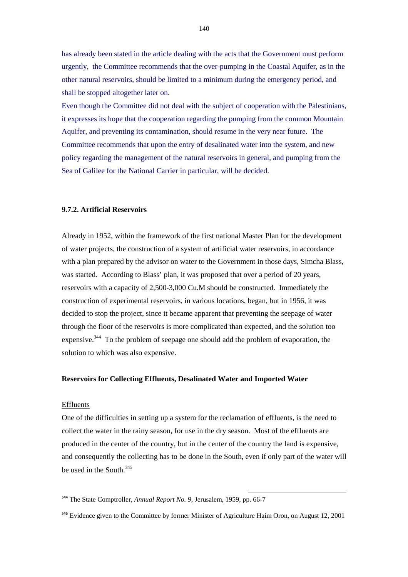has already been stated in the article dealing with the acts that the Government must perform urgently, the Committee recommends that the over-pumping in the Coastal Aquifer, as in the other natural reservoirs, should be limited to a minimum during the emergency period, and shall be stopped altogether later on.

Even though the Committee did not deal with the subject of cooperation with the Palestinians, it expresses its hope that the cooperation regarding the pumping from the common Mountain Aquifer, and preventing its contamination, should resume in the very near future. The Committee recommends that upon the entry of desalinated water into the system, and new policy regarding the management of the natural reservoirs in general, and pumping from the Sea of Galilee for the National Carrier in particular, will be decided.

### **9.7.2. Artificial Reservoirs**

Already in 1952, within the framework of the first national Master Plan for the development of water projects, the construction of a system of artificial water reservoirs, in accordance with a plan prepared by the advisor on water to the Government in those days, Simcha Blass, was started. According to Blass' plan, it was proposed that over a period of 20 years, reservoirs with a capacity of 2,500-3,000 Cu.M should be constructed. Immediately the construction of experimental reservoirs, in various locations, began, but in 1956, it was decided to stop the project, since it became apparent that preventing the seepage of water through the floor of the reservoirs is more complicated than expected, and the solution too expensive.<sup>344</sup> To the problem of seepage one should add the problem of evaporation, the solution to which was also expensive.

## **Reservoirs for Collecting Effluents, Desalinated Water and Imported Water**

## Effluents

One of the difficulties in setting up a system for the reclamation of effluents, is the need to collect the water in the rainy season, for use in the dry season. Most of the effluents are produced in the center of the country, but in the center of the country the land is expensive, and consequently the collecting has to be done in the South, even if only part of the water will be used in the South  $345$ 

<sup>344</sup> The State Comptroller, *Annual Report No. 9*, Jerusalem, 1959, pp. 66-7

<sup>&</sup>lt;sup>345</sup> Evidence given to the Committee by former Minister of Agriculture Haim Oron, on August 12, 2001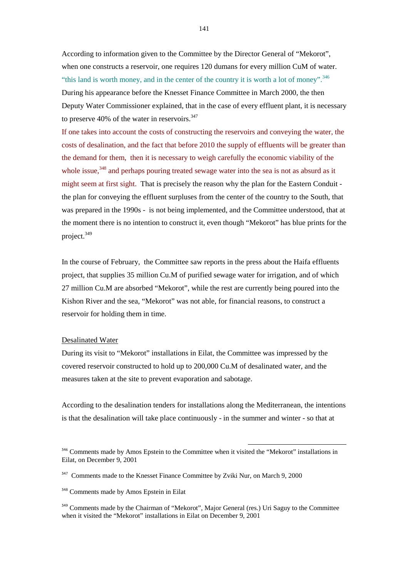According to information given to the Committee by the Director General of "Mekorot", when one constructs a reservoir, one requires 120 dumans for every million CuM of water. "this land is worth money, and in the center of the country it is worth a lot of money".<sup>346</sup> During his appearance before the Knesset Finance Committee in March 2000, the then Deputy Water Commissioner explained, that in the case of every effluent plant, it is necessary to preserve 40% of the water in reservoirs. $347$ 

If one takes into account the costs of constructing the reservoirs and conveying the water, the costs of desalination, and the fact that before 2010 the supply of effluents will be greater than the demand for them, then it is necessary to weigh carefully the economic viability of the whole issue,<sup>348</sup> and perhaps pouring treated sewage water into the sea is not as absurd as it might seem at first sight. That is precisely the reason why the plan for the Eastern Conduit the plan for conveying the effluent surpluses from the center of the country to the South, that was prepared in the 1990s - is not being implemented, and the Committee understood, that at the moment there is no intention to construct it, even though "Mekorot" has blue prints for the project.<sup>349</sup>

In the course of February, the Committee saw reports in the press about the Haifa effluents project, that supplies 35 million Cu.M of purified sewage water for irrigation, and of which 27 million Cu.M are absorbed "Mekorot", while the rest are currently being poured into the Kishon River and the sea, "Mekorot" was not able, for financial reasons, to construct a reservoir for holding them in time.

## Desalinated Water

During its visit to "Mekorot" installations in Eilat, the Committee was impressed by the covered reservoir constructed to hold up to 200,000 Cu.M of desalinated water, and the measures taken at the site to prevent evaporation and sabotage.

According to the desalination tenders for installations along the Mediterranean, the intentions is that the desalination will take place continuously - in the summer and winter - so that at

<sup>&</sup>lt;sup>346</sup> Comments made by Amos Epstein to the Committee when it visited the "Mekorot" installations in Eilat, on December 9, 2001

<sup>&</sup>lt;sup>347</sup> Comments made to the Knesset Finance Committee by Zviki Nur, on March 9, 2000

<sup>348</sup> Comments made by Amos Epstein in Eilat

<sup>&</sup>lt;sup>349</sup> Comments made by the Chairman of "Mekorot", Major General (res.) Uri Saguy to the Committee when it visited the "Mekorot" installations in Eilat on December 9, 2001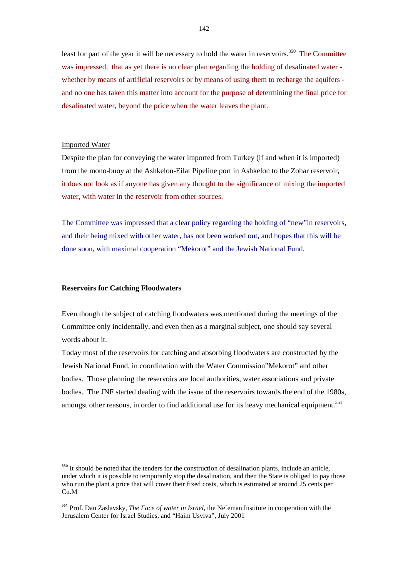least for part of the year it will be necessary to hold the water in reservoirs.<sup>350</sup> The Committee was impressed, that as yet there is no clear plan regarding the holding of desalinated water whether by means of artificial reservoirs or by means of using them to recharge the aquifers and no one has taken this matter into account for the purpose of determining the final price for desalinated water, beyond the price when the water leaves the plant.

#### Imported Water

Despite the plan for conveying the water imported from Turkey (if and when it is imported) from the mono-buoy at the Ashkelon-Eilat Pipeline port in Ashkelon to the Zohar reservoir, it does not look as if anyone has given any thought to the significance of mixing the imported water, with water in the reservoir from other sources.

The Committee was impressed that a clear policy regarding the holding of "new"in reservoirs, and their being mixed with other water, has not been worked out, and hopes that this will be done soon, with maximal cooperation "Mekorot" and the Jewish National Fund.

## **Reservoirs for Catching Floodwaters**

Even though the subject of catching floodwaters was mentioned during the meetings of the Committee only incidentally, and even then as a marginal subject, one should say several words about it.

Today most of the reservoirs for catching and absorbing floodwaters are constructed by the Jewish National Fund, in coordination with the Water Commission"Mekorot" and other bodies. Those planning the reservoirs are local authorities, water associations and private bodies. The JNF started dealing with the issue of the reservoirs towards the end of the 1980s, amongst other reasons, in order to find additional use for its heavy mechanical equipment.<sup>351</sup>

<sup>&</sup>lt;sup>350</sup> It should be noted that the tenders for the construction of desalination plants, include an article, under which it is possible to temporarily stop the desalination, and then the State is obliged to pay those who run the plant a price that will cover their fixed costs, which is estimated at around 25 cents per Cu.M

<sup>351</sup> Prof. Dan Zaslavsky, *The Face of water in Israel,* the Ne`eman Institute in cooperation with the Jerusalem Center for Israel Studies, and "Haim Usviva", July 2001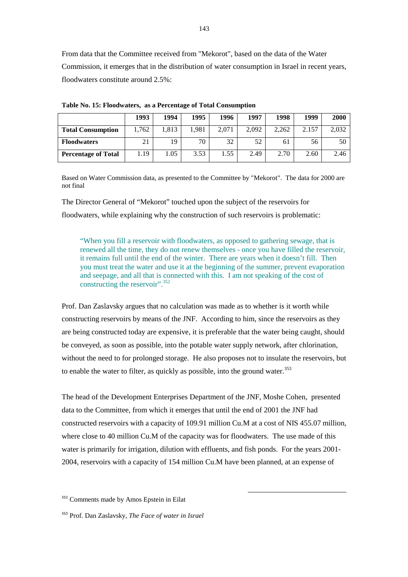From data that the Committee received from "Mekorot", based on the data of the Water Commission, it emerges that in the distribution of water consumption in Israel in recent years, floodwaters constitute around 2.5%:

|                            | 1993  | 1994  | 1995  | 1996  | 1997  | 1998  | 1999  | 2000  |
|----------------------------|-------|-------|-------|-------|-------|-------|-------|-------|
| <b>Total Consumption</b>   | 1,762 | 1,813 | 1,981 | 2.071 | 2,092 | 2.262 | 2.157 | 2,032 |
| <b>Floodwaters</b>         | 21    | 19    | 70    | 32    | 52    | 61    | 56    | 50    |
| <b>Percentage of Total</b> | 1.19  | 1.05  | 3.53  | 1.55  | 2.49  | 2.70  | 2.60  | 2.46  |

**Table No. 15: Floodwaters, as a Percentage of Total Consumption** 

Based on Water Commission data, as presented to the Committee by "Mekorot". The data for 2000 are not final

The Director General of "Mekorot" touched upon the subject of the reservoirs for floodwaters, while explaining why the construction of such reservoirs is problematic:

 "When you fill a reservoir with floodwaters, as opposed to gathering sewage, that is renewed all the time, they do not renew themselves - once you have filled the reservoir, it remains full until the end of the winter. There are years when it doesn't fill. Then you must treat the water and use it at the beginning of the summer, prevent evaporation and seepage, and all that is connected with this. I am not speaking of the cost of constructing the reservoir".<sup>352</sup>

Prof. Dan Zaslavsky argues that no calculation was made as to whether is it worth while constructing reservoirs by means of the JNF. According to him, since the reservoirs as they are being constructed today are expensive, it is preferable that the water being caught, should be conveyed, as soon as possible, into the potable water supply network, after chlorination, without the need to for prolonged storage. He also proposes not to insulate the reservoirs, but to enable the water to filter, as quickly as possible, into the ground water.<sup>353</sup>

The head of the Development Enterprises Department of the JNF, Moshe Cohen, presented data to the Committee, from which it emerges that until the end of 2001 the JNF had constructed reservoirs with a capacity of 109.91 million Cu.M at a cost of NIS 455.07 million, where close to 40 million Cu.M of the capacity was for floodwaters. The use made of this water is primarily for irrigation, dilution with effluents, and fish ponds. For the years 2001- 2004, reservoirs with a capacity of 154 million Cu.M have been planned, at an expense of

l

<sup>353</sup> Prof. Dan Zaslavsky, *The Face of water in Israel*

<sup>352</sup> Comments made by Amos Epstein in Eilat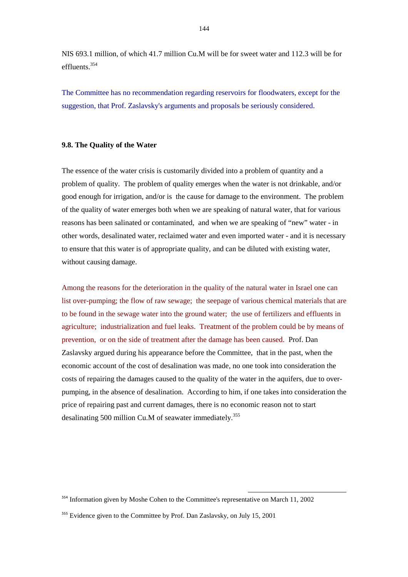NIS 693.1 million, of which 41.7 million Cu.M will be for sweet water and 112.3 will be for effluents<sup>354</sup>

The Committee has no recommendation regarding reservoirs for floodwaters, except for the suggestion, that Prof. Zaslavsky's arguments and proposals be seriously considered.

## **9.8. The Quality of the Water**

The essence of the water crisis is customarily divided into a problem of quantity and a problem of quality. The problem of quality emerges when the water is not drinkable, and/or good enough for irrigation, and/or is the cause for damage to the environment. The problem of the quality of water emerges both when we are speaking of natural water, that for various reasons has been salinated or contaminated, and when we are speaking of "new" water - in other words, desalinated water, reclaimed water and even imported water - and it is necessary to ensure that this water is of appropriate quality, and can be diluted with existing water, without causing damage.

Among the reasons for the deterioration in the quality of the natural water in Israel one can list over-pumping; the flow of raw sewage; the seepage of various chemical materials that are to be found in the sewage water into the ground water; the use of fertilizers and effluents in agriculture; industrialization and fuel leaks. Treatment of the problem could be by means of prevention, or on the side of treatment after the damage has been caused. Prof. Dan Zaslavsky argued during his appearance before the Committee, that in the past, when the economic account of the cost of desalination was made, no one took into consideration the costs of repairing the damages caused to the quality of the water in the aquifers, due to overpumping, in the absence of desalination. According to him, if one takes into consideration the price of repairing past and current damages, there is no economic reason not to start desalinating 500 million Cu.M of seawater immediately.<sup>355</sup>

<sup>&</sup>lt;sup>354</sup> Information given by Moshe Cohen to the Committee's representative on March 11, 2002

<sup>&</sup>lt;sup>355</sup> Evidence given to the Committee by Prof. Dan Zaslavsky, on July 15, 2001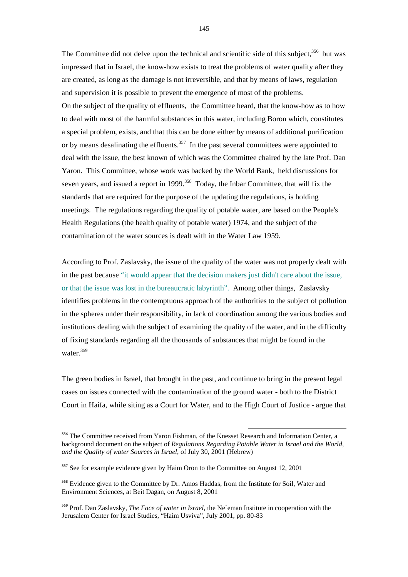The Committee did not delve upon the technical and scientific side of this subject,  $356$  but was impressed that in Israel, the know-how exists to treat the problems of water quality after they are created, as long as the damage is not irreversible, and that by means of laws, regulation and supervision it is possible to prevent the emergence of most of the problems. On the subject of the quality of effluents, the Committee heard, that the know-how as to how to deal with most of the harmful substances in this water, including Boron which, constitutes a special problem, exists, and that this can be done either by means of additional purification or by means desalinating the effluents.<sup>357</sup> In the past several committees were appointed to deal with the issue, the best known of which was the Committee chaired by the late Prof. Dan Yaron. This Committee, whose work was backed by the World Bank, held discussions for seven years, and issued a report in 1999.<sup>358</sup> Today, the Inbar Committee, that will fix the standards that are required for the purpose of the updating the regulations, is holding meetings. The regulations regarding the quality of potable water, are based on the People's Health Regulations (the health quality of potable water) 1974, and the subject of the contamination of the water sources is dealt with in the Water Law 1959.

According to Prof. Zaslavsky, the issue of the quality of the water was not properly dealt with in the past because "it would appear that the decision makers just didn't care about the issue, or that the issue was lost in the bureaucratic labyrinth". Among other things, Zaslavsky identifies problems in the contemptuous approach of the authorities to the subject of pollution in the spheres under their responsibility, in lack of coordination among the various bodies and institutions dealing with the subject of examining the quality of the water, and in the difficulty of fixing standards regarding all the thousands of substances that might be found in the water.<sup>359</sup>

The green bodies in Israel, that brought in the past, and continue to bring in the present legal cases on issues connected with the contamination of the ground water - both to the District Court in Haifa, while siting as a Court for Water, and to the High Court of Justice - argue that

<sup>356</sup> The Committee received from Yaron Fishman, of the Knesset Research and Information Center, a background document on the subject of *Regulations Regarding Potable Water in Israel and the World, and the Quality of water Sources in Israel*, of July 30, 2001 (Hebrew)

<sup>&</sup>lt;sup>357</sup> See for example evidence given by Haim Oron to the Committee on August 12, 2001

<sup>358</sup> Evidence given to the Committee by Dr. Amos Haddas, from the Institute for Soil, Water and Environment Sciences, at Beit Dagan, on August 8, 2001

<sup>359</sup> Prof. Dan Zaslavsky, *The Face of water in Israel,* the Ne`eman Institute in cooperation with the Jerusalem Center for Israel Studies, "Haim Usviva", July 2001, pp. 80-83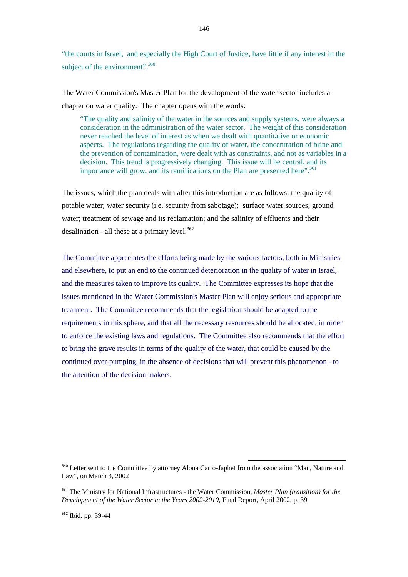"the courts in Israel, and especially the High Court of Justice, have little if any interest in the subject of the environment".<sup>360</sup>

The Water Commission's Master Plan for the development of the water sector includes a chapter on water quality. The chapter opens with the words:

 "The quality and salinity of the water in the sources and supply systems, were always a consideration in the administration of the water sector. The weight of this consideration never reached the level of interest as when we dealt with quantitative or economic aspects. The regulations regarding the quality of water, the concentration of brine and the prevention of contamination, were dealt with as constraints, and not as variables in a decision. This trend is progressively changing. This issue will be central, and its importance will grow, and its ramifications on the Plan are presented here".<sup>361</sup>

The issues, which the plan deals with after this introduction are as follows: the quality of potable water; water security (i.e. security from sabotage); surface water sources; ground water; treatment of sewage and its reclamation; and the salinity of effluents and their desalination - all these at a primary level. $362$ 

The Committee appreciates the efforts being made by the various factors, both in Ministries and elsewhere, to put an end to the continued deterioration in the quality of water in Israel, and the measures taken to improve its quality. The Committee expresses its hope that the issues mentioned in the Water Commission's Master Plan will enjoy serious and appropriate treatment. The Committee recommends that the legislation should be adapted to the requirements in this sphere, and that all the necessary resources should be allocated, in order to enforce the existing laws and regulations. The Committee also recommends that the effort to bring the grave results in terms of the quality of the water, that could be caused by the continued over-pumping, in the absence of decisions that will prevent this phenomenon - to the attention of the decision makers.

<sup>&</sup>lt;sup>360</sup> Letter sent to the Committee by attorney Alona Carro-Japhet from the association "Man, Nature and Law", on March 3, 2002

<sup>361</sup> The Ministry for National Infrastructures - the Water Commission, *Master Plan (transition) for the Development of the Water Sector in the Years 2002-2010*, Final Report, April 2002, p. 39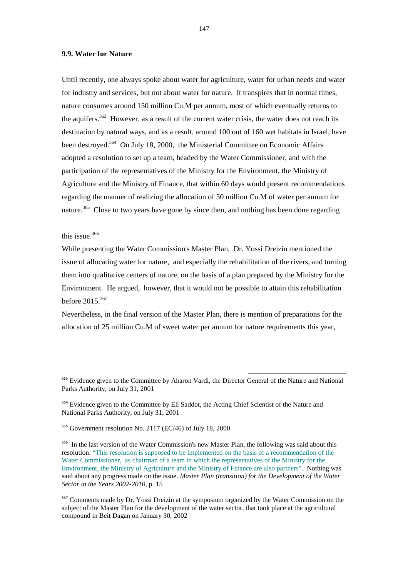## **9.9. Water for Nature**

Until recently, one always spoke about water for agriculture, water for urban needs and water for industry and services, but not about water for nature. It transpires that in normal times, nature consumes around 150 million Cu.M per annum, most of which eventually returns to the aquifers.<sup>363</sup> However, as a result of the current water crisis, the water does not reach its destination by natural ways, and as a result, around 100 out of 160 wet habitats in Israel, have been destroyed.<sup>364</sup> On July 18, 2000, the Ministerial Committee on Economic Affairs adopted a resolution to set up a team, headed by the Water Commissioner, and with the participation of the representatives of the Ministry for the Environment, the Ministry of Agriculture and the Ministry of Finance, that within 60 days would present recommendations regarding the manner of realizing the allocation of 50 million Cu.M of water per annum for nature.<sup>365</sup> Close to two years have gone by since then, and nothing has been done regarding

## this issue.<sup>366</sup>

While presenting the Water Commission's Master Plan, Dr. Yossi Dreizin mentioned the issue of allocating water for nature, and especially the rehabilitation of the rivers, and turning them into qualitative centers of nature, on the basis of a plan prepared by the Ministry for the Environment. He argued, however, that it would not be possible to attain this rehabilitation before 2015.<sup>367</sup>

Nevertheless, in the final version of the Master Plan, there is mention of preparations for the allocation of 25 million Cu.M of sweet water per annum for nature requirements this year,

<sup>363</sup> Evidence given to the Committee by Aharon Vardi, the Director General of the Nature and National Parks Authority, on July 31, 2001

l

<sup>364</sup> Evidence given to the Committee by Eli Saddot, the Acting Chief Scientist of the Nature and National Parks Authority, on July 31, 2001

 $365$  Government resolution No. 2117 (EC/46) of July 18, 2000

<sup>366</sup> In the last version of the Water Commission's new Master Plan, the following was said about this resolution: "This resolution is supposed to be implemented on the basis of a recommendation of the Water Commissioner, as chairman of a team in which the representatives of the Ministry for the Environment, the Ministry of Agriculture and the Ministry of Finance are also partners". Nothing was said about any progress made on the issue. *Master Plan (transition) for the Development of the Water Sector in the Years 2002-2010*, p. 15

<sup>367</sup> Comments made by Dr. Yossi Dreizin at the symposium organized by the Water Commission on the subject of the Master Plan for the development of the water sector, that took place at the agricultural compound in Beit Dagan on January 30, 2002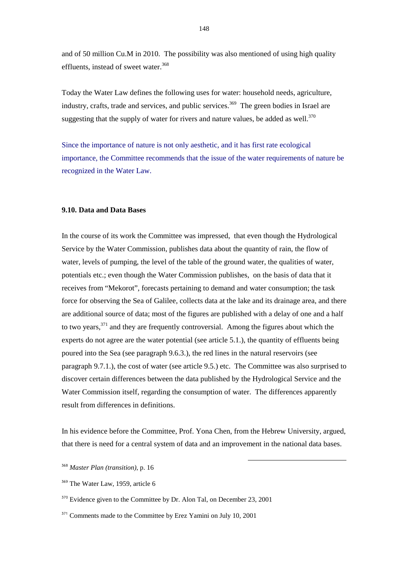and of 50 million Cu.M in 2010. The possibility was also mentioned of using high quality effluents, instead of sweet water.<sup>368</sup>

Today the Water Law defines the following uses for water: household needs, agriculture, industry, crafts, trade and services, and public services.<sup>369</sup> The green bodies in Israel are suggesting that the supply of water for rivers and nature values, be added as well.<sup>370</sup>

Since the importance of nature is not only aesthetic, and it has first rate ecological importance, the Committee recommends that the issue of the water requirements of nature be recognized in the Water Law.

## **9.10. Data and Data Bases**

In the course of its work the Committee was impressed, that even though the Hydrological Service by the Water Commission, publishes data about the quantity of rain, the flow of water, levels of pumping, the level of the table of the ground water, the qualities of water, potentials etc.; even though the Water Commission publishes, on the basis of data that it receives from "Mekorot", forecasts pertaining to demand and water consumption; the task force for observing the Sea of Galilee, collects data at the lake and its drainage area, and there are additional source of data; most of the figures are published with a delay of one and a half to two years,371 and they are frequently controversial. Among the figures about which the experts do not agree are the water potential (see article 5.1.), the quantity of effluents being poured into the Sea (see paragraph 9.6.3.), the red lines in the natural reservoirs (see paragraph 9.7.1.), the cost of water (see article 9.5.) etc. The Committee was also surprised to discover certain differences between the data published by the Hydrological Service and the Water Commission itself, regarding the consumption of water. The differences apparently result from differences in definitions.

In his evidence before the Committee, Prof. Yona Chen, from the Hebrew University, argued, that there is need for a central system of data and an improvement in the national data bases.

<sup>368</sup> *Master Plan (transition)*, p. 16

<sup>&</sup>lt;sup>369</sup> The Water Law, 1959, article 6

<sup>&</sup>lt;sup>370</sup> Evidence given to the Committee by Dr. Alon Tal, on December 23, 2001

<sup>&</sup>lt;sup>371</sup> Comments made to the Committee by Erez Yamini on July 10, 2001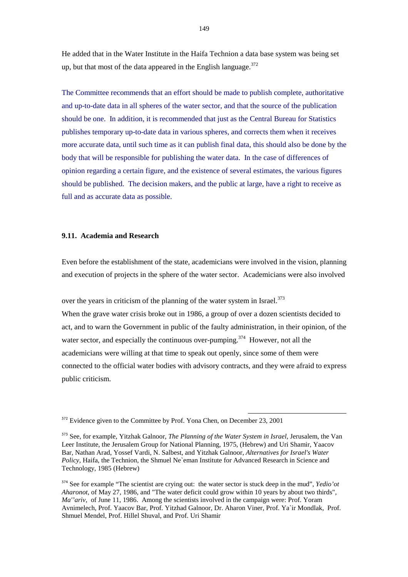He added that in the Water Institute in the Haifa Technion a data base system was being set up, but that most of the data appeared in the English language. $372$ 

The Committee recommends that an effort should be made to publish complete, authoritative and up-to-date data in all spheres of the water sector, and that the source of the publication should be one. In addition, it is recommended that just as the Central Bureau for Statistics publishes temporary up-to-date data in various spheres, and corrects them when it receives more accurate data, until such time as it can publish final data, this should also be done by the body that will be responsible for publishing the water data. In the case of differences of opinion regarding a certain figure, and the existence of several estimates, the various figures should be published. The decision makers, and the public at large, have a right to receive as full and as accurate data as possible.

## **9.11. Academia and Research**

Even before the establishment of the state, academicians were involved in the vision, planning and execution of projects in the sphere of the water sector. Academicians were also involved

over the years in criticism of the planning of the water system in Israel.<sup>373</sup>

When the grave water crisis broke out in 1986, a group of over a dozen scientists decided to act, and to warn the Government in public of the faulty administration, in their opinion, of the water sector, and especially the continuous over-pumping.<sup>374</sup> However, not all the academicians were willing at that time to speak out openly, since some of them were connected to the official water bodies with advisory contracts, and they were afraid to express public criticism.

<sup>&</sup>lt;sup>372</sup> Evidence given to the Committee by Prof. Yona Chen, on December 23, 2001

<sup>373</sup> See, for example, Yitzhak Galnoor, *The Planning of the Water System in Israel,* Jerusalem, the Van Leer Institute, the Jerusalem Group for National Planning, 1975, (Hebrew) and Uri Shamir, Yaacov Bar, Nathan Arad, Yossef Vardi, N. Salbest, and Yitzhak Galnoor, *Alternatives for Israel's Water Policy*, Haifa, the Technion, the Shmuel Ne`eman Institute for Advanced Research in Science and Technology, 1985 (Hebrew)

<sup>374</sup> See for example "The scientist are crying out: the water sector is stuck deep in the mud", *Yedio'ot Aharonot*, of May 27, 1986, and "The water deficit could grow within 10 years by about two thirds", *Ma''ariv*, of June 11, 1986. Among the scientists involved in the campaign were: Prof. Yoram Avnimelech, Prof. Yaacov Bar, Prof. Yitzhad Galnoor, Dr. Aharon Viner, Prof. Ya`ir Mondlak, Prof. Shmuel Mendel, Prof. Hillel Shuval, and Prof. Uri Shamir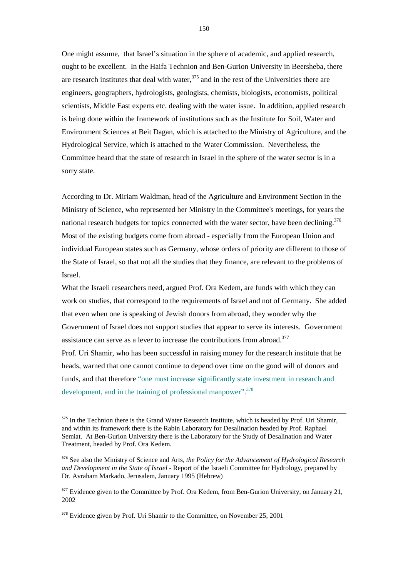One might assume, that Israel's situation in the sphere of academic, and applied research, ought to be excellent. In the Haifa Technion and Ben-Gurion University in Beersheba, there are research institutes that deal with water, $375$  and in the rest of the Universities there are engineers, geographers, hydrologists, geologists, chemists, biologists, economists, political scientists, Middle East experts etc. dealing with the water issue. In addition, applied research is being done within the framework of institutions such as the Institute for Soil, Water and Environment Sciences at Beit Dagan, which is attached to the Ministry of Agriculture, and the Hydrological Service, which is attached to the Water Commission. Nevertheless, the Committee heard that the state of research in Israel in the sphere of the water sector is in a sorry state.

According to Dr. Miriam Waldman, head of the Agriculture and Environment Section in the Ministry of Science, who represented her Ministry in the Committee's meetings, for years the national research budgets for topics connected with the water sector, have been declining.<sup>376</sup> Most of the existing budgets come from abroad - especially from the European Union and individual European states such as Germany, whose orders of priority are different to those of the State of Israel, so that not all the studies that they finance, are relevant to the problems of Israel.

What the Israeli researchers need, argued Prof. Ora Kedem, are funds with which they can work on studies, that correspond to the requirements of Israel and not of Germany. She added that even when one is speaking of Jewish donors from abroad, they wonder why the Government of Israel does not support studies that appear to serve its interests. Government assistance can serve as a lever to increase the contributions from abroad.<sup>377</sup>

Prof. Uri Shamir, who has been successful in raising money for the research institute that he heads, warned that one cannot continue to depend over time on the good will of donors and funds, and that therefore "one must increase significantly state investment in research and development, and in the training of professional manpower".<sup>378</sup>

<sup>&</sup>lt;sup>375</sup> In the Technion there is the Grand Water Research Institute, which is headed by Prof. Uri Shamir, and within its framework there is the Rabin Laboratory for Desalination headed by Prof. Raphael Semiat. At Ben-Gurion University there is the Laboratory for the Study of Desalination and Water Treatment, headed by Prof. Ora Kedem.

<sup>376</sup> See also the Ministry of Science and Arts, *the Policy for the Advancement of Hydrological Research and Development in the State of Israel* - Report of the Israeli Committee for Hydrology, prepared by Dr. Avraham Markado, Jerusalem, January 1995 (Hebrew)

<sup>&</sup>lt;sup>377</sup> Evidence given to the Committee by Prof. Ora Kedem, from Ben-Gurion University, on January 21, 2002

<sup>&</sup>lt;sup>378</sup> Evidence given by Prof. Uri Shamir to the Committee, on November 25, 2001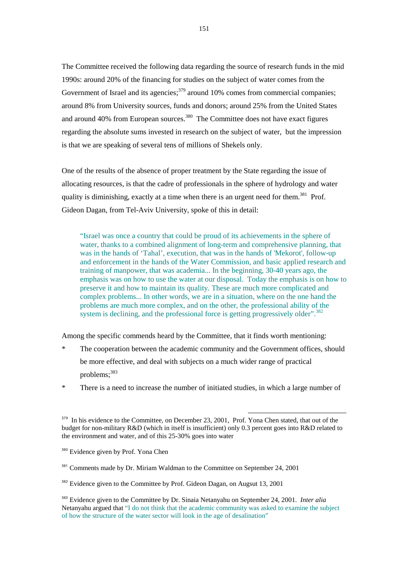The Committee received the following data regarding the source of research funds in the mid 1990s: around 20% of the financing for studies on the subject of water comes from the Government of Israel and its agencies;<sup>379</sup> around 10% comes from commercial companies; around 8% from University sources, funds and donors; around 25% from the United States and around 40% from European sources.<sup>380</sup> The Committee does not have exact figures regarding the absolute sums invested in research on the subject of water, but the impression is that we are speaking of several tens of millions of Shekels only.

One of the results of the absence of proper treatment by the State regarding the issue of allocating resources, is that the cadre of professionals in the sphere of hydrology and water quality is diminishing, exactly at a time when there is an urgent need for them.<sup>381</sup> Prof. Gideon Dagan, from Tel-Aviv University, spoke of this in detail:

 "Israel was once a country that could be proud of its achievements in the sphere of water, thanks to a combined alignment of long-term and comprehensive planning, that was in the hands of 'Tahal', execution, that was in the hands of 'Mekorot', follow-up and enforcement in the hands of the Water Commission, and basic applied research and training of manpower, that was academia... In the beginning, 30-40 years ago, the emphasis was on how to use the water at our disposal. Today the emphasis is on how to preserve it and how to maintain its quality. These are much more complicated and complex problems... In other words, we are in a situation, where on the one hand the problems are much more complex, and on the other, the professional ability of the system is declining, and the professional force is getting progressively older".<sup>382</sup>

Among the specific commends heard by the Committee, that it finds worth mentioning:

- \* The cooperation between the academic community and the Government offices, should be more effective, and deal with subjects on a much wider range of practical problems: 383
- \* There is a need to increase the number of initiated studies, in which a large number of

 $379$  In his evidence to the Committee, on December 23, 2001, Prof. Yona Chen stated, that out of the budget for non-military R&D (which in itself is insufficient) only 0.3 percent goes into R&D related to the environment and water, and of this 25-30% goes into water

<sup>&</sup>lt;sup>380</sup> Evidence given by Prof. Yona Chen

<sup>&</sup>lt;sup>381</sup> Comments made by Dr. Miriam Waldman to the Committee on September 24, 2001

<sup>&</sup>lt;sup>382</sup> Evidence given to the Committee by Prof. Gideon Dagan, on Augsut 13, 2001

<sup>383</sup> Evidence given to the Committee by Dr. Sinaia Netanyahu on September 24, 2001. *Inter alia* Netanyahu argued that "I do not think that the academic community was asked to examine the subject of how the structure of the water sector will look in the age of desalination"